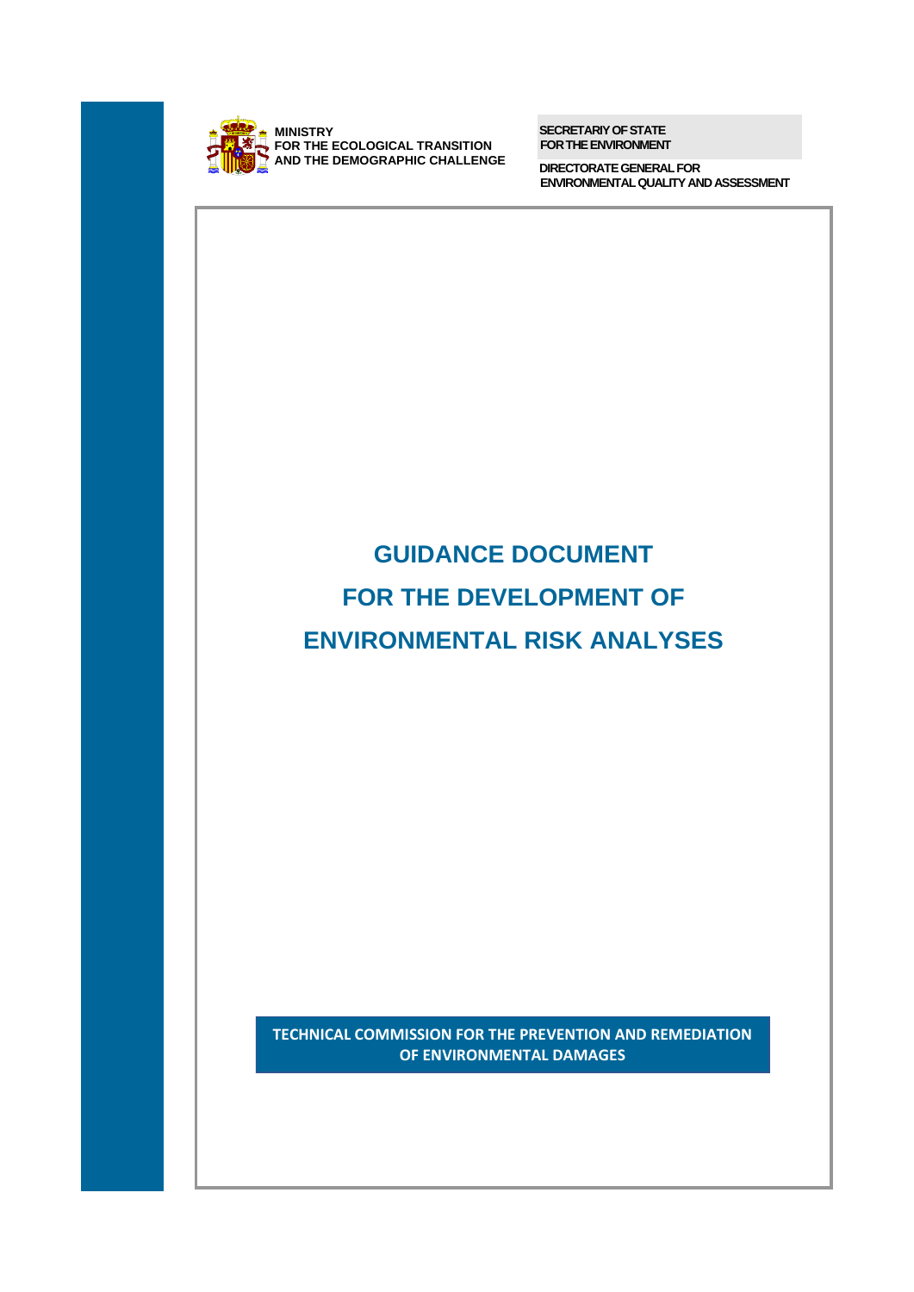

**SECRETARIY OF STATE FOR THE ENVIRONMENT**

**DIRECTORATE GENERAL FOR ENVIRONMENTALQUALITY AND ASSESSMENT**

# **GUIDANCE DOCUMENT FOR THE DEVELOPMENT OF ENVIRONMENTAL RISK ANALYSES TECHNICAL COMMISSION FOR THE PREVENTION AND REMEDIATION OF ENVIRONMENTAL DAMAGES**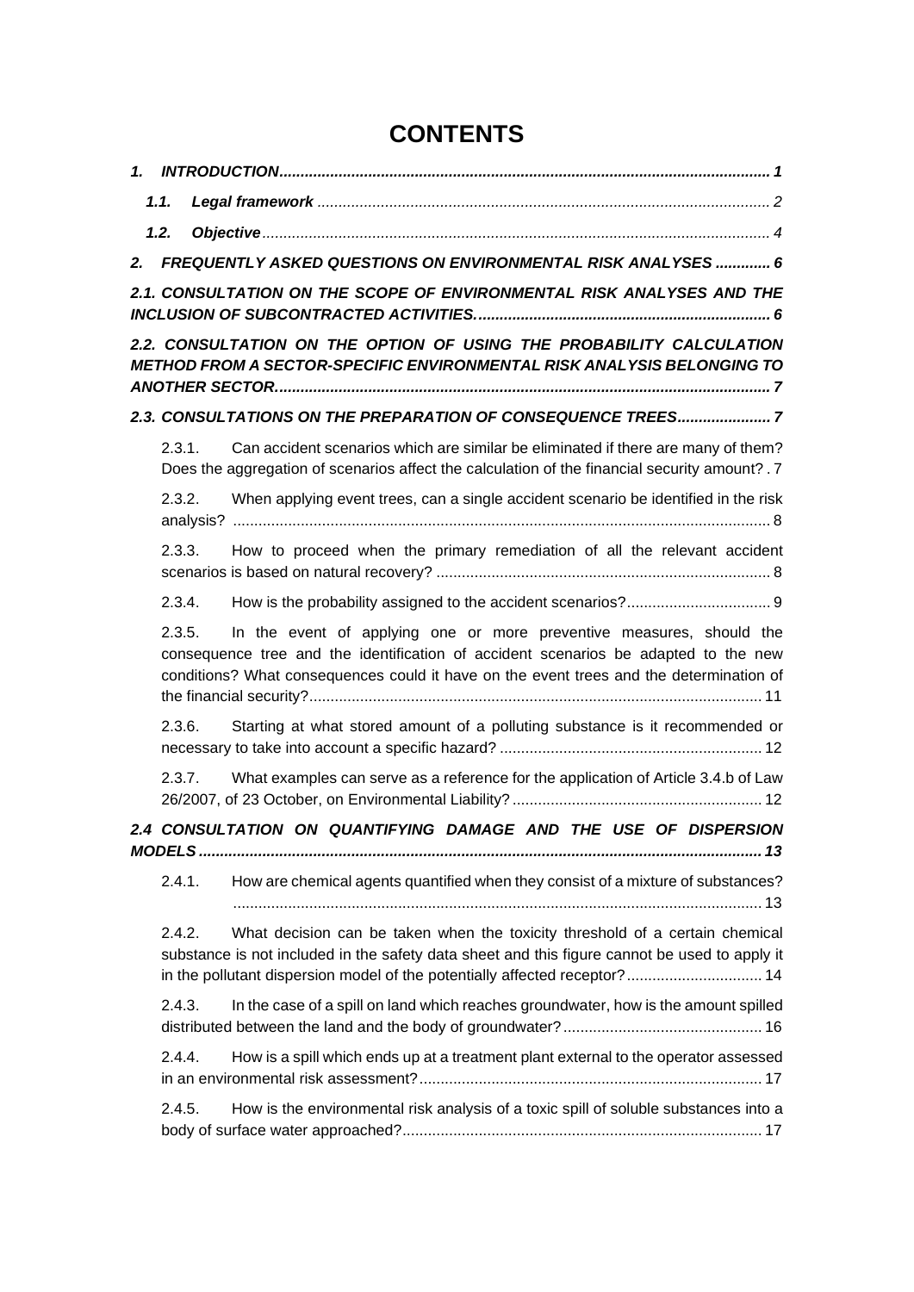# **CONTENTS**

|    | 1.1.   |                                                                                                                                                                                                                                                             |
|----|--------|-------------------------------------------------------------------------------------------------------------------------------------------------------------------------------------------------------------------------------------------------------------|
|    | 1.2.   |                                                                                                                                                                                                                                                             |
| 2. |        | FREQUENTLY ASKED QUESTIONS ON ENVIRONMENTAL RISK ANALYSES  6                                                                                                                                                                                                |
|    |        | 2.1. CONSULTATION ON THE SCOPE OF ENVIRONMENTAL RISK ANALYSES AND THE                                                                                                                                                                                       |
|    |        | 2.2. CONSULTATION ON THE OPTION OF USING THE PROBABILITY CALCULATION<br><b>METHOD FROM A SECTOR-SPECIFIC ENVIRONMENTAL RISK ANALYSIS BELONGING TO</b>                                                                                                       |
|    |        | 2.3. CONSULTATIONS ON THE PREPARATION OF CONSEQUENCE TREES7                                                                                                                                                                                                 |
|    | 2.3.1. | Can accident scenarios which are similar be eliminated if there are many of them?<br>Does the aggregation of scenarios affect the calculation of the financial security amount? . 7                                                                         |
|    | 2.3.2. | When applying event trees, can a single accident scenario be identified in the risk                                                                                                                                                                         |
|    | 2.3.3. | How to proceed when the primary remediation of all the relevant accident                                                                                                                                                                                    |
|    | 2.3.4. |                                                                                                                                                                                                                                                             |
|    | 2.3.5. | In the event of applying one or more preventive measures, should the<br>consequence tree and the identification of accident scenarios be adapted to the new<br>conditions? What consequences could it have on the event trees and the determination of      |
|    | 2.3.6. | Starting at what stored amount of a polluting substance is it recommended or                                                                                                                                                                                |
|    | 2.3.7. | What examples can serve as a reference for the application of Article 3.4.b of Law                                                                                                                                                                          |
|    |        | 2.4 CONSULTATION ON QUANTIFYING DAMAGE AND THE USE OF DISPERSION                                                                                                                                                                                            |
|    | 2.4.1. | How are chemical agents quantified when they consist of a mixture of substances?                                                                                                                                                                            |
|    | 2.4.2. | What decision can be taken when the toxicity threshold of a certain chemical<br>substance is not included in the safety data sheet and this figure cannot be used to apply it<br>in the pollutant dispersion model of the potentially affected receptor? 14 |
|    | 2.4.3. | In the case of a spill on land which reaches groundwater, how is the amount spilled                                                                                                                                                                         |
|    | 2.4.4. | How is a spill which ends up at a treatment plant external to the operator assessed                                                                                                                                                                         |
|    | 2.4.5. | How is the environmental risk analysis of a toxic spill of soluble substances into a                                                                                                                                                                        |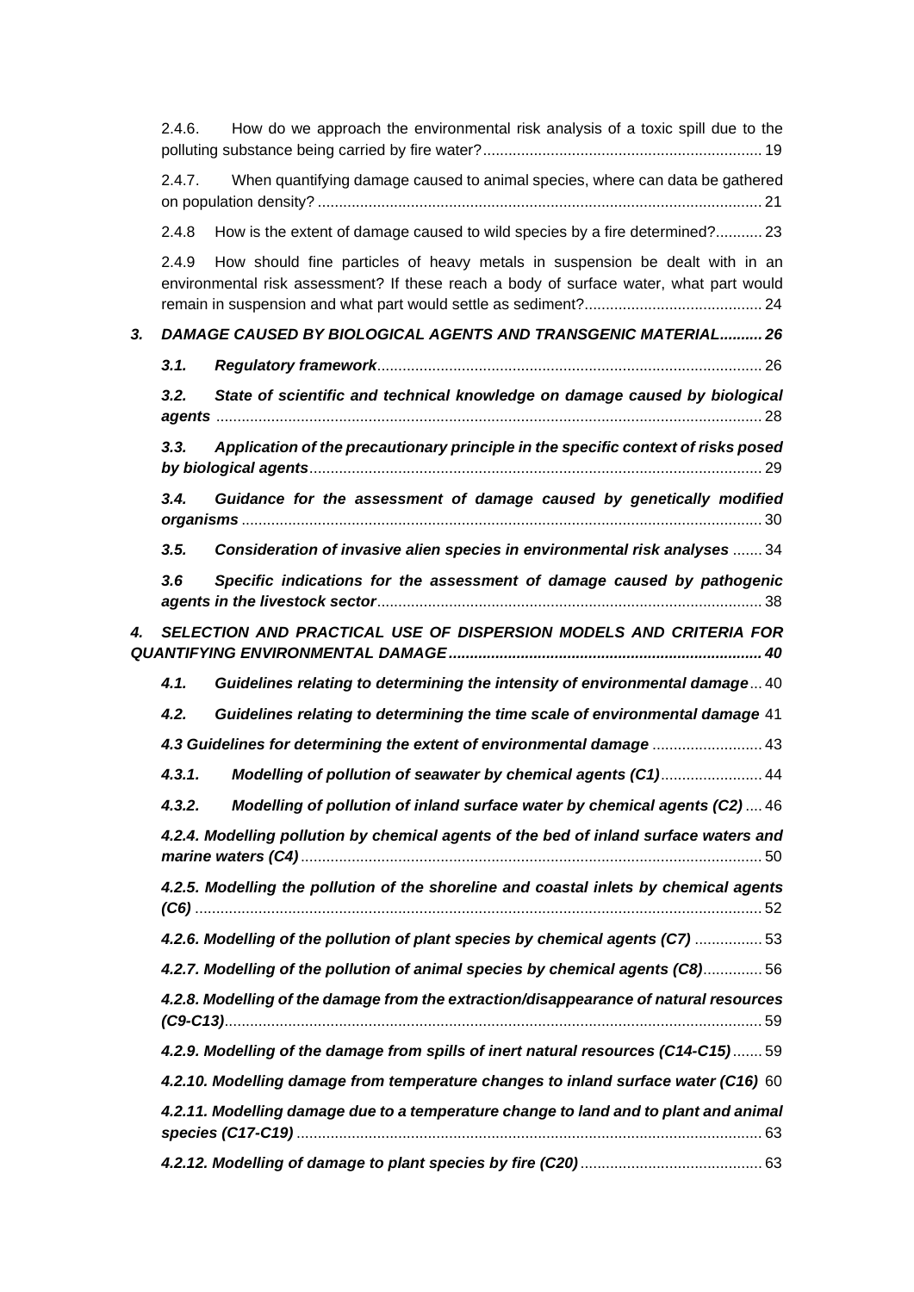|    | 2.4.6.                                                                                 | How do we approach the environmental risk analysis of a toxic spill due to the                                                                                        |  |  |
|----|----------------------------------------------------------------------------------------|-----------------------------------------------------------------------------------------------------------------------------------------------------------------------|--|--|
|    | When quantifying damage caused to animal species, where can data be gathered<br>2.4.7. |                                                                                                                                                                       |  |  |
|    | 2.4.8                                                                                  | How is the extent of damage caused to wild species by a fire determined? 23                                                                                           |  |  |
|    | 2.4.9                                                                                  | How should fine particles of heavy metals in suspension be dealt with in an<br>environmental risk assessment? If these reach a body of surface water, what part would |  |  |
| 3. |                                                                                        | <b>DAMAGE CAUSED BY BIOLOGICAL AGENTS AND TRANSGENIC MATERIAL 26</b>                                                                                                  |  |  |
|    | 3.1.                                                                                   |                                                                                                                                                                       |  |  |
|    | 3.2.                                                                                   | State of scientific and technical knowledge on damage caused by biological                                                                                            |  |  |
|    | 3.3.                                                                                   | Application of the precautionary principle in the specific context of risks posed                                                                                     |  |  |
|    | 3.4.                                                                                   | Guidance for the assessment of damage caused by genetically modified                                                                                                  |  |  |
|    | 3.5.                                                                                   | Consideration of invasive alien species in environmental risk analyses  34                                                                                            |  |  |
|    | 3.6                                                                                    | Specific indications for the assessment of damage caused by pathogenic                                                                                                |  |  |
| 4. |                                                                                        | SELECTION AND PRACTICAL USE OF DISPERSION MODELS AND CRITERIA FOR                                                                                                     |  |  |
|    | 4.1.                                                                                   | Guidelines relating to determining the intensity of environmental damage 40                                                                                           |  |  |
|    | 4.2.                                                                                   | Guidelines relating to determining the time scale of environmental damage 41                                                                                          |  |  |
|    |                                                                                        | 4.3 Guidelines for determining the extent of environmental damage  43                                                                                                 |  |  |
|    | 4.3.1.                                                                                 | Modelling of pollution of seawater by chemical agents (C1) 44                                                                                                         |  |  |
|    |                                                                                        | 4.3.2. Modelling of pollution of inland surface water by chemical agents (C2) 46                                                                                      |  |  |
|    |                                                                                        | 4.2.4. Modelling pollution by chemical agents of the bed of inland surface waters and                                                                                 |  |  |
|    |                                                                                        | 4.2.5. Modelling the pollution of the shoreline and coastal inlets by chemical agents                                                                                 |  |  |
|    |                                                                                        | 4.2.6. Modelling of the pollution of plant species by chemical agents (C7)  53                                                                                        |  |  |
|    |                                                                                        | 4.2.7. Modelling of the pollution of animal species by chemical agents (C8) 56                                                                                        |  |  |
|    |                                                                                        | 4.2.8. Modelling of the damage from the extraction/disappearance of natural resources                                                                                 |  |  |
|    |                                                                                        | 4.2.9. Modelling of the damage from spills of inert natural resources (C14-C15) 59                                                                                    |  |  |
|    |                                                                                        | 4.2.10. Modelling damage from temperature changes to inland surface water (C16) 60                                                                                    |  |  |
|    |                                                                                        | 4.2.11. Modelling damage due to a temperature change to land and to plant and animal                                                                                  |  |  |
|    |                                                                                        |                                                                                                                                                                       |  |  |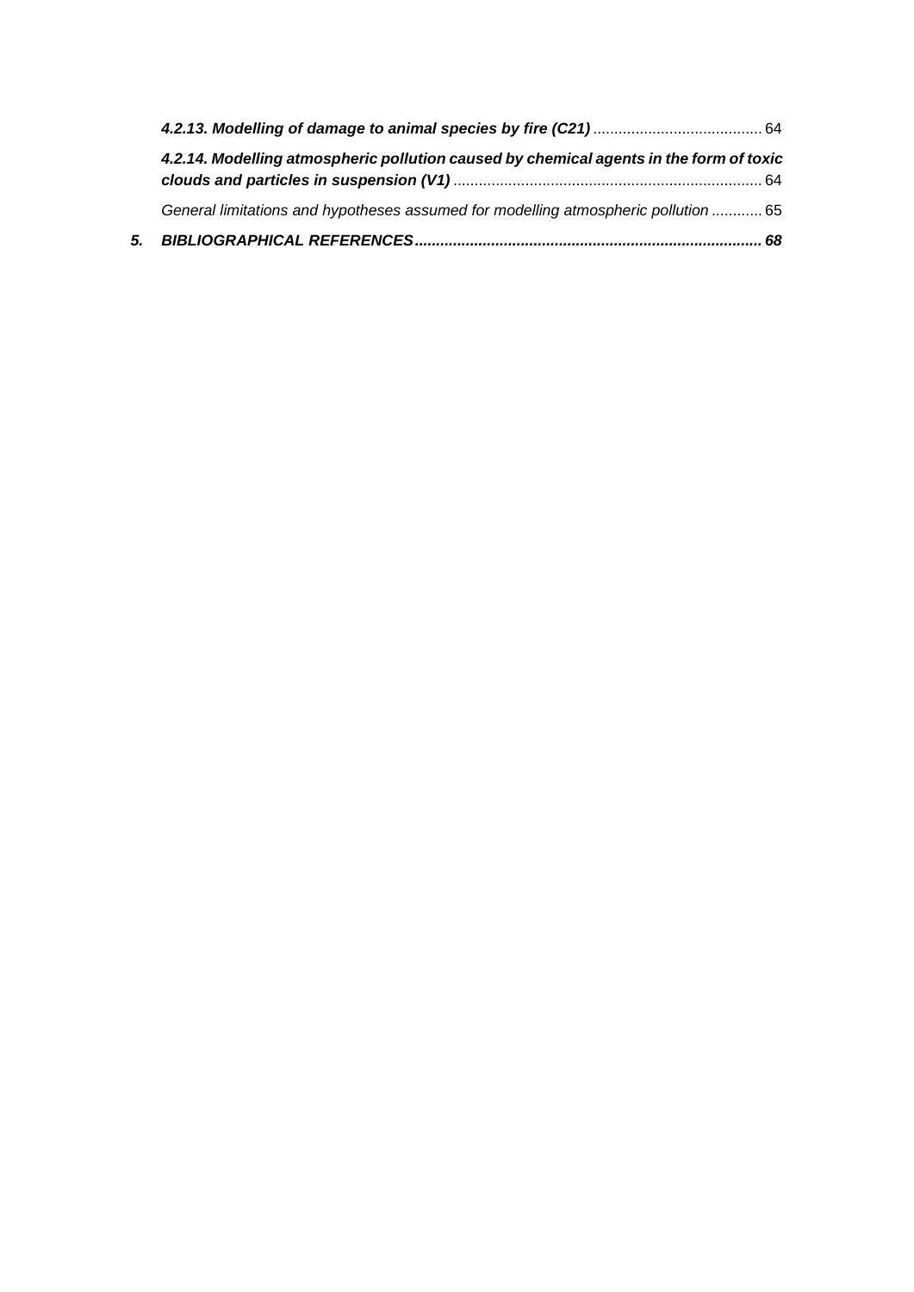| 4.2.14. Modelling atmospheric pollution caused by chemical agents in the form of toxic |  |
|----------------------------------------------------------------------------------------|--|
| General limitations and hypotheses assumed for modelling atmospheric pollution  65     |  |
|                                                                                        |  |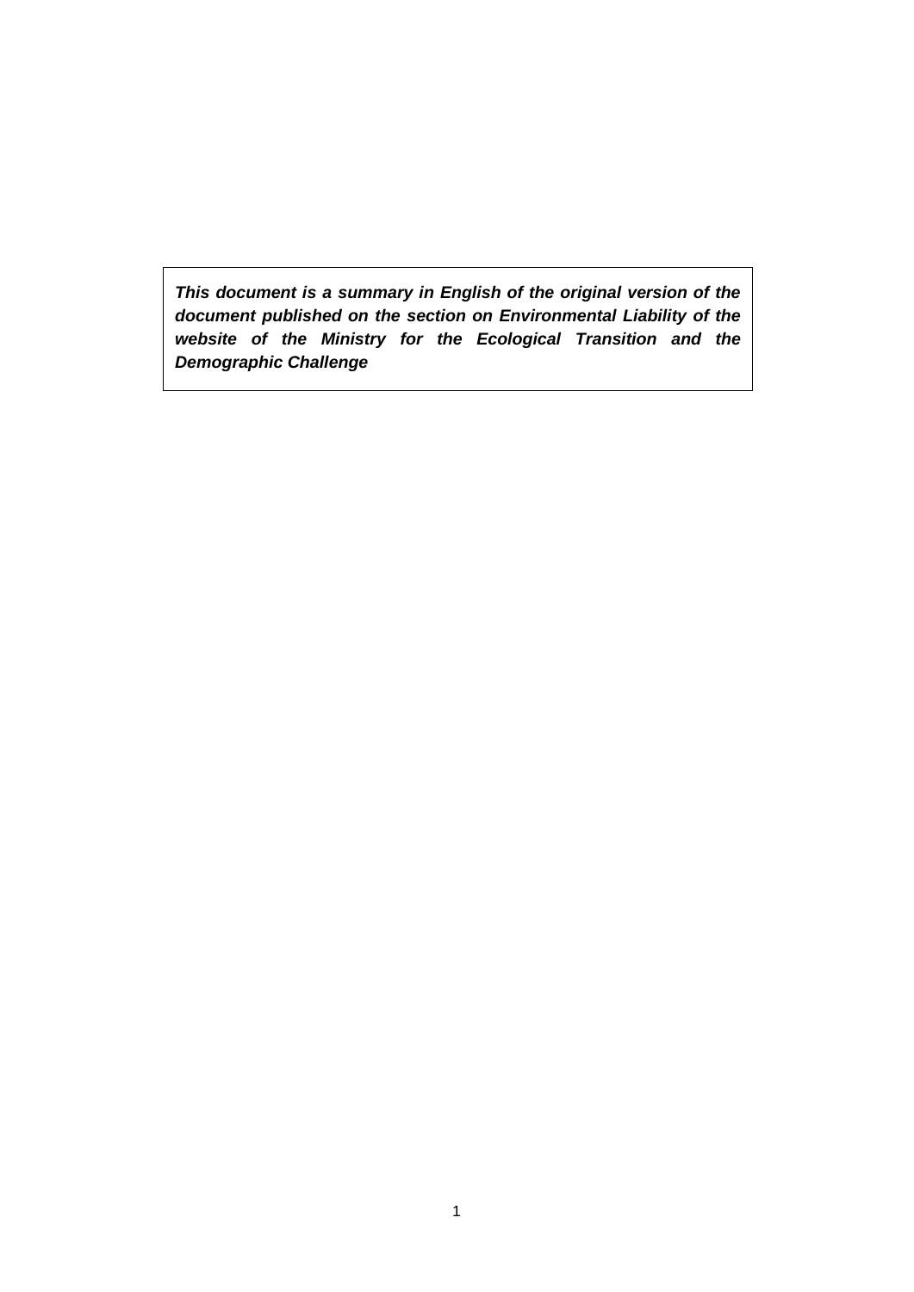*This document is a summary in English of the original version of the document published on the section on Environmental Liability of the website of the Ministry for the Ecological Transition and the Demographic Challenge*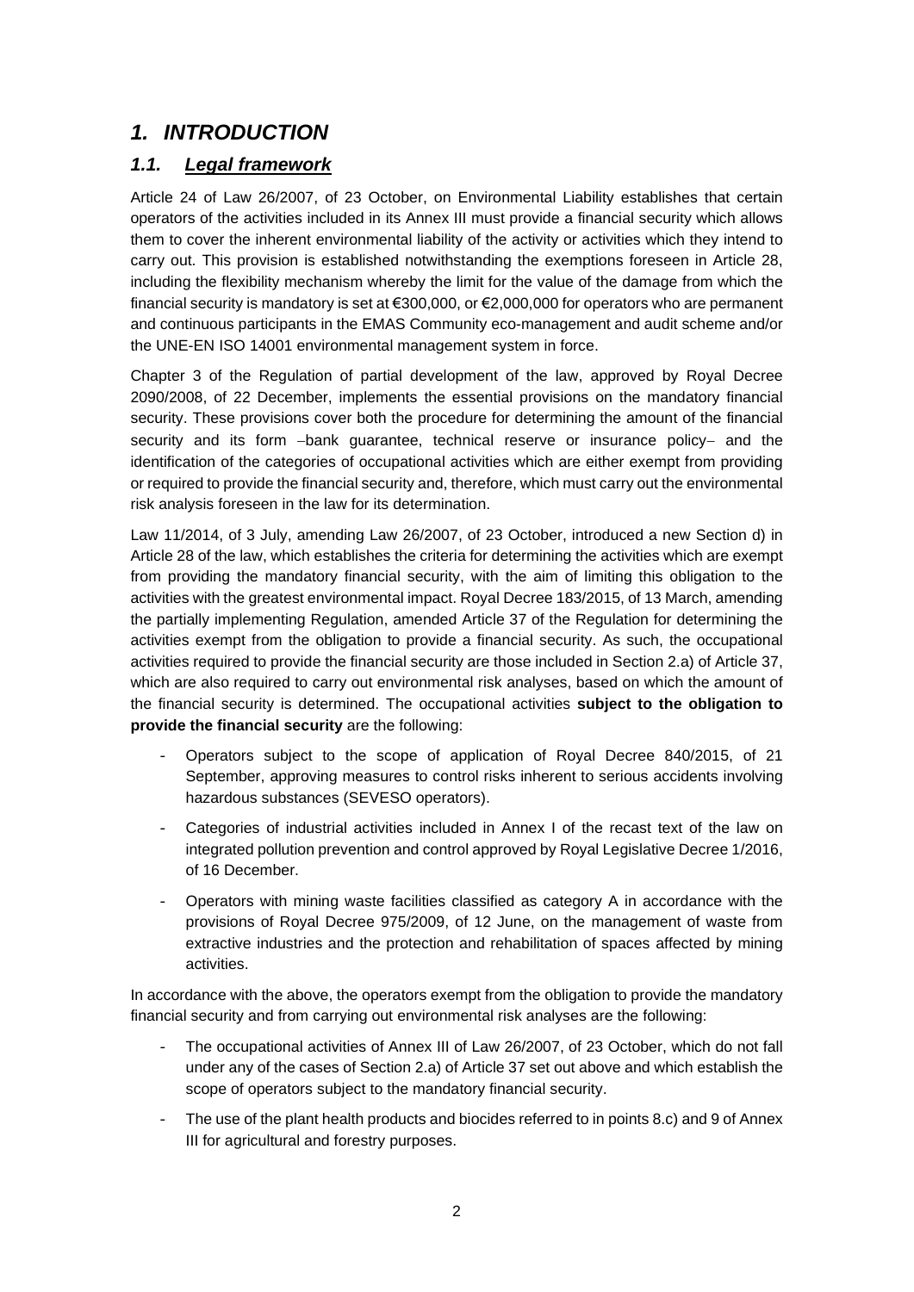# *1. INTRODUCTION*

### *1.1. Legal framework*

Article 24 of Law 26/2007, of 23 October, on Environmental Liability establishes that certain operators of the activities included in its Annex III must provide a financial security which allows them to cover the inherent environmental liability of the activity or activities which they intend to carry out. This provision is established notwithstanding the exemptions foreseen in Article 28, including the flexibility mechanism whereby the limit for the value of the damage from which the financial security is mandatory is set at €300,000, or €2,000,000 for operators who are permanent and continuous participants in the EMAS Community eco-management and audit scheme and/or the UNE-EN ISO 14001 environmental management system in force.

Chapter 3 of the Regulation of partial development of the law, approved by Royal Decree 2090/2008, of 22 December, implements the essential provisions on the mandatory financial security. These provisions cover both the procedure for determining the amount of the financial security and its form -bank guarantee, technical reserve or insurance policy- and the identification of the categories of occupational activities which are either exempt from providing or required to provide the financial security and, therefore, which must carry out the environmental risk analysis foreseen in the law for its determination.

Law 11/2014, of 3 July, amending Law 26/2007, of 23 October, introduced a new Section d) in Article 28 of the law, which establishes the criteria for determining the activities which are exempt from providing the mandatory financial security, with the aim of limiting this obligation to the activities with the greatest environmental impact. Royal Decree 183/2015, of 13 March, amending the partially implementing Regulation, amended Article 37 of the Regulation for determining the activities exempt from the obligation to provide a financial security. As such, the occupational activities required to provide the financial security are those included in Section 2.a) of Article 37, which are also required to carry out environmental risk analyses, based on which the amount of the financial security is determined. The occupational activities **subject to the obligation to provide the financial security** are the following:

- Operators subject to the scope of application of Royal Decree 840/2015, of 21 September, approving measures to control risks inherent to serious accidents involving hazardous substances (SEVESO operators).
- Categories of industrial activities included in Annex I of the recast text of the law on integrated pollution prevention and control approved by Royal Legislative Decree 1/2016, of 16 December.
- Operators with mining waste facilities classified as category A in accordance with the provisions of Royal Decree 975/2009, of 12 June, on the management of waste from extractive industries and the protection and rehabilitation of spaces affected by mining activities.

In accordance with the above, the operators exempt from the obligation to provide the mandatory financial security and from carrying out environmental risk analyses are the following:

- The occupational activities of Annex III of Law 26/2007, of 23 October, which do not fall under any of the cases of Section 2.a) of Article 37 set out above and which establish the scope of operators subject to the mandatory financial security.
- The use of the plant health products and biocides referred to in points 8.c) and 9 of Annex III for agricultural and forestry purposes.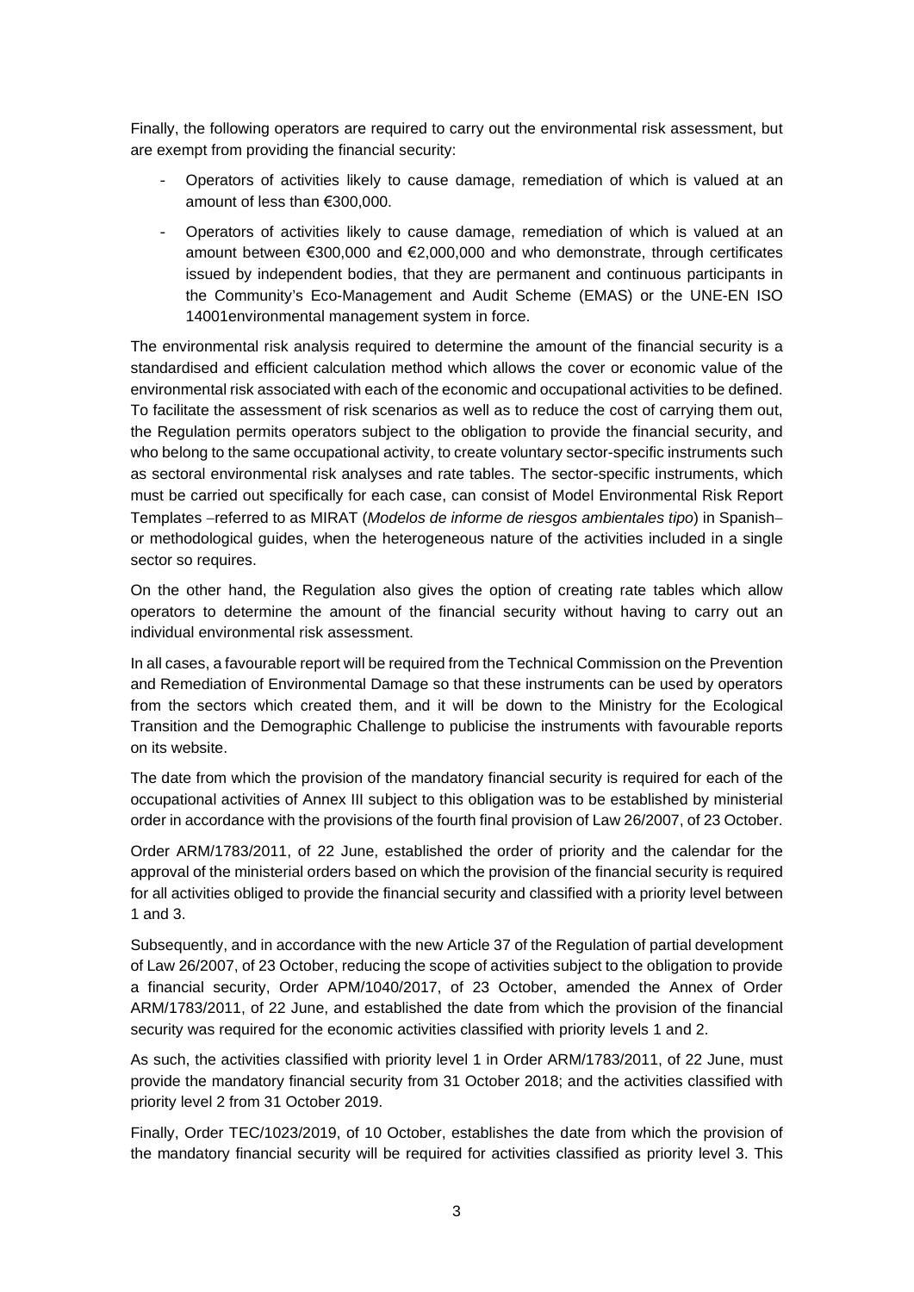Finally, the following operators are required to carry out the environmental risk assessment, but are exempt from providing the financial security:

- Operators of activities likely to cause damage, remediation of which is valued at an amount of less than €300,000.
- Operators of activities likely to cause damage, remediation of which is valued at an amount between €300,000 and €2,000,000 and who demonstrate, through certificates issued by independent bodies, that they are permanent and continuous participants in the Community's Eco-Management and Audit Scheme (EMAS) or the UNE-EN ISO 14001environmental management system in force.

The environmental risk analysis required to determine the amount of the financial security is a standardised and efficient calculation method which allows the cover or economic value of the environmental risk associated with each of the economic and occupational activities to be defined. To facilitate the assessment of risk scenarios as well as to reduce the cost of carrying them out, the Regulation permits operators subject to the obligation to provide the financial security, and who belong to the same occupational activity, to create voluntary sector-specific instruments such as sectoral environmental risk analyses and rate tables. The sector-specific instruments, which must be carried out specifically for each case, can consist of Model Environmental Risk Report Templates -referred to as MIRAT (*Modelos de informe de riesgos ambientales tipo*) in Spanishor methodological guides, when the heterogeneous nature of the activities included in a single sector so requires.

On the other hand, the Regulation also gives the option of creating rate tables which allow operators to determine the amount of the financial security without having to carry out an individual environmental risk assessment.

In all cases, a favourable report will be required from the Technical Commission on the Prevention and Remediation of Environmental Damage so that these instruments can be used by operators from the sectors which created them, and it will be down to the Ministry for the Ecological Transition and the Demographic Challenge to publicise the instruments with favourable reports on its website.

The date from which the provision of the mandatory financial security is required for each of the occupational activities of Annex III subject to this obligation was to be established by ministerial order in accordance with the provisions of the fourth final provision of Law 26/2007, of 23 October.

Order ARM/1783/2011, of 22 June, established the order of priority and the calendar for the approval of the ministerial orders based on which the provision of the financial security is required for all activities obliged to provide the financial security and classified with a priority level between 1 and 3.

Subsequently, and in accordance with the new Article 37 of the Regulation of partial development of Law 26/2007, of 23 October, reducing the scope of activities subject to the obligation to provide a financial security, Order APM/1040/2017, of 23 October, amended the Annex of Order ARM/1783/2011, of 22 June, and established the date from which the provision of the financial security was required for the economic activities classified with priority levels 1 and 2.

As such, the activities classified with priority level 1 in Order ARM/1783/2011, of 22 June, must provide the mandatory financial security from 31 October 2018; and the activities classified with priority level 2 from 31 October 2019.

Finally, Order TEC/1023/2019, of 10 October, establishes the date from which the provision of the mandatory financial security will be required for activities classified as priority level 3. This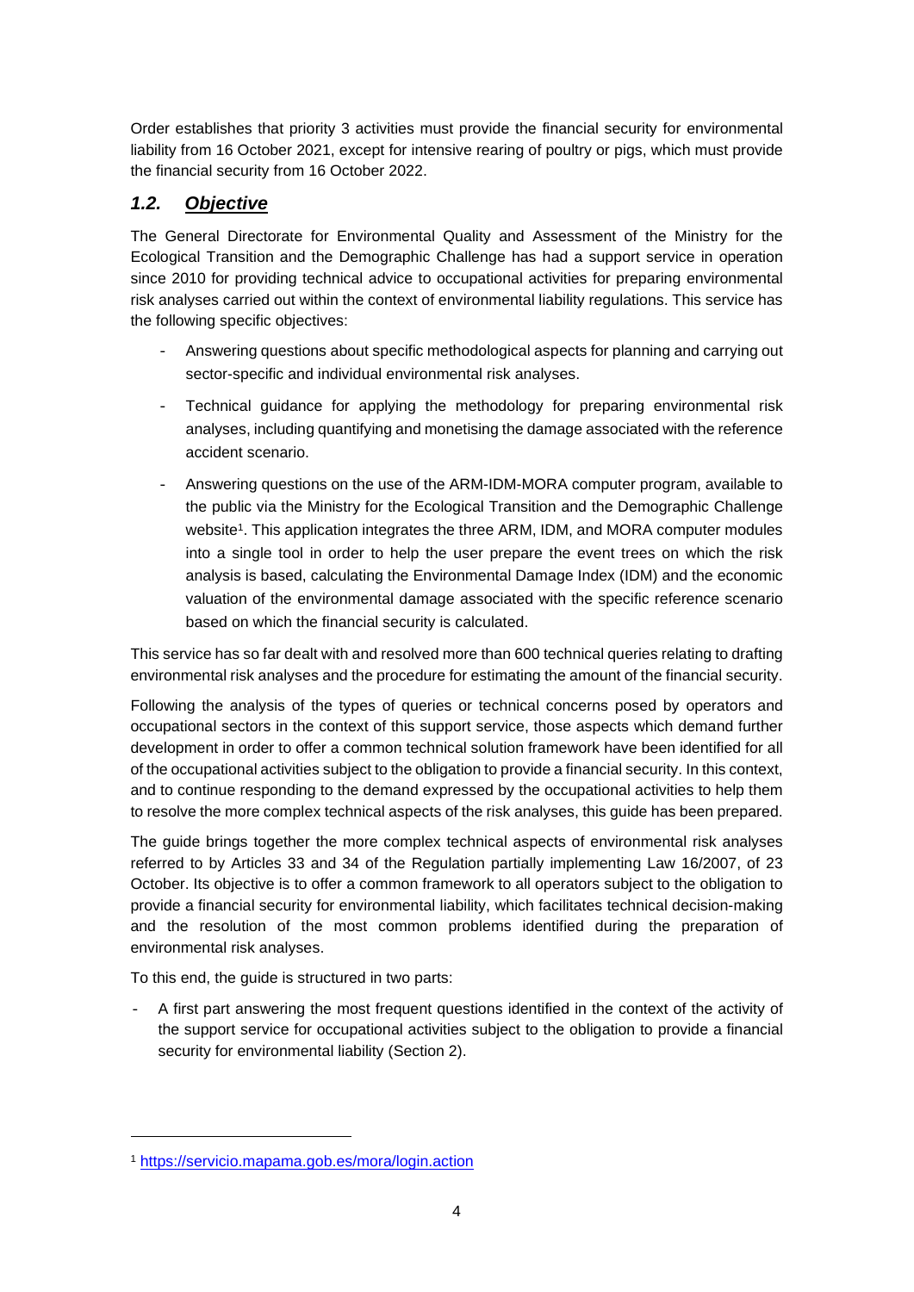Order establishes that priority 3 activities must provide the financial security for environmental liability from 16 October 2021, except for intensive rearing of poultry or pigs, which must provide the financial security from 16 October 2022.

### *1.2. Objective*

The General Directorate for Environmental Quality and Assessment of the Ministry for the Ecological Transition and the Demographic Challenge has had a support service in operation since 2010 for providing technical advice to occupational activities for preparing environmental risk analyses carried out within the context of environmental liability regulations. This service has the following specific objectives:

- Answering questions about specific methodological aspects for planning and carrying out sector-specific and individual environmental risk analyses.
- Technical guidance for applying the methodology for preparing environmental risk analyses, including quantifying and monetising the damage associated with the reference accident scenario.
- Answering questions on the use of the ARM-IDM-MORA computer program, available to the public via the Ministry for the Ecological Transition and the Demographic Challenge website<sup>1</sup>. This application integrates the three ARM, IDM, and MORA computer modules into a single tool in order to help the user prepare the event trees on which the risk analysis is based, calculating the Environmental Damage Index (IDM) and the economic valuation of the environmental damage associated with the specific reference scenario based on which the financial security is calculated.

This service has so far dealt with and resolved more than 600 technical queries relating to drafting environmental risk analyses and the procedure for estimating the amount of the financial security.

Following the analysis of the types of queries or technical concerns posed by operators and occupational sectors in the context of this support service, those aspects which demand further development in order to offer a common technical solution framework have been identified for all of the occupational activities subject to the obligation to provide a financial security. In this context, and to continue responding to the demand expressed by the occupational activities to help them to resolve the more complex technical aspects of the risk analyses, this guide has been prepared.

The guide brings together the more complex technical aspects of environmental risk analyses referred to by Articles 33 and 34 of the Regulation partially implementing Law 16/2007, of 23 October. Its objective is to offer a common framework to all operators subject to the obligation to provide a financial security for environmental liability, which facilitates technical decision-making and the resolution of the most common problems identified during the preparation of environmental risk analyses.

To this end, the guide is structured in two parts:

A first part answering the most frequent questions identified in the context of the activity of the support service for occupational activities subject to the obligation to provide a financial security for environmental liability (Section 2).

<sup>1</sup> https://servicio.mapama.gob.es/mora/login.action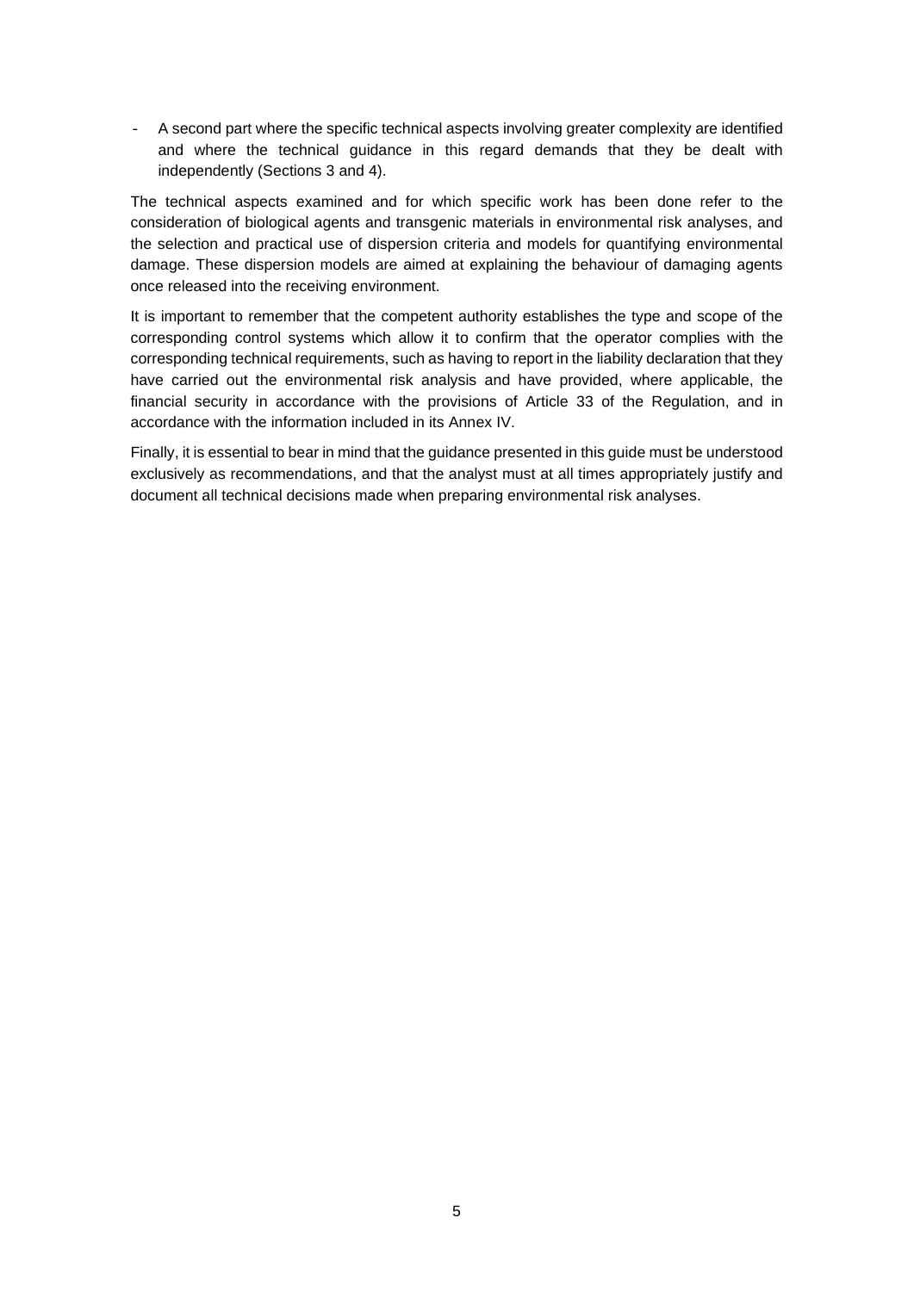- A second part where the specific technical aspects involving greater complexity are identified and where the technical guidance in this regard demands that they be dealt with independently (Sections 3 and 4).

The technical aspects examined and for which specific work has been done refer to the consideration of biological agents and transgenic materials in environmental risk analyses, and the selection and practical use of dispersion criteria and models for quantifying environmental damage. These dispersion models are aimed at explaining the behaviour of damaging agents once released into the receiving environment.

It is important to remember that the competent authority establishes the type and scope of the corresponding control systems which allow it to confirm that the operator complies with the corresponding technical requirements, such as having to report in the liability declaration that they have carried out the environmental risk analysis and have provided, where applicable, the financial security in accordance with the provisions of Article 33 of the Regulation, and in accordance with the information included in its Annex IV.

Finally, it is essential to bear in mind that the guidance presented in this guide must be understood exclusively as recommendations, and that the analyst must at all times appropriately justify and document all technical decisions made when preparing environmental risk analyses.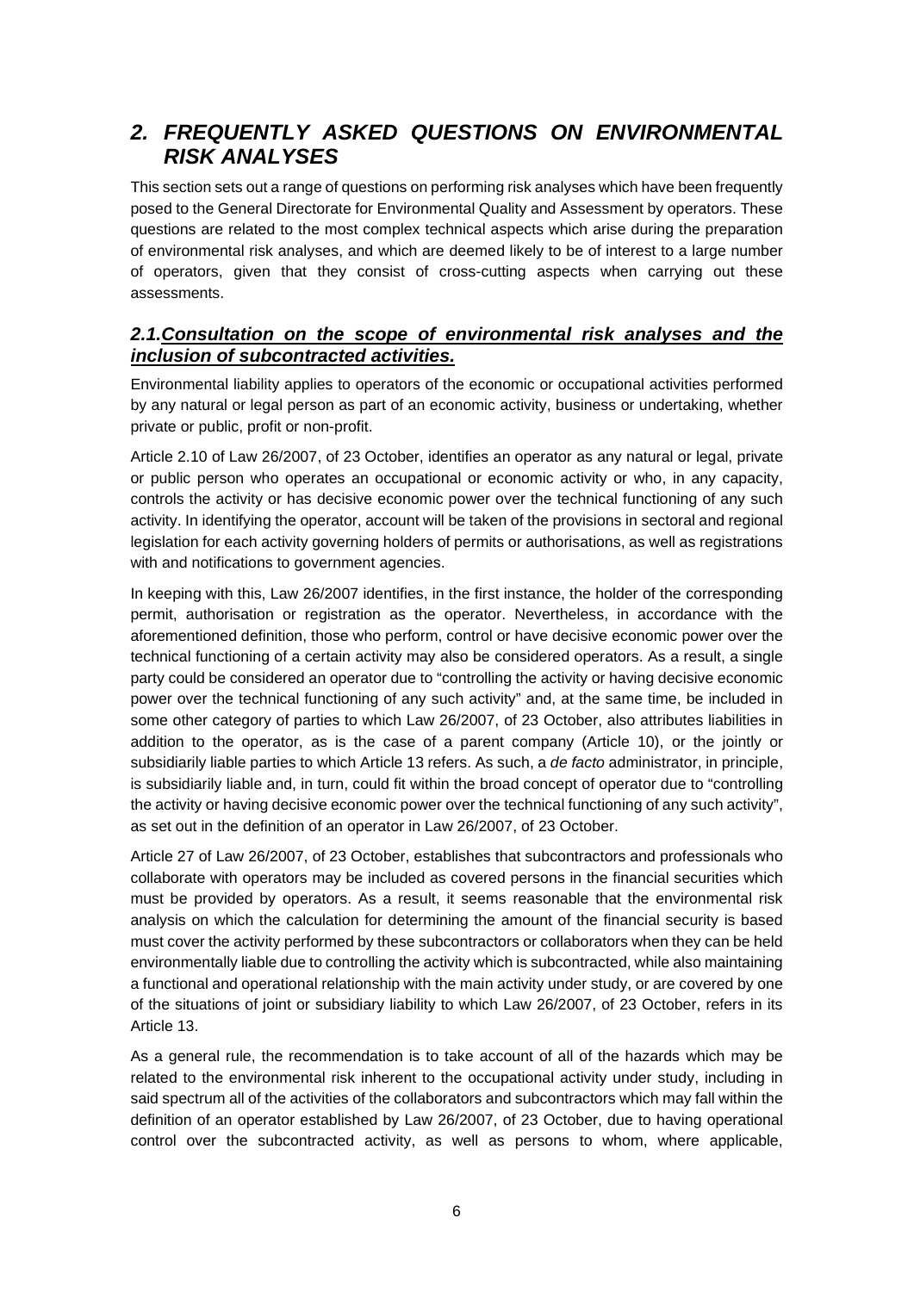# *2. FREQUENTLY ASKED QUESTIONS ON ENVIRONMENTAL RISK ANALYSES*

This section sets out a range of questions on performing risk analyses which have been frequently posed to the General Directorate for Environmental Quality and Assessment by operators. These questions are related to the most complex technical aspects which arise during the preparation of environmental risk analyses, and which are deemed likely to be of interest to a large number of operators, given that they consist of cross-cutting aspects when carrying out these assessments.

### *2.1.Consultation on the scope of environmental risk analyses and the inclusion of subcontracted activities.*

Environmental liability applies to operators of the economic or occupational activities performed by any natural or legal person as part of an economic activity, business or undertaking, whether private or public, profit or non-profit.

Article 2.10 of Law 26/2007, of 23 October, identifies an operator as any natural or legal, private or public person who operates an occupational or economic activity or who, in any capacity, controls the activity or has decisive economic power over the technical functioning of any such activity. In identifying the operator, account will be taken of the provisions in sectoral and regional legislation for each activity governing holders of permits or authorisations, as well as registrations with and notifications to government agencies.

In keeping with this, Law 26/2007 identifies, in the first instance, the holder of the corresponding permit, authorisation or registration as the operator. Nevertheless, in accordance with the aforementioned definition, those who perform, control or have decisive economic power over the technical functioning of a certain activity may also be considered operators. As a result, a single party could be considered an operator due to "controlling the activity or having decisive economic power over the technical functioning of any such activity" and, at the same time, be included in some other category of parties to which Law 26/2007, of 23 October, also attributes liabilities in addition to the operator, as is the case of a parent company (Article 10), or the jointly or subsidiarily liable parties to which Article 13 refers. As such, a *de facto* administrator, in principle, is subsidiarily liable and, in turn, could fit within the broad concept of operator due to "controlling the activity or having decisive economic power over the technical functioning of any such activity", as set out in the definition of an operator in Law 26/2007, of 23 October.

Article 27 of Law 26/2007, of 23 October, establishes that subcontractors and professionals who collaborate with operators may be included as covered persons in the financial securities which must be provided by operators. As a result, it seems reasonable that the environmental risk analysis on which the calculation for determining the amount of the financial security is based must cover the activity performed by these subcontractors or collaborators when they can be held environmentally liable due to controlling the activity which is subcontracted, while also maintaining a functional and operational relationship with the main activity under study, or are covered by one of the situations of joint or subsidiary liability to which Law 26/2007, of 23 October, refers in its Article 13.

As a general rule, the recommendation is to take account of all of the hazards which may be related to the environmental risk inherent to the occupational activity under study, including in said spectrum all of the activities of the collaborators and subcontractors which may fall within the definition of an operator established by Law 26/2007, of 23 October, due to having operational control over the subcontracted activity, as well as persons to whom, where applicable,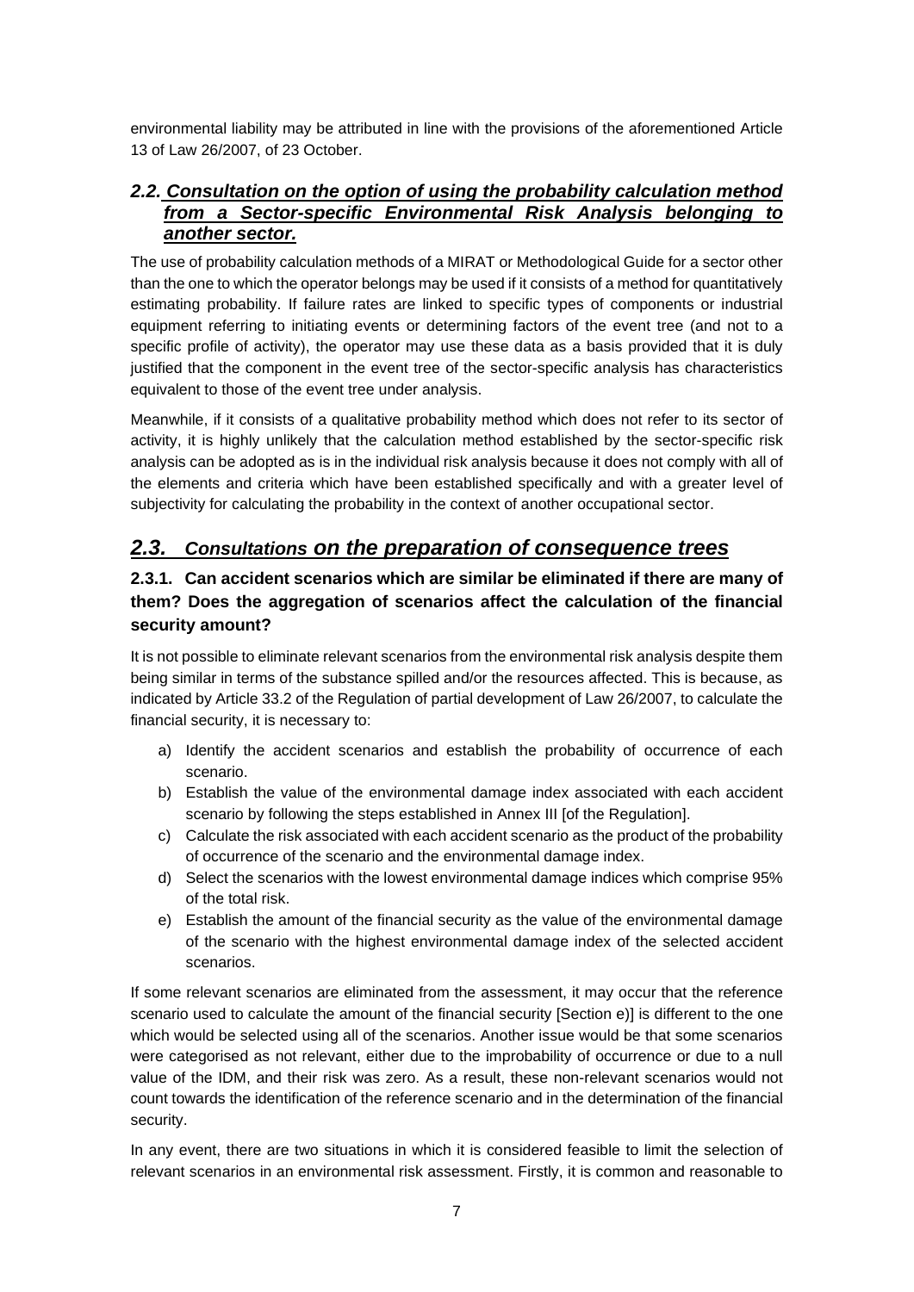environmental liability may be attributed in line with the provisions of the aforementioned Article 13 of Law 26/2007, of 23 October.

### *2.2. Consultation on the option of using the probability calculation method from a Sector-specific Environmental Risk Analysis belonging to another sector.*

The use of probability calculation methods of a MIRAT or Methodological Guide for a sector other than the one to which the operator belongs may be used if it consists of a method for quantitatively estimating probability. If failure rates are linked to specific types of components or industrial equipment referring to initiating events or determining factors of the event tree (and not to a specific profile of activity), the operator may use these data as a basis provided that it is duly justified that the component in the event tree of the sector-specific analysis has characteristics equivalent to those of the event tree under analysis.

Meanwhile, if it consists of a qualitative probability method which does not refer to its sector of activity, it is highly unlikely that the calculation method established by the sector-specific risk analysis can be adopted as is in the individual risk analysis because it does not comply with all of the elements and criteria which have been established specifically and with a greater level of subjectivity for calculating the probability in the context of another occupational sector.

# *2.3. Consultations on the preparation of consequence trees*

### **2.3.1. Can accident scenarios which are similar be eliminated if there are many of them? Does the aggregation of scenarios affect the calculation of the financial security amount?**

It is not possible to eliminate relevant scenarios from the environmental risk analysis despite them being similar in terms of the substance spilled and/or the resources affected. This is because, as indicated by Article 33.2 of the Regulation of partial development of Law 26/2007, to calculate the financial security, it is necessary to:

- a) Identify the accident scenarios and establish the probability of occurrence of each scenario.
- b) Establish the value of the environmental damage index associated with each accident scenario by following the steps established in Annex III [of the Regulation].
- c) Calculate the risk associated with each accident scenario as the product of the probability of occurrence of the scenario and the environmental damage index.
- d) Select the scenarios with the lowest environmental damage indices which comprise 95% of the total risk.
- e) Establish the amount of the financial security as the value of the environmental damage of the scenario with the highest environmental damage index of the selected accident scenarios.

If some relevant scenarios are eliminated from the assessment, it may occur that the reference scenario used to calculate the amount of the financial security [Section e)] is different to the one which would be selected using all of the scenarios. Another issue would be that some scenarios were categorised as not relevant, either due to the improbability of occurrence or due to a null value of the IDM, and their risk was zero. As a result, these non-relevant scenarios would not count towards the identification of the reference scenario and in the determination of the financial security.

In any event, there are two situations in which it is considered feasible to limit the selection of relevant scenarios in an environmental risk assessment. Firstly, it is common and reasonable to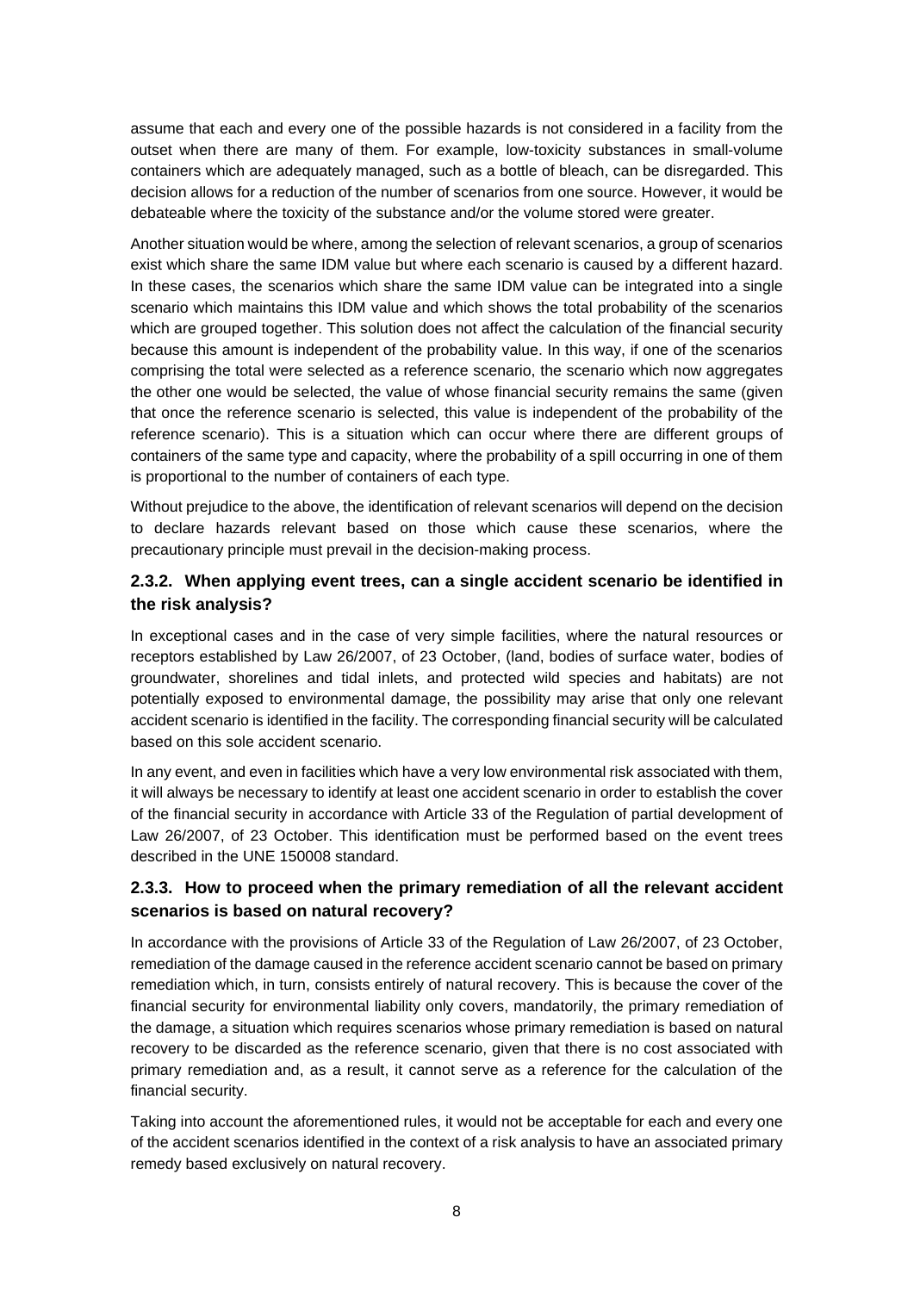assume that each and every one of the possible hazards is not considered in a facility from the outset when there are many of them. For example, low-toxicity substances in small-volume containers which are adequately managed, such as a bottle of bleach, can be disregarded. This decision allows for a reduction of the number of scenarios from one source. However, it would be debateable where the toxicity of the substance and/or the volume stored were greater.

Another situation would be where, among the selection of relevant scenarios, a group of scenarios exist which share the same IDM value but where each scenario is caused by a different hazard. In these cases, the scenarios which share the same IDM value can be integrated into a single scenario which maintains this IDM value and which shows the total probability of the scenarios which are grouped together. This solution does not affect the calculation of the financial security because this amount is independent of the probability value. In this way, if one of the scenarios comprising the total were selected as a reference scenario, the scenario which now aggregates the other one would be selected, the value of whose financial security remains the same (given that once the reference scenario is selected, this value is independent of the probability of the reference scenario). This is a situation which can occur where there are different groups of containers of the same type and capacity, where the probability of a spill occurring in one of them is proportional to the number of containers of each type.

Without prejudice to the above, the identification of relevant scenarios will depend on the decision to declare hazards relevant based on those which cause these scenarios, where the precautionary principle must prevail in the decision-making process.

### **2.3.2. When applying event trees, can a single accident scenario be identified in the risk analysis?**

In exceptional cases and in the case of very simple facilities, where the natural resources or receptors established by Law 26/2007, of 23 October, (land, bodies of surface water, bodies of groundwater, shorelines and tidal inlets, and protected wild species and habitats) are not potentially exposed to environmental damage, the possibility may arise that only one relevant accident scenario is identified in the facility. The corresponding financial security will be calculated based on this sole accident scenario.

In any event, and even in facilities which have a very low environmental risk associated with them, it will always be necessary to identify at least one accident scenario in order to establish the cover of the financial security in accordance with Article 33 of the Regulation of partial development of Law 26/2007, of 23 October. This identification must be performed based on the event trees described in the UNE 150008 standard.

### **2.3.3. How to proceed when the primary remediation of all the relevant accident scenarios is based on natural recovery?**

In accordance with the provisions of Article 33 of the Regulation of Law 26/2007, of 23 October, remediation of the damage caused in the reference accident scenario cannot be based on primary remediation which, in turn, consists entirely of natural recovery. This is because the cover of the financial security for environmental liability only covers, mandatorily, the primary remediation of the damage, a situation which requires scenarios whose primary remediation is based on natural recovery to be discarded as the reference scenario, given that there is no cost associated with primary remediation and, as a result, it cannot serve as a reference for the calculation of the financial security.

Taking into account the aforementioned rules, it would not be acceptable for each and every one of the accident scenarios identified in the context of a risk analysis to have an associated primary remedy based exclusively on natural recovery.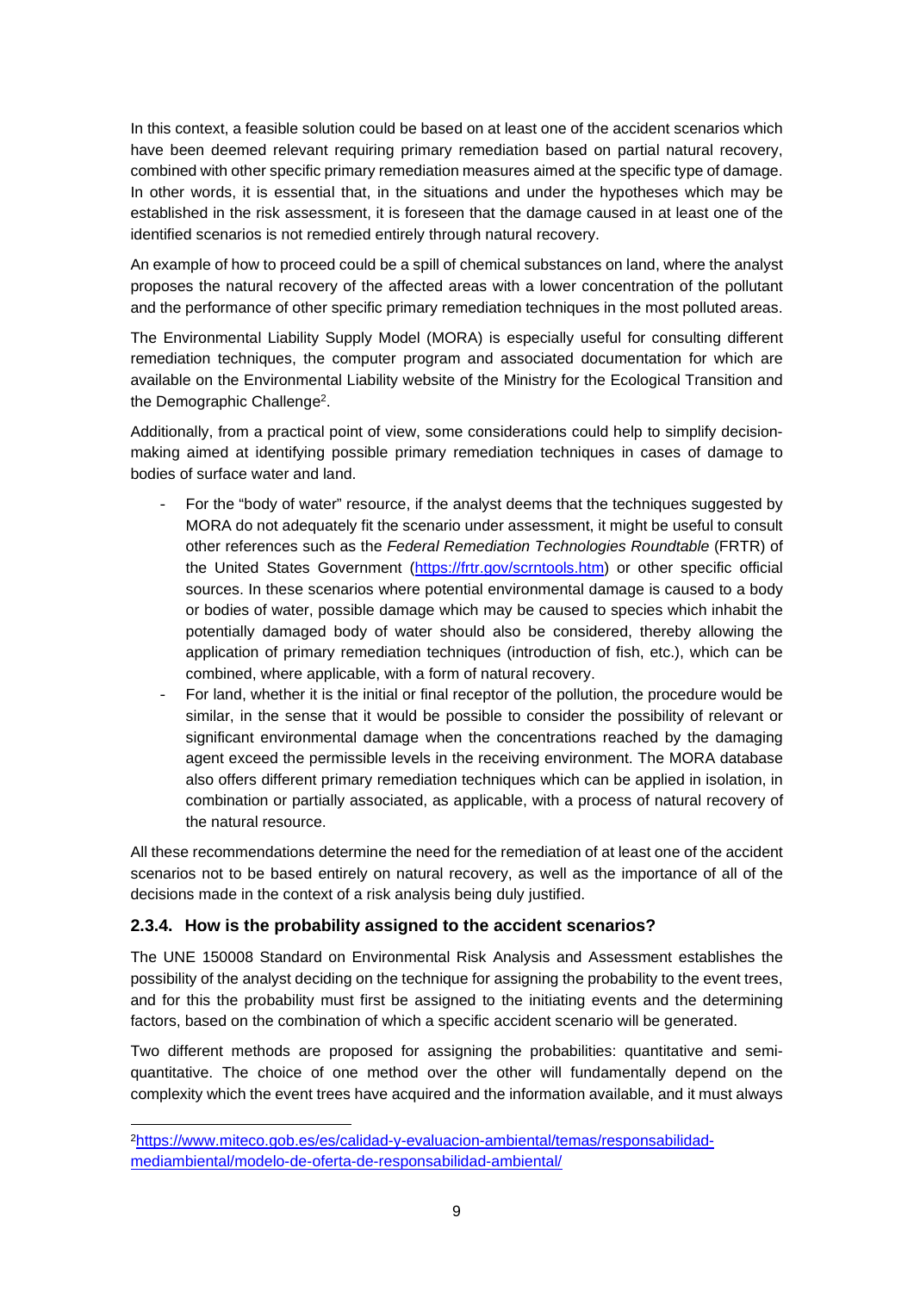In this context, a feasible solution could be based on at least one of the accident scenarios which have been deemed relevant requiring primary remediation based on partial natural recovery, combined with other specific primary remediation measures aimed at the specific type of damage. In other words, it is essential that, in the situations and under the hypotheses which may be established in the risk assessment, it is foreseen that the damage caused in at least one of the identified scenarios is not remedied entirely through natural recovery.

An example of how to proceed could be a spill of chemical substances on land, where the analyst proposes the natural recovery of the affected areas with a lower concentration of the pollutant and the performance of other specific primary remediation techniques in the most polluted areas.

The Environmental Liability Supply Model (MORA) is especially useful for consulting different remediation techniques, the computer program and associated documentation for which are available on the Environmental Liability website of the Ministry for the Ecological Transition and the Demographic Challenge<sup>2</sup>.

Additionally, from a practical point of view, some considerations could help to simplify decisionmaking aimed at identifying possible primary remediation techniques in cases of damage to bodies of surface water and land.

- For the "body of water" resource, if the analyst deems that the techniques suggested by MORA do not adequately fit the scenario under assessment, it might be useful to consult other references such as the *Federal Remediation Technologies Roundtable* (FRTR) of the United States Government (https://frtr.gov/scrntools.htm) or other specific official sources. In these scenarios where potential environmental damage is caused to a body or bodies of water, possible damage which may be caused to species which inhabit the potentially damaged body of water should also be considered, thereby allowing the application of primary remediation techniques (introduction of fish, etc.), which can be combined, where applicable, with a form of natural recovery.
- For land, whether it is the initial or final receptor of the pollution, the procedure would be similar, in the sense that it would be possible to consider the possibility of relevant or significant environmental damage when the concentrations reached by the damaging agent exceed the permissible levels in the receiving environment. The MORA database also offers different primary remediation techniques which can be applied in isolation, in combination or partially associated, as applicable, with a process of natural recovery of the natural resource.

All these recommendations determine the need for the remediation of at least one of the accident scenarios not to be based entirely on natural recovery, as well as the importance of all of the decisions made in the context of a risk analysis being duly justified.

### **2.3.4. How is the probability assigned to the accident scenarios?**

The UNE 150008 Standard on Environmental Risk Analysis and Assessment establishes the possibility of the analyst deciding on the technique for assigning the probability to the event trees, and for this the probability must first be assigned to the initiating events and the determining factors, based on the combination of which a specific accident scenario will be generated.

Two different methods are proposed for assigning the probabilities: quantitative and semiquantitative. The choice of one method over the other will fundamentally depend on the complexity which the event trees have acquired and the information available, and it must always

<sup>2</sup>https://www.miteco.gob.es/es/calidad-y-evaluacion-ambiental/temas/responsabilidadmediambiental/modelo-de-oferta-de-responsabilidad-ambiental/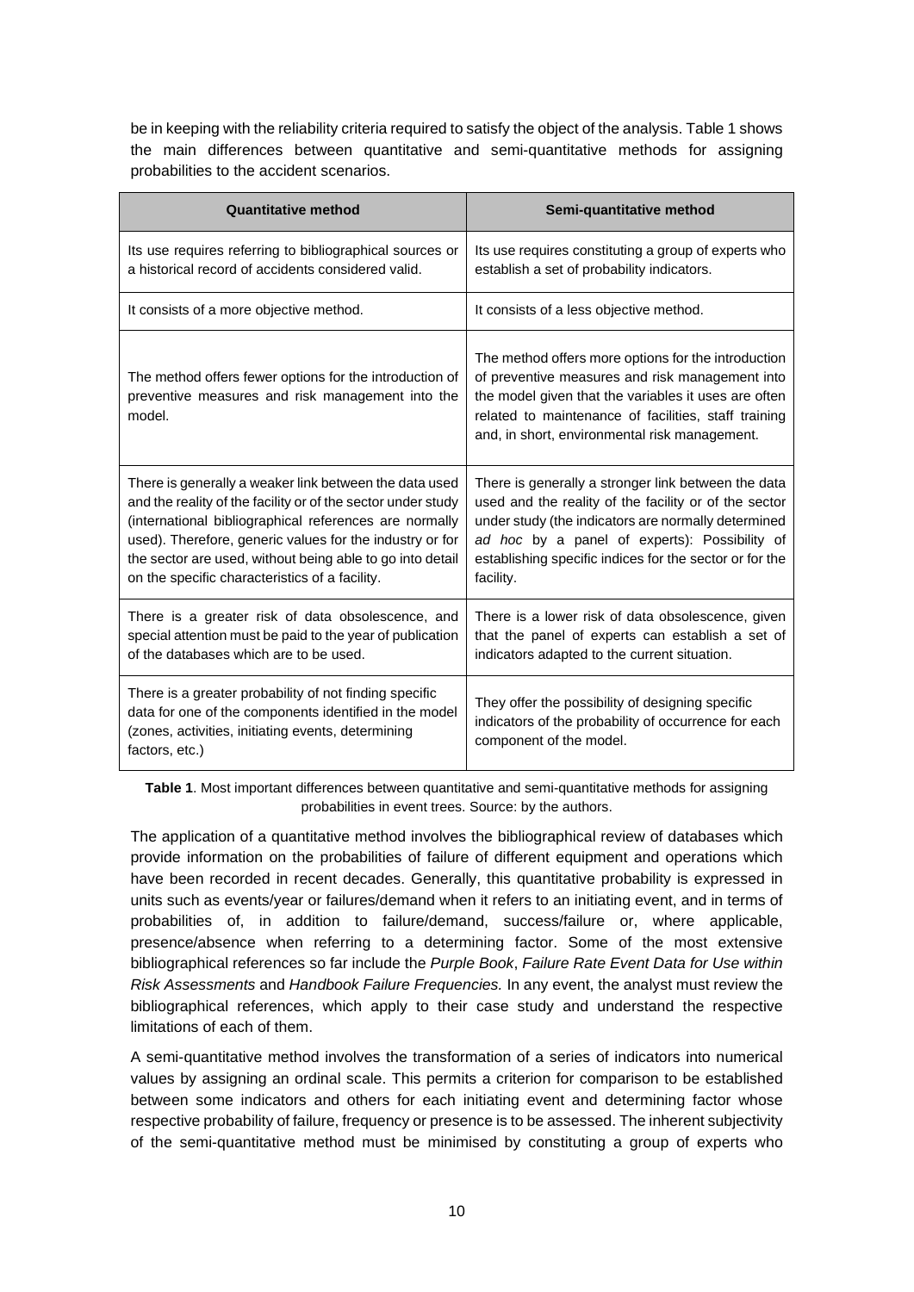be in keeping with the reliability criteria required to satisfy the object of the analysis. Table 1 shows the main differences between quantitative and semi-quantitative methods for assigning probabilities to the accident scenarios.

| <b>Quantitative method</b>                                                                                                                                                                                                                                                                                                                                  | Semi-quantitative method                                                                                                                                                                                                                                                                     |
|-------------------------------------------------------------------------------------------------------------------------------------------------------------------------------------------------------------------------------------------------------------------------------------------------------------------------------------------------------------|----------------------------------------------------------------------------------------------------------------------------------------------------------------------------------------------------------------------------------------------------------------------------------------------|
| Its use requires referring to bibliographical sources or<br>a historical record of accidents considered valid.                                                                                                                                                                                                                                              | Its use requires constituting a group of experts who<br>establish a set of probability indicators.                                                                                                                                                                                           |
| It consists of a more objective method.                                                                                                                                                                                                                                                                                                                     | It consists of a less objective method.                                                                                                                                                                                                                                                      |
| The method offers fewer options for the introduction of<br>preventive measures and risk management into the<br>model.                                                                                                                                                                                                                                       | The method offers more options for the introduction<br>of preventive measures and risk management into<br>the model given that the variables it uses are often<br>related to maintenance of facilities, staff training<br>and, in short, environmental risk management.                      |
| There is generally a weaker link between the data used<br>and the reality of the facility or of the sector under study<br>(international bibliographical references are normally<br>used). Therefore, generic values for the industry or for<br>the sector are used, without being able to go into detail<br>on the specific characteristics of a facility. | There is generally a stronger link between the data<br>used and the reality of the facility or of the sector<br>under study (the indicators are normally determined<br>ad hoc by a panel of experts): Possibility of<br>establishing specific indices for the sector or for the<br>facility. |
| There is a greater risk of data obsolescence, and<br>special attention must be paid to the year of publication<br>of the databases which are to be used.                                                                                                                                                                                                    | There is a lower risk of data obsolescence, given<br>that the panel of experts can establish a set of<br>indicators adapted to the current situation.                                                                                                                                        |
| There is a greater probability of not finding specific<br>data for one of the components identified in the model<br>(zones, activities, initiating events, determining<br>factors, etc.)                                                                                                                                                                    | They offer the possibility of designing specific<br>indicators of the probability of occurrence for each<br>component of the model.                                                                                                                                                          |

**Table 1.** Most important differences between quantitative and semi-quantitative methods for assigning probabilities in event trees. Source: by the authors.

The application of a quantitative method involves the bibliographical review of databases which provide information on the probabilities of failure of different equipment and operations which have been recorded in recent decades. Generally, this quantitative probability is expressed in units such as events/year or failures/demand when it refers to an initiating event, and in terms of probabilities of, in addition to failure/demand, success/failure or, where applicable, presence/absence when referring to a determining factor. Some of the most extensive bibliographical references so far include the *Purple Book*, *Failure Rate Event Data for Use within Risk Assessments* and *Handbook Failure Frequencies.* In any event, the analyst must review the bibliographical references, which apply to their case study and understand the respective limitations of each of them.

A semi-quantitative method involves the transformation of a series of indicators into numerical values by assigning an ordinal scale. This permits a criterion for comparison to be established between some indicators and others for each initiating event and determining factor whose respective probability of failure, frequency or presence is to be assessed. The inherent subjectivity of the semi-quantitative method must be minimised by constituting a group of experts who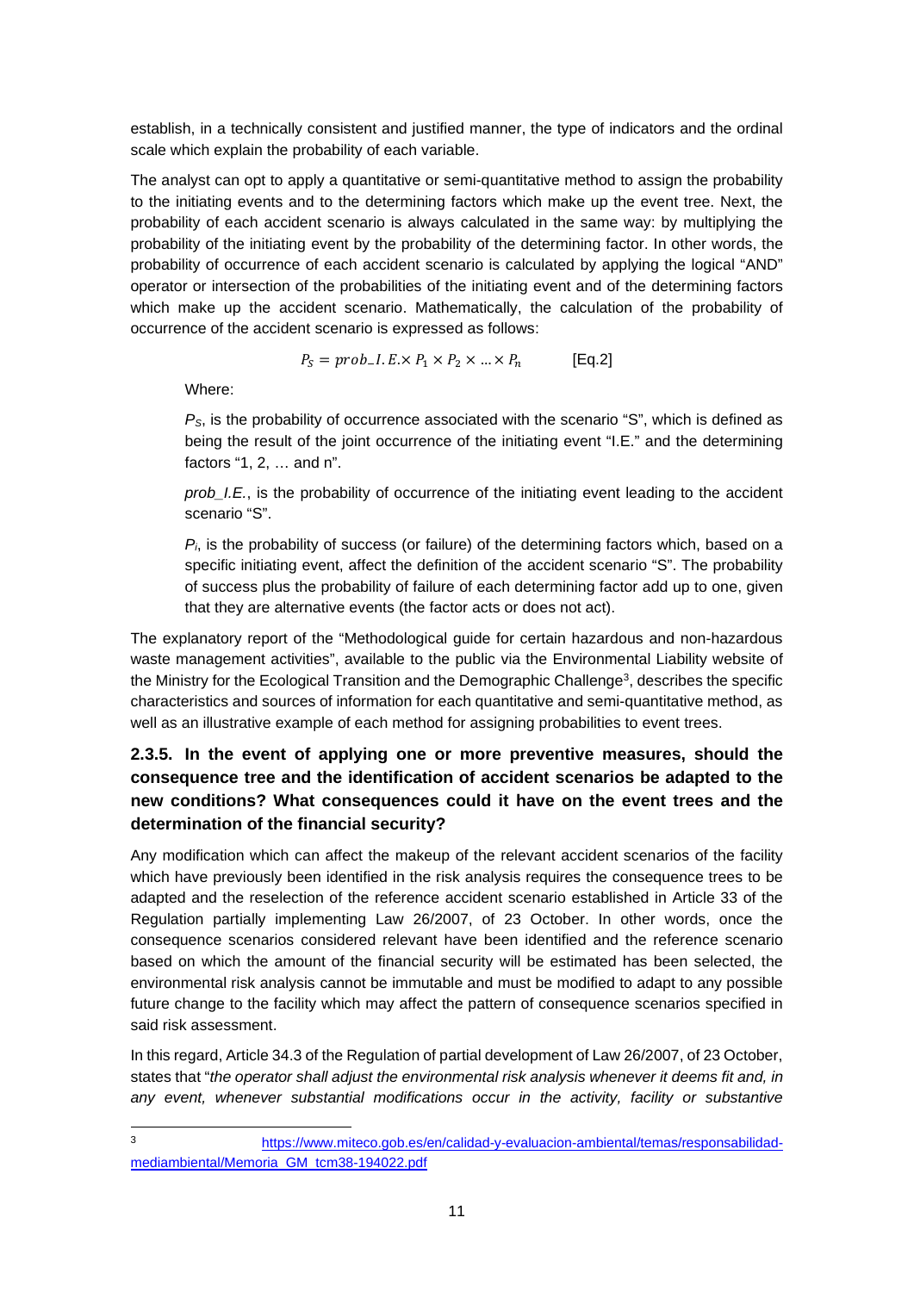establish, in a technically consistent and justified manner, the type of indicators and the ordinal scale which explain the probability of each variable.

The analyst can opt to apply a quantitative or semi-quantitative method to assign the probability to the initiating events and to the determining factors which make up the event tree. Next, the probability of each accident scenario is always calculated in the same way: by multiplying the probability of the initiating event by the probability of the determining factor. In other words, the probability of occurrence of each accident scenario is calculated by applying the logical "AND" operator or intersection of the probabilities of the initiating event and of the determining factors which make up the accident scenario. Mathematically, the calculation of the probability of occurrence of the accident scenario is expressed as follows:

$$
P_S = prob\_I. E \times P_1 \times P_2 \times ... \times P_n
$$
 [Eq.2]

Where:

*PS*, is the probability of occurrence associated with the scenario "S", which is defined as being the result of the joint occurrence of the initiating event "I.E." and the determining factors "1, 2, … and n".

*prob\_I.E.*, is the probability of occurrence of the initiating event leading to the accident scenario "S".

 $P_i$  is the probability of success (or failure) of the determining factors which, based on a specific initiating event, affect the definition of the accident scenario "S". The probability of success plus the probability of failure of each determining factor add up to one, given that they are alternative events (the factor acts or does not act).

The explanatory report of the "Methodological guide for certain hazardous and non-hazardous waste management activities", available to the public via the Environmental Liability website of the Ministry for the Ecological Transition and the Demographic Challenge<sup>3</sup>, describes the specific characteristics and sources of information for each quantitative and semi-quantitative method, as well as an illustrative example of each method for assigning probabilities to event trees.

### **2.3.5. In the event of applying one or more preventive measures, should the consequence tree and the identification of accident scenarios be adapted to the new conditions? What consequences could it have on the event trees and the determination of the financial security?**

Any modification which can affect the makeup of the relevant accident scenarios of the facility which have previously been identified in the risk analysis requires the consequence trees to be adapted and the reselection of the reference accident scenario established in Article 33 of the Regulation partially implementing Law 26/2007, of 23 October. In other words, once the consequence scenarios considered relevant have been identified and the reference scenario based on which the amount of the financial security will be estimated has been selected, the environmental risk analysis cannot be immutable and must be modified to adapt to any possible future change to the facility which may affect the pattern of consequence scenarios specified in said risk assessment.

In this regard, Article 34.3 of the Regulation of partial development of Law 26/2007, of 23 October, states that "*the operator shall adjust the environmental risk analysis whenever it deems fit and, in*  any event, whenever substantial modifications occur in the activity, facility or substantive

<sup>3</sup> https://www.miteco.gob.es/en/calidad-y-evaluacion-ambiental/temas/responsabilidadmediambiental/Memoria\_GM\_tcm38-194022.pdf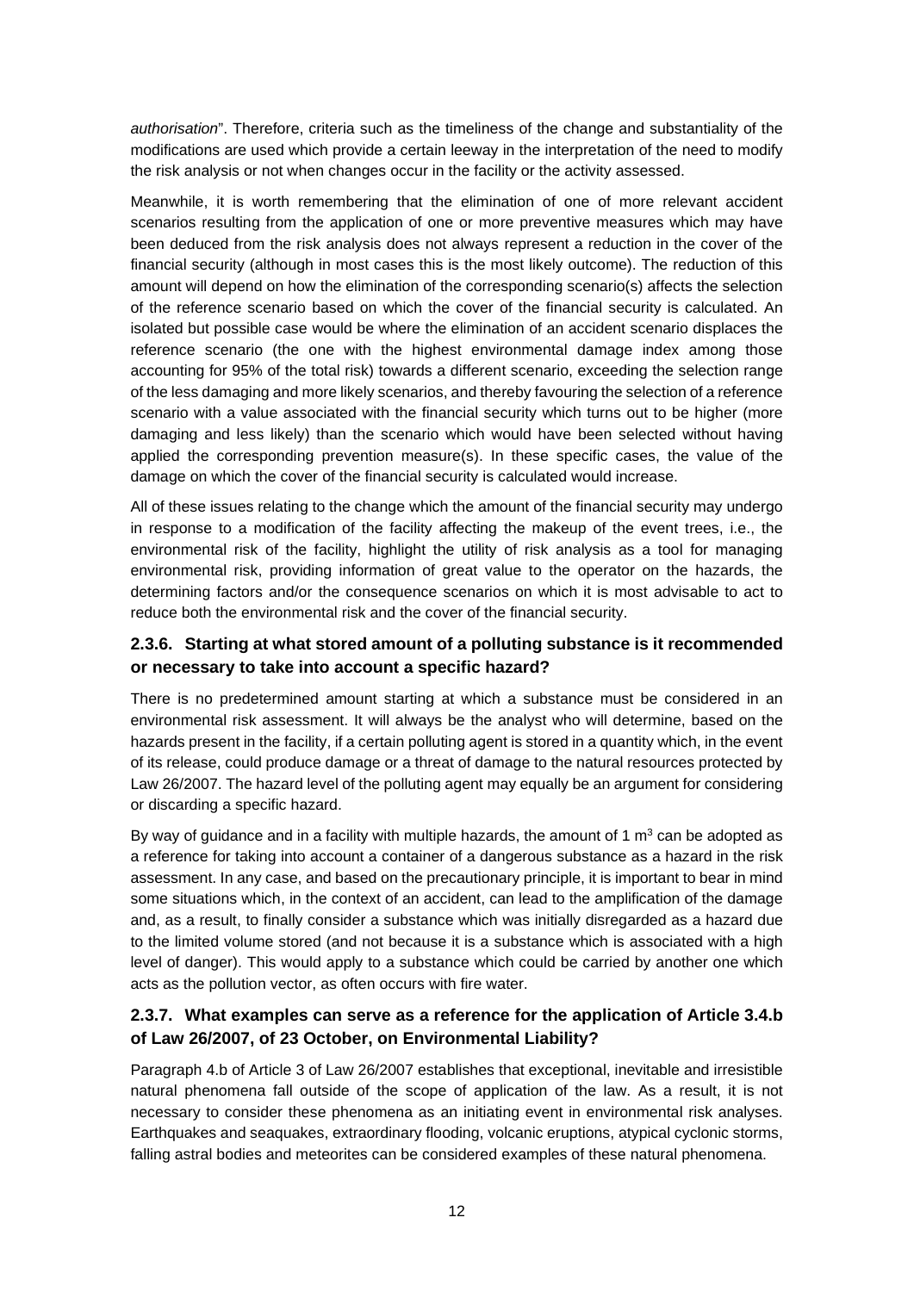*authorisation*". Therefore, criteria such as the timeliness of the change and substantiality of the modifications are used which provide a certain leeway in the interpretation of the need to modify the risk analysis or not when changes occur in the facility or the activity assessed.

Meanwhile, it is worth remembering that the elimination of one of more relevant accident scenarios resulting from the application of one or more preventive measures which may have been deduced from the risk analysis does not always represent a reduction in the cover of the financial security (although in most cases this is the most likely outcome). The reduction of this amount will depend on how the elimination of the corresponding scenario(s) affects the selection of the reference scenario based on which the cover of the financial security is calculated. An isolated but possible case would be where the elimination of an accident scenario displaces the reference scenario (the one with the highest environmental damage index among those accounting for 95% of the total risk) towards a different scenario, exceeding the selection range of the less damaging and more likely scenarios, and thereby favouring the selection of a reference scenario with a value associated with the financial security which turns out to be higher (more damaging and less likely) than the scenario which would have been selected without having applied the corresponding prevention measure(s). In these specific cases, the value of the damage on which the cover of the financial security is calculated would increase.

All of these issues relating to the change which the amount of the financial security may undergo in response to a modification of the facility affecting the makeup of the event trees, i.e., the environmental risk of the facility, highlight the utility of risk analysis as a tool for managing environmental risk, providing information of great value to the operator on the hazards, the determining factors and/or the consequence scenarios on which it is most advisable to act to reduce both the environmental risk and the cover of the financial security.

### **2.3.6. Starting at what stored amount of a polluting substance is it recommended or necessary to take into account a specific hazard?**

There is no predetermined amount starting at which a substance must be considered in an environmental risk assessment. It will always be the analyst who will determine, based on the hazards present in the facility, if a certain polluting agent is stored in a quantity which, in the event of its release, could produce damage or a threat of damage to the natural resources protected by Law 26/2007. The hazard level of the polluting agent may equally be an argument for considering or discarding a specific hazard.

By way of guidance and in a facility with multiple hazards, the amount of 1  $m<sup>3</sup>$  can be adopted as a reference for taking into account a container of a dangerous substance as a hazard in the risk assessment. In any case, and based on the precautionary principle, it is important to bear in mind some situations which, in the context of an accident, can lead to the amplification of the damage and, as a result, to finally consider a substance which was initially disregarded as a hazard due to the limited volume stored (and not because it is a substance which is associated with a high level of danger). This would apply to a substance which could be carried by another one which acts as the pollution vector, as often occurs with fire water.

### **2.3.7. What examples can serve as a reference for the application of Article 3.4.b of Law 26/2007, of 23 October, on Environmental Liability?**

Paragraph 4.b of Article 3 of Law 26/2007 establishes that exceptional, inevitable and irresistible natural phenomena fall outside of the scope of application of the law. As a result, it is not necessary to consider these phenomena as an initiating event in environmental risk analyses. Earthquakes and seaquakes, extraordinary flooding, volcanic eruptions, atypical cyclonic storms, falling astral bodies and meteorites can be considered examples of these natural phenomena.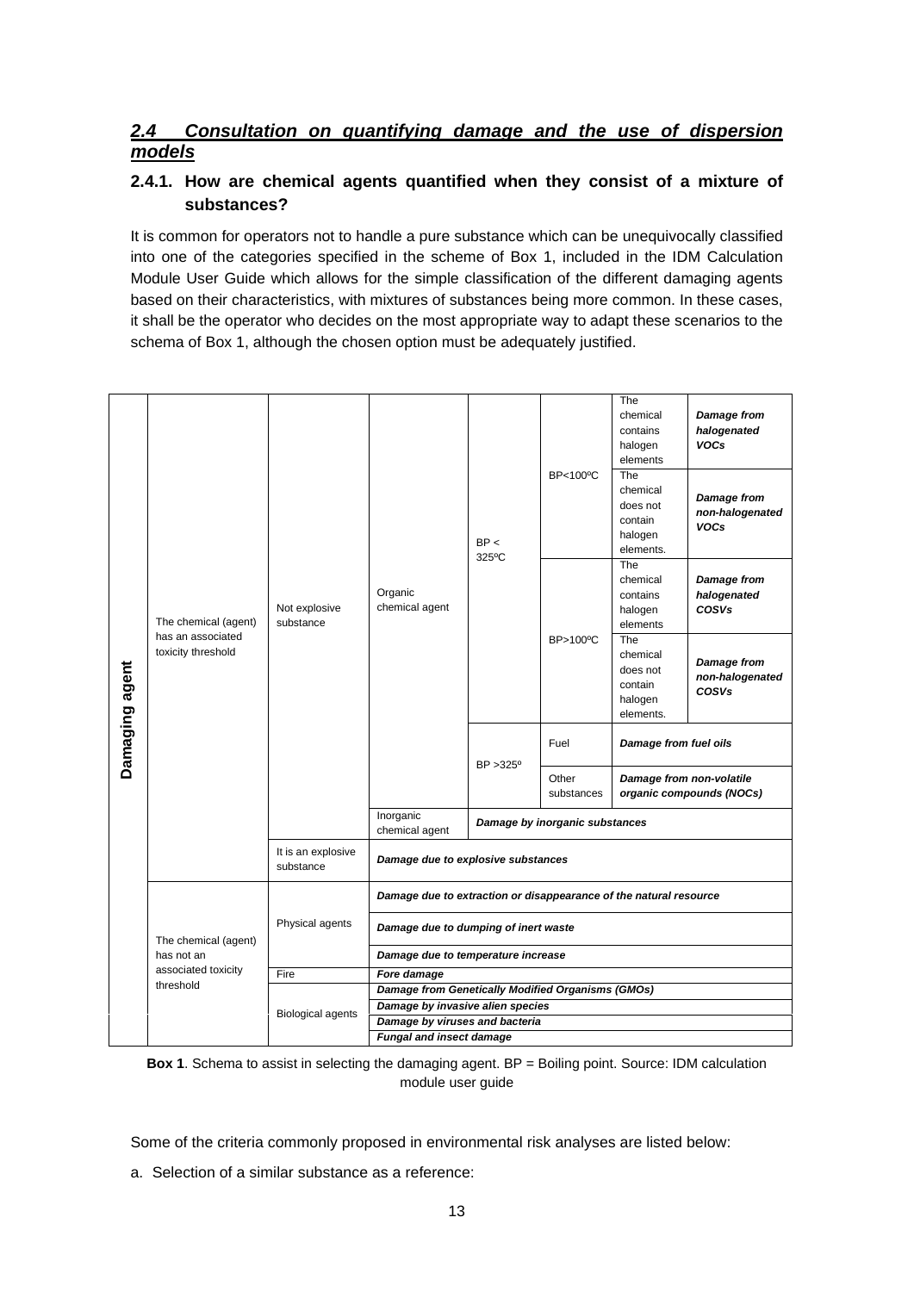### *2.4 Consultation on quantifying damage and the use of dispersion models*

### **2.4.1. How are chemical agents quantified when they consist of a mixture of substances?**

It is common for operators not to handle a pure substance which can be unequivocally classified into one of the categories specified in the scheme of Box 1, included in the IDM Calculation Module User Guide which allows for the simple classification of the different damaging agents based on their characteristics, with mixtures of substances being more common. In these cases, it shall be the operator who decides on the most appropriate way to adapt these scenarios to the schema of Box 1, although the chosen option must be adequately justified.

| Damaging agent |                                                                 | Not explosive<br>substance      | Organic<br>chemical agent                                         | BP <<br>325°C    | <b>BP&lt;100°C</b>             | The<br>chemical<br>contains<br>halogen<br>elements             | <b>Damage from</b><br>halogenated<br><b>VOCs</b> |
|----------------|-----------------------------------------------------------------|---------------------------------|-------------------------------------------------------------------|------------------|--------------------------------|----------------------------------------------------------------|--------------------------------------------------|
|                | The chemical (agent)<br>has an associated<br>toxicity threshold |                                 |                                                                   |                  |                                | The<br>chemical<br>does not<br>contain<br>halogen<br>elements. | Damage from<br>non-halogenated<br><b>VOCs</b>    |
|                |                                                                 |                                 |                                                                   |                  | BP>100°C                       | The<br>chemical<br>contains<br>halogen<br>elements             | <b>Damage from</b><br>halogenated<br>COSVs       |
|                |                                                                 |                                 |                                                                   |                  |                                | The<br>chemical<br>does not<br>contain<br>halogen<br>elements. | <b>Damage from</b><br>non-halogenated<br>COSVs   |
|                |                                                                 |                                 |                                                                   | $BP > 325^\circ$ | Fuel                           | Damage from fuel oils                                          |                                                  |
|                |                                                                 |                                 |                                                                   |                  | Other<br>substances            | Damage from non-volatile<br>organic compounds (NOCs)           |                                                  |
|                |                                                                 |                                 | Inorganic<br>chemical agent                                       |                  | Damage by inorganic substances |                                                                |                                                  |
|                |                                                                 | It is an explosive<br>substance | Damage due to explosive substances                                |                  |                                |                                                                |                                                  |
|                |                                                                 | Physical agents                 | Damage due to extraction or disappearance of the natural resource |                  |                                |                                                                |                                                  |
|                | The chemical (agent)                                            |                                 | Damage due to dumping of inert waste                              |                  |                                |                                                                |                                                  |
|                | has not an                                                      |                                 | Damage due to temperature increase                                |                  |                                |                                                                |                                                  |
|                | associated toxicity<br>threshold                                | Fire                            | Fore damage                                                       |                  |                                |                                                                |                                                  |
|                |                                                                 | <b>Biological agents</b>        | <b>Damage from Genetically Modified Organisms (GMOs)</b>          |                  |                                |                                                                |                                                  |
|                |                                                                 |                                 | Damage by invasive alien species                                  |                  |                                |                                                                |                                                  |
|                |                                                                 |                                 | Damage by viruses and bacteria                                    |                  |                                |                                                                |                                                  |
|                |                                                                 |                                 | <b>Fungal and insect damage</b>                                   |                  |                                |                                                                |                                                  |

**Box 1**. Schema to assist in selecting the damaging agent. BP = Boiling point. Source: IDM calculation module user guide

Some of the criteria commonly proposed in environmental risk analyses are listed below:

a. Selection of a similar substance as a reference: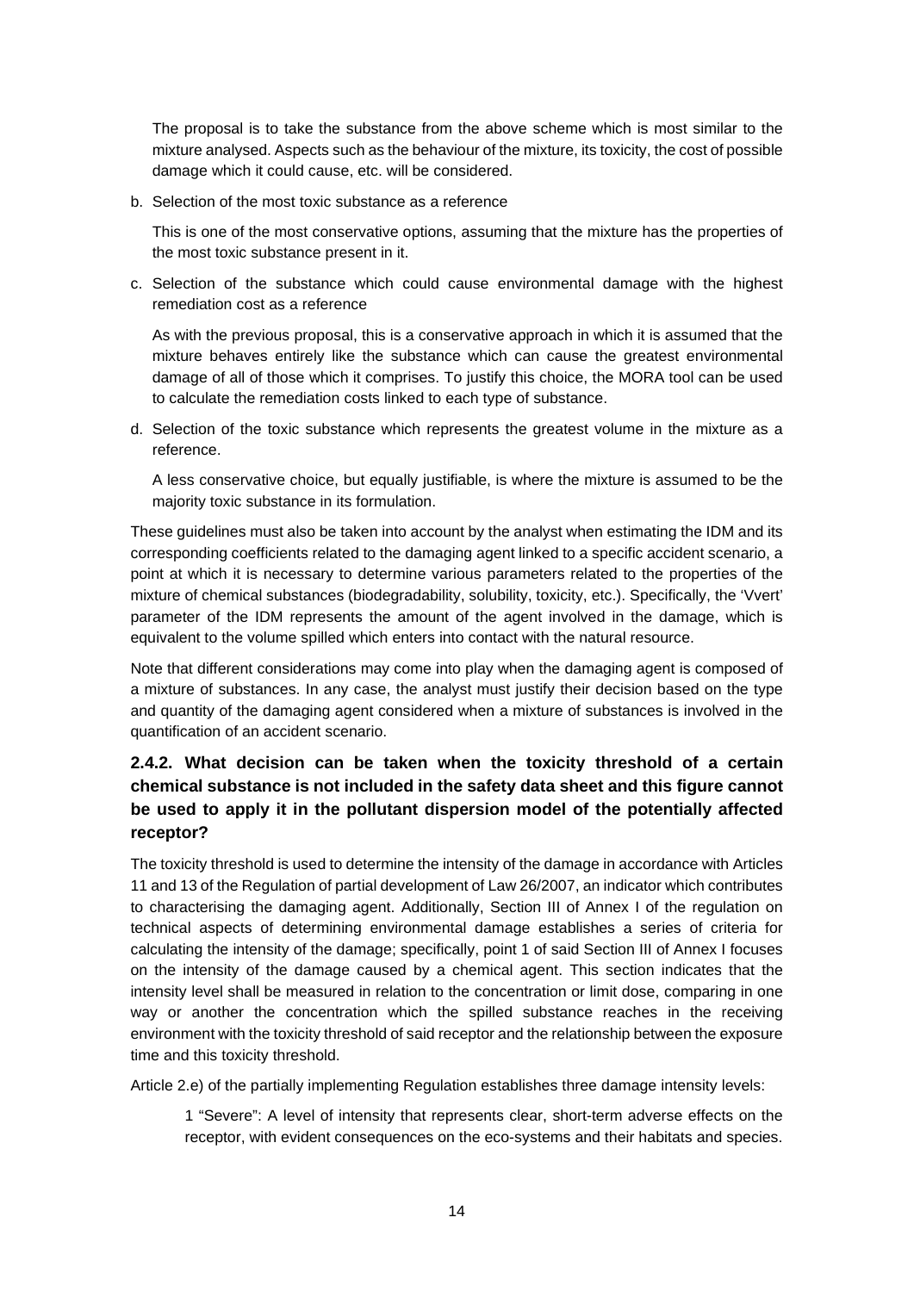The proposal is to take the substance from the above scheme which is most similar to the mixture analysed. Aspects such as the behaviour of the mixture, its toxicity, the cost of possible damage which it could cause, etc. will be considered.

b. Selection of the most toxic substance as a reference

This is one of the most conservative options, assuming that the mixture has the properties of the most toxic substance present in it.

c. Selection of the substance which could cause environmental damage with the highest remediation cost as a reference

As with the previous proposal, this is a conservative approach in which it is assumed that the mixture behaves entirely like the substance which can cause the greatest environmental damage of all of those which it comprises. To justify this choice, the MORA tool can be used to calculate the remediation costs linked to each type of substance.

d. Selection of the toxic substance which represents the greatest volume in the mixture as a reference.

A less conservative choice, but equally justifiable, is where the mixture is assumed to be the majority toxic substance in its formulation.

These guidelines must also be taken into account by the analyst when estimating the IDM and its corresponding coefficients related to the damaging agent linked to a specific accident scenario, a point at which it is necessary to determine various parameters related to the properties of the mixture of chemical substances (biodegradability, solubility, toxicity, etc.). Specifically, the 'Vvert' parameter of the IDM represents the amount of the agent involved in the damage, which is equivalent to the volume spilled which enters into contact with the natural resource.

Note that different considerations may come into play when the damaging agent is composed of a mixture of substances. In any case, the analyst must justify their decision based on the type and quantity of the damaging agent considered when a mixture of substances is involved in the quantification of an accident scenario.

### **2.4.2. What decision can be taken when the toxicity threshold of a certain chemical substance is not included in the safety data sheet and this figure cannot be used to apply it in the pollutant dispersion model of the potentially affected receptor?**

The toxicity threshold is used to determine the intensity of the damage in accordance with Articles 11 and 13 of the Regulation of partial development of Law 26/2007, an indicator which contributes to characterising the damaging agent. Additionally, Section III of Annex I of the regulation on technical aspects of determining environmental damage establishes a series of criteria for calculating the intensity of the damage; specifically, point 1 of said Section III of Annex I focuses on the intensity of the damage caused by a chemical agent. This section indicates that the intensity level shall be measured in relation to the concentration or limit dose, comparing in one way or another the concentration which the spilled substance reaches in the receiving environment with the toxicity threshold of said receptor and the relationship between the exposure time and this toxicity threshold.

Article 2.e) of the partially implementing Regulation establishes three damage intensity levels:

1 "Severe": A level of intensity that represents clear, short-term adverse effects on the receptor, with evident consequences on the eco-systems and their habitats and species.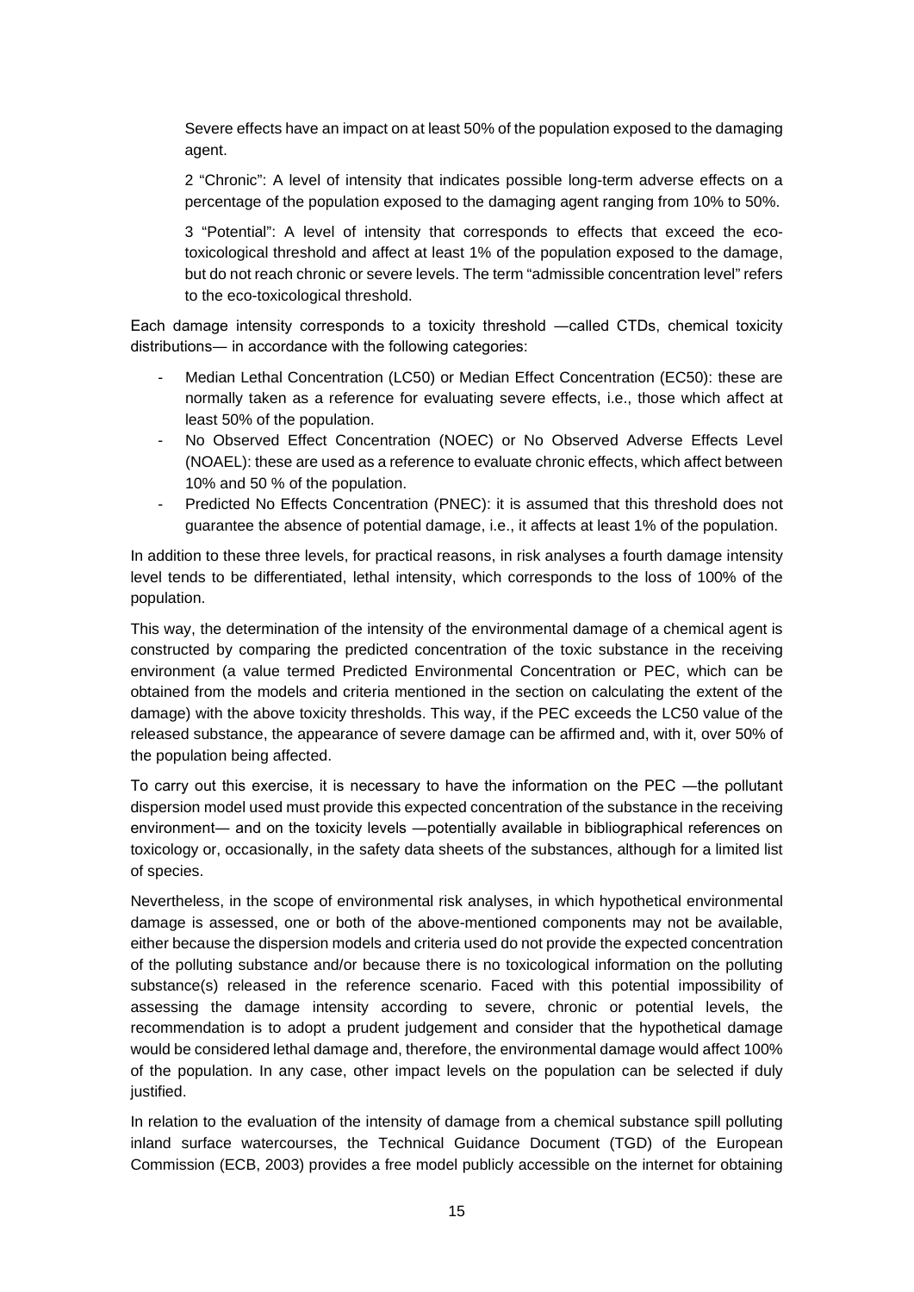Severe effects have an impact on at least 50% of the population exposed to the damaging agent.

2 "Chronic": A level of intensity that indicates possible long-term adverse effects on a percentage of the population exposed to the damaging agent ranging from 10% to 50%.

3 "Potential": A level of intensity that corresponds to effects that exceed the ecotoxicological threshold and affect at least 1% of the population exposed to the damage, but do not reach chronic or severe levels. The term "admissible concentration level" refers to the eco-toxicological threshold.

Each damage intensity corresponds to a toxicity threshold ―called CTDs, chemical toxicity distributions― in accordance with the following categories:

- Median Lethal Concentration (LC50) or Median Effect Concentration (EC50): these are normally taken as a reference for evaluating severe effects, i.e., those which affect at least 50% of the population.
- No Observed Effect Concentration (NOEC) or No Observed Adverse Effects Level (NOAEL): these are used as a reference to evaluate chronic effects, which affect between 10% and 50 % of the population.
- Predicted No Effects Concentration (PNEC): it is assumed that this threshold does not guarantee the absence of potential damage, i.e., it affects at least 1% of the population.

In addition to these three levels, for practical reasons, in risk analyses a fourth damage intensity level tends to be differentiated, lethal intensity, which corresponds to the loss of 100% of the population.

This way, the determination of the intensity of the environmental damage of a chemical agent is constructed by comparing the predicted concentration of the toxic substance in the receiving environment (a value termed Predicted Environmental Concentration or PEC, which can be obtained from the models and criteria mentioned in the section on calculating the extent of the damage) with the above toxicity thresholds. This way, if the PEC exceeds the LC50 value of the released substance, the appearance of severe damage can be affirmed and, with it, over 50% of the population being affected.

To carry out this exercise, it is necessary to have the information on the PEC ―the pollutant dispersion model used must provide this expected concentration of the substance in the receiving environment― and on the toxicity levels ―potentially available in bibliographical references on toxicology or, occasionally, in the safety data sheets of the substances, although for a limited list of species.

Nevertheless, in the scope of environmental risk analyses, in which hypothetical environmental damage is assessed, one or both of the above-mentioned components may not be available, either because the dispersion models and criteria used do not provide the expected concentration of the polluting substance and/or because there is no toxicological information on the polluting substance(s) released in the reference scenario. Faced with this potential impossibility of assessing the damage intensity according to severe, chronic or potential levels, the recommendation is to adopt a prudent judgement and consider that the hypothetical damage would be considered lethal damage and, therefore, the environmental damage would affect 100% of the population. In any case, other impact levels on the population can be selected if duly justified.

In relation to the evaluation of the intensity of damage from a chemical substance spill polluting inland surface watercourses, the Technical Guidance Document (TGD) of the European Commission (ECB, 2003) provides a free model publicly accessible on the internet for obtaining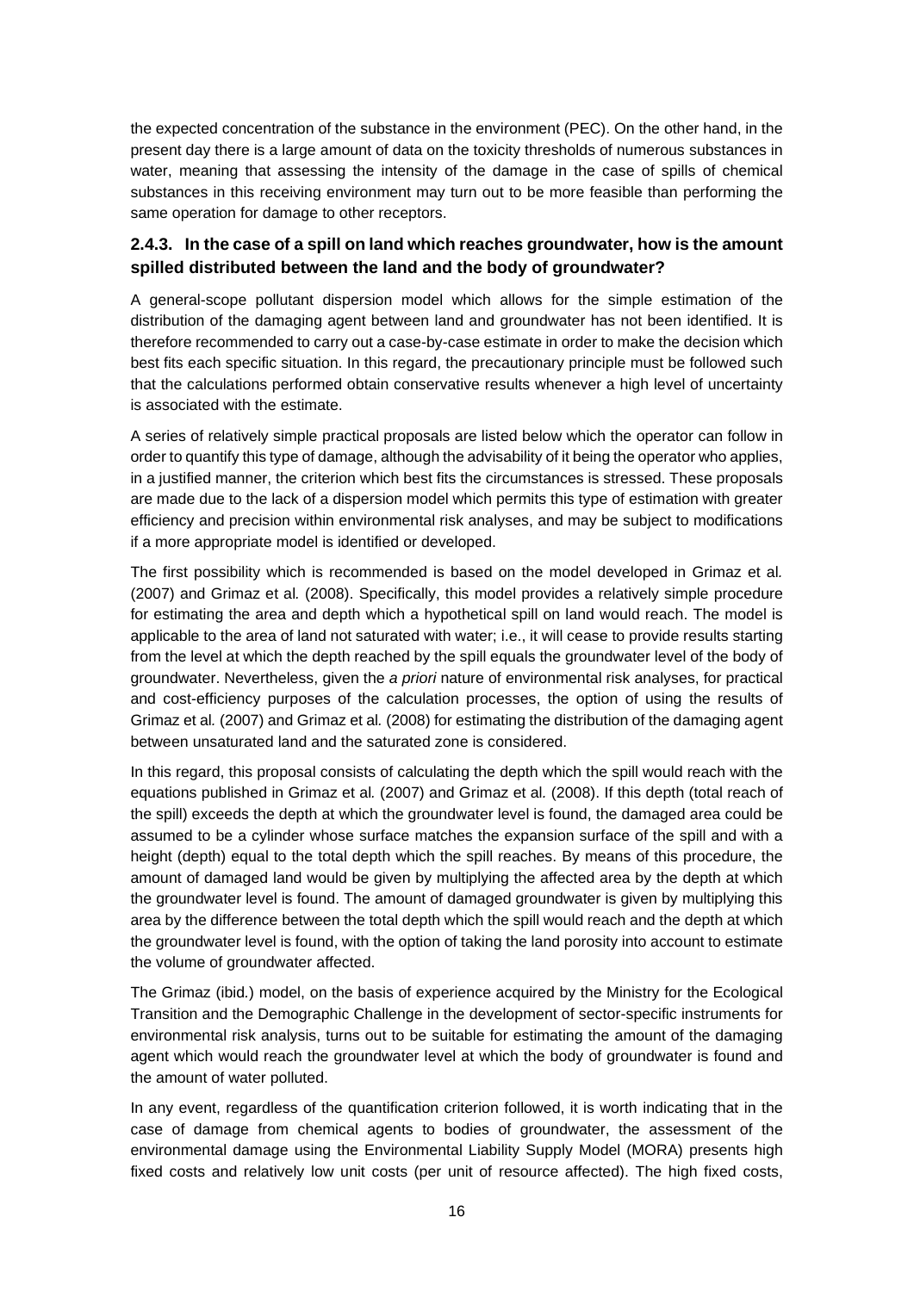the expected concentration of the substance in the environment (PEC). On the other hand, in the present day there is a large amount of data on the toxicity thresholds of numerous substances in water, meaning that assessing the intensity of the damage in the case of spills of chemical substances in this receiving environment may turn out to be more feasible than performing the same operation for damage to other receptors.

### **2.4.3. In the case of a spill on land which reaches groundwater, how is the amount spilled distributed between the land and the body of groundwater?**

A general-scope pollutant dispersion model which allows for the simple estimation of the distribution of the damaging agent between land and groundwater has not been identified. It is therefore recommended to carry out a case-by-case estimate in order to make the decision which best fits each specific situation. In this regard, the precautionary principle must be followed such that the calculations performed obtain conservative results whenever a high level of uncertainty is associated with the estimate.

A series of relatively simple practical proposals are listed below which the operator can follow in order to quantify this type of damage, although the advisability of it being the operator who applies, in a justified manner, the criterion which best fits the circumstances is stressed. These proposals are made due to the lack of a dispersion model which permits this type of estimation with greater efficiency and precision within environmental risk analyses, and may be subject to modifications if a more appropriate model is identified or developed.

The first possibility which is recommended is based on the model developed in Grimaz et al*.* (2007) and Grimaz et al*.* (2008). Specifically, this model provides a relatively simple procedure for estimating the area and depth which a hypothetical spill on land would reach. The model is applicable to the area of land not saturated with water; i.e., it will cease to provide results starting from the level at which the depth reached by the spill equals the groundwater level of the body of groundwater. Nevertheless, given the *a priori* nature of environmental risk analyses, for practical and cost-efficiency purposes of the calculation processes, the option of using the results of Grimaz et al*.* (2007) and Grimaz et al*.* (2008) for estimating the distribution of the damaging agent between unsaturated land and the saturated zone is considered.

In this regard, this proposal consists of calculating the depth which the spill would reach with the equations published in Grimaz et al*.* (2007) and Grimaz et al*.* (2008). If this depth (total reach of the spill) exceeds the depth at which the groundwater level is found, the damaged area could be assumed to be a cylinder whose surface matches the expansion surface of the spill and with a height (depth) equal to the total depth which the spill reaches. By means of this procedure, the amount of damaged land would be given by multiplying the affected area by the depth at which the groundwater level is found. The amount of damaged groundwater is given by multiplying this area by the difference between the total depth which the spill would reach and the depth at which the groundwater level is found, with the option of taking the land porosity into account to estimate the volume of groundwater affected.

The Grimaz (ibid*.*) model, on the basis of experience acquired by the Ministry for the Ecological Transition and the Demographic Challenge in the development of sector-specific instruments for environmental risk analysis, turns out to be suitable for estimating the amount of the damaging agent which would reach the groundwater level at which the body of groundwater is found and the amount of water polluted.

In any event, regardless of the quantification criterion followed, it is worth indicating that in the case of damage from chemical agents to bodies of groundwater, the assessment of the environmental damage using the Environmental Liability Supply Model (MORA) presents high fixed costs and relatively low unit costs (per unit of resource affected). The high fixed costs,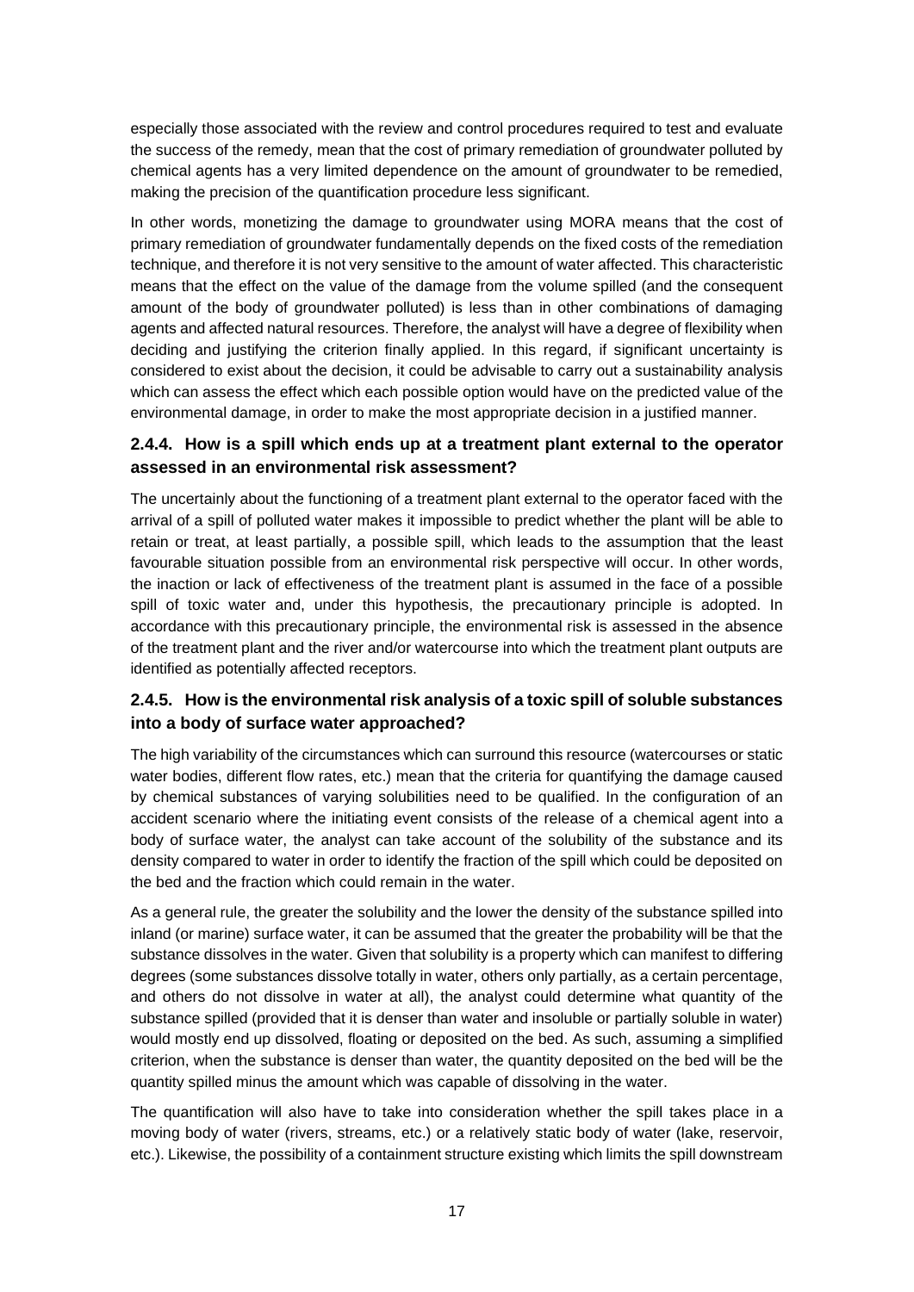especially those associated with the review and control procedures required to test and evaluate the success of the remedy, mean that the cost of primary remediation of groundwater polluted by chemical agents has a very limited dependence on the amount of groundwater to be remedied, making the precision of the quantification procedure less significant.

In other words, monetizing the damage to groundwater using MORA means that the cost of primary remediation of groundwater fundamentally depends on the fixed costs of the remediation technique, and therefore it is not very sensitive to the amount of water affected. This characteristic means that the effect on the value of the damage from the volume spilled (and the consequent amount of the body of groundwater polluted) is less than in other combinations of damaging agents and affected natural resources. Therefore, the analyst will have a degree of flexibility when deciding and justifying the criterion finally applied. In this regard, if significant uncertainty is considered to exist about the decision, it could be advisable to carry out a sustainability analysis which can assess the effect which each possible option would have on the predicted value of the environmental damage, in order to make the most appropriate decision in a justified manner.

### **2.4.4. How is a spill which ends up at a treatment plant external to the operator assessed in an environmental risk assessment?**

The uncertainly about the functioning of a treatment plant external to the operator faced with the arrival of a spill of polluted water makes it impossible to predict whether the plant will be able to retain or treat, at least partially, a possible spill, which leads to the assumption that the least favourable situation possible from an environmental risk perspective will occur. In other words, the inaction or lack of effectiveness of the treatment plant is assumed in the face of a possible spill of toxic water and, under this hypothesis, the precautionary principle is adopted. In accordance with this precautionary principle, the environmental risk is assessed in the absence of the treatment plant and the river and/or watercourse into which the treatment plant outputs are identified as potentially affected receptors.

### **2.4.5. How is the environmental risk analysis of a toxic spill of soluble substances into a body of surface water approached?**

The high variability of the circumstances which can surround this resource (watercourses or static water bodies, different flow rates, etc.) mean that the criteria for quantifying the damage caused by chemical substances of varying solubilities need to be qualified. In the configuration of an accident scenario where the initiating event consists of the release of a chemical agent into a body of surface water, the analyst can take account of the solubility of the substance and its density compared to water in order to identify the fraction of the spill which could be deposited on the bed and the fraction which could remain in the water.

As a general rule, the greater the solubility and the lower the density of the substance spilled into inland (or marine) surface water, it can be assumed that the greater the probability will be that the substance dissolves in the water. Given that solubility is a property which can manifest to differing degrees (some substances dissolve totally in water, others only partially, as a certain percentage, and others do not dissolve in water at all), the analyst could determine what quantity of the substance spilled (provided that it is denser than water and insoluble or partially soluble in water) would mostly end up dissolved, floating or deposited on the bed. As such, assuming a simplified criterion, when the substance is denser than water, the quantity deposited on the bed will be the quantity spilled minus the amount which was capable of dissolving in the water.

The quantification will also have to take into consideration whether the spill takes place in a moving body of water (rivers, streams, etc.) or a relatively static body of water (lake, reservoir, etc.). Likewise, the possibility of a containment structure existing which limits the spill downstream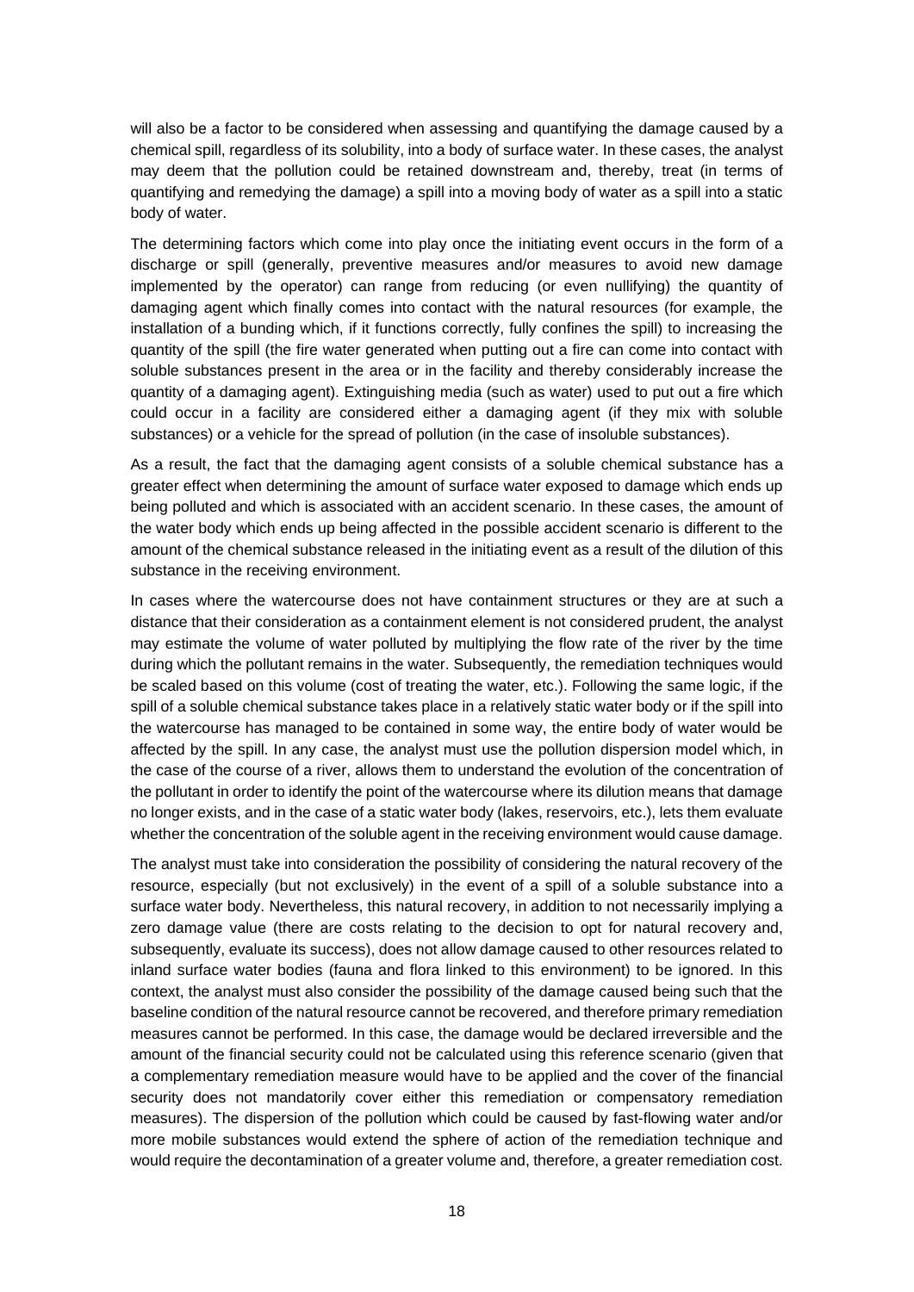will also be a factor to be considered when assessing and quantifying the damage caused by a chemical spill, regardless of its solubility, into a body of surface water. In these cases, the analyst may deem that the pollution could be retained downstream and, thereby, treat (in terms of quantifying and remedying the damage) a spill into a moving body of water as a spill into a static body of water.

The determining factors which come into play once the initiating event occurs in the form of a discharge or spill (generally, preventive measures and/or measures to avoid new damage implemented by the operator) can range from reducing (or even nullifying) the quantity of damaging agent which finally comes into contact with the natural resources (for example, the installation of a bunding which, if it functions correctly, fully confines the spill) to increasing the quantity of the spill (the fire water generated when putting out a fire can come into contact with soluble substances present in the area or in the facility and thereby considerably increase the quantity of a damaging agent). Extinguishing media (such as water) used to put out a fire which could occur in a facility are considered either a damaging agent (if they mix with soluble substances) or a vehicle for the spread of pollution (in the case of insoluble substances).

As a result, the fact that the damaging agent consists of a soluble chemical substance has a greater effect when determining the amount of surface water exposed to damage which ends up being polluted and which is associated with an accident scenario. In these cases, the amount of the water body which ends up being affected in the possible accident scenario is different to the amount of the chemical substance released in the initiating event as a result of the dilution of this substance in the receiving environment.

In cases where the watercourse does not have containment structures or they are at such a distance that their consideration as a containment element is not considered prudent, the analyst may estimate the volume of water polluted by multiplying the flow rate of the river by the time during which the pollutant remains in the water. Subsequently, the remediation techniques would be scaled based on this volume (cost of treating the water, etc.). Following the same logic, if the spill of a soluble chemical substance takes place in a relatively static water body or if the spill into the watercourse has managed to be contained in some way, the entire body of water would be affected by the spill. In any case, the analyst must use the pollution dispersion model which, in the case of the course of a river, allows them to understand the evolution of the concentration of the pollutant in order to identify the point of the watercourse where its dilution means that damage no longer exists, and in the case of a static water body (lakes, reservoirs, etc.), lets them evaluate whether the concentration of the soluble agent in the receiving environment would cause damage.

The analyst must take into consideration the possibility of considering the natural recovery of the resource, especially (but not exclusively) in the event of a spill of a soluble substance into a surface water body. Nevertheless, this natural recovery, in addition to not necessarily implying a zero damage value (there are costs relating to the decision to opt for natural recovery and, subsequently, evaluate its success), does not allow damage caused to other resources related to inland surface water bodies (fauna and flora linked to this environment) to be ignored. In this context, the analyst must also consider the possibility of the damage caused being such that the baseline condition of the natural resource cannot be recovered, and therefore primary remediation measures cannot be performed. In this case, the damage would be declared irreversible and the amount of the financial security could not be calculated using this reference scenario (given that a complementary remediation measure would have to be applied and the cover of the financial security does not mandatorily cover either this remediation or compensatory remediation measures). The dispersion of the pollution which could be caused by fast-flowing water and/or more mobile substances would extend the sphere of action of the remediation technique and would require the decontamination of a greater volume and, therefore, a greater remediation cost.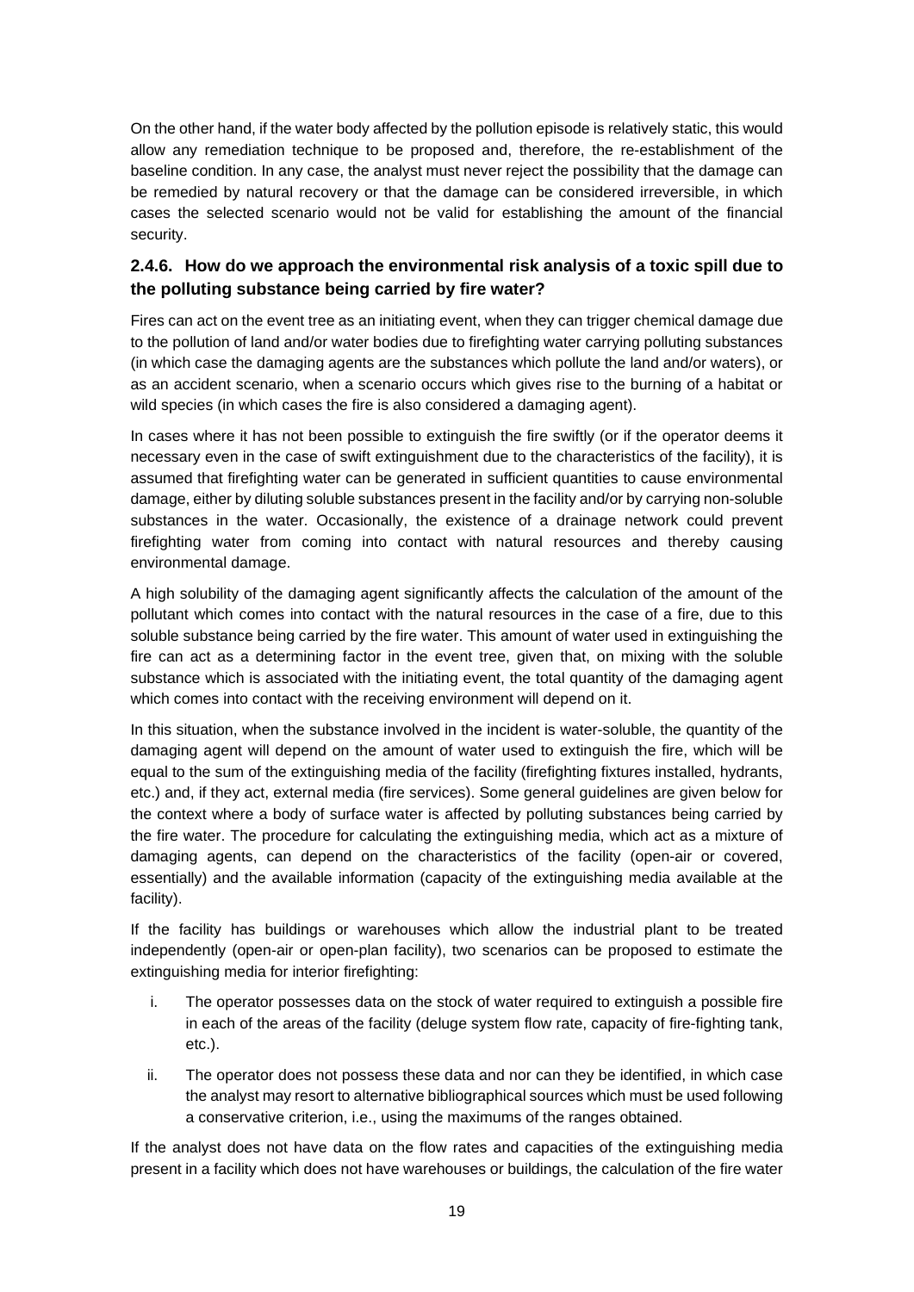On the other hand, if the water body affected by the pollution episode is relatively static, this would allow any remediation technique to be proposed and, therefore, the re-establishment of the baseline condition. In any case, the analyst must never reject the possibility that the damage can be remedied by natural recovery or that the damage can be considered irreversible, in which cases the selected scenario would not be valid for establishing the amount of the financial security.

### **2.4.6. How do we approach the environmental risk analysis of a toxic spill due to the polluting substance being carried by fire water?**

Fires can act on the event tree as an initiating event, when they can trigger chemical damage due to the pollution of land and/or water bodies due to firefighting water carrying polluting substances (in which case the damaging agents are the substances which pollute the land and/or waters), or as an accident scenario, when a scenario occurs which gives rise to the burning of a habitat or wild species (in which cases the fire is also considered a damaging agent).

In cases where it has not been possible to extinguish the fire swiftly (or if the operator deems it necessary even in the case of swift extinguishment due to the characteristics of the facility), it is assumed that firefighting water can be generated in sufficient quantities to cause environmental damage, either by diluting soluble substances present in the facility and/or by carrying non-soluble substances in the water. Occasionally, the existence of a drainage network could prevent firefighting water from coming into contact with natural resources and thereby causing environmental damage.

A high solubility of the damaging agent significantly affects the calculation of the amount of the pollutant which comes into contact with the natural resources in the case of a fire, due to this soluble substance being carried by the fire water. This amount of water used in extinguishing the fire can act as a determining factor in the event tree, given that, on mixing with the soluble substance which is associated with the initiating event, the total quantity of the damaging agent which comes into contact with the receiving environment will depend on it.

In this situation, when the substance involved in the incident is water-soluble, the quantity of the damaging agent will depend on the amount of water used to extinguish the fire, which will be equal to the sum of the extinguishing media of the facility (firefighting fixtures installed, hydrants, etc.) and, if they act, external media (fire services). Some general guidelines are given below for the context where a body of surface water is affected by polluting substances being carried by the fire water. The procedure for calculating the extinguishing media, which act as a mixture of damaging agents, can depend on the characteristics of the facility (open-air or covered, essentially) and the available information (capacity of the extinguishing media available at the facility).

If the facility has buildings or warehouses which allow the industrial plant to be treated independently (open-air or open-plan facility), two scenarios can be proposed to estimate the extinguishing media for interior firefighting:

- i. The operator possesses data on the stock of water required to extinguish a possible fire in each of the areas of the facility (deluge system flow rate, capacity of fire-fighting tank, etc.).
- ii. The operator does not possess these data and nor can they be identified, in which case the analyst may resort to alternative bibliographical sources which must be used following a conservative criterion, i.e., using the maximums of the ranges obtained.

If the analyst does not have data on the flow rates and capacities of the extinguishing media present in a facility which does not have warehouses or buildings, the calculation of the fire water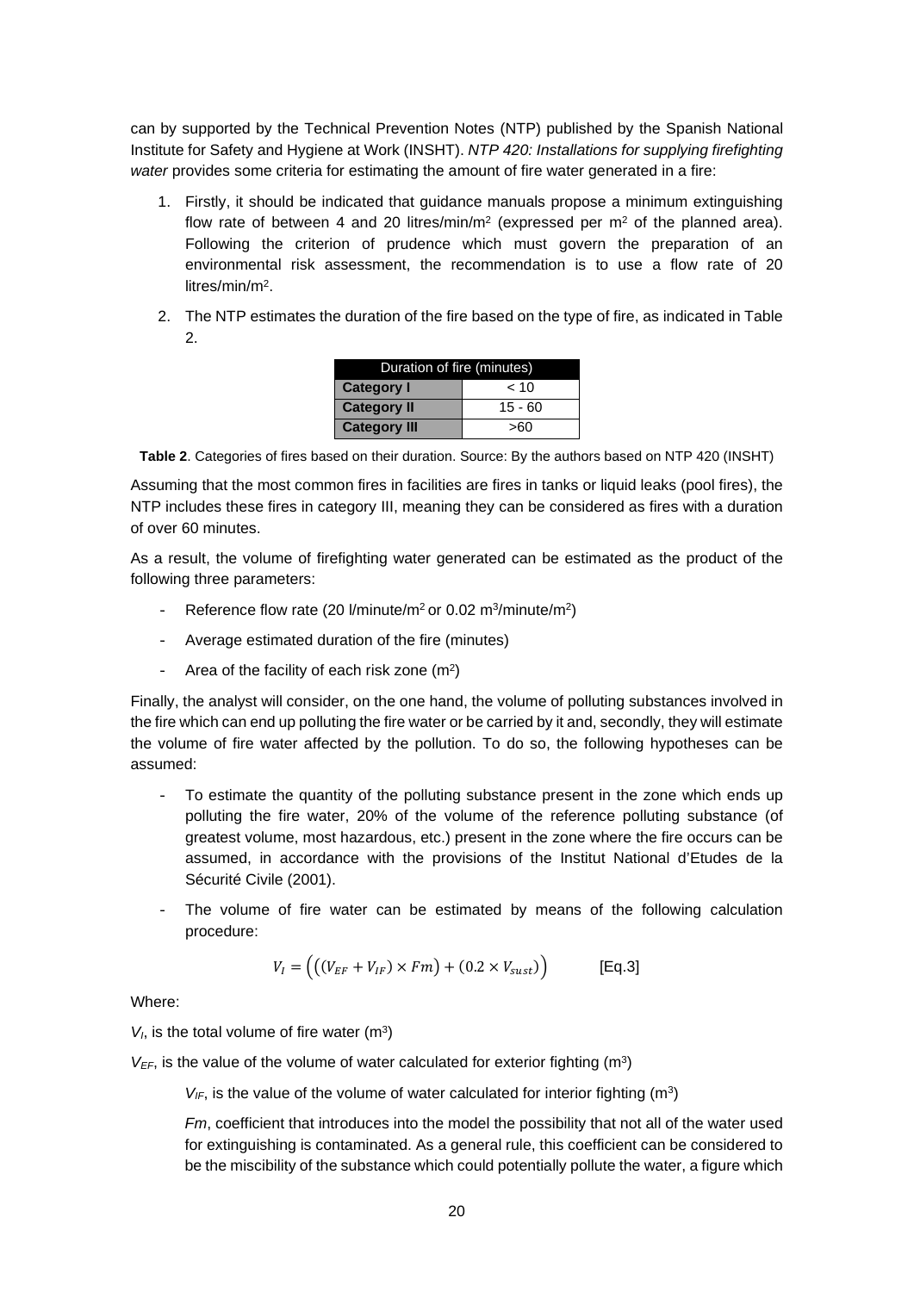can by supported by the Technical Prevention Notes (NTP) published by the Spanish National Institute for Safety and Hygiene at Work (INSHT). *NTP 420: Installations for supplying firefighting water* provides some criteria for estimating the amount of fire water generated in a fire:

- 1. Firstly, it should be indicated that guidance manuals propose a minimum extinguishing flow rate of between 4 and 20 litres/min/m<sup>2</sup> (expressed per m<sup>2</sup> of the planned area). Following the criterion of prudence which must govern the preparation of an environmental risk assessment, the recommendation is to use a flow rate of 20 litres/min/m<sup>2</sup> .
- 2. The NTP estimates the duration of the fire based on the type of fire, as indicated in Table  $\mathcal{D}$

| Duration of fire (minutes) |           |  |  |
|----------------------------|-----------|--|--|
| <b>Category I</b>          | ~< 10     |  |  |
| <b>Category II</b>         | $15 - 60$ |  |  |
| <b>Category III</b>        | >60       |  |  |

**Table 2**. Categories of fires based on their duration. Source: By the authors based on NTP 420 (INSHT)

Assuming that the most common fires in facilities are fires in tanks or liquid leaks (pool fires), the NTP includes these fires in category III, meaning they can be considered as fires with a duration of over 60 minutes.

As a result, the volume of firefighting water generated can be estimated as the product of the following three parameters:

- Reference flow rate (20 l/minute/m<sup>2</sup> or 0.02 m<sup>3</sup>/minute/m<sup>2</sup>)
- Average estimated duration of the fire (minutes)
- Area of the facility of each risk zone  $(m^2)$

 $\mathbb{R}^2$ 

Finally, the analyst will consider, on the one hand, the volume of polluting substances involved in the fire which can end up polluting the fire water or be carried by it and, secondly, they will estimate the volume of fire water affected by the pollution. To do so, the following hypotheses can be assumed:

- To estimate the quantity of the polluting substance present in the zone which ends up polluting the fire water, 20% of the volume of the reference polluting substance (of greatest volume, most hazardous, etc.) present in the zone where the fire occurs can be assumed, in accordance with the provisions of the Institut National d'Etudes de la Sécurité Civile (2001).
- The volume of fire water can be estimated by means of the following calculation procedure:

$$
V_I = ((V_{EF} + V_{IF}) \times Fm) + (0.2 \times V_{sust})
$$
 [Eq.3]

Where:

 $V_I$ , is the total volume of fire water  $(m^3)$ 

 $V_{EF}$ , is the value of the volume of water calculated for exterior fighting (m<sup>3</sup>)

 $V_{IF}$ , is the value of the volume of water calculated for interior fighting (m<sup>3</sup>)

*Fm*, coefficient that introduces into the model the possibility that not all of the water used for extinguishing is contaminated. As a general rule, this coefficient can be considered to be the miscibility of the substance which could potentially pollute the water, a figure which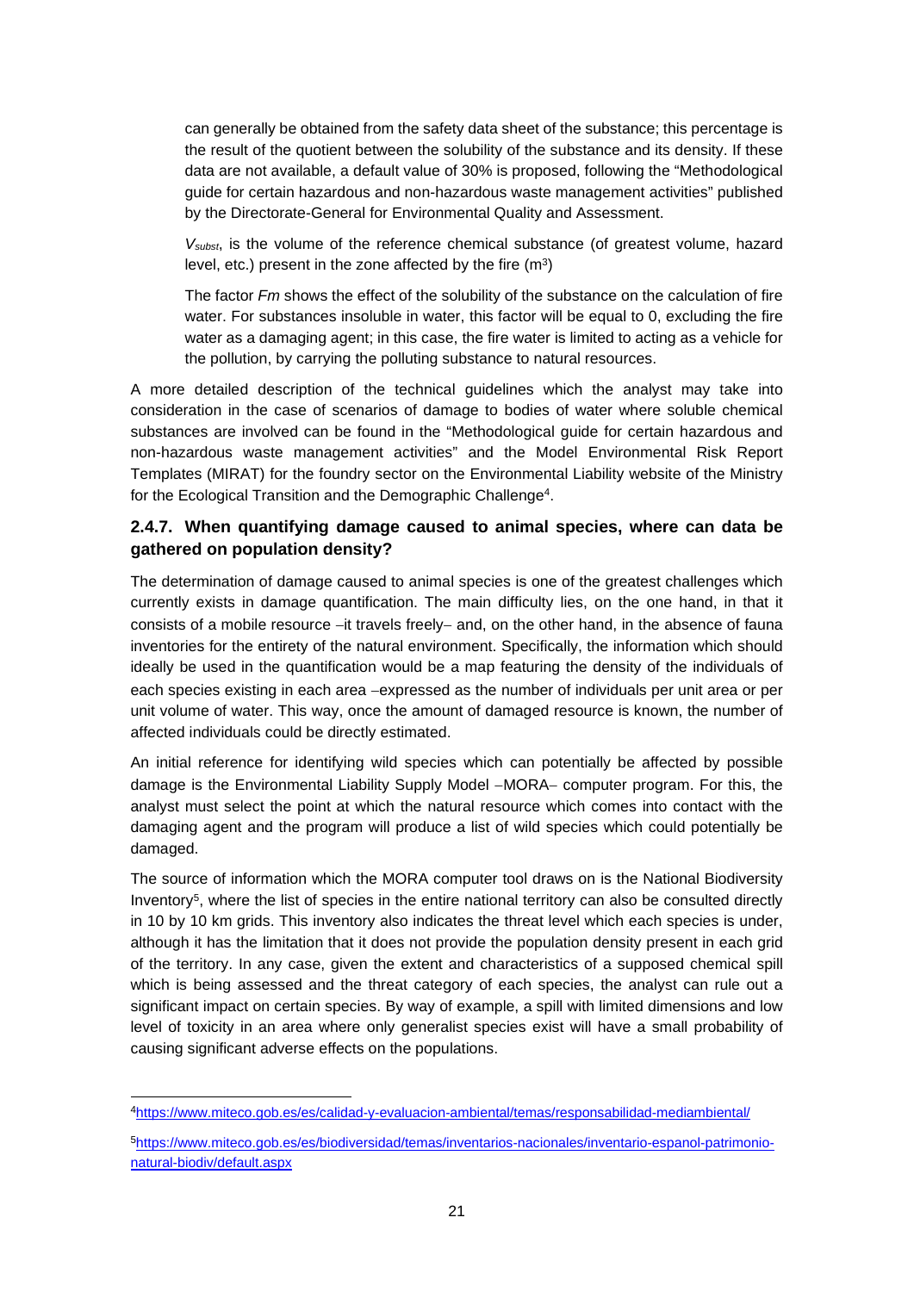can generally be obtained from the safety data sheet of the substance; this percentage is the result of the quotient between the solubility of the substance and its density. If these data are not available, a default value of 30% is proposed, following the "Methodological guide for certain hazardous and non-hazardous waste management activities" published by the Directorate-General for Environmental Quality and Assessment.

*Vsubst*, is the volume of the reference chemical substance (of greatest volume, hazard level, etc.) present in the zone affected by the fire  $(m<sup>3</sup>)$ 

The factor *Fm* shows the effect of the solubility of the substance on the calculation of fire water. For substances insoluble in water, this factor will be equal to 0, excluding the fire water as a damaging agent; in this case, the fire water is limited to acting as a vehicle for the pollution, by carrying the polluting substance to natural resources.

A more detailed description of the technical guidelines which the analyst may take into consideration in the case of scenarios of damage to bodies of water where soluble chemical substances are involved can be found in the "Methodological guide for certain hazardous and non-hazardous waste management activities" and the Model Environmental Risk Report Templates (MIRAT) for the foundry sector on the Environmental Liability website of the Ministry for the Ecological Transition and the Demographic Challenge<sup>4</sup>.

### **2.4.7. When quantifying damage caused to animal species, where can data be gathered on population density?**

The determination of damage caused to animal species is one of the greatest challenges which currently exists in damage quantification. The main difficulty lies, on the one hand, in that it consists of a mobile resource -it travels freely- and, on the other hand, in the absence of fauna inventories for the entirety of the natural environment. Specifically, the information which should ideally be used in the quantification would be a map featuring the density of the individuals of each species existing in each area -expressed as the number of individuals per unit area or per unit volume of water. This way, once the amount of damaged resource is known, the number of affected individuals could be directly estimated.

An initial reference for identifying wild species which can potentially be affected by possible damage is the Environmental Liability Supply Model -MORA- computer program. For this, the analyst must select the point at which the natural resource which comes into contact with the damaging agent and the program will produce a list of wild species which could potentially be damaged.

The source of information which the MORA computer tool draws on is the National Biodiversity Inventory<sup>5</sup>, where the list of species in the entire national territory can also be consulted directly in 10 by 10 km grids. This inventory also indicates the threat level which each species is under, although it has the limitation that it does not provide the population density present in each grid of the territory. In any case, given the extent and characteristics of a supposed chemical spill which is being assessed and the threat category of each species, the analyst can rule out a significant impact on certain species. By way of example, a spill with limited dimensions and low level of toxicity in an area where only generalist species exist will have a small probability of causing significant adverse effects on the populations.

<sup>4</sup>https://www.miteco.gob.es/es/calidad-y-evaluacion-ambiental/temas/responsabilidad-mediambiental/

<sup>5</sup>https://www.miteco.gob.es/es/biodiversidad/temas/inventarios-nacionales/inventario-espanol-patrimonionatural-biodiv/default.aspx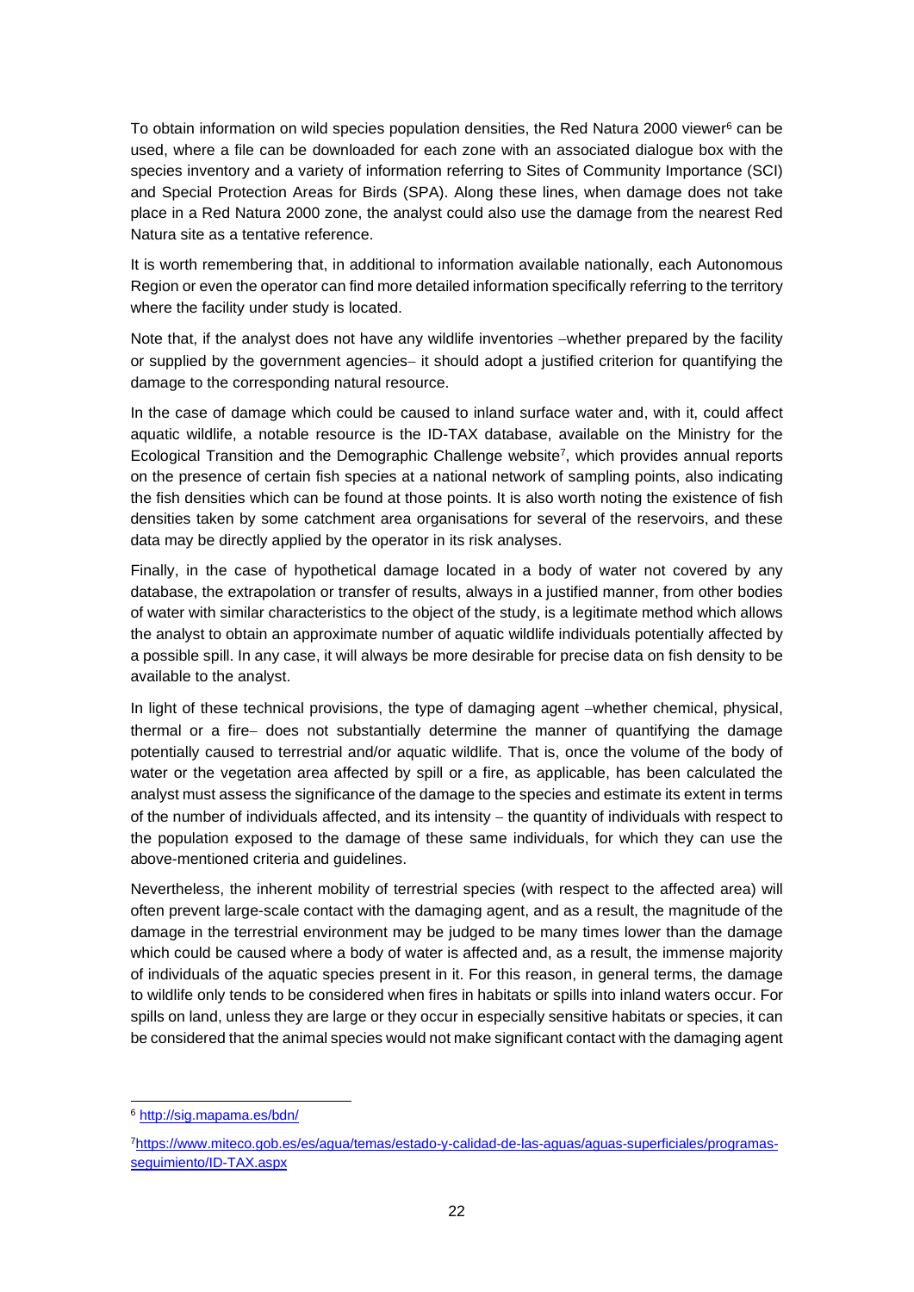To obtain information on wild species population densities, the Red Natura 2000 viewer<sup>6</sup> can be used, where a file can be downloaded for each zone with an associated dialogue box with the species inventory and a variety of information referring to Sites of Community Importance (SCI) and Special Protection Areas for Birds (SPA). Along these lines, when damage does not take place in a Red Natura 2000 zone, the analyst could also use the damage from the nearest Red Natura site as a tentative reference.

It is worth remembering that, in additional to information available nationally, each Autonomous Region or even the operator can find more detailed information specifically referring to the territory where the facility under study is located.

Note that, if the analyst does not have any wildlife inventories -whether prepared by the facility or supplied by the government agencies- it should adopt a justified criterion for quantifying the damage to the corresponding natural resource.

In the case of damage which could be caused to inland surface water and, with it, could affect aquatic wildlife, a notable resource is the ID-TAX database, available on the Ministry for the Ecological Transition and the Demographic Challenge website<sup>7</sup>, which provides annual reports on the presence of certain fish species at a national network of sampling points, also indicating the fish densities which can be found at those points. It is also worth noting the existence of fish densities taken by some catchment area organisations for several of the reservoirs, and these data may be directly applied by the operator in its risk analyses.

Finally, in the case of hypothetical damage located in a body of water not covered by any database, the extrapolation or transfer of results, always in a justified manner, from other bodies of water with similar characteristics to the object of the study, is a legitimate method which allows the analyst to obtain an approximate number of aquatic wildlife individuals potentially affected by a possible spill. In any case, it will always be more desirable for precise data on fish density to be available to the analyst.

In light of these technical provisions, the type of damaging agent -whether chemical, physical, thermal or a fire- does not substantially determine the manner of quantifying the damage potentially caused to terrestrial and/or aquatic wildlife. That is, once the volume of the body of water or the vegetation area affected by spill or a fire, as applicable, has been calculated the analyst must assess the significance of the damage to the species and estimate its extent in terms of the number of individuals affected, and its intensity  $-$  the quantity of individuals with respect to the population exposed to the damage of these same individuals, for which they can use the above-mentioned criteria and guidelines.

Nevertheless, the inherent mobility of terrestrial species (with respect to the affected area) will often prevent large-scale contact with the damaging agent, and as a result, the magnitude of the damage in the terrestrial environment may be judged to be many times lower than the damage which could be caused where a body of water is affected and, as a result, the immense majority of individuals of the aquatic species present in it. For this reason, in general terms, the damage to wildlife only tends to be considered when fires in habitats or spills into inland waters occur. For spills on land, unless they are large or they occur in especially sensitive habitats or species, it can be considered that the animal species would not make significant contact with the damaging agent

<sup>6</sup> http://sig.mapama.es/bdn/

<sup>7</sup>https://www.miteco.gob.es/es/agua/temas/estado-y-calidad-de-las-aguas/aguas-superficiales/programasseguimiento/ID-TAX.aspx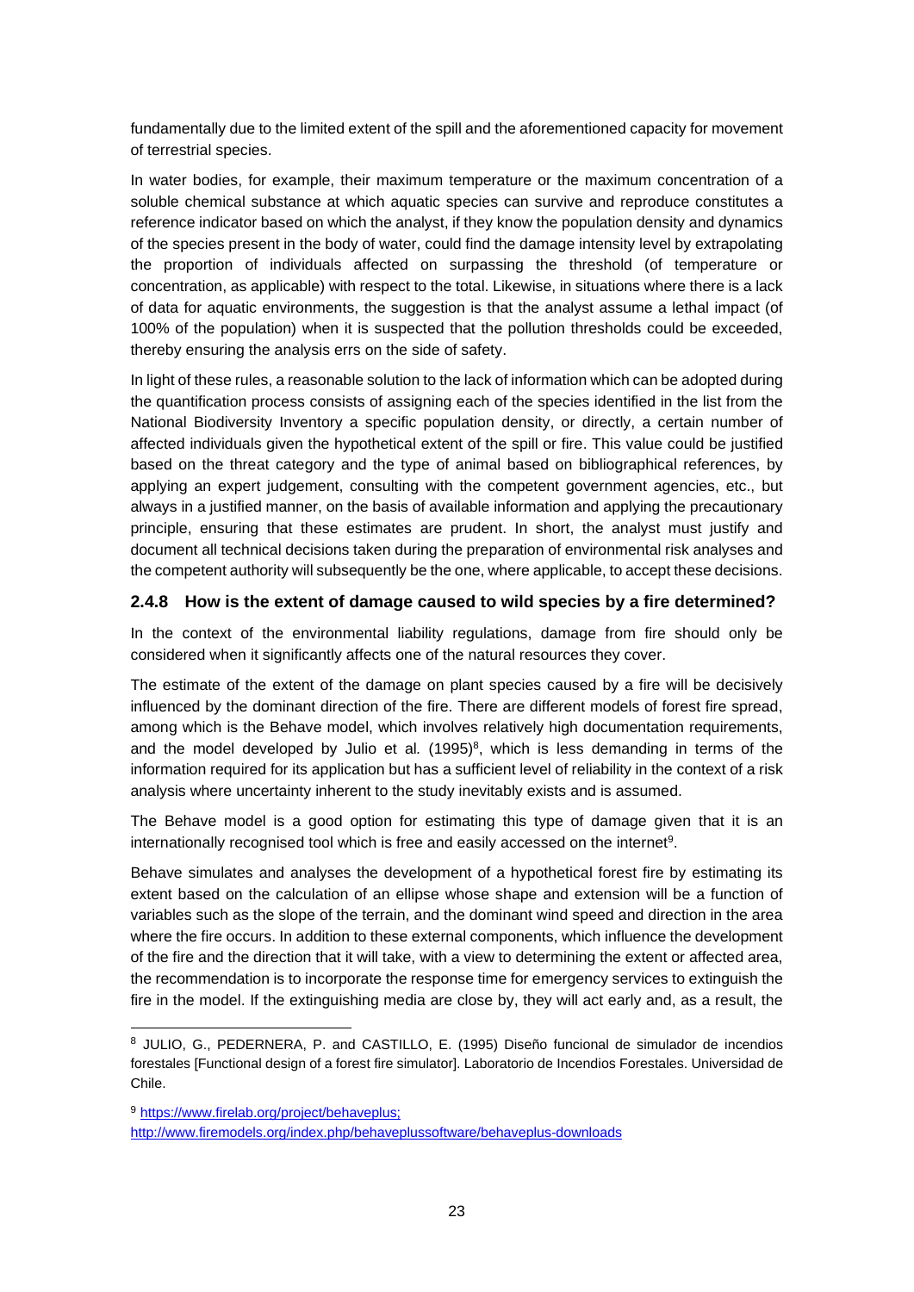fundamentally due to the limited extent of the spill and the aforementioned capacity for movement of terrestrial species.

In water bodies, for example, their maximum temperature or the maximum concentration of a soluble chemical substance at which aquatic species can survive and reproduce constitutes a reference indicator based on which the analyst, if they know the population density and dynamics of the species present in the body of water, could find the damage intensity level by extrapolating the proportion of individuals affected on surpassing the threshold (of temperature or concentration, as applicable) with respect to the total. Likewise, in situations where there is a lack of data for aquatic environments, the suggestion is that the analyst assume a lethal impact (of 100% of the population) when it is suspected that the pollution thresholds could be exceeded, thereby ensuring the analysis errs on the side of safety.

In light of these rules, a reasonable solution to the lack of information which can be adopted during the quantification process consists of assigning each of the species identified in the list from the National Biodiversity Inventory a specific population density, or directly, a certain number of affected individuals given the hypothetical extent of the spill or fire. This value could be justified based on the threat category and the type of animal based on bibliographical references, by applying an expert judgement, consulting with the competent government agencies, etc., but always in a justified manner, on the basis of available information and applying the precautionary principle, ensuring that these estimates are prudent. In short, the analyst must justify and document all technical decisions taken during the preparation of environmental risk analyses and the competent authority will subsequently be the one, where applicable, to accept these decisions.

### **2.4.8 How is the extent of damage caused to wild species by a fire determined?**

In the context of the environmental liability regulations, damage from fire should only be considered when it significantly affects one of the natural resources they cover.

The estimate of the extent of the damage on plant species caused by a fire will be decisively influenced by the dominant direction of the fire. There are different models of forest fire spread, among which is the Behave model, which involves relatively high documentation requirements, and the model developed by Julio et al*.* (1995)<sup>8</sup> , which is less demanding in terms of the information required for its application but has a sufficient level of reliability in the context of a risk analysis where uncertainty inherent to the study inevitably exists and is assumed.

The Behave model is a good option for estimating this type of damage given that it is an internationally recognised tool which is free and easily accessed on the internet<sup>9</sup>.

Behave simulates and analyses the development of a hypothetical forest fire by estimating its extent based on the calculation of an ellipse whose shape and extension will be a function of variables such as the slope of the terrain, and the dominant wind speed and direction in the area where the fire occurs. In addition to these external components, which influence the development of the fire and the direction that it will take, with a view to determining the extent or affected area, the recommendation is to incorporate the response time for emergency services to extinguish the fire in the model. If the extinguishing media are close by, they will act early and, as a result, the

<sup>8</sup> JULIO, G., PEDERNERA, P. and CASTILLO, E. (1995) Diseño funcional de simulador de incendios forestales [Functional design of a forest fire simulator]. Laboratorio de Incendios Forestales. Universidad de Chile.

<sup>9</sup> https://www.firelab.org/project/behaveplus; http://www.firemodels.org/index.php/behaveplussoftware/behaveplus-downloads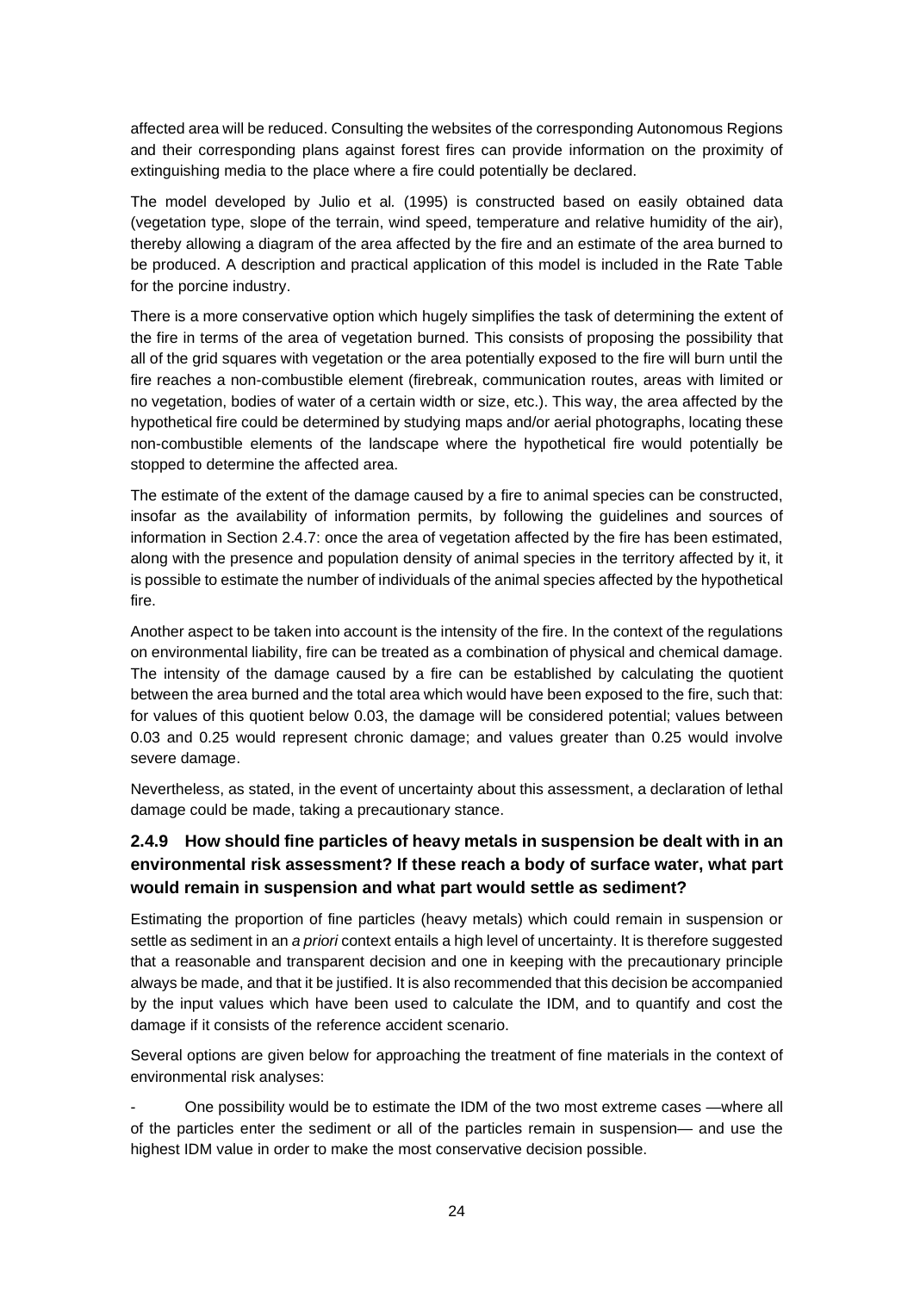affected area will be reduced. Consulting the websites of the corresponding Autonomous Regions and their corresponding plans against forest fires can provide information on the proximity of extinguishing media to the place where a fire could potentially be declared.

The model developed by Julio et al*.* (1995) is constructed based on easily obtained data (vegetation type, slope of the terrain, wind speed, temperature and relative humidity of the air), thereby allowing a diagram of the area affected by the fire and an estimate of the area burned to be produced. A description and practical application of this model is included in the Rate Table for the porcine industry.

There is a more conservative option which hugely simplifies the task of determining the extent of the fire in terms of the area of vegetation burned. This consists of proposing the possibility that all of the grid squares with vegetation or the area potentially exposed to the fire will burn until the fire reaches a non-combustible element (firebreak, communication routes, areas with limited or no vegetation, bodies of water of a certain width or size, etc.). This way, the area affected by the hypothetical fire could be determined by studying maps and/or aerial photographs, locating these non-combustible elements of the landscape where the hypothetical fire would potentially be stopped to determine the affected area.

The estimate of the extent of the damage caused by a fire to animal species can be constructed, insofar as the availability of information permits, by following the guidelines and sources of information in Section 2.4.7: once the area of vegetation affected by the fire has been estimated, along with the presence and population density of animal species in the territory affected by it, it is possible to estimate the number of individuals of the animal species affected by the hypothetical fire.

Another aspect to be taken into account is the intensity of the fire. In the context of the regulations on environmental liability, fire can be treated as a combination of physical and chemical damage. The intensity of the damage caused by a fire can be established by calculating the quotient between the area burned and the total area which would have been exposed to the fire, such that: for values of this quotient below 0.03, the damage will be considered potential; values between 0.03 and 0.25 would represent chronic damage; and values greater than 0.25 would involve severe damage.

Nevertheless, as stated, in the event of uncertainty about this assessment, a declaration of lethal damage could be made, taking a precautionary stance.

### **2.4.9 How should fine particles of heavy metals in suspension be dealt with in an environmental risk assessment? If these reach a body of surface water, what part would remain in suspension and what part would settle as sediment?**

Estimating the proportion of fine particles (heavy metals) which could remain in suspension or settle as sediment in an *a priori* context entails a high level of uncertainty. It is therefore suggested that a reasonable and transparent decision and one in keeping with the precautionary principle always be made, and that it be justified. It is also recommended that this decision be accompanied by the input values which have been used to calculate the IDM, and to quantify and cost the damage if it consists of the reference accident scenario.

Several options are given below for approaching the treatment of fine materials in the context of environmental risk analyses:

- One possibility would be to estimate the IDM of the two most extreme cases —where all of the particles enter the sediment or all of the particles remain in suspension— and use the highest IDM value in order to make the most conservative decision possible.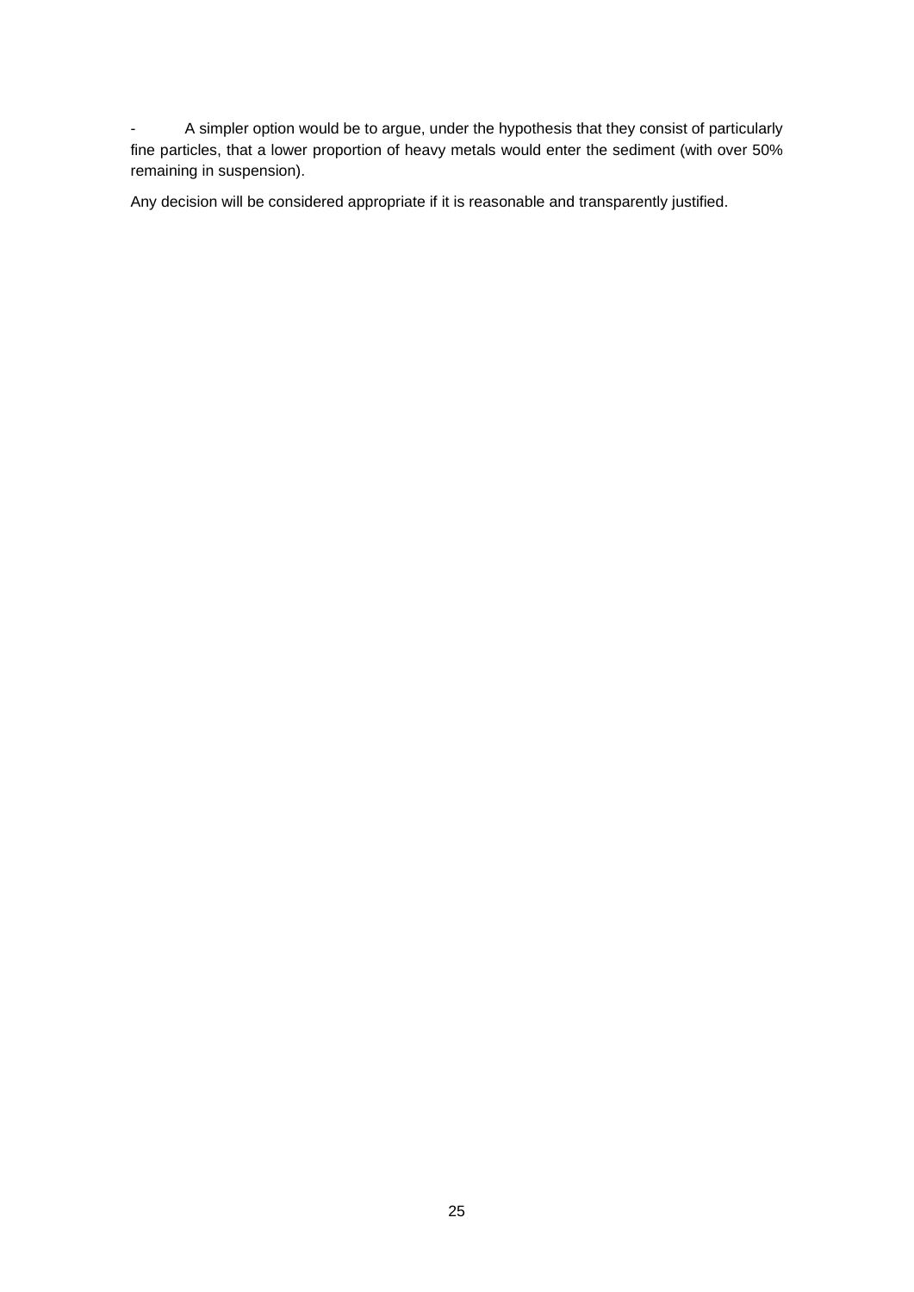- A simpler option would be to argue, under the hypothesis that they consist of particularly fine particles, that a lower proportion of heavy metals would enter the sediment (with over 50% remaining in suspension).

Any decision will be considered appropriate if it is reasonable and transparently justified.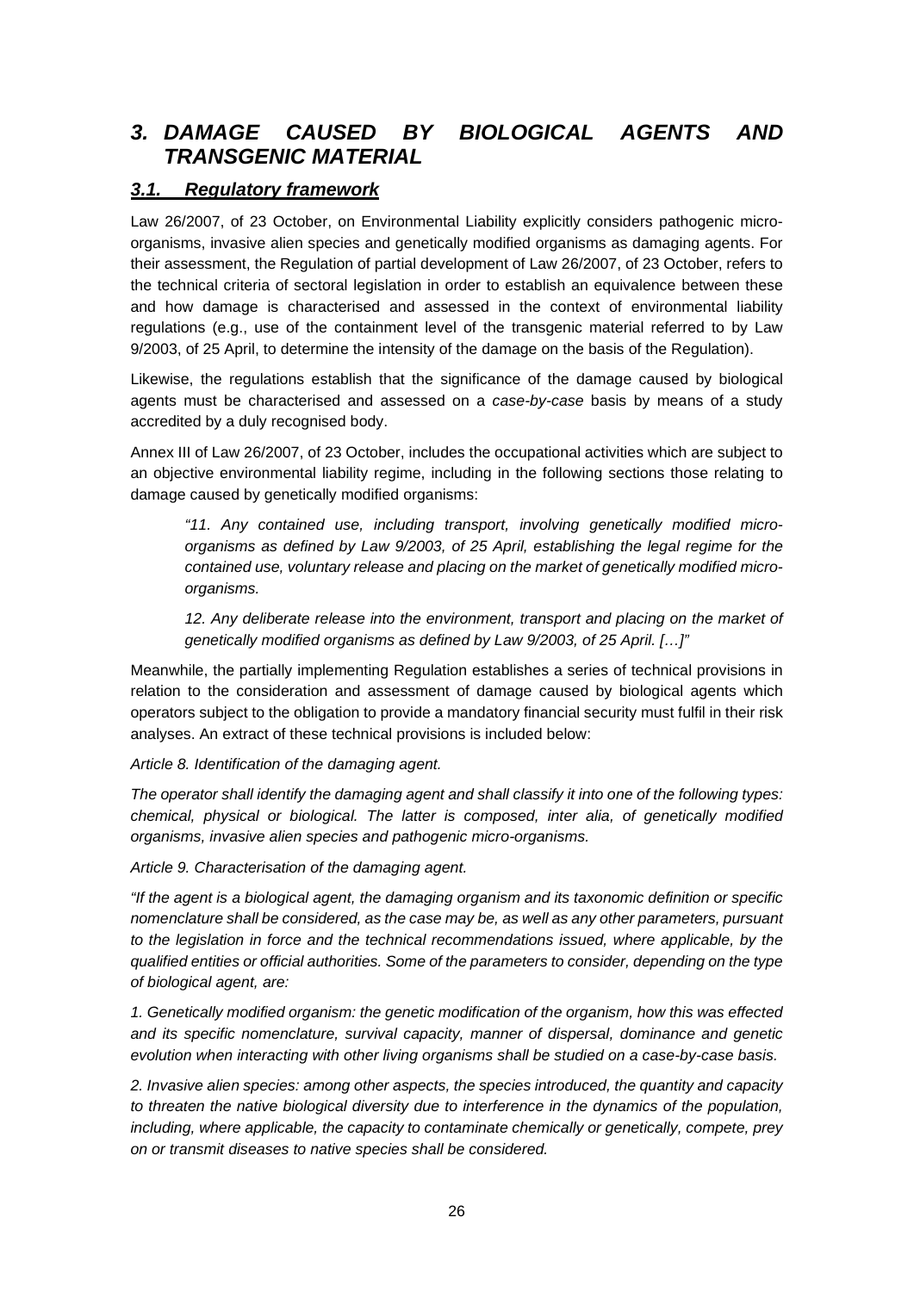# *3. DAMAGE CAUSED BY BIOLOGICAL AGENTS AND TRANSGENIC MATERIAL*

### *3.1. Regulatory framework*

Law 26/2007, of 23 October, on Environmental Liability explicitly considers pathogenic microorganisms, invasive alien species and genetically modified organisms as damaging agents. For their assessment, the Regulation of partial development of Law 26/2007, of 23 October, refers to the technical criteria of sectoral legislation in order to establish an equivalence between these and how damage is characterised and assessed in the context of environmental liability regulations (e.g., use of the containment level of the transgenic material referred to by Law 9/2003, of 25 April, to determine the intensity of the damage on the basis of the Regulation).

Likewise, the regulations establish that the significance of the damage caused by biological agents must be characterised and assessed on a *case-by-case* basis by means of a study accredited by a duly recognised body.

Annex III of Law 26/2007, of 23 October, includes the occupational activities which are subject to an objective environmental liability regime, including in the following sections those relating to damage caused by genetically modified organisms:

*"11. Any contained use, including transport, involving genetically modified microorganisms as defined by Law 9/2003, of 25 April, establishing the legal regime for the contained use, voluntary release and placing on the market of genetically modified microorganisms.* 

*12. Any deliberate release into the environment, transport and placing on the market of genetically modified organisms as defined by Law 9/2003, of 25 April. […]"*

Meanwhile, the partially implementing Regulation establishes a series of technical provisions in relation to the consideration and assessment of damage caused by biological agents which operators subject to the obligation to provide a mandatory financial security must fulfil in their risk analyses. An extract of these technical provisions is included below:

*Article 8. Identification of the damaging agent.* 

*The operator shall identify the damaging agent and shall classify it into one of the following types: chemical, physical or biological. The latter is composed, inter alia, of genetically modified organisms, invasive alien species and pathogenic micro-organisms.* 

*Article 9. Characterisation of the damaging agent.* 

*"If the agent is a biological agent, the damaging organism and its taxonomic definition or specific nomenclature shall be considered, as the case may be, as well as any other parameters, pursuant to the legislation in force and the technical recommendations issued, where applicable, by the qualified entities or official authorities. Some of the parameters to consider, depending on the type of biological agent, are:* 

*1. Genetically modified organism: the genetic modification of the organism, how this was effected and its specific nomenclature, survival capacity, manner of dispersal, dominance and genetic evolution when interacting with other living organisms shall be studied on a case-by-case basis.* 

*2. Invasive alien species: among other aspects, the species introduced, the quantity and capacity*  to threaten the native biological diversity due to interference in the dynamics of the population, *including, where applicable, the capacity to contaminate chemically or genetically, compete, prey on or transmit diseases to native species shall be considered.*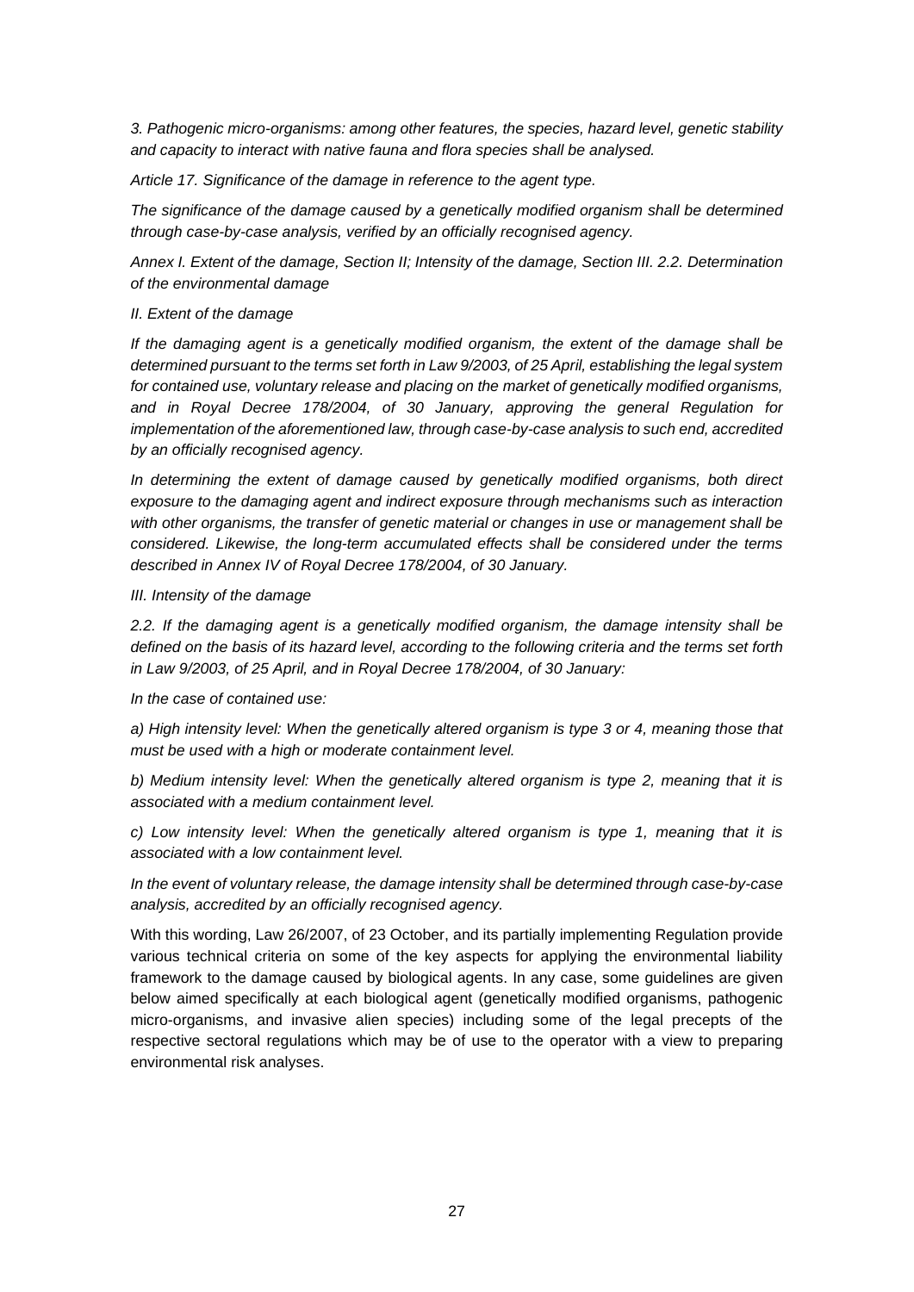*3. Pathogenic micro-organisms: among other features, the species, hazard level, genetic stability and capacity to interact with native fauna and flora species shall be analysed.* 

*Article 17. Significance of the damage in reference to the agent type.* 

*The significance of the damage caused by a genetically modified organism shall be determined through case-by-case analysis, verified by an officially recognised agency.* 

*Annex I. Extent of the damage, Section II; Intensity of the damage, Section III. 2.2. Determination of the environmental damage* 

### *II. Extent of the damage*

*If the damaging agent is a genetically modified organism, the extent of the damage shall be determined pursuant to the terms set forth in Law 9/2003, of 25 April, establishing the legal system for contained use, voluntary release and placing on the market of genetically modified organisms, and in Royal Decree 178/2004, of 30 January, approving the general Regulation for implementation of the aforementioned law, through case-by-case analysis to such end, accredited by an officially recognised agency.* 

*In determining the extent of damage caused by genetically modified organisms, both direct exposure to the damaging agent and indirect exposure through mechanisms such as interaction with other organisms, the transfer of genetic material or changes in use or management shall be considered. Likewise, the long-term accumulated effects shall be considered under the terms described in Annex IV of Royal Decree 178/2004, of 30 January.* 

### *III. Intensity of the damage*

*2.2. If the damaging agent is a genetically modified organism, the damage intensity shall be defined on the basis of its hazard level, according to the following criteria and the terms set forth in Law 9/2003, of 25 April, and in Royal Decree 178/2004, of 30 January:* 

*In the case of contained use:* 

*a) High intensity level: When the genetically altered organism is type 3 or 4, meaning those that must be used with a high or moderate containment level.* 

*b) Medium intensity level: When the genetically altered organism is type 2, meaning that it is associated with a medium containment level.* 

*c) Low intensity level: When the genetically altered organism is type 1, meaning that it is associated with a low containment level.* 

*In the event of voluntary release, the damage intensity shall be determined through case-by-case analysis, accredited by an officially recognised agency.* 

With this wording, Law 26/2007, of 23 October, and its partially implementing Regulation provide various technical criteria on some of the key aspects for applying the environmental liability framework to the damage caused by biological agents. In any case, some guidelines are given below aimed specifically at each biological agent (genetically modified organisms, pathogenic micro-organisms, and invasive alien species) including some of the legal precepts of the respective sectoral regulations which may be of use to the operator with a view to preparing environmental risk analyses.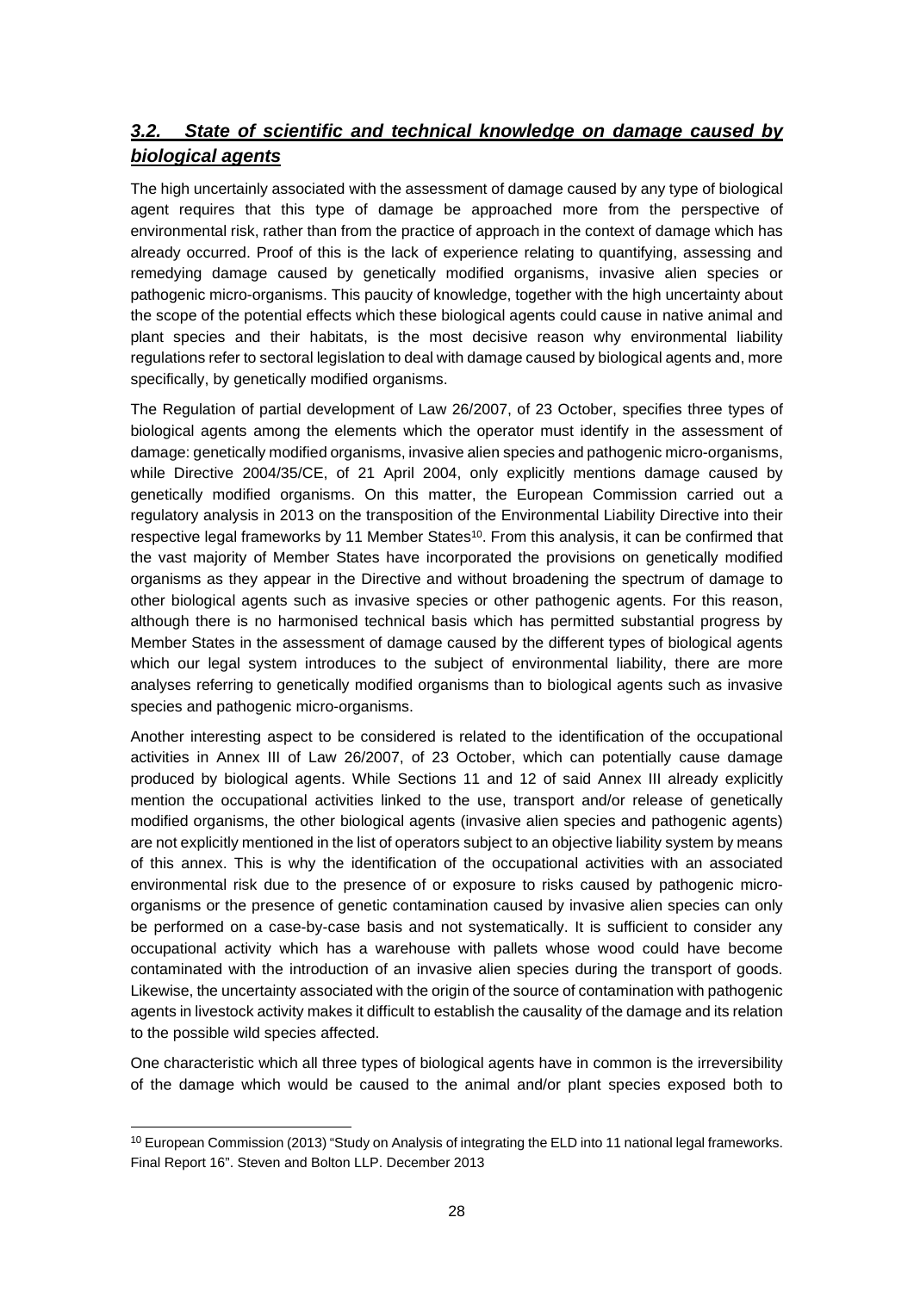# *3.2. State of scientific and technical knowledge on damage caused by biological agents*

The high uncertainly associated with the assessment of damage caused by any type of biological agent requires that this type of damage be approached more from the perspective of environmental risk, rather than from the practice of approach in the context of damage which has already occurred. Proof of this is the lack of experience relating to quantifying, assessing and remedying damage caused by genetically modified organisms, invasive alien species or pathogenic micro-organisms. This paucity of knowledge, together with the high uncertainty about the scope of the potential effects which these biological agents could cause in native animal and plant species and their habitats, is the most decisive reason why environmental liability regulations refer to sectoral legislation to deal with damage caused by biological agents and, more specifically, by genetically modified organisms.

The Regulation of partial development of Law 26/2007, of 23 October, specifies three types of biological agents among the elements which the operator must identify in the assessment of damage: genetically modified organisms, invasive alien species and pathogenic micro-organisms, while Directive 2004/35/CE, of 21 April 2004, only explicitly mentions damage caused by genetically modified organisms. On this matter, the European Commission carried out a regulatory analysis in 2013 on the transposition of the Environmental Liability Directive into their respective legal frameworks by 11 Member States<sup>10</sup>. From this analysis, it can be confirmed that the vast majority of Member States have incorporated the provisions on genetically modified organisms as they appear in the Directive and without broadening the spectrum of damage to other biological agents such as invasive species or other pathogenic agents. For this reason, although there is no harmonised technical basis which has permitted substantial progress by Member States in the assessment of damage caused by the different types of biological agents which our legal system introduces to the subject of environmental liability, there are more analyses referring to genetically modified organisms than to biological agents such as invasive species and pathogenic micro-organisms.

Another interesting aspect to be considered is related to the identification of the occupational activities in Annex III of Law 26/2007, of 23 October, which can potentially cause damage produced by biological agents. While Sections 11 and 12 of said Annex III already explicitly mention the occupational activities linked to the use, transport and/or release of genetically modified organisms, the other biological agents (invasive alien species and pathogenic agents) are not explicitly mentioned in the list of operators subject to an objective liability system by means of this annex. This is why the identification of the occupational activities with an associated environmental risk due to the presence of or exposure to risks caused by pathogenic microorganisms or the presence of genetic contamination caused by invasive alien species can only be performed on a case-by-case basis and not systematically. It is sufficient to consider any occupational activity which has a warehouse with pallets whose wood could have become contaminated with the introduction of an invasive alien species during the transport of goods. Likewise, the uncertainty associated with the origin of the source of contamination with pathogenic agents in livestock activity makes it difficult to establish the causality of the damage and its relation to the possible wild species affected.

One characteristic which all three types of biological agents have in common is the irreversibility of the damage which would be caused to the animal and/or plant species exposed both to

<sup>10</sup> European Commission (2013) "Study on Analysis of integrating the ELD into 11 national legal frameworks. Final Report 16". Steven and Bolton LLP. December 2013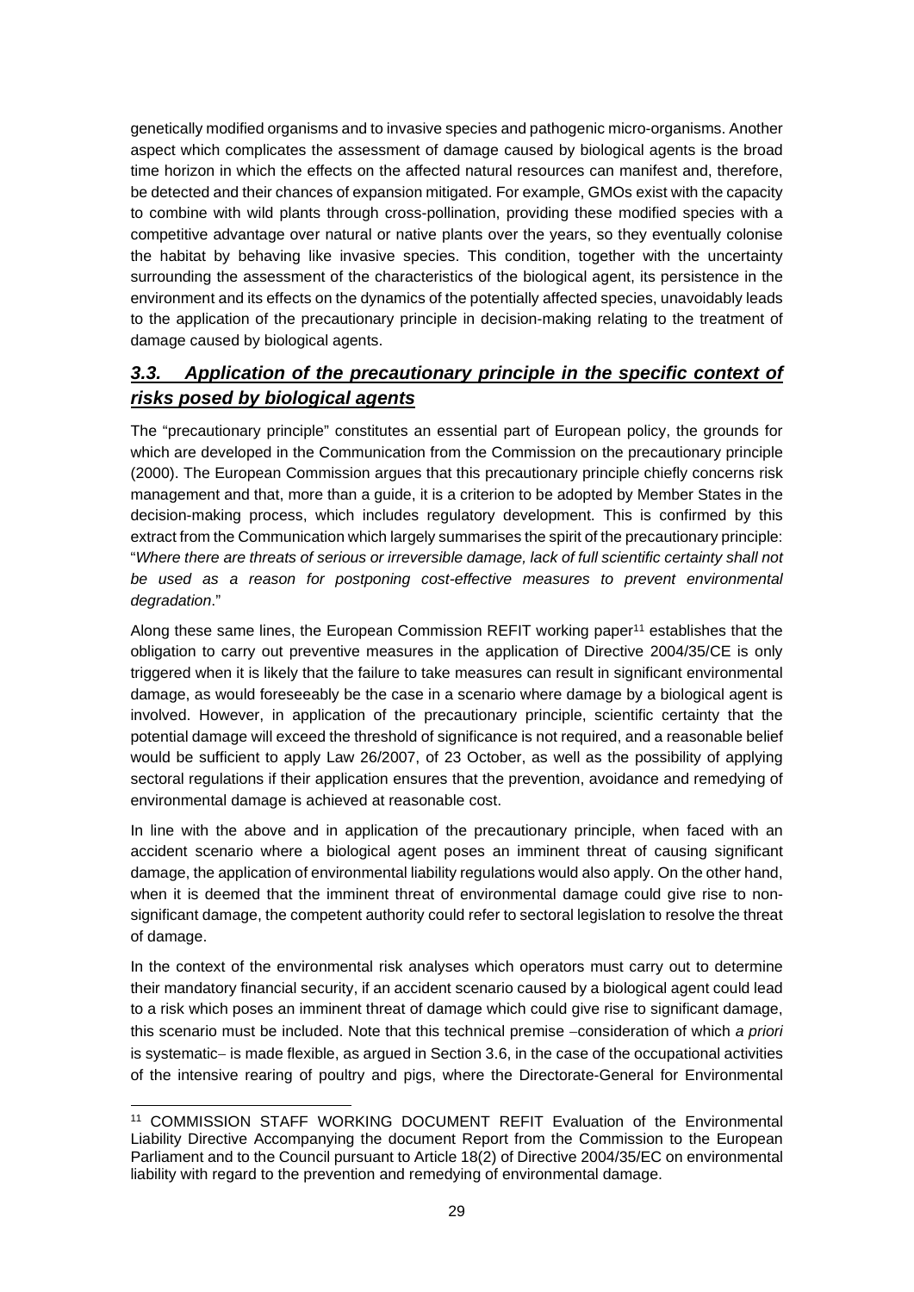genetically modified organisms and to invasive species and pathogenic micro-organisms. Another aspect which complicates the assessment of damage caused by biological agents is the broad time horizon in which the effects on the affected natural resources can manifest and, therefore, be detected and their chances of expansion mitigated. For example, GMOs exist with the capacity to combine with wild plants through cross-pollination, providing these modified species with a competitive advantage over natural or native plants over the years, so they eventually colonise the habitat by behaving like invasive species. This condition, together with the uncertainty surrounding the assessment of the characteristics of the biological agent, its persistence in the environment and its effects on the dynamics of the potentially affected species, unavoidably leads to the application of the precautionary principle in decision-making relating to the treatment of damage caused by biological agents.

# *3.3. Application of the precautionary principle in the specific context of risks posed by biological agents*

The "precautionary principle" constitutes an essential part of European policy, the grounds for which are developed in the Communication from the Commission on the precautionary principle (2000). The European Commission argues that this precautionary principle chiefly concerns risk management and that, more than a guide, it is a criterion to be adopted by Member States in the decision-making process, which includes regulatory development. This is confirmed by this extract from the Communication which largely summarises the spirit of the precautionary principle: "*Where there are threats of serious or irreversible damage, lack of full scientific certainty shall not*  be used as a reason for postponing cost-effective measures to prevent environmental *degradation*."

Along these same lines, the European Commission REFIT working paper<sup>11</sup> establishes that the obligation to carry out preventive measures in the application of Directive 2004/35/CE is only triggered when it is likely that the failure to take measures can result in significant environmental damage, as would foreseeably be the case in a scenario where damage by a biological agent is involved. However, in application of the precautionary principle, scientific certainty that the potential damage will exceed the threshold of significance is not required, and a reasonable belief would be sufficient to apply Law 26/2007, of 23 October, as well as the possibility of applying sectoral regulations if their application ensures that the prevention, avoidance and remedying of environmental damage is achieved at reasonable cost.

In line with the above and in application of the precautionary principle, when faced with an accident scenario where a biological agent poses an imminent threat of causing significant damage, the application of environmental liability regulations would also apply. On the other hand, when it is deemed that the imminent threat of environmental damage could give rise to nonsignificant damage, the competent authority could refer to sectoral legislation to resolve the threat of damage.

In the context of the environmental risk analyses which operators must carry out to determine their mandatory financial security, if an accident scenario caused by a biological agent could lead to a risk which poses an imminent threat of damage which could give rise to significant damage, this scenario must be included. Note that this technical premise -consideration of which *a priori* is systematic- is made flexible, as argued in Section 3.6, in the case of the occupational activities of the intensive rearing of poultry and pigs, where the Directorate-General for Environmental

<sup>11</sup> COMMISSION STAFF WORKING DOCUMENT REFIT Evaluation of the Environmental Liability Directive Accompanying the document Report from the Commission to the European Parliament and to the Council pursuant to Article 18(2) of Directive 2004/35/EC on environmental liability with regard to the prevention and remedying of environmental damage.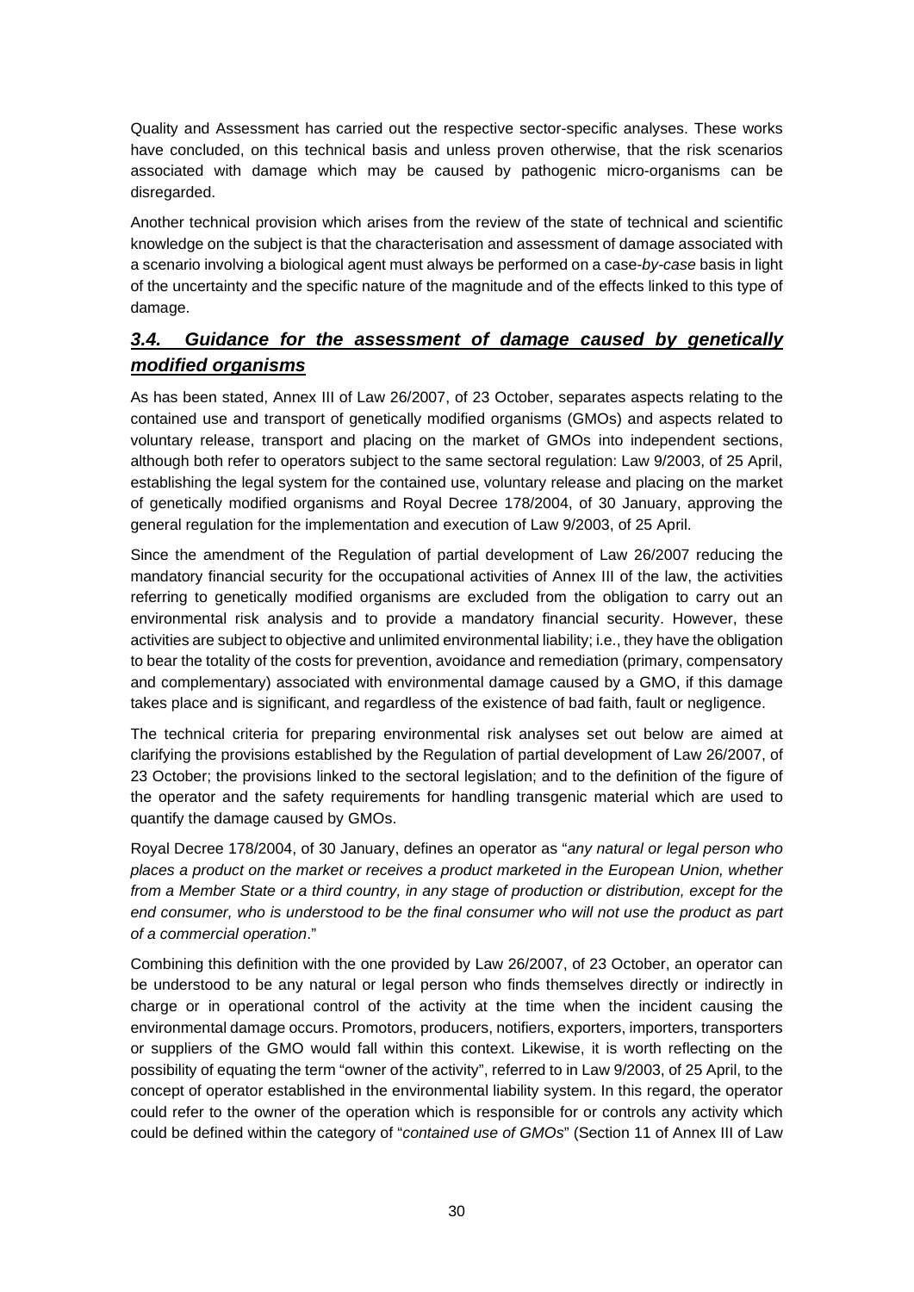Quality and Assessment has carried out the respective sector-specific analyses. These works have concluded, on this technical basis and unless proven otherwise, that the risk scenarios associated with damage which may be caused by pathogenic micro-organisms can be disregarded.

Another technical provision which arises from the review of the state of technical and scientific knowledge on the subject is that the characterisation and assessment of damage associated with a scenario involving a biological agent must always be performed on a case*-by-case* basis in light of the uncertainty and the specific nature of the magnitude and of the effects linked to this type of damage.

# *3.4. Guidance for the assessment of damage caused by genetically modified organisms*

As has been stated, Annex III of Law 26/2007, of 23 October, separates aspects relating to the contained use and transport of genetically modified organisms (GMOs) and aspects related to voluntary release, transport and placing on the market of GMOs into independent sections, although both refer to operators subject to the same sectoral regulation: Law 9/2003, of 25 April, establishing the legal system for the contained use, voluntary release and placing on the market of genetically modified organisms and Royal Decree 178/2004, of 30 January, approving the general regulation for the implementation and execution of Law 9/2003, of 25 April.

Since the amendment of the Regulation of partial development of Law 26/2007 reducing the mandatory financial security for the occupational activities of Annex III of the law, the activities referring to genetically modified organisms are excluded from the obligation to carry out an environmental risk analysis and to provide a mandatory financial security. However, these activities are subject to objective and unlimited environmental liability; i.e., they have the obligation to bear the totality of the costs for prevention, avoidance and remediation (primary, compensatory and complementary) associated with environmental damage caused by a GMO, if this damage takes place and is significant, and regardless of the existence of bad faith, fault or negligence.

The technical criteria for preparing environmental risk analyses set out below are aimed at clarifying the provisions established by the Regulation of partial development of Law 26/2007, of 23 October; the provisions linked to the sectoral legislation; and to the definition of the figure of the operator and the safety requirements for handling transgenic material which are used to quantify the damage caused by GMOs.

Royal Decree 178/2004, of 30 January, defines an operator as "*any natural or legal person who places a product on the market or receives a product marketed in the European Union, whether from a Member State or a third country, in any stage of production or distribution, except for the end consumer, who is understood to be the final consumer who will not use the product as part of a commercial operation*."

Combining this definition with the one provided by Law 26/2007, of 23 October, an operator can be understood to be any natural or legal person who finds themselves directly or indirectly in charge or in operational control of the activity at the time when the incident causing the environmental damage occurs. Promotors, producers, notifiers, exporters, importers, transporters or suppliers of the GMO would fall within this context. Likewise, it is worth reflecting on the possibility of equating the term "owner of the activity", referred to in Law 9/2003, of 25 April, to the concept of operator established in the environmental liability system. In this regard, the operator could refer to the owner of the operation which is responsible for or controls any activity which could be defined within the category of "*contained use of GMOs*" (Section 11 of Annex III of Law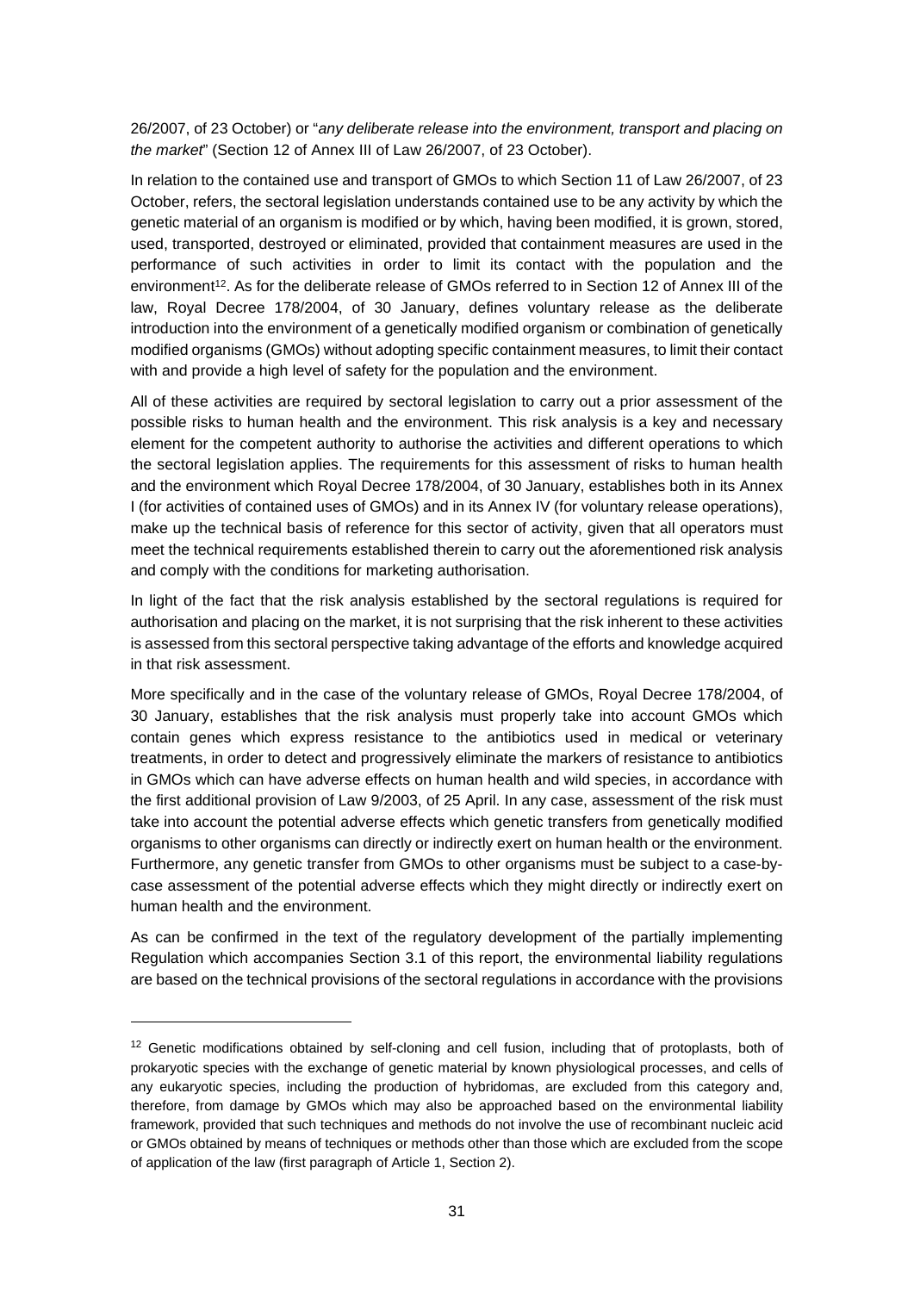26/2007, of 23 October) or "*any deliberate release into the environment, transport and placing on the market*" (Section 12 of Annex III of Law 26/2007, of 23 October).

In relation to the contained use and transport of GMOs to which Section 11 of Law 26/2007, of 23 October, refers, the sectoral legislation understands contained use to be any activity by which the genetic material of an organism is modified or by which, having been modified, it is grown, stored, used, transported, destroyed or eliminated, provided that containment measures are used in the performance of such activities in order to limit its contact with the population and the environment<sup>12</sup>. As for the deliberate release of GMOs referred to in Section 12 of Annex III of the law, Royal Decree 178/2004, of 30 January, defines voluntary release as the deliberate introduction into the environment of a genetically modified organism or combination of genetically modified organisms (GMOs) without adopting specific containment measures, to limit their contact with and provide a high level of safety for the population and the environment.

All of these activities are required by sectoral legislation to carry out a prior assessment of the possible risks to human health and the environment. This risk analysis is a key and necessary element for the competent authority to authorise the activities and different operations to which the sectoral legislation applies. The requirements for this assessment of risks to human health and the environment which Royal Decree 178/2004, of 30 January, establishes both in its Annex I (for activities of contained uses of GMOs) and in its Annex IV (for voluntary release operations), make up the technical basis of reference for this sector of activity, given that all operators must meet the technical requirements established therein to carry out the aforementioned risk analysis and comply with the conditions for marketing authorisation.

In light of the fact that the risk analysis established by the sectoral regulations is required for authorisation and placing on the market, it is not surprising that the risk inherent to these activities is assessed from this sectoral perspective taking advantage of the efforts and knowledge acquired in that risk assessment.

More specifically and in the case of the voluntary release of GMOs, Royal Decree 178/2004, of 30 January, establishes that the risk analysis must properly take into account GMOs which contain genes which express resistance to the antibiotics used in medical or veterinary treatments, in order to detect and progressively eliminate the markers of resistance to antibiotics in GMOs which can have adverse effects on human health and wild species, in accordance with the first additional provision of Law 9/2003, of 25 April. In any case, assessment of the risk must take into account the potential adverse effects which genetic transfers from genetically modified organisms to other organisms can directly or indirectly exert on human health or the environment. Furthermore, any genetic transfer from GMOs to other organisms must be subject to a case-bycase assessment of the potential adverse effects which they might directly or indirectly exert on human health and the environment.

As can be confirmed in the text of the regulatory development of the partially implementing Regulation which accompanies Section 3.1 of this report, the environmental liability regulations are based on the technical provisions of the sectoral regulations in accordance with the provisions

 $12$  Genetic modifications obtained by self-cloning and cell fusion, including that of protoplasts, both of prokaryotic species with the exchange of genetic material by known physiological processes, and cells of any eukaryotic species, including the production of hybridomas, are excluded from this category and, therefore, from damage by GMOs which may also be approached based on the environmental liability framework, provided that such techniques and methods do not involve the use of recombinant nucleic acid or GMOs obtained by means of techniques or methods other than those which are excluded from the scope of application of the law (first paragraph of Article 1, Section 2).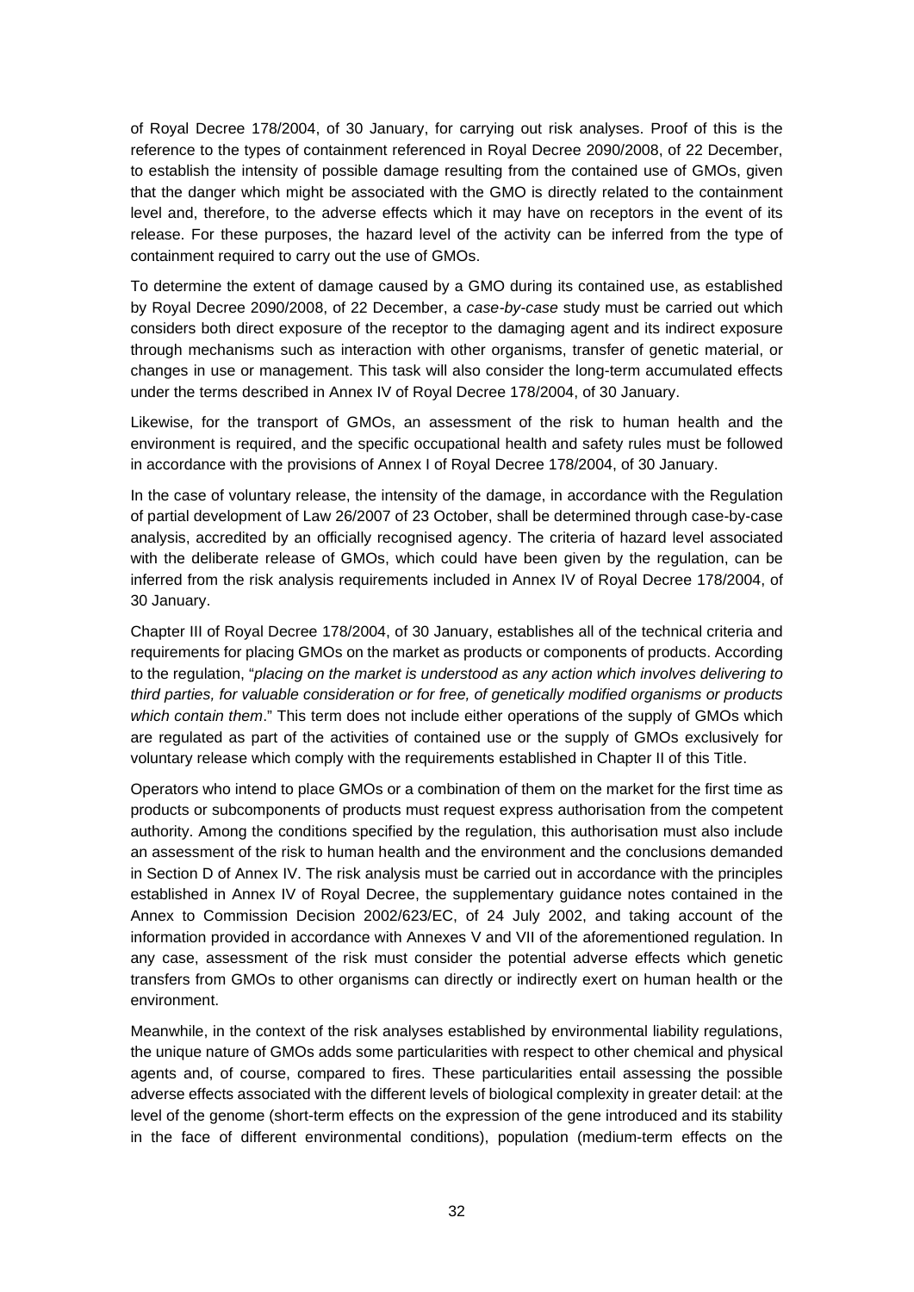of Royal Decree 178/2004, of 30 January, for carrying out risk analyses. Proof of this is the reference to the types of containment referenced in Royal Decree 2090/2008, of 22 December, to establish the intensity of possible damage resulting from the contained use of GMOs, given that the danger which might be associated with the GMO is directly related to the containment level and, therefore, to the adverse effects which it may have on receptors in the event of its release. For these purposes, the hazard level of the activity can be inferred from the type of containment required to carry out the use of GMOs.

To determine the extent of damage caused by a GMO during its contained use, as established by Royal Decree 2090/2008, of 22 December, a *case-by-case* study must be carried out which considers both direct exposure of the receptor to the damaging agent and its indirect exposure through mechanisms such as interaction with other organisms, transfer of genetic material, or changes in use or management. This task will also consider the long-term accumulated effects under the terms described in Annex IV of Royal Decree 178/2004, of 30 January.

Likewise, for the transport of GMOs, an assessment of the risk to human health and the environment is required, and the specific occupational health and safety rules must be followed in accordance with the provisions of Annex I of Royal Decree 178/2004, of 30 January.

In the case of voluntary release, the intensity of the damage, in accordance with the Regulation of partial development of Law 26/2007 of 23 October, shall be determined through case-by-case analysis, accredited by an officially recognised agency. The criteria of hazard level associated with the deliberate release of GMOs, which could have been given by the regulation, can be inferred from the risk analysis requirements included in Annex IV of Royal Decree 178/2004, of 30 January.

Chapter III of Royal Decree 178/2004, of 30 January, establishes all of the technical criteria and requirements for placing GMOs on the market as products or components of products. According to the regulation, "*placing on the market is understood as any action which involves delivering to third parties, for valuable consideration or for free, of genetically modified organisms or products which contain them*." This term does not include either operations of the supply of GMOs which are regulated as part of the activities of contained use or the supply of GMOs exclusively for voluntary release which comply with the requirements established in Chapter II of this Title.

Operators who intend to place GMOs or a combination of them on the market for the first time as products or subcomponents of products must request express authorisation from the competent authority. Among the conditions specified by the regulation, this authorisation must also include an assessment of the risk to human health and the environment and the conclusions demanded in Section D of Annex IV. The risk analysis must be carried out in accordance with the principles established in Annex IV of Royal Decree, the supplementary guidance notes contained in the Annex to Commission Decision 2002/623/EC, of 24 July 2002, and taking account of the information provided in accordance with Annexes V and VII of the aforementioned regulation. In any case, assessment of the risk must consider the potential adverse effects which genetic transfers from GMOs to other organisms can directly or indirectly exert on human health or the environment.

Meanwhile, in the context of the risk analyses established by environmental liability regulations, the unique nature of GMOs adds some particularities with respect to other chemical and physical agents and, of course, compared to fires. These particularities entail assessing the possible adverse effects associated with the different levels of biological complexity in greater detail: at the level of the genome (short-term effects on the expression of the gene introduced and its stability in the face of different environmental conditions), population (medium-term effects on the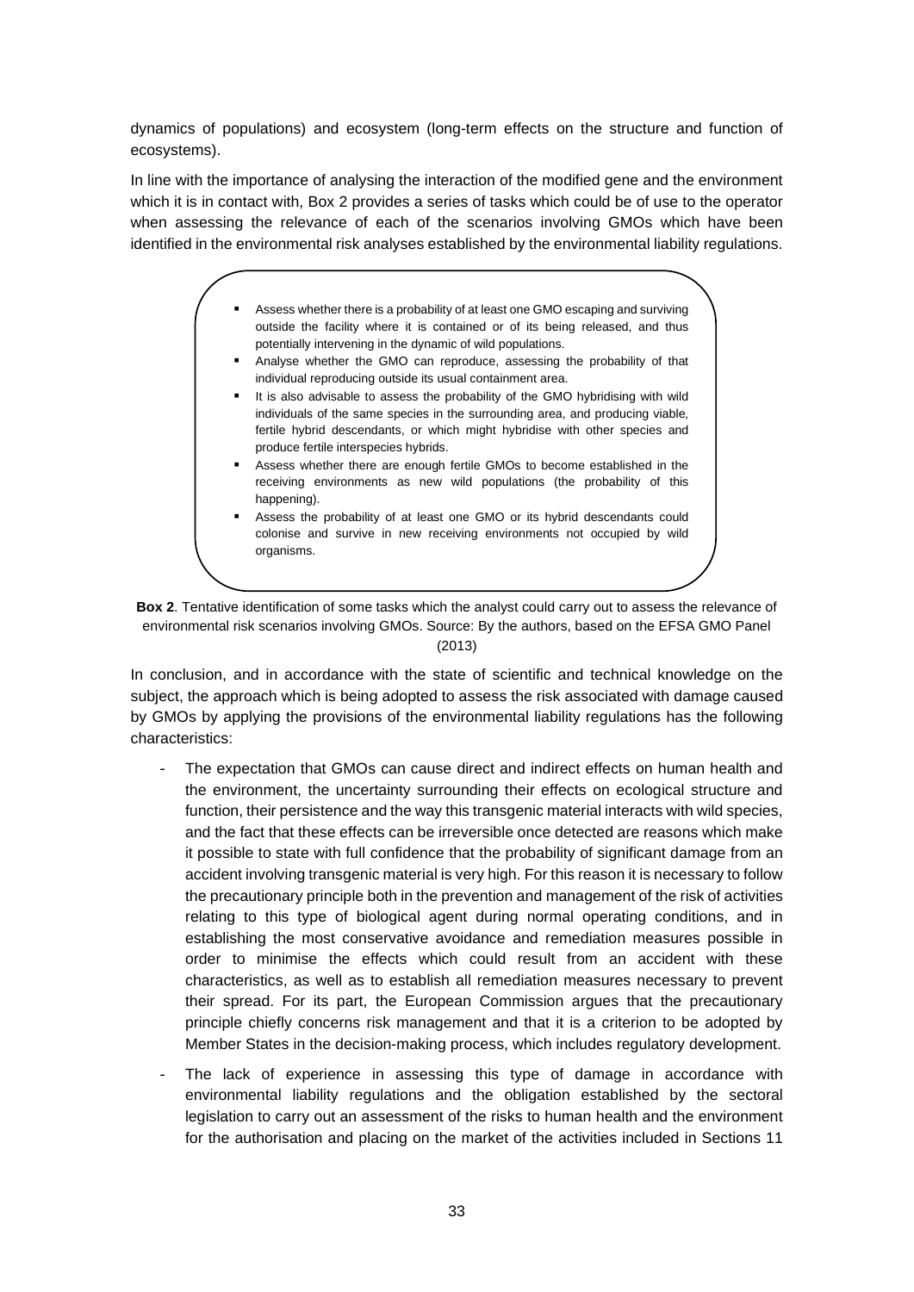dynamics of populations) and ecosystem (long-term effects on the structure and function of ecosystems).

In line with the importance of analysing the interaction of the modified gene and the environment which it is in contact with, Box 2 provides a series of tasks which could be of use to the operator when assessing the relevance of each of the scenarios involving GMOs which have been identified in the environmental risk analyses established by the environmental liability regulations.

- Assess whether there is a probability of at least one GMO escaping and surviving outside the facility where it is contained or of its being released, and thus potentially intervening in the dynamic of wild populations.
- Analyse whether the GMO can reproduce, assessing the probability of that individual reproducing outside its usual containment area.
- It is also advisable to assess the probability of the GMO hybridising with wild individuals of the same species in the surrounding area, and producing viable, fertile hybrid descendants, or which might hybridise with other species and produce fertile interspecies hybrids.
- Assess whether there are enough fertile GMOs to become established in the receiving environments as new wild populations (the probability of this happening).
- Assess the probability of at least one GMO or its hybrid descendants could colonise and survive in new receiving environments not occupied by wild organisms.

**Box 2**. Tentative identification of some tasks which the analyst could carry out to assess the relevance of environmental risk scenarios involving GMOs. Source: By the authors, based on the EFSA GMO Panel (2013)

In conclusion, and in accordance with the state of scientific and technical knowledge on the subject, the approach which is being adopted to assess the risk associated with damage caused by GMOs by applying the provisions of the environmental liability regulations has the following characteristics:

- The expectation that GMOs can cause direct and indirect effects on human health and the environment, the uncertainty surrounding their effects on ecological structure and function, their persistence and the way this transgenic material interacts with wild species, and the fact that these effects can be irreversible once detected are reasons which make it possible to state with full confidence that the probability of significant damage from an accident involving transgenic material is very high. For this reason it is necessary to follow the precautionary principle both in the prevention and management of the risk of activities relating to this type of biological agent during normal operating conditions, and in establishing the most conservative avoidance and remediation measures possible in order to minimise the effects which could result from an accident with these characteristics, as well as to establish all remediation measures necessary to prevent their spread. For its part, the European Commission argues that the precautionary principle chiefly concerns risk management and that it is a criterion to be adopted by Member States in the decision-making process, which includes regulatory development.
- The lack of experience in assessing this type of damage in accordance with environmental liability regulations and the obligation established by the sectoral legislation to carry out an assessment of the risks to human health and the environment for the authorisation and placing on the market of the activities included in Sections 11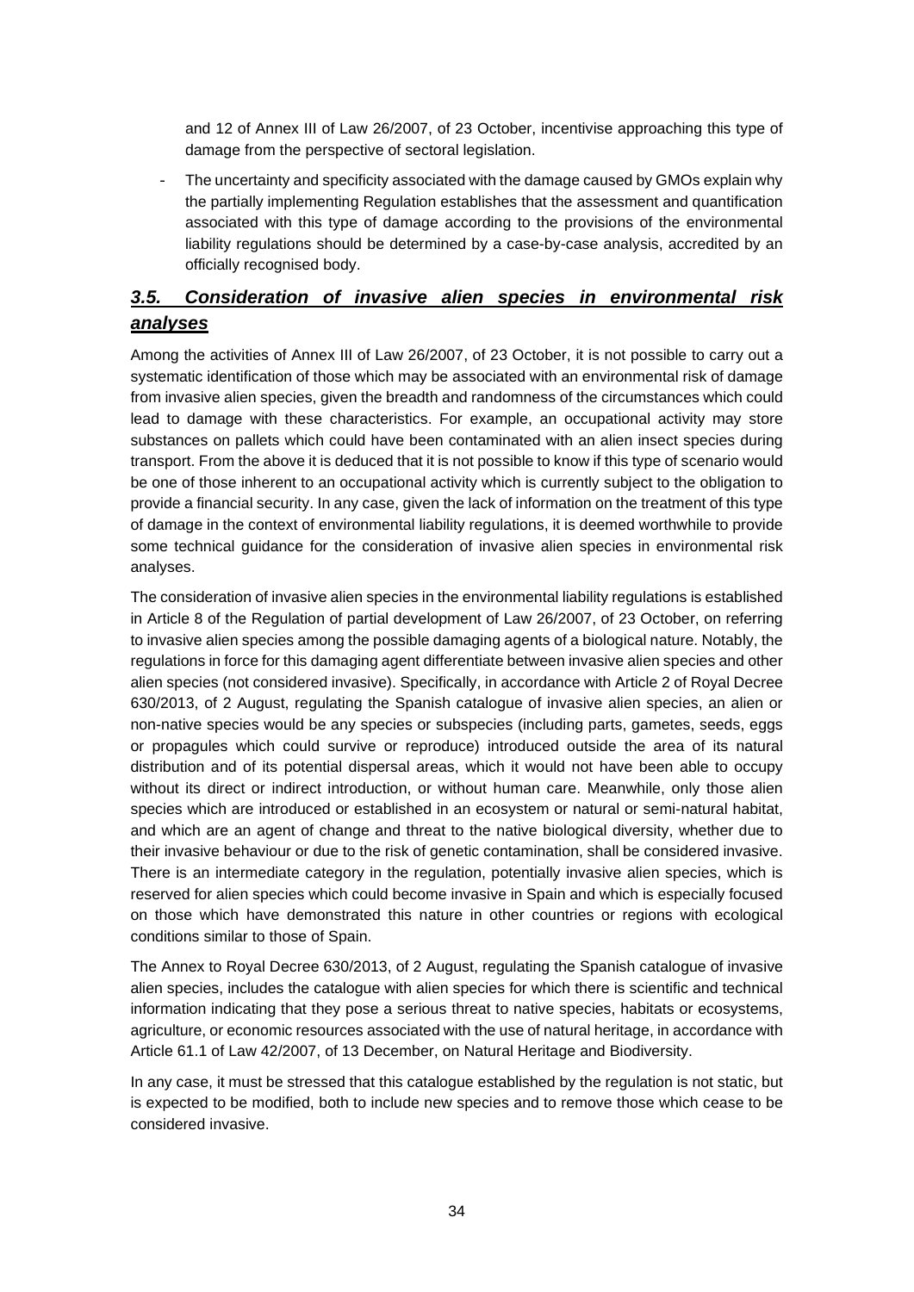and 12 of Annex III of Law 26/2007, of 23 October, incentivise approaching this type of damage from the perspective of sectoral legislation.

The uncertainty and specificity associated with the damage caused by GMOs explain why the partially implementing Regulation establishes that the assessment and quantification associated with this type of damage according to the provisions of the environmental liability regulations should be determined by a case-by-case analysis, accredited by an officially recognised body.

# *3.5. Consideration of invasive alien species in environmental risk analyses*

Among the activities of Annex III of Law 26/2007, of 23 October, it is not possible to carry out a systematic identification of those which may be associated with an environmental risk of damage from invasive alien species, given the breadth and randomness of the circumstances which could lead to damage with these characteristics. For example, an occupational activity may store substances on pallets which could have been contaminated with an alien insect species during transport. From the above it is deduced that it is not possible to know if this type of scenario would be one of those inherent to an occupational activity which is currently subject to the obligation to provide a financial security. In any case, given the lack of information on the treatment of this type of damage in the context of environmental liability regulations, it is deemed worthwhile to provide some technical guidance for the consideration of invasive alien species in environmental risk analyses.

The consideration of invasive alien species in the environmental liability regulations is established in Article 8 of the Regulation of partial development of Law 26/2007, of 23 October, on referring to invasive alien species among the possible damaging agents of a biological nature. Notably, the regulations in force for this damaging agent differentiate between invasive alien species and other alien species (not considered invasive). Specifically, in accordance with Article 2 of Royal Decree 630/2013, of 2 August, regulating the Spanish catalogue of invasive alien species, an alien or non-native species would be any species or subspecies (including parts, gametes, seeds, eggs or propagules which could survive or reproduce) introduced outside the area of its natural distribution and of its potential dispersal areas, which it would not have been able to occupy without its direct or indirect introduction, or without human care. Meanwhile, only those alien species which are introduced or established in an ecosystem or natural or semi-natural habitat, and which are an agent of change and threat to the native biological diversity, whether due to their invasive behaviour or due to the risk of genetic contamination, shall be considered invasive. There is an intermediate category in the regulation, potentially invasive alien species, which is reserved for alien species which could become invasive in Spain and which is especially focused on those which have demonstrated this nature in other countries or regions with ecological conditions similar to those of Spain.

The Annex to Royal Decree 630/2013, of 2 August, regulating the Spanish catalogue of invasive alien species, includes the catalogue with alien species for which there is scientific and technical information indicating that they pose a serious threat to native species, habitats or ecosystems, agriculture, or economic resources associated with the use of natural heritage, in accordance with Article 61.1 of Law 42/2007, of 13 December, on Natural Heritage and Biodiversity.

In any case, it must be stressed that this catalogue established by the regulation is not static, but is expected to be modified, both to include new species and to remove those which cease to be considered invasive.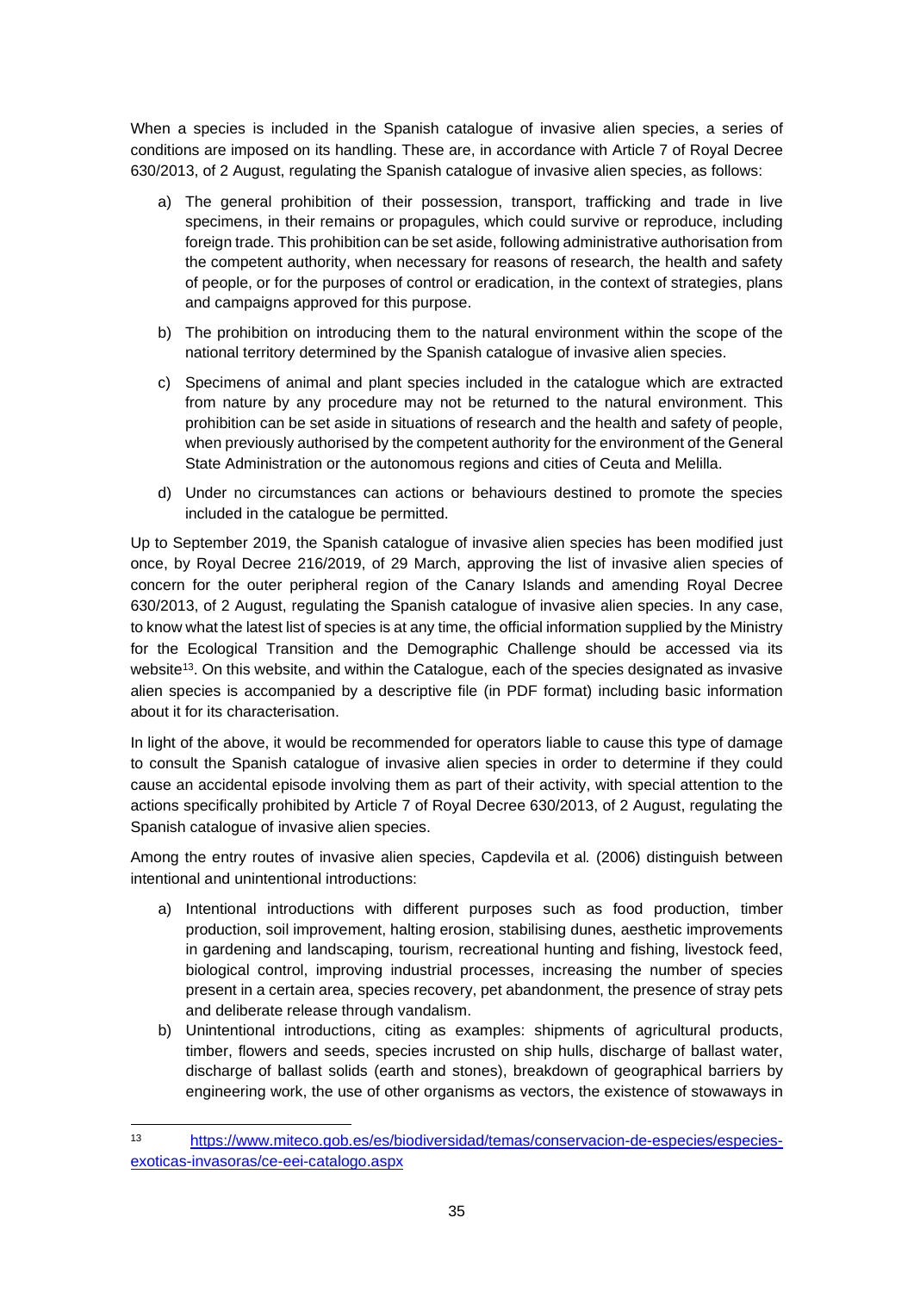When a species is included in the Spanish catalogue of invasive alien species, a series of conditions are imposed on its handling. These are, in accordance with Article 7 of Royal Decree 630/2013, of 2 August, regulating the Spanish catalogue of invasive alien species, as follows:

- a) The general prohibition of their possession, transport, trafficking and trade in live specimens, in their remains or propagules, which could survive or reproduce, including foreign trade. This prohibition can be set aside, following administrative authorisation from the competent authority, when necessary for reasons of research, the health and safety of people, or for the purposes of control or eradication, in the context of strategies, plans and campaigns approved for this purpose.
- b) The prohibition on introducing them to the natural environment within the scope of the national territory determined by the Spanish catalogue of invasive alien species.
- c) Specimens of animal and plant species included in the catalogue which are extracted from nature by any procedure may not be returned to the natural environment. This prohibition can be set aside in situations of research and the health and safety of people, when previously authorised by the competent authority for the environment of the General State Administration or the autonomous regions and cities of Ceuta and Melilla.
- d) Under no circumstances can actions or behaviours destined to promote the species included in the catalogue be permitted.

Up to September 2019, the Spanish catalogue of invasive alien species has been modified just once, by Royal Decree 216/2019, of 29 March, approving the list of invasive alien species of concern for the outer peripheral region of the Canary Islands and amending Royal Decree 630/2013, of 2 August, regulating the Spanish catalogue of invasive alien species. In any case, to know what the latest list of species is at any time, the official information supplied by the Ministry for the Ecological Transition and the Demographic Challenge should be accessed via its website<sup>13</sup>. On this website, and within the Catalogue, each of the species designated as invasive alien species is accompanied by a descriptive file (in PDF format) including basic information about it for its characterisation.

In light of the above, it would be recommended for operators liable to cause this type of damage to consult the Spanish catalogue of invasive alien species in order to determine if they could cause an accidental episode involving them as part of their activity, with special attention to the actions specifically prohibited by Article 7 of Royal Decree 630/2013, of 2 August, regulating the Spanish catalogue of invasive alien species.

Among the entry routes of invasive alien species, Capdevila et al*.* (2006) distinguish between intentional and unintentional introductions:

- a) Intentional introductions with different purposes such as food production, timber production, soil improvement, halting erosion, stabilising dunes, aesthetic improvements in gardening and landscaping, tourism, recreational hunting and fishing, livestock feed, biological control, improving industrial processes, increasing the number of species present in a certain area, species recovery, pet abandonment, the presence of stray pets and deliberate release through vandalism.
- b) Unintentional introductions, citing as examples: shipments of agricultural products, timber, flowers and seeds, species incrusted on ship hulls, discharge of ballast water, discharge of ballast solids (earth and stones), breakdown of geographical barriers by engineering work, the use of other organisms as vectors, the existence of stowaways in

<sup>13</sup> https://www.miteco.gob.es/es/biodiversidad/temas/conservacion-de-especies/especiesexoticas-invasoras/ce-eei-catalogo.aspx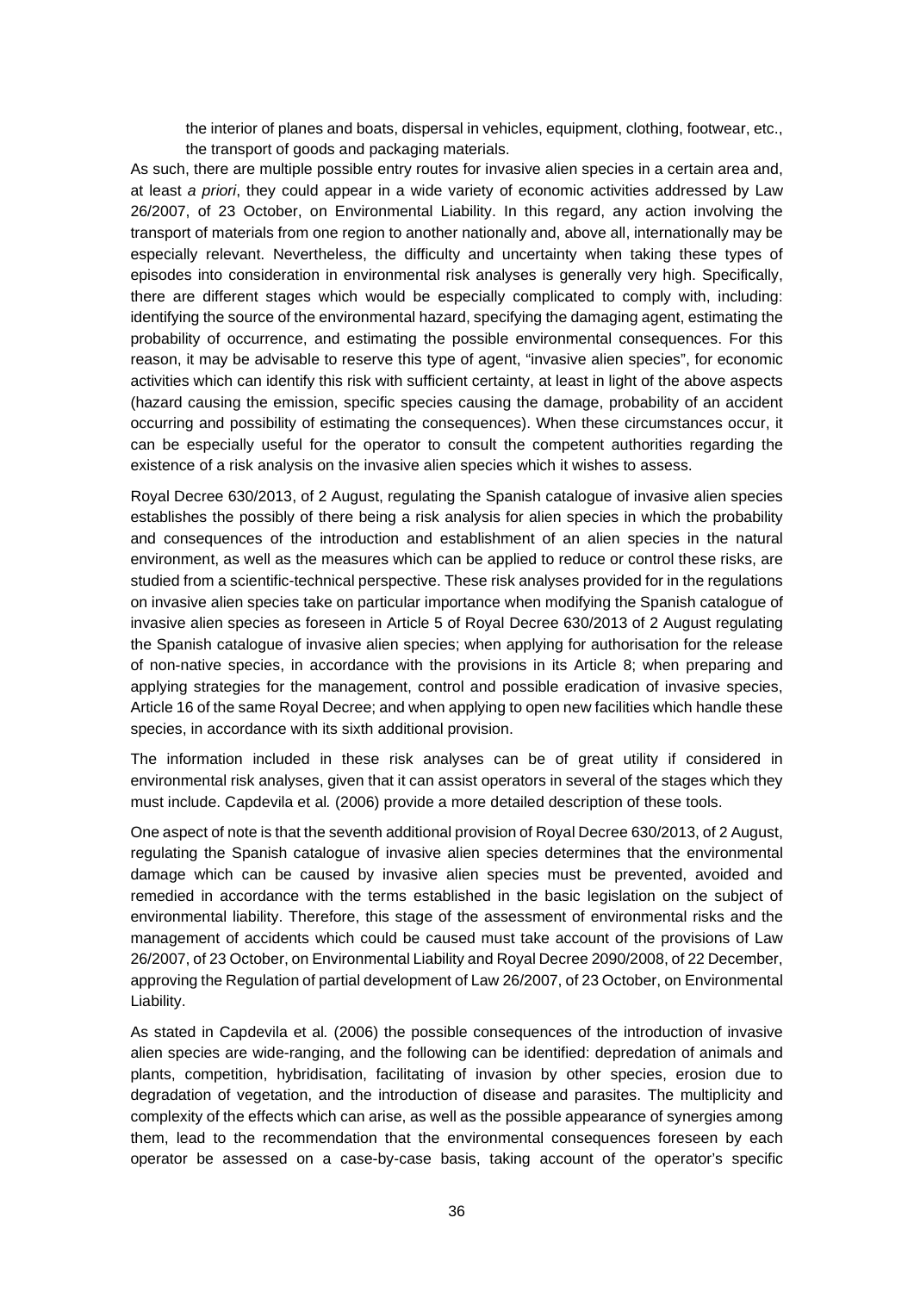the interior of planes and boats, dispersal in vehicles, equipment, clothing, footwear, etc., the transport of goods and packaging materials.

As such, there are multiple possible entry routes for invasive alien species in a certain area and, at least *a priori*, they could appear in a wide variety of economic activities addressed by Law 26/2007, of 23 October, on Environmental Liability. In this regard, any action involving the transport of materials from one region to another nationally and, above all, internationally may be especially relevant. Nevertheless, the difficulty and uncertainty when taking these types of episodes into consideration in environmental risk analyses is generally very high. Specifically, there are different stages which would be especially complicated to comply with, including: identifying the source of the environmental hazard, specifying the damaging agent, estimating the probability of occurrence, and estimating the possible environmental consequences. For this reason, it may be advisable to reserve this type of agent, "invasive alien species", for economic activities which can identify this risk with sufficient certainty, at least in light of the above aspects (hazard causing the emission, specific species causing the damage, probability of an accident occurring and possibility of estimating the consequences). When these circumstances occur, it can be especially useful for the operator to consult the competent authorities regarding the existence of a risk analysis on the invasive alien species which it wishes to assess.

Royal Decree 630/2013, of 2 August, regulating the Spanish catalogue of invasive alien species establishes the possibly of there being a risk analysis for alien species in which the probability and consequences of the introduction and establishment of an alien species in the natural environment, as well as the measures which can be applied to reduce or control these risks, are studied from a scientific-technical perspective. These risk analyses provided for in the regulations on invasive alien species take on particular importance when modifying the Spanish catalogue of invasive alien species as foreseen in Article 5 of Royal Decree 630/2013 of 2 August regulating the Spanish catalogue of invasive alien species; when applying for authorisation for the release of non-native species, in accordance with the provisions in its Article 8; when preparing and applying strategies for the management, control and possible eradication of invasive species, Article 16 of the same Royal Decree; and when applying to open new facilities which handle these species, in accordance with its sixth additional provision.

The information included in these risk analyses can be of great utility if considered in environmental risk analyses, given that it can assist operators in several of the stages which they must include. Capdevila et al*.* (2006) provide a more detailed description of these tools.

One aspect of note is that the seventh additional provision of Royal Decree 630/2013, of 2 August, regulating the Spanish catalogue of invasive alien species determines that the environmental damage which can be caused by invasive alien species must be prevented, avoided and remedied in accordance with the terms established in the basic legislation on the subject of environmental liability. Therefore, this stage of the assessment of environmental risks and the management of accidents which could be caused must take account of the provisions of Law 26/2007, of 23 October, on Environmental Liability and Royal Decree 2090/2008, of 22 December, approving the Regulation of partial development of Law 26/2007, of 23 October, on Environmental Liability.

As stated in Capdevila et al*.* (2006) the possible consequences of the introduction of invasive alien species are wide-ranging, and the following can be identified: depredation of animals and plants, competition, hybridisation, facilitating of invasion by other species, erosion due to degradation of vegetation, and the introduction of disease and parasites. The multiplicity and complexity of the effects which can arise, as well as the possible appearance of synergies among them, lead to the recommendation that the environmental consequences foreseen by each operator be assessed on a case-by-case basis, taking account of the operator's specific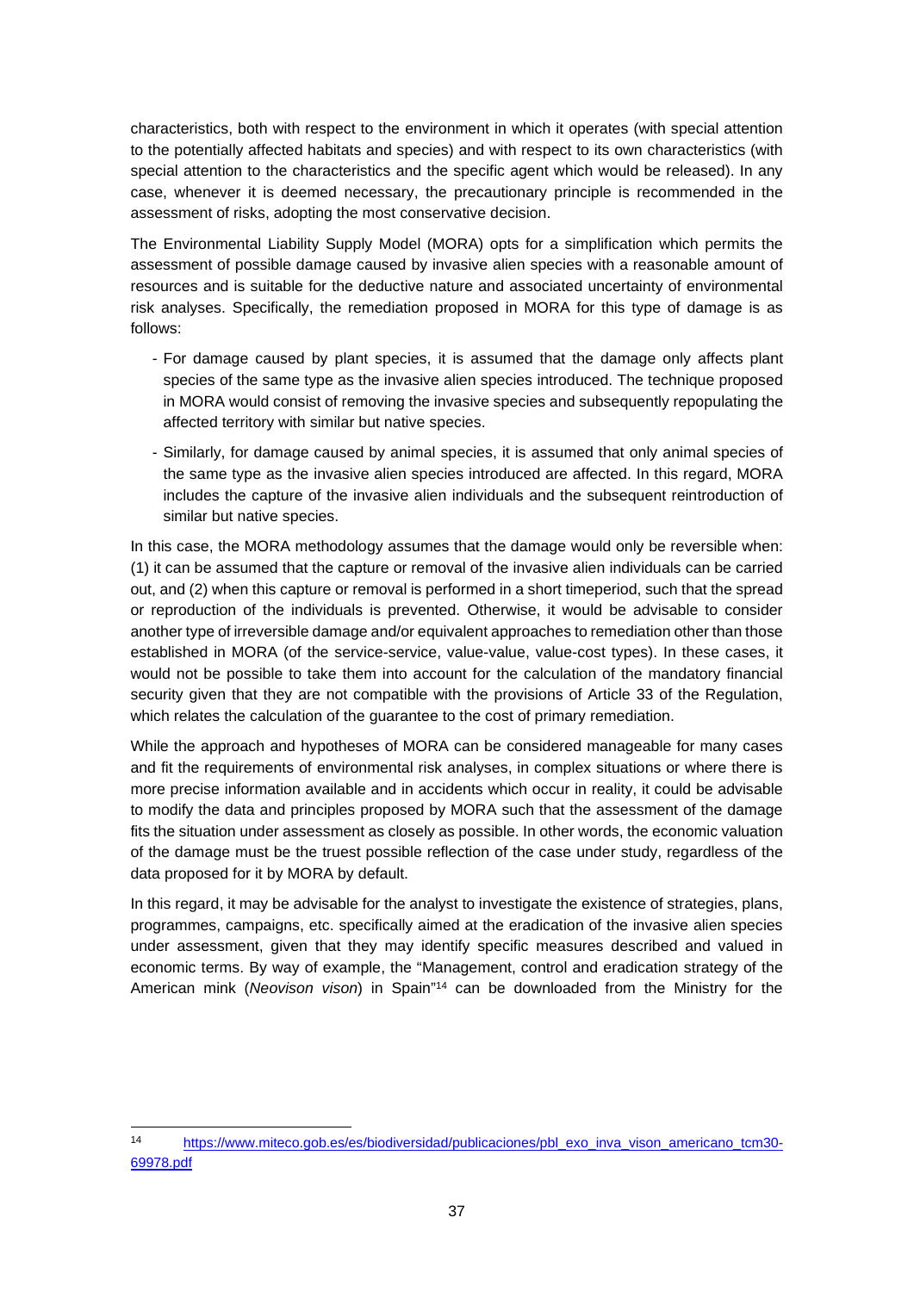characteristics, both with respect to the environment in which it operates (with special attention to the potentially affected habitats and species) and with respect to its own characteristics (with special attention to the characteristics and the specific agent which would be released). In any case, whenever it is deemed necessary, the precautionary principle is recommended in the assessment of risks, adopting the most conservative decision.

The Environmental Liability Supply Model (MORA) opts for a simplification which permits the assessment of possible damage caused by invasive alien species with a reasonable amount of resources and is suitable for the deductive nature and associated uncertainty of environmental risk analyses. Specifically, the remediation proposed in MORA for this type of damage is as follows:

- For damage caused by plant species, it is assumed that the damage only affects plant species of the same type as the invasive alien species introduced. The technique proposed in MORA would consist of removing the invasive species and subsequently repopulating the affected territory with similar but native species.
- Similarly, for damage caused by animal species, it is assumed that only animal species of the same type as the invasive alien species introduced are affected. In this regard, MORA includes the capture of the invasive alien individuals and the subsequent reintroduction of similar but native species.

In this case, the MORA methodology assumes that the damage would only be reversible when: (1) it can be assumed that the capture or removal of the invasive alien individuals can be carried out, and (2) when this capture or removal is performed in a short timeperiod, such that the spread or reproduction of the individuals is prevented. Otherwise, it would be advisable to consider another type of irreversible damage and/or equivalent approaches to remediation other than those established in MORA (of the service-service, value-value, value-cost types). In these cases, it would not be possible to take them into account for the calculation of the mandatory financial security given that they are not compatible with the provisions of Article 33 of the Regulation, which relates the calculation of the guarantee to the cost of primary remediation.

While the approach and hypotheses of MORA can be considered manageable for many cases and fit the requirements of environmental risk analyses, in complex situations or where there is more precise information available and in accidents which occur in reality, it could be advisable to modify the data and principles proposed by MORA such that the assessment of the damage fits the situation under assessment as closely as possible. In other words, the economic valuation of the damage must be the truest possible reflection of the case under study, regardless of the data proposed for it by MORA by default.

In this regard, it may be advisable for the analyst to investigate the existence of strategies, plans, programmes, campaigns, etc. specifically aimed at the eradication of the invasive alien species under assessment, given that they may identify specific measures described and valued in economic terms. By way of example, the "Management, control and eradication strategy of the American mink (*Neovison vison*) in Spain"<sup>14</sup> can be downloaded from the Ministry for the

<sup>14</sup> https://www.miteco.gob.es/es/biodiversidad/publicaciones/pbl\_exo\_inva\_vison\_americano\_tcm30-69978.pdf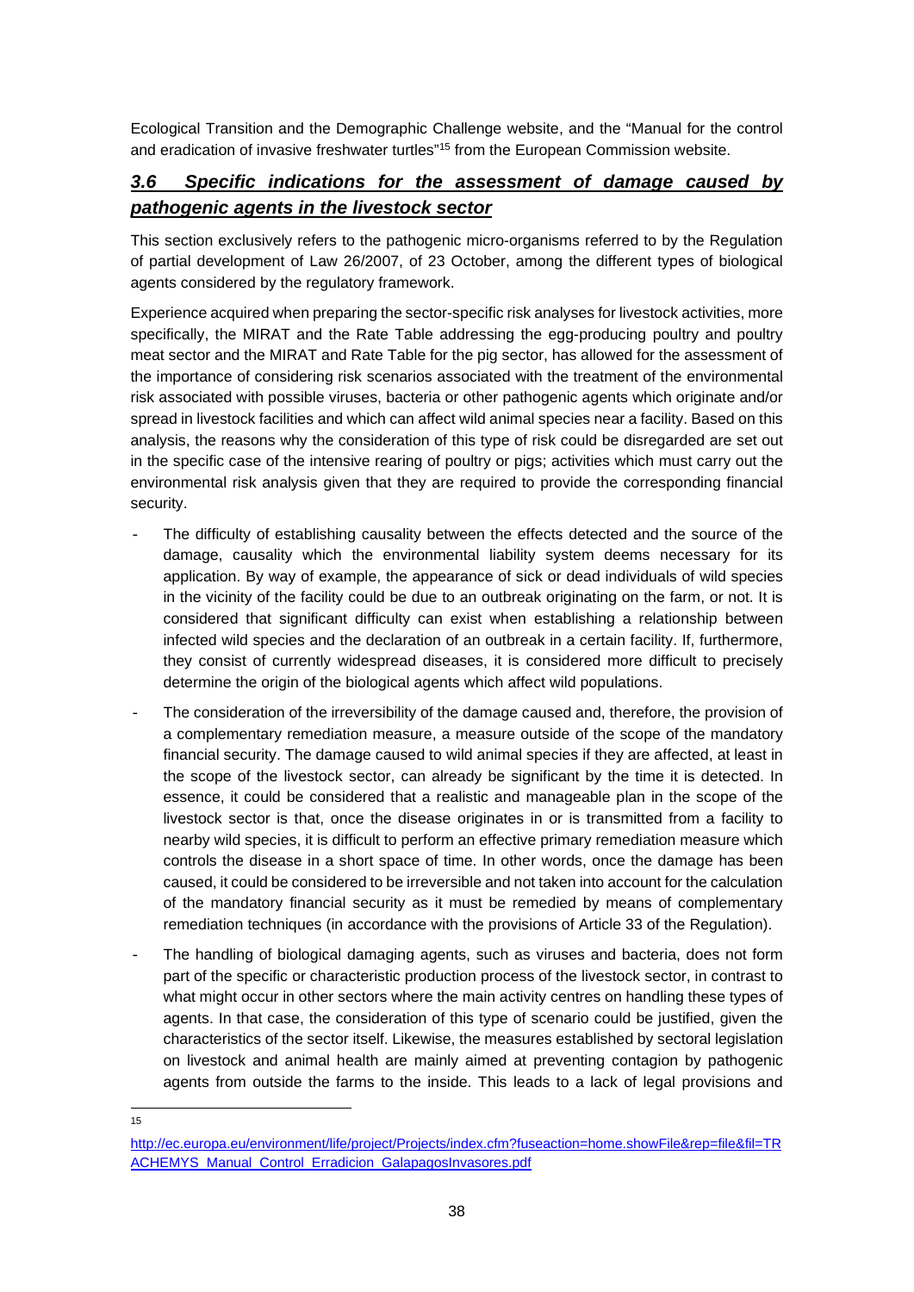Ecological Transition and the Demographic Challenge website, and the "Manual for the control and eradication of invasive freshwater turtles"<sup>15</sup> from the European Commission website.

# *3.6 Specific indications for the assessment of damage caused by pathogenic agents in the livestock sector*

This section exclusively refers to the pathogenic micro-organisms referred to by the Regulation of partial development of Law 26/2007, of 23 October, among the different types of biological agents considered by the regulatory framework.

Experience acquired when preparing the sector-specific risk analyses for livestock activities, more specifically, the MIRAT and the Rate Table addressing the egg-producing poultry and poultry meat sector and the MIRAT and Rate Table for the pig sector, has allowed for the assessment of the importance of considering risk scenarios associated with the treatment of the environmental risk associated with possible viruses, bacteria or other pathogenic agents which originate and/or spread in livestock facilities and which can affect wild animal species near a facility. Based on this analysis, the reasons why the consideration of this type of risk could be disregarded are set out in the specific case of the intensive rearing of poultry or pigs; activities which must carry out the environmental risk analysis given that they are required to provide the corresponding financial security.

- The difficulty of establishing causality between the effects detected and the source of the damage, causality which the environmental liability system deems necessary for its application. By way of example, the appearance of sick or dead individuals of wild species in the vicinity of the facility could be due to an outbreak originating on the farm, or not. It is considered that significant difficulty can exist when establishing a relationship between infected wild species and the declaration of an outbreak in a certain facility. If, furthermore, they consist of currently widespread diseases, it is considered more difficult to precisely determine the origin of the biological agents which affect wild populations.
- The consideration of the irreversibility of the damage caused and, therefore, the provision of a complementary remediation measure, a measure outside of the scope of the mandatory financial security. The damage caused to wild animal species if they are affected, at least in the scope of the livestock sector, can already be significant by the time it is detected. In essence, it could be considered that a realistic and manageable plan in the scope of the livestock sector is that, once the disease originates in or is transmitted from a facility to nearby wild species, it is difficult to perform an effective primary remediation measure which controls the disease in a short space of time. In other words, once the damage has been caused, it could be considered to be irreversible and not taken into account for the calculation of the mandatory financial security as it must be remedied by means of complementary remediation techniques (in accordance with the provisions of Article 33 of the Regulation).
- The handling of biological damaging agents, such as viruses and bacteria, does not form part of the specific or characteristic production process of the livestock sector, in contrast to what might occur in other sectors where the main activity centres on handling these types of agents. In that case, the consideration of this type of scenario could be justified, given the characteristics of the sector itself. Likewise, the measures established by sectoral legislation on livestock and animal health are mainly aimed at preventing contagion by pathogenic agents from outside the farms to the inside. This leads to a lack of legal provisions and

<sup>15</sup>

http://ec.europa.eu/environment/life/project/Projects/index.cfm?fuseaction=home.showFile&rep=file&fil=TR ACHEMYS\_Manual\_Control\_Erradicion\_GalapagosInvasores.pdf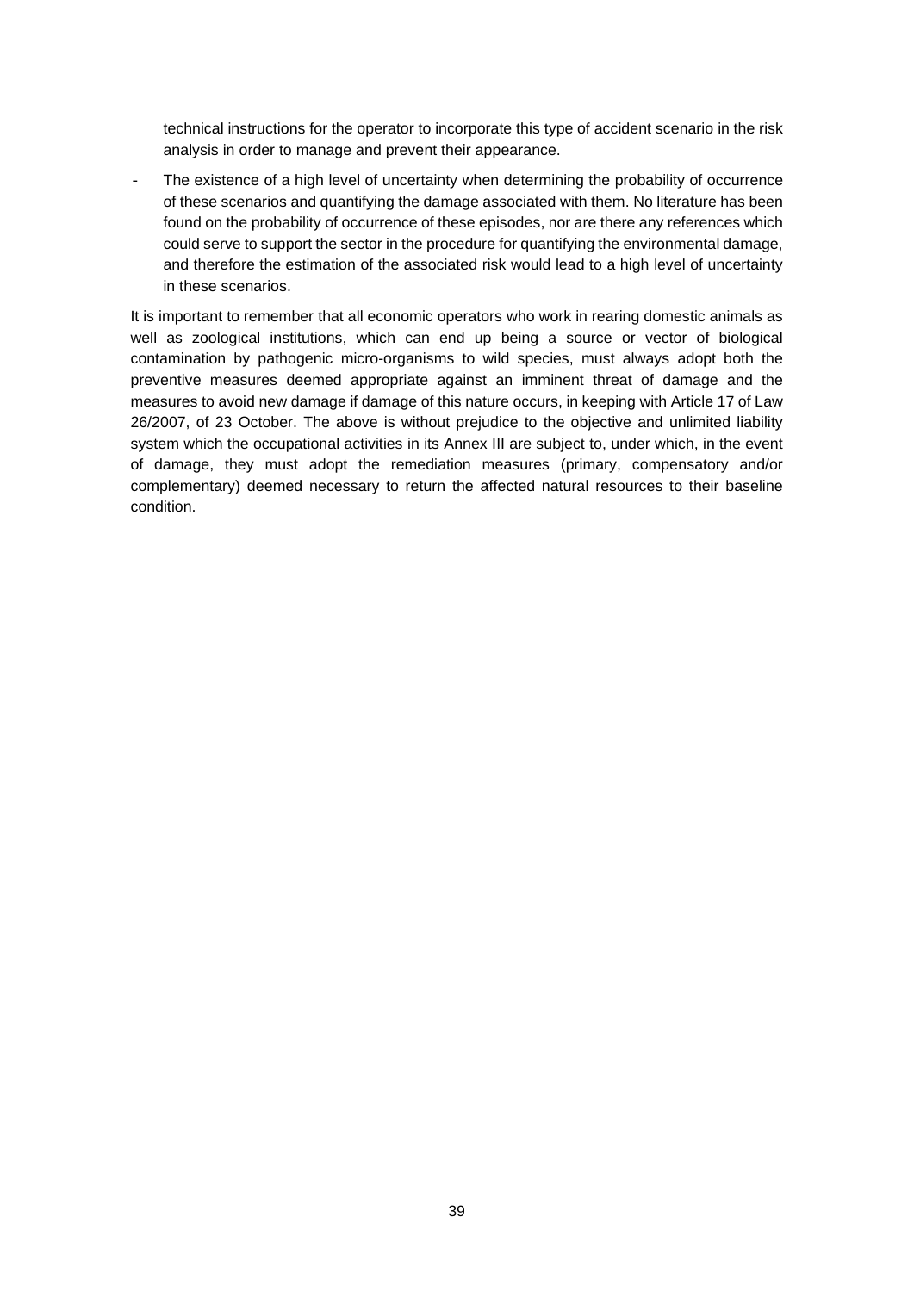technical instructions for the operator to incorporate this type of accident scenario in the risk analysis in order to manage and prevent their appearance.

The existence of a high level of uncertainty when determining the probability of occurrence of these scenarios and quantifying the damage associated with them. No literature has been found on the probability of occurrence of these episodes, nor are there any references which could serve to support the sector in the procedure for quantifying the environmental damage, and therefore the estimation of the associated risk would lead to a high level of uncertainty in these scenarios.

It is important to remember that all economic operators who work in rearing domestic animals as well as zoological institutions, which can end up being a source or vector of biological contamination by pathogenic micro-organisms to wild species, must always adopt both the preventive measures deemed appropriate against an imminent threat of damage and the measures to avoid new damage if damage of this nature occurs, in keeping with Article 17 of Law 26/2007, of 23 October. The above is without prejudice to the objective and unlimited liability system which the occupational activities in its Annex III are subject to, under which, in the event of damage, they must adopt the remediation measures (primary, compensatory and/or complementary) deemed necessary to return the affected natural resources to their baseline condition.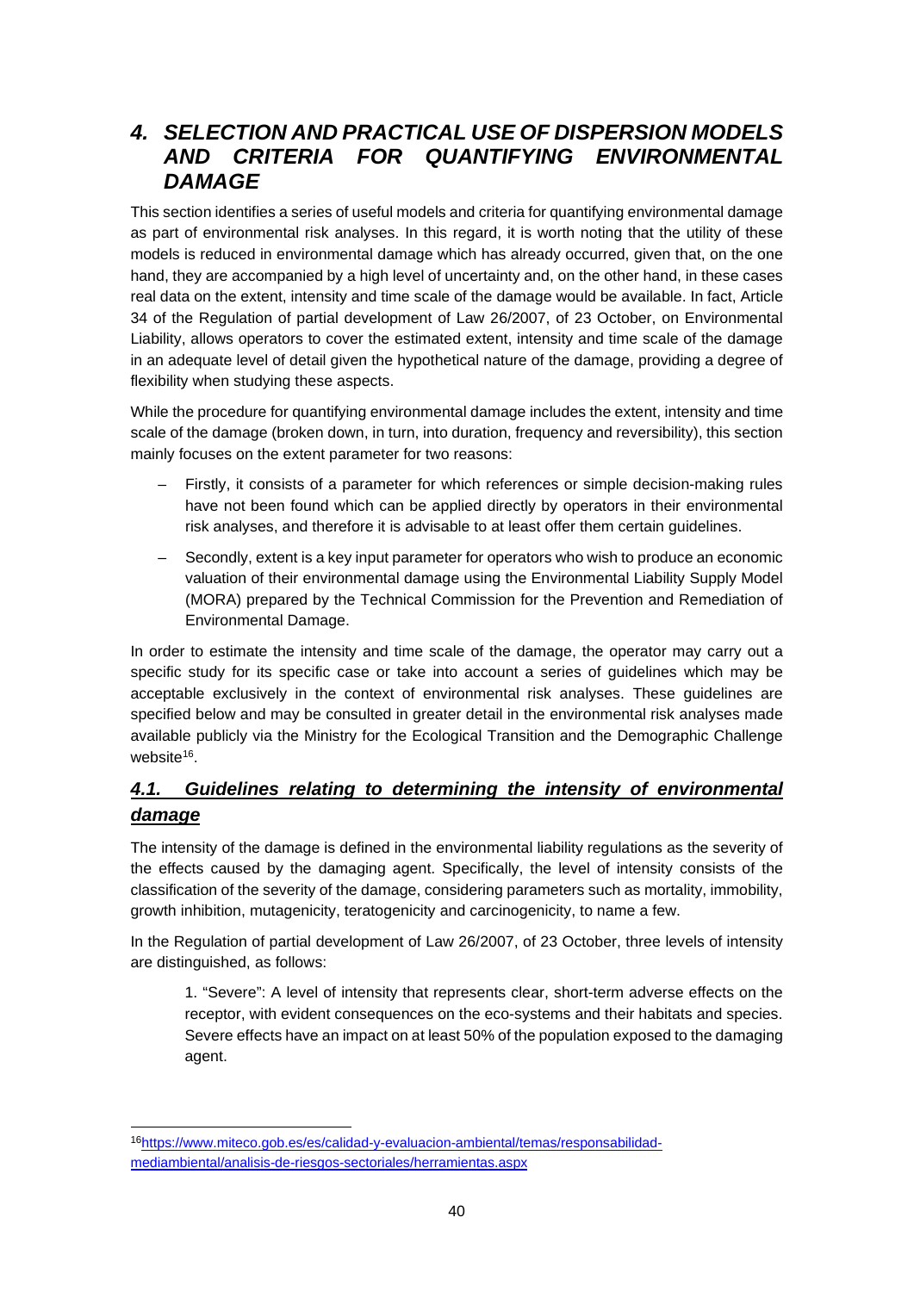# *4. SELECTION AND PRACTICAL USE OF DISPERSION MODELS AND CRITERIA FOR QUANTIFYING ENVIRONMENTAL DAMAGE*

This section identifies a series of useful models and criteria for quantifying environmental damage as part of environmental risk analyses. In this regard, it is worth noting that the utility of these models is reduced in environmental damage which has already occurred, given that, on the one hand, they are accompanied by a high level of uncertainty and, on the other hand, in these cases real data on the extent, intensity and time scale of the damage would be available. In fact, Article 34 of the Regulation of partial development of Law 26/2007, of 23 October, on Environmental Liability, allows operators to cover the estimated extent, intensity and time scale of the damage in an adequate level of detail given the hypothetical nature of the damage, providing a degree of flexibility when studying these aspects.

While the procedure for quantifying environmental damage includes the extent, intensity and time scale of the damage (broken down, in turn, into duration, frequency and reversibility), this section mainly focuses on the extent parameter for two reasons:

- Firstly, it consists of a parameter for which references or simple decision-making rules have not been found which can be applied directly by operators in their environmental risk analyses, and therefore it is advisable to at least offer them certain guidelines.
- Secondly, extent is a key input parameter for operators who wish to produce an economic valuation of their environmental damage using the Environmental Liability Supply Model (MORA) prepared by the Technical Commission for the Prevention and Remediation of Environmental Damage.

In order to estimate the intensity and time scale of the damage, the operator may carry out a specific study for its specific case or take into account a series of guidelines which may be acceptable exclusively in the context of environmental risk analyses. These guidelines are specified below and may be consulted in greater detail in the environmental risk analyses made available publicly via the Ministry for the Ecological Transition and the Demographic Challenge website<sup>16</sup>.

# *4.1. Guidelines relating to determining the intensity of environmental damage*

The intensity of the damage is defined in the environmental liability regulations as the severity of the effects caused by the damaging agent. Specifically, the level of intensity consists of the classification of the severity of the damage, considering parameters such as mortality, immobility, growth inhibition, mutagenicity, teratogenicity and carcinogenicity, to name a few.

In the Regulation of partial development of Law 26/2007, of 23 October, three levels of intensity are distinguished, as follows:

1. "Severe": A level of intensity that represents clear, short-term adverse effects on the receptor, with evident consequences on the eco-systems and their habitats and species. Severe effects have an impact on at least 50% of the population exposed to the damaging agent.

<sup>16</sup>https://www.miteco.gob.es/es/calidad-y-evaluacion-ambiental/temas/responsabilidadmediambiental/analisis-de-riesgos-sectoriales/herramientas.aspx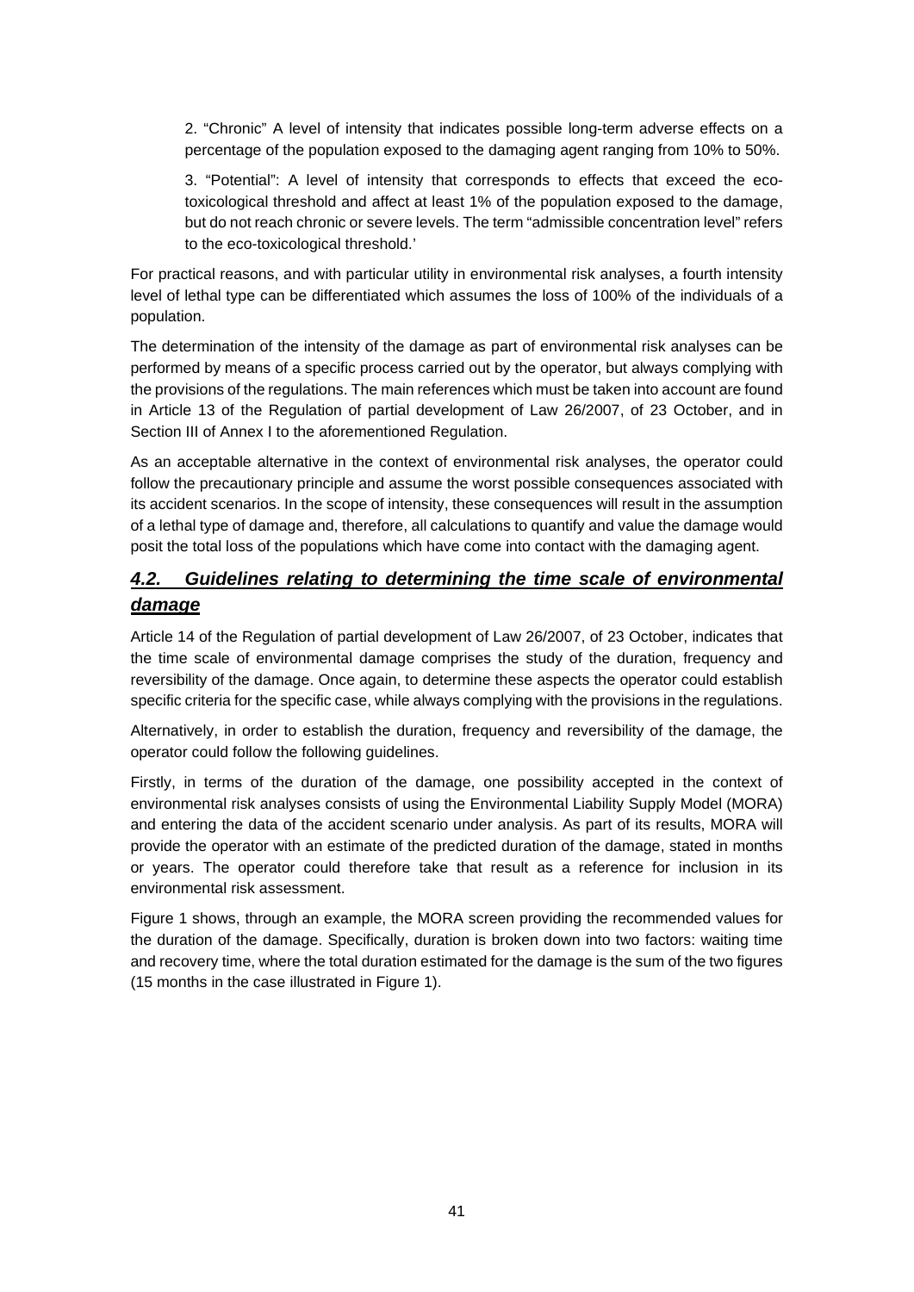2. "Chronic" A level of intensity that indicates possible long-term adverse effects on a percentage of the population exposed to the damaging agent ranging from 10% to 50%.

3. "Potential": A level of intensity that corresponds to effects that exceed the ecotoxicological threshold and affect at least 1% of the population exposed to the damage, but do not reach chronic or severe levels. The term "admissible concentration level" refers to the eco-toxicological threshold.'

For practical reasons, and with particular utility in environmental risk analyses, a fourth intensity level of lethal type can be differentiated which assumes the loss of 100% of the individuals of a population.

The determination of the intensity of the damage as part of environmental risk analyses can be performed by means of a specific process carried out by the operator, but always complying with the provisions of the regulations. The main references which must be taken into account are found in Article 13 of the Regulation of partial development of Law 26/2007, of 23 October, and in Section III of Annex I to the aforementioned Regulation.

As an acceptable alternative in the context of environmental risk analyses, the operator could follow the precautionary principle and assume the worst possible consequences associated with its accident scenarios. In the scope of intensity, these consequences will result in the assumption of a lethal type of damage and, therefore, all calculations to quantify and value the damage would posit the total loss of the populations which have come into contact with the damaging agent.

# *4.2. Guidelines relating to determining the time scale of environmental damage*

Article 14 of the Regulation of partial development of Law 26/2007, of 23 October, indicates that the time scale of environmental damage comprises the study of the duration, frequency and reversibility of the damage. Once again, to determine these aspects the operator could establish specific criteria for the specific case, while always complying with the provisions in the regulations.

Alternatively, in order to establish the duration, frequency and reversibility of the damage, the operator could follow the following guidelines.

Firstly, in terms of the duration of the damage, one possibility accepted in the context of environmental risk analyses consists of using the Environmental Liability Supply Model (MORA) and entering the data of the accident scenario under analysis. As part of its results, MORA will provide the operator with an estimate of the predicted duration of the damage, stated in months or years. The operator could therefore take that result as a reference for inclusion in its environmental risk assessment.

Figure 1 shows, through an example, the MORA screen providing the recommended values for the duration of the damage. Specifically, duration is broken down into two factors: waiting time and recovery time, where the total duration estimated for the damage is the sum of the two figures (15 months in the case illustrated in Figure 1).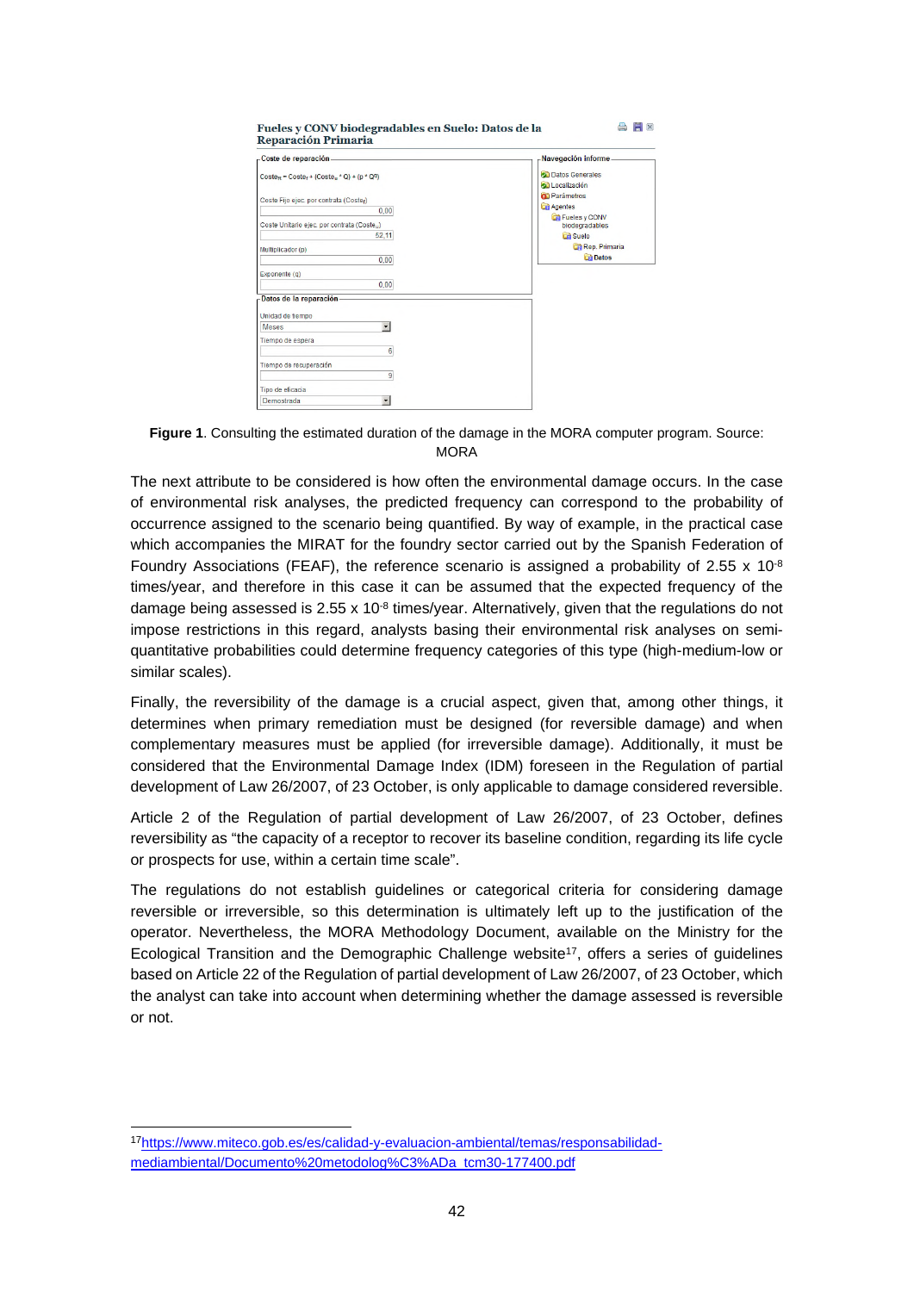| -Coste de reparación-                                                        | Navegación informe                                                        |
|------------------------------------------------------------------------------|---------------------------------------------------------------------------|
| $\text{Coste}_R = \text{Coste}_f + (\text{Coste}_u \cdot Q) + (p \cdot Q^q)$ | <b>Datos Generales</b><br><b>Call</b> Localización<br><b>D</b> Parámetros |
| Coste Fijo ejec. por contrata (Costef)                                       | <b>Agentes</b>                                                            |
| 0.00                                                                         | Fueles y CONV                                                             |
| Coste Unitario ejec, por contrata (Coste)                                    | biodegradables                                                            |
| 52,11                                                                        | <b>Ca</b> Suelo                                                           |
| Multiplicador (p)                                                            | Rep. Primaria                                                             |
| 0.00                                                                         | <b>Datos</b>                                                              |
| Exponente (q)                                                                |                                                                           |
| 0.00                                                                         |                                                                           |
| Datos de la reparación.                                                      |                                                                           |
| Unidad de tiempo                                                             |                                                                           |
| $\overline{\phantom{0}}$<br><b>Meses</b>                                     |                                                                           |
| Tiempo de espera                                                             |                                                                           |
| 6                                                                            |                                                                           |
| Tiempo de recuperación                                                       |                                                                           |
| 9                                                                            |                                                                           |
| Tipo de eficacia                                                             |                                                                           |
| $\ddot{}$<br>Demostrada                                                      |                                                                           |

**Figure 1**. Consulting the estimated duration of the damage in the MORA computer program. Source: **MORA** 

The next attribute to be considered is how often the environmental damage occurs. In the case of environmental risk analyses, the predicted frequency can correspond to the probability of occurrence assigned to the scenario being quantified. By way of example, in the practical case which accompanies the MIRAT for the foundry sector carried out by the Spanish Federation of Foundry Associations (FEAF), the reference scenario is assigned a probability of 2.55  $\times$  10<sup>-8</sup> times/year, and therefore in this case it can be assumed that the expected frequency of the damage being assessed is 2.55 x 10<sup>-8</sup> times/year. Alternatively, given that the regulations do not impose restrictions in this regard, analysts basing their environmental risk analyses on semiquantitative probabilities could determine frequency categories of this type (high-medium-low or similar scales).

Finally, the reversibility of the damage is a crucial aspect, given that, among other things, it determines when primary remediation must be designed (for reversible damage) and when complementary measures must be applied (for irreversible damage). Additionally, it must be considered that the Environmental Damage Index (IDM) foreseen in the Regulation of partial development of Law 26/2007, of 23 October, is only applicable to damage considered reversible.

Article 2 of the Regulation of partial development of Law 26/2007, of 23 October, defines reversibility as "the capacity of a receptor to recover its baseline condition, regarding its life cycle or prospects for use, within a certain time scale".

The regulations do not establish guidelines or categorical criteria for considering damage reversible or irreversible, so this determination is ultimately left up to the justification of the operator. Nevertheless, the MORA Methodology Document, available on the Ministry for the Ecological Transition and the Demographic Challenge website<sup>17</sup>, offers a series of guidelines based on Article 22 of the Regulation of partial development of Law 26/2007, of 23 October, which the analyst can take into account when determining whether the damage assessed is reversible or not.

<sup>17</sup>https://www.miteco.gob.es/es/calidad-y-evaluacion-ambiental/temas/responsabilidadmediambiental/Documento%20metodolog%C3%ADa\_tcm30-177400.pdf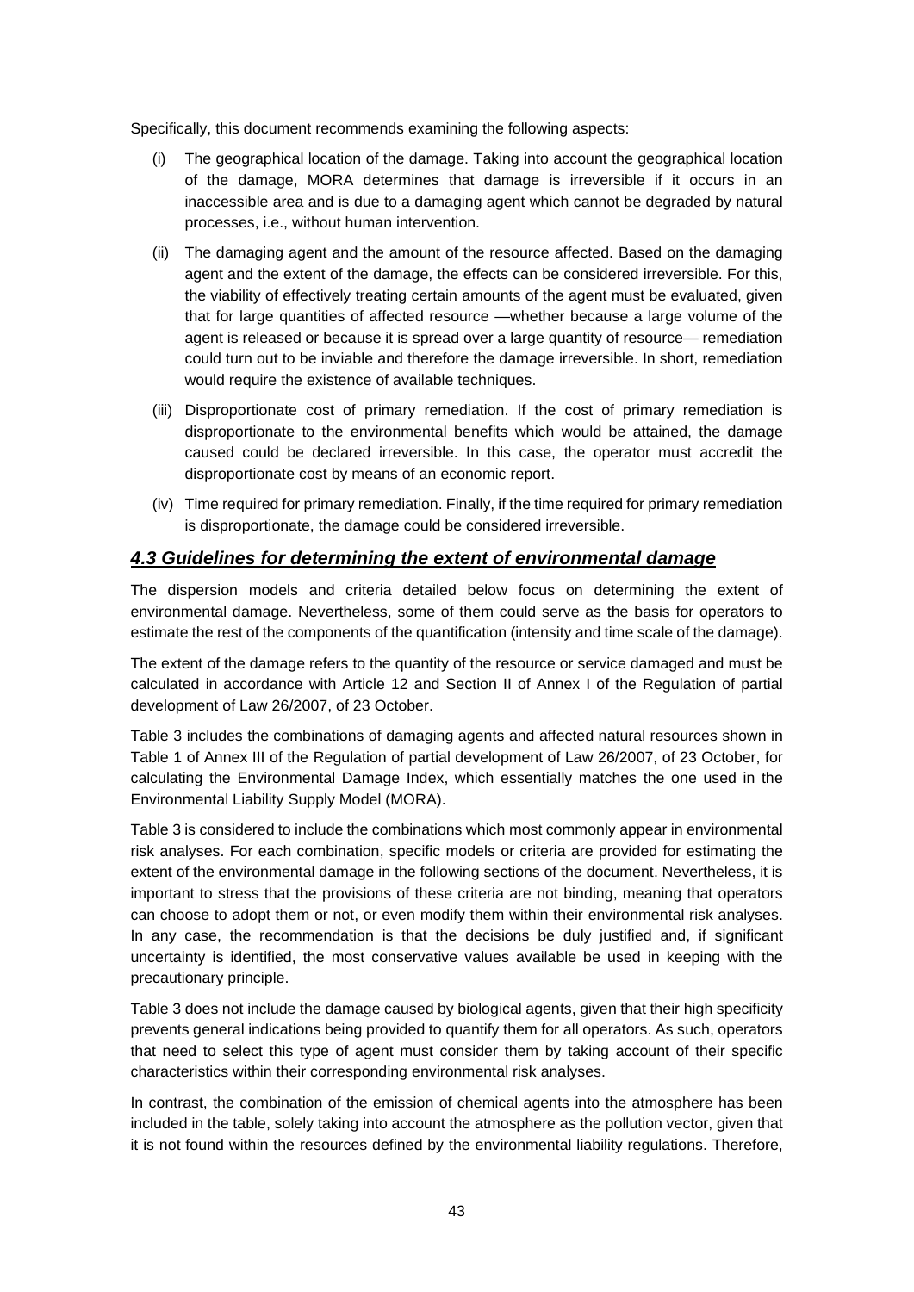Specifically, this document recommends examining the following aspects:

- (i) The geographical location of the damage. Taking into account the geographical location of the damage, MORA determines that damage is irreversible if it occurs in an inaccessible area and is due to a damaging agent which cannot be degraded by natural processes, i.e., without human intervention.
- (ii) The damaging agent and the amount of the resource affected. Based on the damaging agent and the extent of the damage, the effects can be considered irreversible. For this, the viability of effectively treating certain amounts of the agent must be evaluated, given that for large quantities of affected resource —whether because a large volume of the agent is released or because it is spread over a large quantity of resource— remediation could turn out to be inviable and therefore the damage irreversible. In short, remediation would require the existence of available techniques.
- (iii) Disproportionate cost of primary remediation. If the cost of primary remediation is disproportionate to the environmental benefits which would be attained, the damage caused could be declared irreversible. In this case, the operator must accredit the disproportionate cost by means of an economic report.
- (iv) Time required for primary remediation. Finally, if the time required for primary remediation is disproportionate, the damage could be considered irreversible.

### *4.3 Guidelines for determining the extent of environmental damage*

The dispersion models and criteria detailed below focus on determining the extent of environmental damage. Nevertheless, some of them could serve as the basis for operators to estimate the rest of the components of the quantification (intensity and time scale of the damage).

The extent of the damage refers to the quantity of the resource or service damaged and must be calculated in accordance with Article 12 and Section II of Annex I of the Regulation of partial development of Law 26/2007, of 23 October.

Table 3 includes the combinations of damaging agents and affected natural resources shown in Table 1 of Annex III of the Regulation of partial development of Law 26/2007, of 23 October, for calculating the Environmental Damage Index, which essentially matches the one used in the Environmental Liability Supply Model (MORA).

Table 3 is considered to include the combinations which most commonly appear in environmental risk analyses. For each combination, specific models or criteria are provided for estimating the extent of the environmental damage in the following sections of the document. Nevertheless, it is important to stress that the provisions of these criteria are not binding, meaning that operators can choose to adopt them or not, or even modify them within their environmental risk analyses. In any case, the recommendation is that the decisions be duly justified and, if significant uncertainty is identified, the most conservative values available be used in keeping with the precautionary principle.

Table 3 does not include the damage caused by biological agents, given that their high specificity prevents general indications being provided to quantify them for all operators. As such, operators that need to select this type of agent must consider them by taking account of their specific characteristics within their corresponding environmental risk analyses.

In contrast, the combination of the emission of chemical agents into the atmosphere has been included in the table, solely taking into account the atmosphere as the pollution vector, given that it is not found within the resources defined by the environmental liability regulations. Therefore,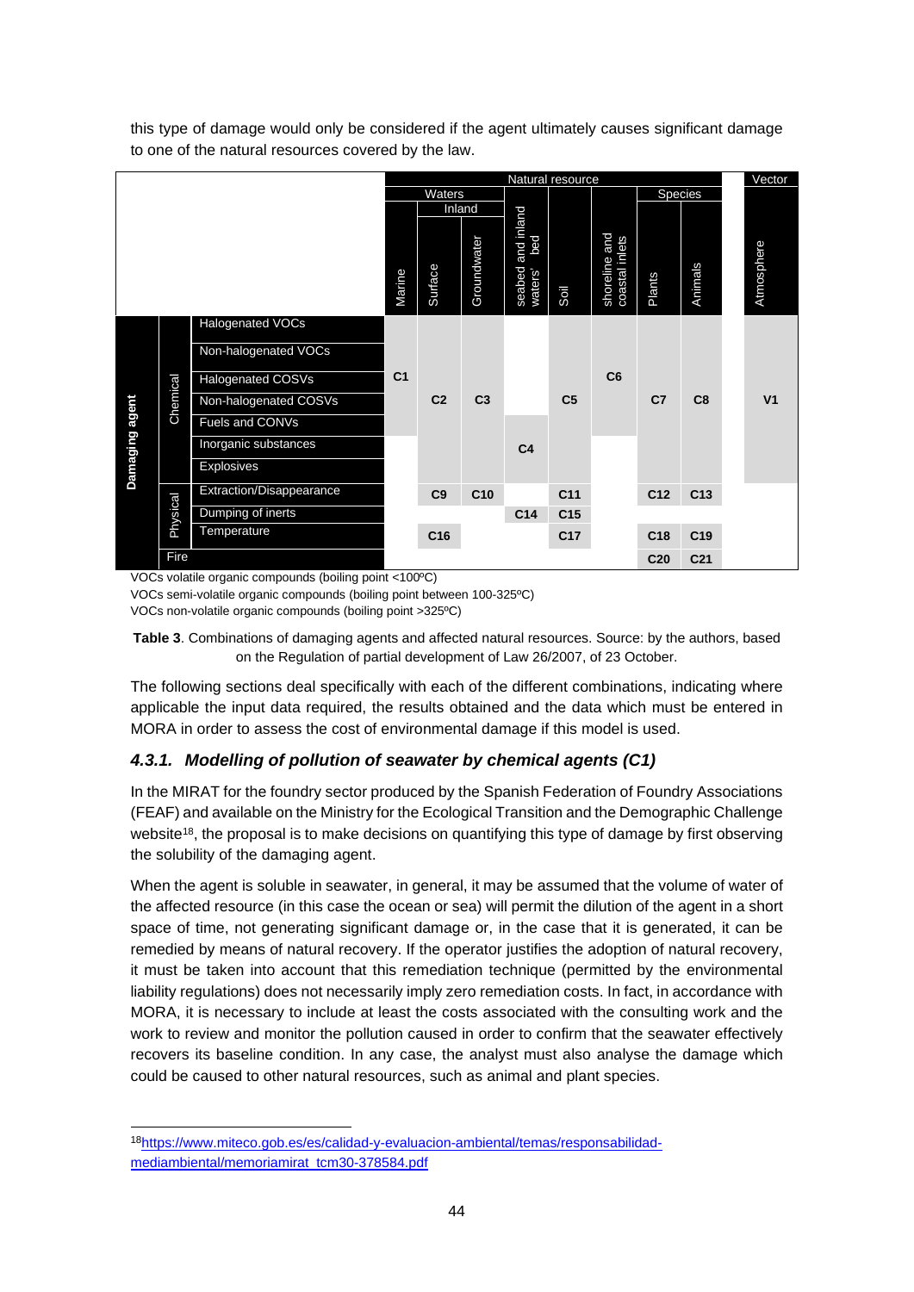| Natural resource |          |                          |                |                |                 | Vector                                 |                 |                                 |                 |                 |  |                |
|------------------|----------|--------------------------|----------------|----------------|-----------------|----------------------------------------|-----------------|---------------------------------|-----------------|-----------------|--|----------------|
|                  |          |                          | Waters         |                |                 |                                        |                 |                                 | Species         |                 |  |                |
|                  |          |                          |                |                | Inland          |                                        |                 |                                 |                 |                 |  |                |
|                  |          |                          | Marine         | Surface        | Groundwater     | and inland<br>bed<br>seabed<br>waters' | Soil            | shoreline and<br>coastal inlets | Plants          | Animals         |  | Atmosphere     |
|                  |          | Halogenated VOCs         |                |                |                 |                                        |                 |                                 |                 |                 |  |                |
|                  | Chemical | Non-halogenated VOCs     | C <sub>1</sub> |                |                 |                                        | C <sub>5</sub>  | C6                              | C <sub>7</sub>  | C <sub>8</sub>  |  |                |
|                  |          | <b>Halogenated COSVs</b> |                | C <sub>2</sub> |                 |                                        |                 |                                 |                 |                 |  |                |
|                  |          | Non-halogenated COSVs    |                |                | C <sub>3</sub>  |                                        |                 |                                 |                 |                 |  | V <sub>1</sub> |
|                  |          | Fuels and CONVs          |                |                |                 |                                        |                 |                                 |                 |                 |  |                |
|                  |          | Inorganic substances     |                |                |                 | C <sub>4</sub>                         |                 |                                 |                 |                 |  |                |
| Damaging agent   |          | Explosives               |                |                |                 |                                        |                 |                                 |                 |                 |  |                |
|                  |          | Extraction/Disappearance |                | C9             | C <sub>10</sub> |                                        | C <sub>11</sub> |                                 | C <sub>12</sub> | C <sub>13</sub> |  |                |
|                  | Physical | Dumping of inerts        |                |                |                 | C <sub>14</sub>                        | C <sub>15</sub> |                                 |                 |                 |  |                |
|                  |          | Temperature              |                | C16            |                 |                                        | C <sub>17</sub> |                                 | C <sub>18</sub> | C <sub>19</sub> |  |                |
|                  | Fire     |                          |                |                |                 |                                        |                 |                                 | C <sub>20</sub> | C <sub>21</sub> |  |                |

this type of damage would only be considered if the agent ultimately causes significant damage to one of the natural resources covered by the law.

VOCs volatile organic compounds (boiling point <100ºC)

VOCs semi-volatile organic compounds (boiling point between 100-325ºC)

VOCs non-volatile organic compounds (boiling point >325ºC)

**Table 3**. Combinations of damaging agents and affected natural resources. Source: by the authors, based on the Regulation of partial development of Law 26/2007, of 23 October.

The following sections deal specifically with each of the different combinations, indicating where applicable the input data required, the results obtained and the data which must be entered in MORA in order to assess the cost of environmental damage if this model is used.

# *4.3.1. Modelling of pollution of seawater by chemical agents (C1)*

In the MIRAT for the foundry sector produced by the Spanish Federation of Foundry Associations (FEAF) and available on the Ministry for the Ecological Transition and the Demographic Challenge website<sup>18</sup>, the proposal is to make decisions on quantifying this type of damage by first observing the solubility of the damaging agent.

When the agent is soluble in seawater, in general, it may be assumed that the volume of water of the affected resource (in this case the ocean or sea) will permit the dilution of the agent in a short space of time, not generating significant damage or, in the case that it is generated, it can be remedied by means of natural recovery. If the operator justifies the adoption of natural recovery, it must be taken into account that this remediation technique (permitted by the environmental liability regulations) does not necessarily imply zero remediation costs. In fact, in accordance with MORA, it is necessary to include at least the costs associated with the consulting work and the work to review and monitor the pollution caused in order to confirm that the seawater effectively recovers its baseline condition. In any case, the analyst must also analyse the damage which could be caused to other natural resources, such as animal and plant species.

<sup>18</sup>https://www.miteco.gob.es/es/calidad-y-evaluacion-ambiental/temas/responsabilidadmediambiental/memoriamirat\_tcm30-378584.pdf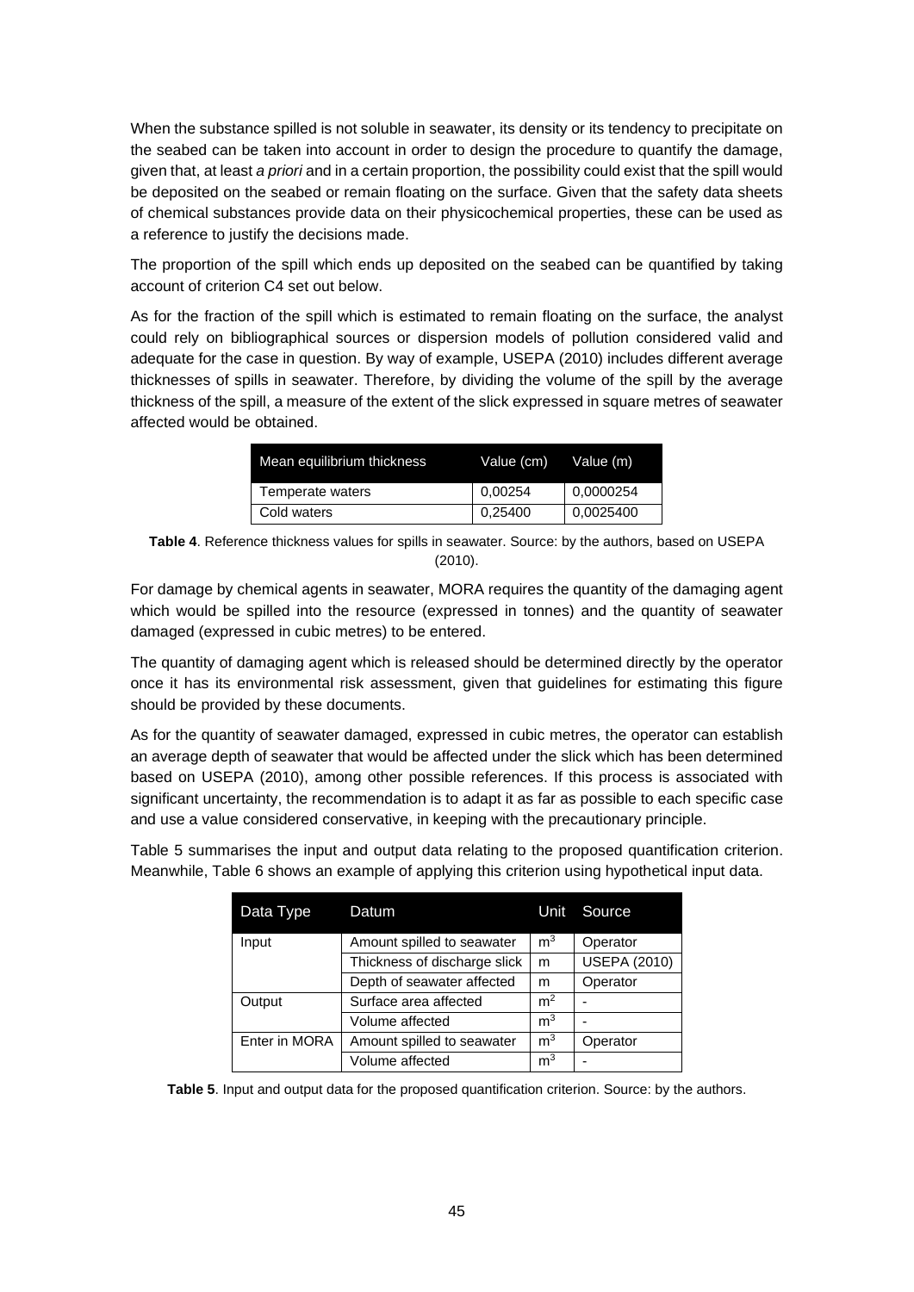When the substance spilled is not soluble in seawater, its density or its tendency to precipitate on the seabed can be taken into account in order to design the procedure to quantify the damage, given that, at least *a priori* and in a certain proportion, the possibility could exist that the spill would be deposited on the seabed or remain floating on the surface. Given that the safety data sheets of chemical substances provide data on their physicochemical properties, these can be used as a reference to justify the decisions made.

The proportion of the spill which ends up deposited on the seabed can be quantified by taking account of criterion C4 set out below.

As for the fraction of the spill which is estimated to remain floating on the surface, the analyst could rely on bibliographical sources or dispersion models of pollution considered valid and adequate for the case in question. By way of example, USEPA (2010) includes different average thicknesses of spills in seawater. Therefore, by dividing the volume of the spill by the average thickness of the spill, a measure of the extent of the slick expressed in square metres of seawater affected would be obtained.

| Mean equilibrium thickness | Value (cm) | Value (m) |
|----------------------------|------------|-----------|
| Temperate waters           | 0,00254    | 0,0000254 |
| Cold waters                | 0,25400    | 0.0025400 |

**Table 4**. Reference thickness values for spills in seawater. Source: by the authors, based on USEPA (2010).

For damage by chemical agents in seawater, MORA requires the quantity of the damaging agent which would be spilled into the resource (expressed in tonnes) and the quantity of seawater damaged (expressed in cubic metres) to be entered.

The quantity of damaging agent which is released should be determined directly by the operator once it has its environmental risk assessment, given that guidelines for estimating this figure should be provided by these documents.

As for the quantity of seawater damaged, expressed in cubic metres, the operator can establish an average depth of seawater that would be affected under the slick which has been determined based on USEPA (2010), among other possible references. If this process is associated with significant uncertainty, the recommendation is to adapt it as far as possible to each specific case and use a value considered conservative, in keeping with the precautionary principle.

Table 5 summarises the input and output data relating to the proposed quantification criterion. Meanwhile, Table 6 shows an example of applying this criterion using hypothetical input data.

| Data Type     | Datum                        | Unit           | Source              |
|---------------|------------------------------|----------------|---------------------|
| Input         | Amount spilled to seawater   | m <sup>3</sup> | Operator            |
|               | Thickness of discharge slick | m              | <b>USEPA (2010)</b> |
|               | Depth of seawater affected   | m              | Operator            |
| Output        | Surface area affected        | m <sup>2</sup> |                     |
|               | Volume affected              | m <sup>3</sup> |                     |
| Enter in MORA | Amount spilled to seawater   | m <sup>3</sup> | Operator            |
|               | Volume affected              | m <sup>3</sup> |                     |

**Table 5**. Input and output data for the proposed quantification criterion. Source: by the authors.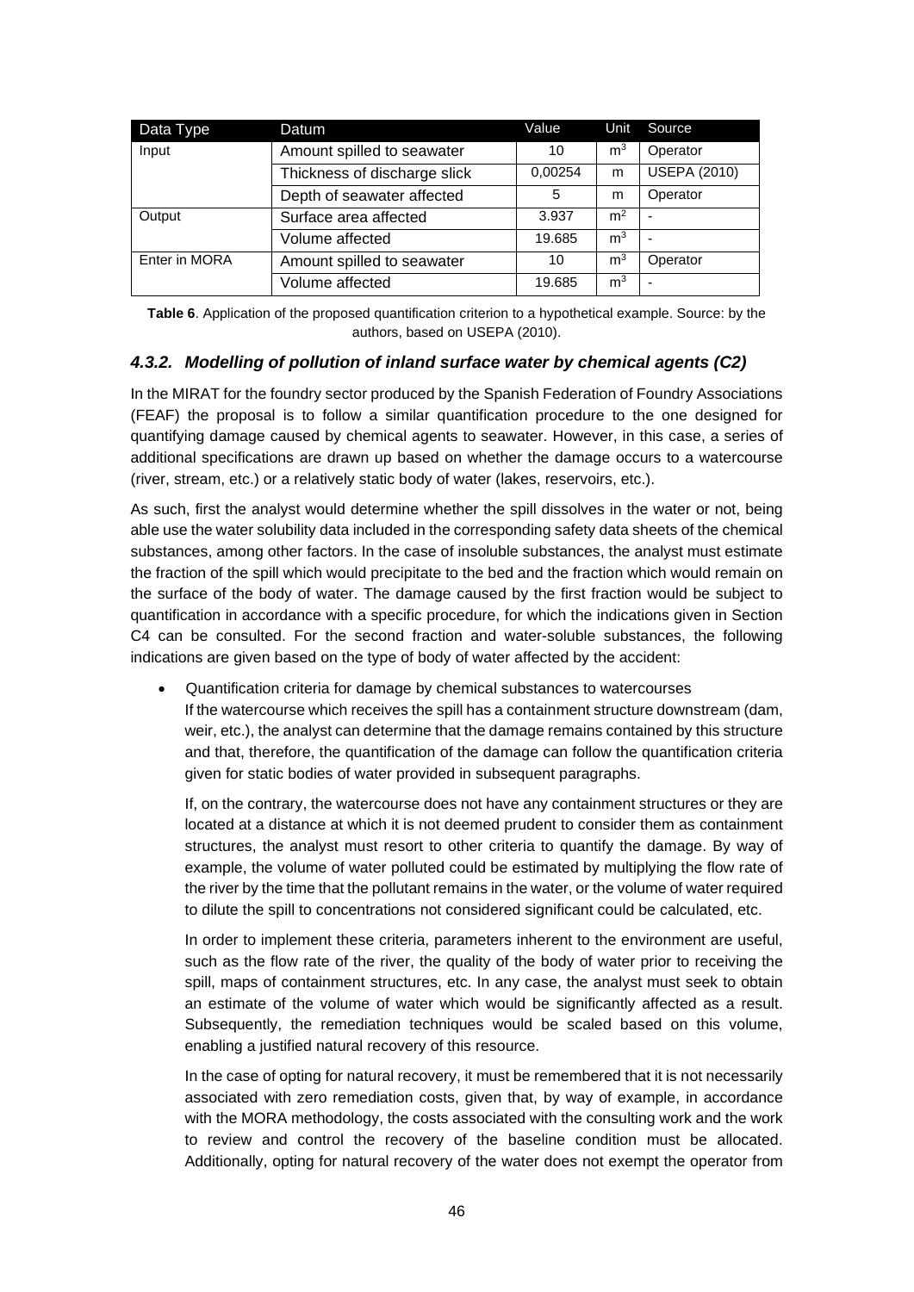| Data Type     | Datum                        | Value   | Unit           | Source                   |
|---------------|------------------------------|---------|----------------|--------------------------|
| Input         | Amount spilled to seawater   | 10      | m <sup>3</sup> | Operator                 |
|               | Thickness of discharge slick | 0,00254 | m              | <b>USEPA (2010)</b>      |
|               | Depth of seawater affected   | 5       | m              | Operator                 |
| Output        | Surface area affected        | 3.937   | m <sup>2</sup> | $\overline{\phantom{0}}$ |
|               | Volume affected              | 19.685  | m <sup>3</sup> | $\overline{\phantom{0}}$ |
| Enter in MORA | Amount spilled to seawater   | 10      | m <sup>3</sup> | Operator                 |
|               | Volume affected              | 19.685  | m <sup>3</sup> | ۰                        |

**Table 6.** Application of the proposed quantification criterion to a hypothetical example. Source: by the authors, based on USEPA (2010).

#### *4.3.2. Modelling of pollution of inland surface water by chemical agents (C2)*

In the MIRAT for the foundry sector produced by the Spanish Federation of Foundry Associations (FEAF) the proposal is to follow a similar quantification procedure to the one designed for quantifying damage caused by chemical agents to seawater. However, in this case, a series of additional specifications are drawn up based on whether the damage occurs to a watercourse (river, stream, etc.) or a relatively static body of water (lakes, reservoirs, etc.).

As such, first the analyst would determine whether the spill dissolves in the water or not, being able use the water solubility data included in the corresponding safety data sheets of the chemical substances, among other factors. In the case of insoluble substances, the analyst must estimate the fraction of the spill which would precipitate to the bed and the fraction which would remain on the surface of the body of water. The damage caused by the first fraction would be subject to quantification in accordance with a specific procedure, for which the indications given in Section C4 can be consulted. For the second fraction and water-soluble substances, the following indications are given based on the type of body of water affected by the accident:

 Quantification criteria for damage by chemical substances to watercourses If the watercourse which receives the spill has a containment structure downstream (dam, weir, etc.), the analyst can determine that the damage remains contained by this structure and that, therefore, the quantification of the damage can follow the quantification criteria given for static bodies of water provided in subsequent paragraphs.

If, on the contrary, the watercourse does not have any containment structures or they are located at a distance at which it is not deemed prudent to consider them as containment structures, the analyst must resort to other criteria to quantify the damage. By way of example, the volume of water polluted could be estimated by multiplying the flow rate of the river by the time that the pollutant remains in the water, or the volume of water required to dilute the spill to concentrations not considered significant could be calculated, etc.

In order to implement these criteria, parameters inherent to the environment are useful, such as the flow rate of the river, the quality of the body of water prior to receiving the spill, maps of containment structures, etc. In any case, the analyst must seek to obtain an estimate of the volume of water which would be significantly affected as a result. Subsequently, the remediation techniques would be scaled based on this volume, enabling a justified natural recovery of this resource.

In the case of opting for natural recovery, it must be remembered that it is not necessarily associated with zero remediation costs, given that, by way of example, in accordance with the MORA methodology, the costs associated with the consulting work and the work to review and control the recovery of the baseline condition must be allocated. Additionally, opting for natural recovery of the water does not exempt the operator from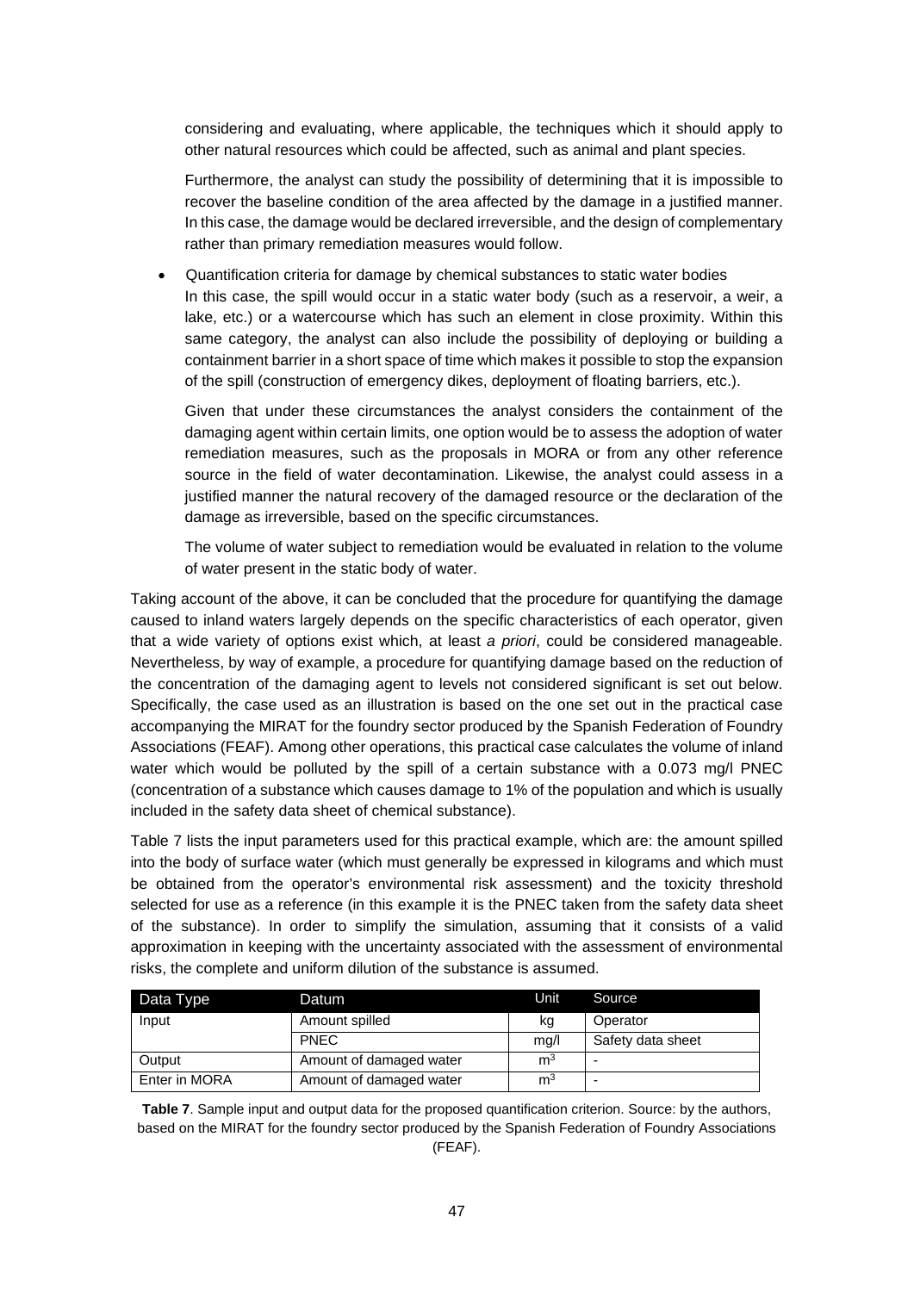considering and evaluating, where applicable, the techniques which it should apply to other natural resources which could be affected, such as animal and plant species.

Furthermore, the analyst can study the possibility of determining that it is impossible to recover the baseline condition of the area affected by the damage in a justified manner. In this case, the damage would be declared irreversible, and the design of complementary rather than primary remediation measures would follow.

 Quantification criteria for damage by chemical substances to static water bodies In this case, the spill would occur in a static water body (such as a reservoir, a weir, a lake, etc.) or a watercourse which has such an element in close proximity. Within this same category, the analyst can also include the possibility of deploying or building a containment barrier in a short space of time which makes it possible to stop the expansion of the spill (construction of emergency dikes, deployment of floating barriers, etc.).

Given that under these circumstances the analyst considers the containment of the damaging agent within certain limits, one option would be to assess the adoption of water remediation measures, such as the proposals in MORA or from any other reference source in the field of water decontamination. Likewise, the analyst could assess in a justified manner the natural recovery of the damaged resource or the declaration of the damage as irreversible, based on the specific circumstances.

The volume of water subject to remediation would be evaluated in relation to the volume of water present in the static body of water.

Taking account of the above, it can be concluded that the procedure for quantifying the damage caused to inland waters largely depends on the specific characteristics of each operator, given that a wide variety of options exist which, at least *a priori*, could be considered manageable. Nevertheless, by way of example, a procedure for quantifying damage based on the reduction of the concentration of the damaging agent to levels not considered significant is set out below. Specifically, the case used as an illustration is based on the one set out in the practical case accompanying the MIRAT for the foundry sector produced by the Spanish Federation of Foundry Associations (FEAF). Among other operations, this practical case calculates the volume of inland water which would be polluted by the spill of a certain substance with a 0.073 mg/l PNEC (concentration of a substance which causes damage to 1% of the population and which is usually included in the safety data sheet of chemical substance).

Table 7 lists the input parameters used for this practical example, which are: the amount spilled into the body of surface water (which must generally be expressed in kilograms and which must be obtained from the operator's environmental risk assessment) and the toxicity threshold selected for use as a reference (in this example it is the PNEC taken from the safety data sheet of the substance). In order to simplify the simulation, assuming that it consists of a valid approximation in keeping with the uncertainty associated with the assessment of environmental risks, the complete and uniform dilution of the substance is assumed.

| Data Type     | Datum                   | Unit           | Source            |
|---------------|-------------------------|----------------|-------------------|
| Input         | Amount spilled          | kg             | Operator          |
|               | <b>PNEC</b>             | mq/l           | Safety data sheet |
| Output        | Amount of damaged water | m <sup>3</sup> |                   |
| Enter in MORA | Amount of damaged water | m <sup>3</sup> |                   |

**Table 7**. Sample input and output data for the proposed quantification criterion. Source: by the authors, based on the MIRAT for the foundry sector produced by the Spanish Federation of Foundry Associations (FEAF).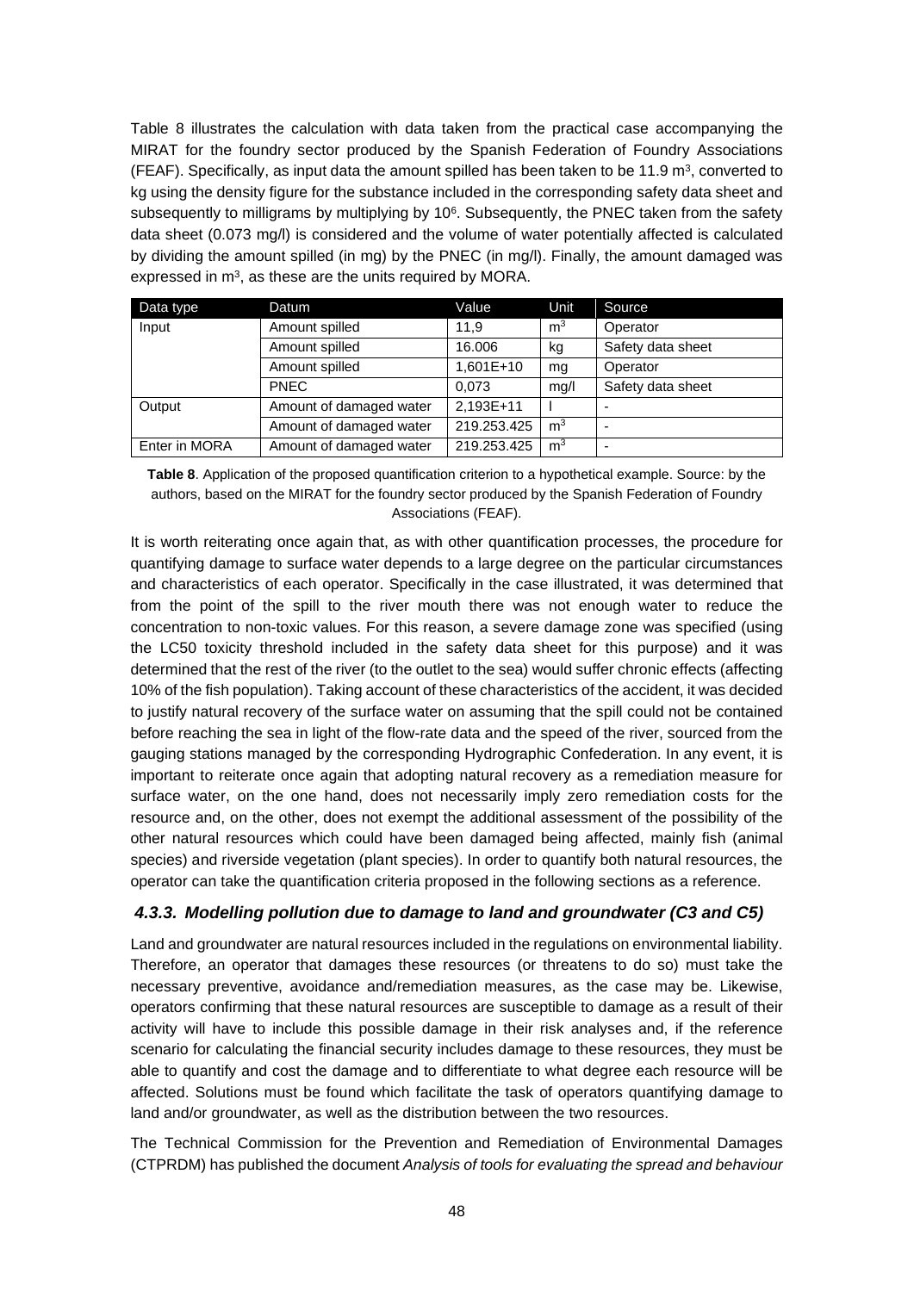Table 8 illustrates the calculation with data taken from the practical case accompanying the MIRAT for the foundry sector produced by the Spanish Federation of Foundry Associations (FEAF). Specifically, as input data the amount spilled has been taken to be 11.9 m<sup>3</sup>, converted to kg using the density figure for the substance included in the corresponding safety data sheet and subsequently to milligrams by multiplying by 10<sup>6</sup>. Subsequently, the PNEC taken from the safety data sheet (0.073 mg/l) is considered and the volume of water potentially affected is calculated by dividing the amount spilled (in mg) by the PNEC (in mg/l). Finally, the amount damaged was expressed in  $m<sup>3</sup>$ , as these are the units required by MORA.

| Data type     | Datum                   | Value       | Unit           | Source                   |
|---------------|-------------------------|-------------|----------------|--------------------------|
| Input         | Amount spilled          | 11.9        | m <sup>3</sup> | Operator                 |
|               | Amount spilled          | 16.006      | kg             | Safety data sheet        |
|               | Amount spilled          | 1,601E+10   | mg             | Operator                 |
|               | <b>PNEC</b>             | 0.073       | mg/l           | Safety data sheet        |
| Output        | Amount of damaged water | 2,193E+11   |                |                          |
|               | Amount of damaged water | 219.253.425 | m <sup>3</sup> | $\overline{\phantom{0}}$ |
| Enter in MORA | Amount of damaged water | 219.253.425 | m <sup>3</sup> | $\overline{\phantom{0}}$ |

**Table 8**. Application of the proposed quantification criterion to a hypothetical example. Source: by the authors, based on the MIRAT for the foundry sector produced by the Spanish Federation of Foundry Associations (FEAF).

It is worth reiterating once again that, as with other quantification processes, the procedure for quantifying damage to surface water depends to a large degree on the particular circumstances and characteristics of each operator. Specifically in the case illustrated, it was determined that from the point of the spill to the river mouth there was not enough water to reduce the concentration to non-toxic values. For this reason, a severe damage zone was specified (using the LC50 toxicity threshold included in the safety data sheet for this purpose) and it was determined that the rest of the river (to the outlet to the sea) would suffer chronic effects (affecting 10% of the fish population). Taking account of these characteristics of the accident, it was decided to justify natural recovery of the surface water on assuming that the spill could not be contained before reaching the sea in light of the flow-rate data and the speed of the river, sourced from the gauging stations managed by the corresponding Hydrographic Confederation. In any event, it is important to reiterate once again that adopting natural recovery as a remediation measure for surface water, on the one hand, does not necessarily imply zero remediation costs for the resource and, on the other, does not exempt the additional assessment of the possibility of the other natural resources which could have been damaged being affected, mainly fish (animal species) and riverside vegetation (plant species). In order to quantify both natural resources, the operator can take the quantification criteria proposed in the following sections as a reference.

#### *4.3.3. Modelling pollution due to damage to land and groundwater (C3 and C5)*

Land and groundwater are natural resources included in the regulations on environmental liability. Therefore, an operator that damages these resources (or threatens to do so) must take the necessary preventive, avoidance and/remediation measures, as the case may be. Likewise, operators confirming that these natural resources are susceptible to damage as a result of their activity will have to include this possible damage in their risk analyses and, if the reference scenario for calculating the financial security includes damage to these resources, they must be able to quantify and cost the damage and to differentiate to what degree each resource will be affected. Solutions must be found which facilitate the task of operators quantifying damage to land and/or groundwater, as well as the distribution between the two resources.

The Technical Commission for the Prevention and Remediation of Environmental Damages (CTPRDM) has published the document *Analysis of tools for evaluating the spread and behaviour*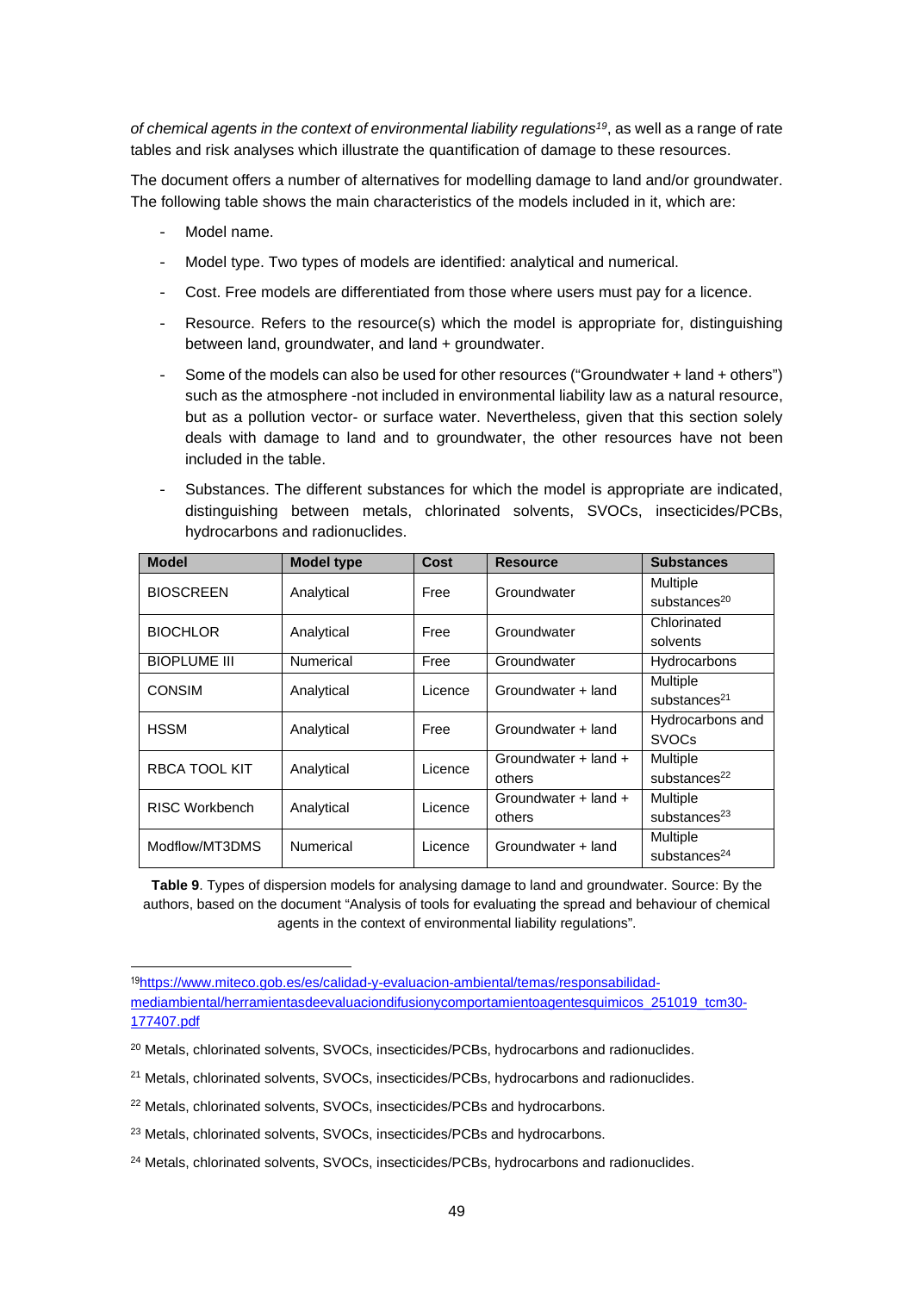*of chemical agents in the context of environmental liability regulations<sup>19</sup>*, as well as a range of rate tables and risk analyses which illustrate the quantification of damage to these resources.

The document offers a number of alternatives for modelling damage to land and/or groundwater. The following table shows the main characteristics of the models included in it, which are:

- Model name.
- Model type. Two types of models are identified: analytical and numerical.
- Cost. Free models are differentiated from those where users must pay for a licence.
- Resource. Refers to the resource(s) which the model is appropriate for, distinguishing between land, groundwater, and land + groundwater.
- Some of the models can also be used for other resources ("Groundwater + land + others") such as the atmosphere -not included in environmental liability law as a natural resource, but as a pollution vector- or surface water. Nevertheless, given that this section solely deals with damage to land and to groundwater, the other resources have not been included in the table.
- Substances. The different substances for which the model is appropriate are indicated, distinguishing between metals, chlorinated solvents, SVOCs, insecticides/PCBs, hydrocarbons and radionuclides.

| <b>Model</b>          | <b>Model type</b> | Cost                | <b>Resource</b>      | <b>Substances</b>        |
|-----------------------|-------------------|---------------------|----------------------|--------------------------|
| <b>BIOSCREEN</b>      | Analytical        | Groundwater<br>Free |                      | Multiple                 |
|                       |                   |                     |                      | substances $20$          |
| <b>BIOCHLOR</b>       | Analytical        | Free                | Groundwater          | Chlorinated              |
|                       |                   |                     |                      | solvents                 |
| <b>BIOPLUME III</b>   | <b>Numerical</b>  | Free                | Groundwater          | Hydrocarbons             |
| <b>CONSIM</b>         | Analytical        | Licence             | Groundwater + land   | Multiple                 |
|                       |                   |                     |                      | substances <sup>21</sup> |
| <b>HSSM</b>           | Analytical        | Free                | Groundwater + land   | Hydrocarbons and         |
|                       |                   |                     |                      | <b>SVOCs</b>             |
| <b>RBCA TOOL KIT</b>  | Analytical        | Licence             | Groundwater + land + | Multiple                 |
|                       |                   |                     | others               | substances $^{22}$       |
| <b>RISC Workbench</b> | Analytical        | Licence             | Groundwater + land + | Multiple                 |
|                       |                   |                     | others               | substances $^{23}$       |
| Modflow/MT3DMS        | Numerical         | Licence             | Groundwater + land   | Multiple                 |
|                       |                   |                     |                      | substances $^{24}$       |

**Table 9**. Types of dispersion models for analysing damage to land and groundwater. Source: By the authors, based on the document "Analysis of tools for evaluating the spread and behaviour of chemical agents in the context of environmental liability regulations".

<sup>19</sup>https://www.miteco.gob.es/es/calidad-y-evaluacion-ambiental/temas/responsabilidadmediambiental/herramientasdeevaluaciondifusionycomportamientoagentesquimicos\_251019\_tcm30-

<sup>177407.</sup>pdf

<sup>&</sup>lt;sup>20</sup> Metals, chlorinated solvents, SVOCs, insecticides/PCBs, hydrocarbons and radionuclides.

<sup>21</sup> Metals, chlorinated solvents, SVOCs, insecticides/PCBs, hydrocarbons and radionuclides.

<sup>&</sup>lt;sup>22</sup> Metals, chlorinated solvents, SVOCs, insecticides/PCBs and hydrocarbons.

<sup>23</sup> Metals, chlorinated solvents, SVOCs, insecticides/PCBs and hydrocarbons.

<sup>&</sup>lt;sup>24</sup> Metals, chlorinated solvents, SVOCs, insecticides/PCBs, hydrocarbons and radionuclides.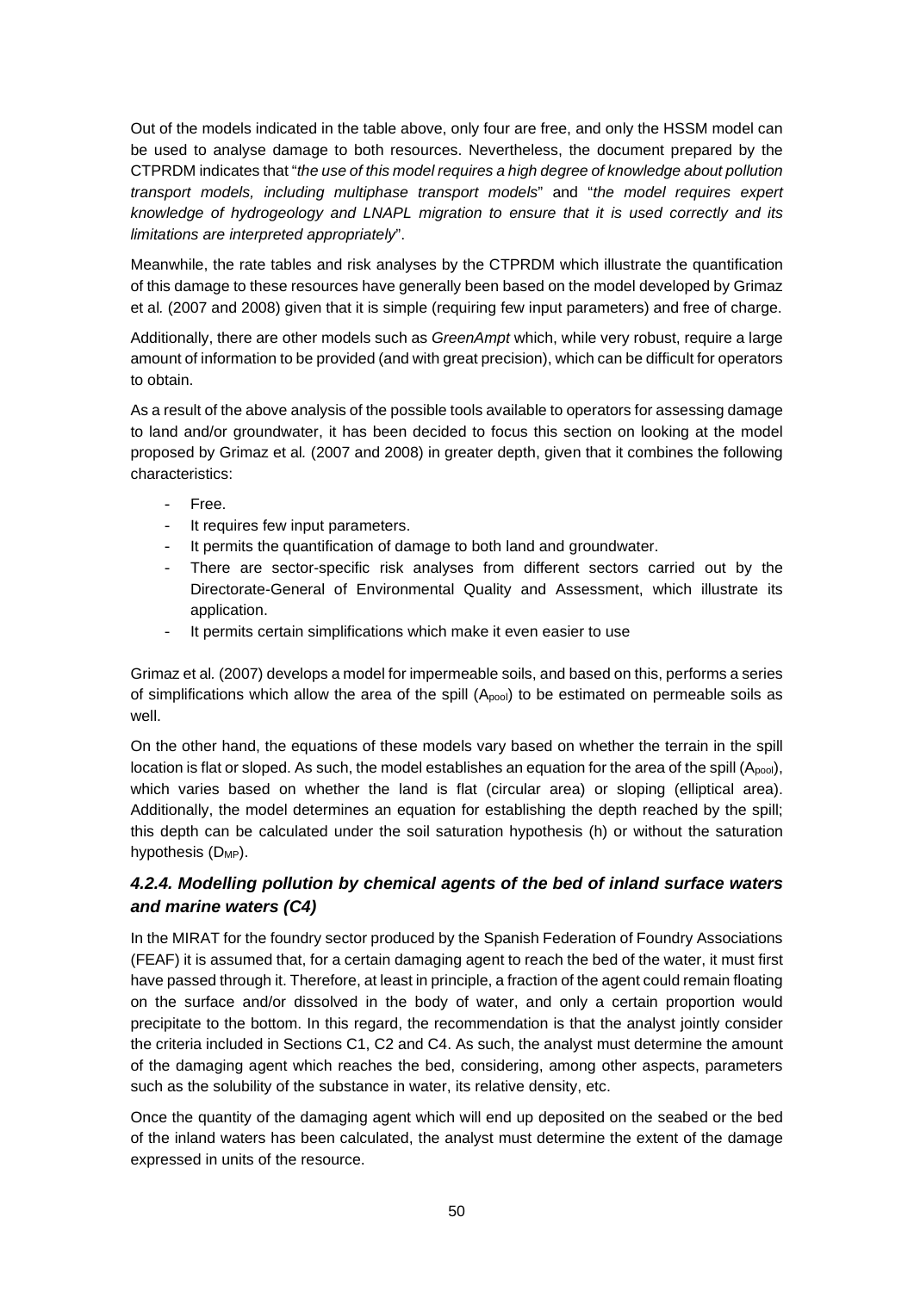Out of the models indicated in the table above, only four are free, and only the HSSM model can be used to analyse damage to both resources. Nevertheless, the document prepared by the CTPRDM indicates that "*the use of this model requires a high degree of knowledge about pollution transport models, including multiphase transport models*" and "*the model requires expert knowledge of hydrogeology and LNAPL migration to ensure that it is used correctly and its limitations are interpreted appropriately*".

Meanwhile, the rate tables and risk analyses by the CTPRDM which illustrate the quantification of this damage to these resources have generally been based on the model developed by Grimaz et al*.* (2007 and 2008) given that it is simple (requiring few input parameters) and free of charge.

Additionally, there are other models such as *GreenAmpt* which, while very robust, require a large amount of information to be provided (and with great precision), which can be difficult for operators to obtain.

As a result of the above analysis of the possible tools available to operators for assessing damage to land and/or groundwater, it has been decided to focus this section on looking at the model proposed by Grimaz et al*.* (2007 and 2008) in greater depth, given that it combines the following characteristics:

- Free.
- It requires few input parameters.
- It permits the quantification of damage to both land and groundwater.
- There are sector-specific risk analyses from different sectors carried out by the Directorate-General of Environmental Quality and Assessment, which illustrate its application.
- It permits certain simplifications which make it even easier to use

Grimaz et al*.* (2007) develops a model for impermeable soils, and based on this, performs a series of simplifications which allow the area of the spill (Apool) to be estimated on permeable soils as well.

On the other hand, the equations of these models vary based on whether the terrain in the spill location is flat or sloped. As such, the model establishes an equation for the area of the spill  $(A_{pool})$ , which varies based on whether the land is flat (circular area) or sloping (elliptical area). Additionally, the model determines an equation for establishing the depth reached by the spill; this depth can be calculated under the soil saturation hypothesis (h) or without the saturation hypothesis (D<sub>MP</sub>).

# *4.2.4. Modelling pollution by chemical agents of the bed of inland surface waters and marine waters (C4)*

In the MIRAT for the foundry sector produced by the Spanish Federation of Foundry Associations (FEAF) it is assumed that, for a certain damaging agent to reach the bed of the water, it must first have passed through it. Therefore, at least in principle, a fraction of the agent could remain floating on the surface and/or dissolved in the body of water, and only a certain proportion would precipitate to the bottom. In this regard, the recommendation is that the analyst jointly consider the criteria included in Sections C1, C2 and C4. As such, the analyst must determine the amount of the damaging agent which reaches the bed, considering, among other aspects, parameters such as the solubility of the substance in water, its relative density, etc.

Once the quantity of the damaging agent which will end up deposited on the seabed or the bed of the inland waters has been calculated, the analyst must determine the extent of the damage expressed in units of the resource.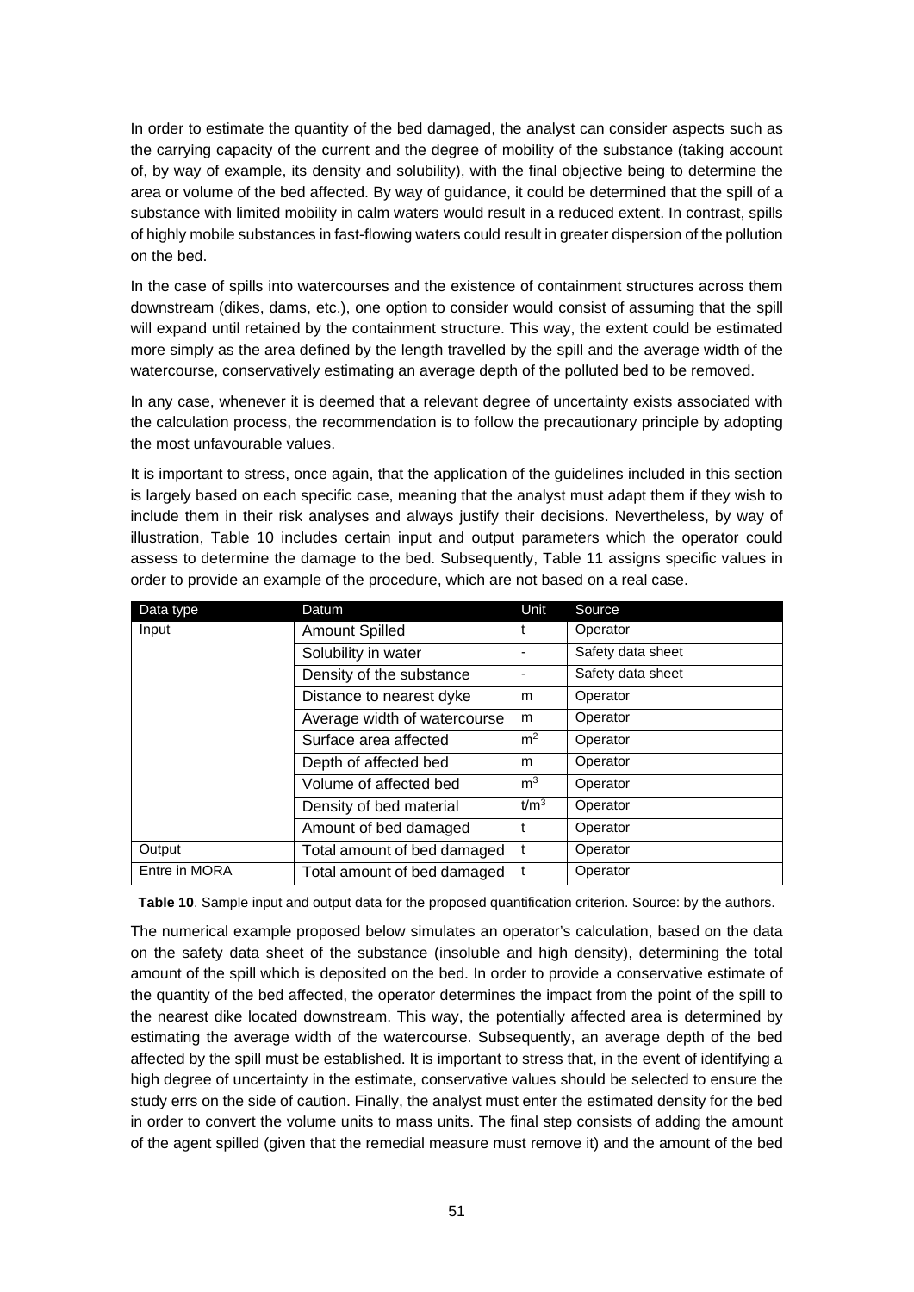In order to estimate the quantity of the bed damaged, the analyst can consider aspects such as the carrying capacity of the current and the degree of mobility of the substance (taking account of, by way of example, its density and solubility), with the final objective being to determine the area or volume of the bed affected. By way of guidance, it could be determined that the spill of a substance with limited mobility in calm waters would result in a reduced extent. In contrast, spills of highly mobile substances in fast-flowing waters could result in greater dispersion of the pollution on the bed.

In the case of spills into watercourses and the existence of containment structures across them downstream (dikes, dams, etc.), one option to consider would consist of assuming that the spill will expand until retained by the containment structure. This way, the extent could be estimated more simply as the area defined by the length travelled by the spill and the average width of the watercourse, conservatively estimating an average depth of the polluted bed to be removed.

In any case, whenever it is deemed that a relevant degree of uncertainty exists associated with the calculation process, the recommendation is to follow the precautionary principle by adopting the most unfavourable values.

It is important to stress, once again, that the application of the guidelines included in this section is largely based on each specific case, meaning that the analyst must adapt them if they wish to include them in their risk analyses and always justify their decisions. Nevertheless, by way of illustration, Table 10 includes certain input and output parameters which the operator could assess to determine the damage to the bed. Subsequently, Table 11 assigns specific values in order to provide an example of the procedure, which are not based on a real case.

| Data type     | Datum                        | Unit             | Source            |
|---------------|------------------------------|------------------|-------------------|
| Input         | <b>Amount Spilled</b>        |                  | Operator          |
|               | Solubility in water          |                  | Safety data sheet |
|               | Density of the substance     |                  | Safety data sheet |
|               | Distance to nearest dyke     | m                | Operator          |
|               | Average width of watercourse | m                | Operator          |
|               | Surface area affected        | m <sup>2</sup>   | Operator          |
|               | Depth of affected bed        | m                | Operator          |
|               | Volume of affected bed       | m <sup>3</sup>   | Operator          |
|               | Density of bed material      | t/m <sup>3</sup> | Operator          |
|               | Amount of bed damaged        |                  | Operator          |
| Output        | Total amount of bed damaged  |                  | Operator          |
| Entre in MORA | Total amount of bed damaged  |                  | Operator          |

**Table 10**. Sample input and output data for the proposed quantification criterion. Source: by the authors.

The numerical example proposed below simulates an operator's calculation, based on the data on the safety data sheet of the substance (insoluble and high density), determining the total amount of the spill which is deposited on the bed. In order to provide a conservative estimate of the quantity of the bed affected, the operator determines the impact from the point of the spill to the nearest dike located downstream. This way, the potentially affected area is determined by estimating the average width of the watercourse. Subsequently, an average depth of the bed affected by the spill must be established. It is important to stress that, in the event of identifying a high degree of uncertainty in the estimate, conservative values should be selected to ensure the study errs on the side of caution. Finally, the analyst must enter the estimated density for the bed in order to convert the volume units to mass units. The final step consists of adding the amount of the agent spilled (given that the remedial measure must remove it) and the amount of the bed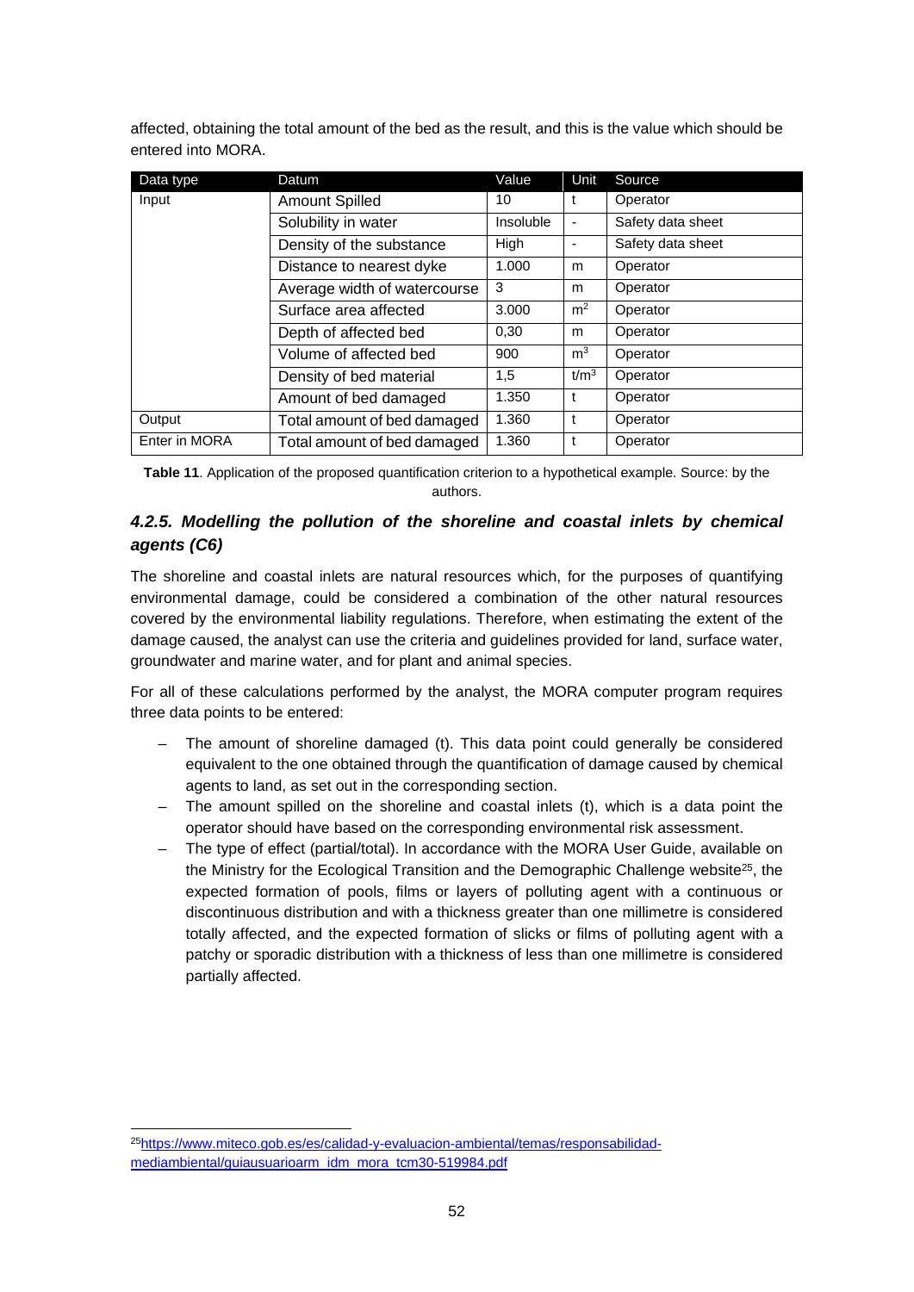affected, obtaining the total amount of the bed as the result, and this is the value which should be entered into MORA.

| Data type     | Datum                        | Value     | Unit             | Source            |
|---------------|------------------------------|-----------|------------------|-------------------|
| Input         | <b>Amount Spilled</b>        | 10        | t                | Operator          |
|               | Solubility in water          | Insoluble | -                | Safety data sheet |
|               | Density of the substance     | High      | ٠                | Safety data sheet |
|               | Distance to nearest dyke     | 1.000     | m                | Operator          |
|               | Average width of watercourse | 3         | m                | Operator          |
|               | Surface area affected        | 3.000     | m <sup>2</sup>   | Operator          |
|               | Depth of affected bed        | 0,30      | m                | Operator          |
|               | Volume of affected bed       | 900       | m <sup>3</sup>   | Operator          |
|               | Density of bed material      | 1,5       | t/m <sup>3</sup> | Operator          |
|               | Amount of bed damaged        | 1.350     | t                | Operator          |
| Output        | Total amount of bed damaged  | 1.360     | t                | Operator          |
| Enter in MORA | Total amount of bed damaged  | 1.360     | t                | Operator          |

**Table 11**. Application of the proposed quantification criterion to a hypothetical example. Source: by the authors.

## *4.2.5. Modelling the pollution of the shoreline and coastal inlets by chemical agents (C6)*

The shoreline and coastal inlets are natural resources which, for the purposes of quantifying environmental damage, could be considered a combination of the other natural resources covered by the environmental liability regulations. Therefore, when estimating the extent of the damage caused, the analyst can use the criteria and guidelines provided for land, surface water, groundwater and marine water, and for plant and animal species.

For all of these calculations performed by the analyst, the MORA computer program requires three data points to be entered:

- The amount of shoreline damaged (t). This data point could generally be considered equivalent to the one obtained through the quantification of damage caused by chemical agents to land, as set out in the corresponding section.
- The amount spilled on the shoreline and coastal inlets (t), which is a data point the operator should have based on the corresponding environmental risk assessment.
- The type of effect (partial/total). In accordance with the MORA User Guide, available on the Ministry for the Ecological Transition and the Demographic Challenge website $25$ , the expected formation of pools, films or layers of polluting agent with a continuous or discontinuous distribution and with a thickness greater than one millimetre is considered totally affected, and the expected formation of slicks or films of polluting agent with a patchy or sporadic distribution with a thickness of less than one millimetre is considered partially affected.

<sup>25</sup>https://www.miteco.gob.es/es/calidad-y-evaluacion-ambiental/temas/responsabilidadmediambiental/guiausuarioarm\_idm\_mora\_tcm30-519984.pdf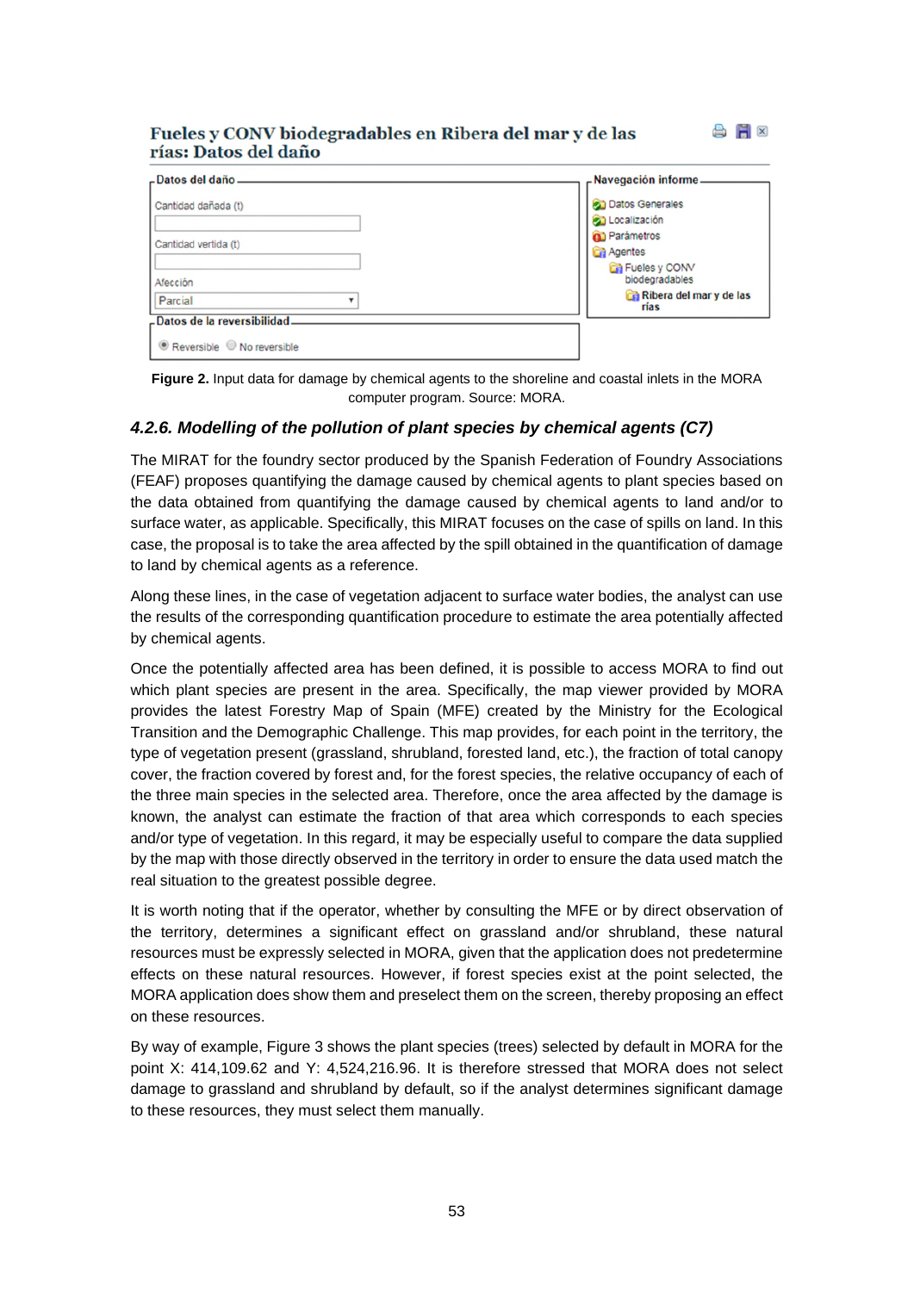#### Fueles y CONV biodegradables en Ribera del mar y de las rías: Datos del daño

| -Datos del daño-             | -Navegación informe             |
|------------------------------|---------------------------------|
| Cantidad dañada (t)          | <b>Datos Generales</b>          |
|                              | Localización                    |
|                              | <b>Q</b> Parámetros             |
| Cantidad vertida (t)         | <b>Ca</b> Agentes               |
| Afección                     | Fueles y CONV<br>biodegradables |
| Parcial                      | Ribera del mar y de las<br>rias |
| -Datos de la reversibilidad. |                                 |
| Reversible No reversible     |                                 |

**AH** 

**Figure 2.** Input data for damage by chemical agents to the shoreline and coastal inlets in the MORA computer program. Source: MORA.

#### *4.2.6. Modelling of the pollution of plant species by chemical agents (C7)*

The MIRAT for the foundry sector produced by the Spanish Federation of Foundry Associations (FEAF) proposes quantifying the damage caused by chemical agents to plant species based on the data obtained from quantifying the damage caused by chemical agents to land and/or to surface water, as applicable. Specifically, this MIRAT focuses on the case of spills on land. In this case, the proposal is to take the area affected by the spill obtained in the quantification of damage to land by chemical agents as a reference.

Along these lines, in the case of vegetation adjacent to surface water bodies, the analyst can use the results of the corresponding quantification procedure to estimate the area potentially affected by chemical agents.

Once the potentially affected area has been defined, it is possible to access MORA to find out which plant species are present in the area. Specifically, the map viewer provided by MORA provides the latest Forestry Map of Spain (MFE) created by the Ministry for the Ecological Transition and the Demographic Challenge. This map provides, for each point in the territory, the type of vegetation present (grassland, shrubland, forested land, etc.), the fraction of total canopy cover, the fraction covered by forest and, for the forest species, the relative occupancy of each of the three main species in the selected area. Therefore, once the area affected by the damage is known, the analyst can estimate the fraction of that area which corresponds to each species and/or type of vegetation. In this regard, it may be especially useful to compare the data supplied by the map with those directly observed in the territory in order to ensure the data used match the real situation to the greatest possible degree.

It is worth noting that if the operator, whether by consulting the MFE or by direct observation of the territory, determines a significant effect on grassland and/or shrubland, these natural resources must be expressly selected in MORA, given that the application does not predetermine effects on these natural resources. However, if forest species exist at the point selected, the MORA application does show them and preselect them on the screen, thereby proposing an effect on these resources.

By way of example, Figure 3 shows the plant species (trees) selected by default in MORA for the point X: 414,109.62 and Y: 4,524,216.96. It is therefore stressed that MORA does not select damage to grassland and shrubland by default, so if the analyst determines significant damage to these resources, they must select them manually.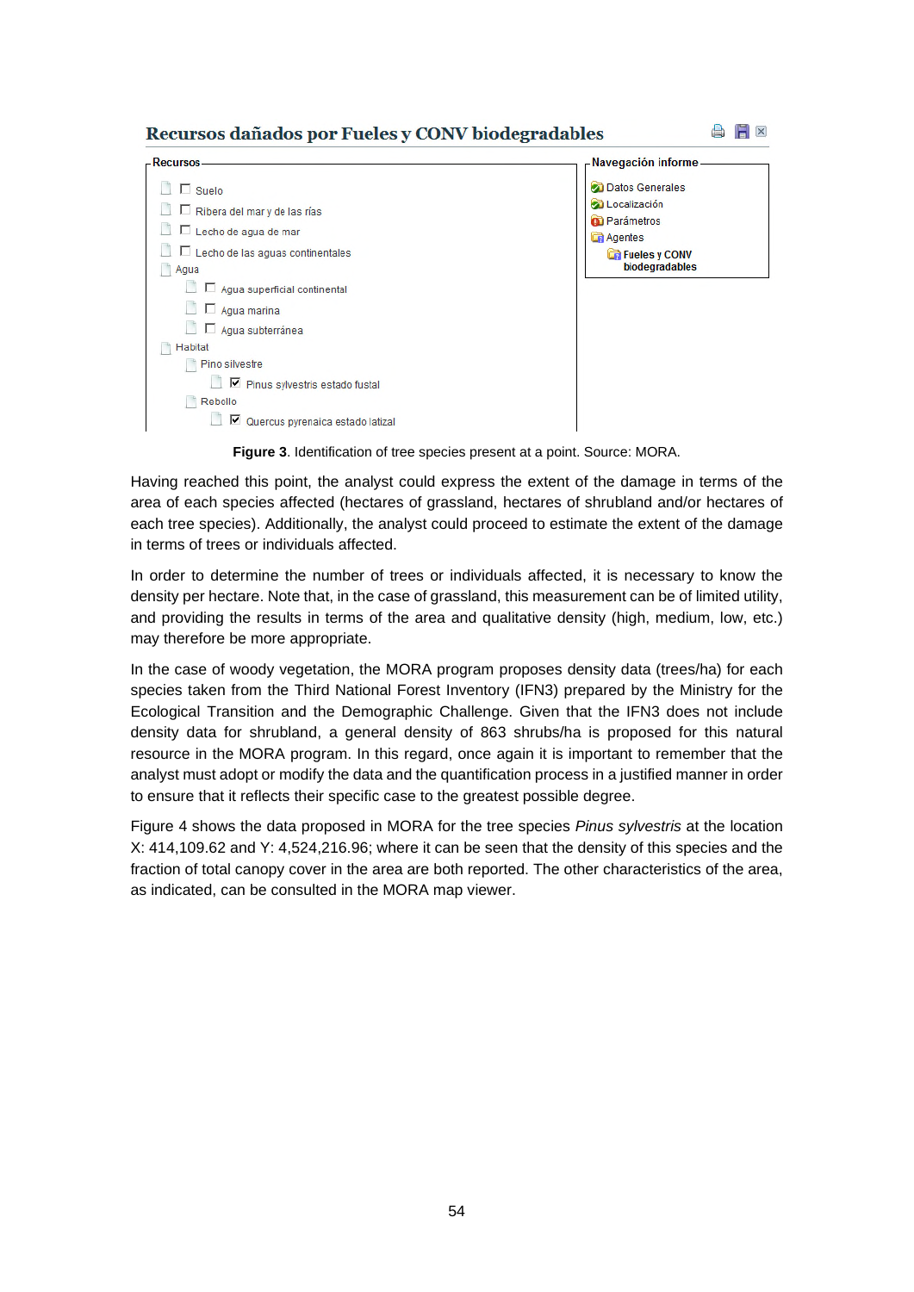#### Recursos dañados por Fueles y CONV biodegradables



| -Recursos                                       | -Navegación informe                      |
|-------------------------------------------------|------------------------------------------|
| $\Box$ Suelo                                    | Datos Generales                          |
| $\Box$ Ribera del mar y de las rías             | Localización                             |
| Lecho de agua de mar                            | <b>Q</b> Parámetros<br>Agentes           |
| $\Box$ Lecho de las aguas continentales<br>Agua | <b>F</b> Fueles y CONV<br>biodegradables |
| $\Box$ Agua superficial continental<br>L.       |                                          |
| $\Box$ Agua marina<br>L.                        |                                          |
| Agua subterránea                                |                                          |
| <b>Habitat</b>                                  |                                          |
| Pino silvestre                                  |                                          |
| ■ Pinus sylvestris estado fustal                |                                          |
| Rebollo                                         |                                          |
| $\nabla$ Quercus pyrenaica estado latizal       |                                          |

**Figure 3**. Identification of tree species present at a point. Source: MORA.

Having reached this point, the analyst could express the extent of the damage in terms of the area of each species affected (hectares of grassland, hectares of shrubland and/or hectares of each tree species). Additionally, the analyst could proceed to estimate the extent of the damage in terms of trees or individuals affected.

In order to determine the number of trees or individuals affected, it is necessary to know the density per hectare. Note that, in the case of grassland, this measurement can be of limited utility, and providing the results in terms of the area and qualitative density (high, medium, low, etc.) may therefore be more appropriate.

In the case of woody vegetation, the MORA program proposes density data (trees/ha) for each species taken from the Third National Forest Inventory (IFN3) prepared by the Ministry for the Ecological Transition and the Demographic Challenge. Given that the IFN3 does not include density data for shrubland, a general density of 863 shrubs/ha is proposed for this natural resource in the MORA program. In this regard, once again it is important to remember that the analyst must adopt or modify the data and the quantification process in a justified manner in order to ensure that it reflects their specific case to the greatest possible degree.

Figure 4 shows the data proposed in MORA for the tree species *Pinus sylvestris* at the location X: 414,109.62 and Y: 4,524,216.96; where it can be seen that the density of this species and the fraction of total canopy cover in the area are both reported. The other characteristics of the area, as indicated, can be consulted in the MORA map viewer.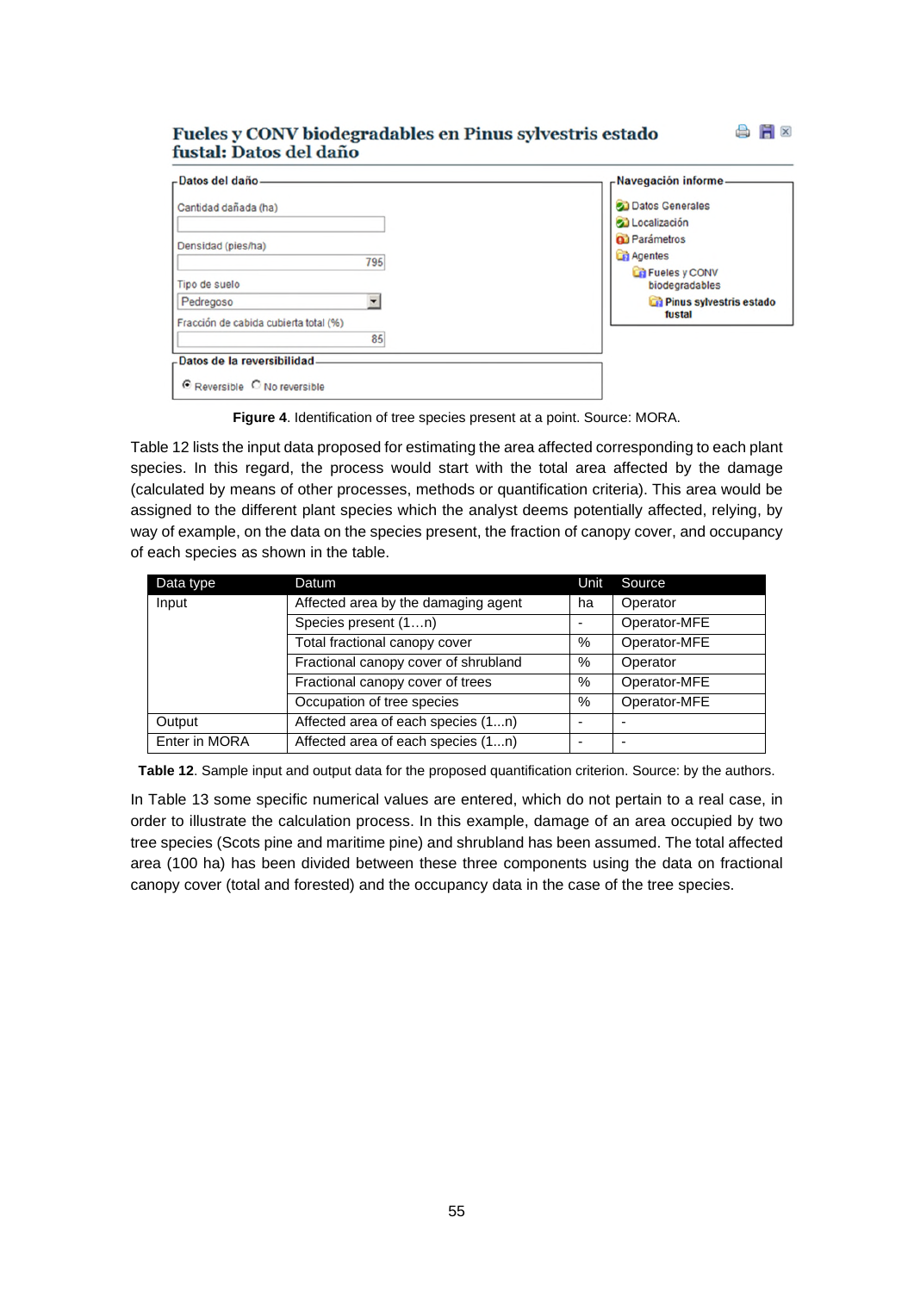#### Fueles y CONV biodegradables en Pinus sylvestris estado fustal: Datos del daño

| Cantidad dañada (ha)                                    | <b>Datos Generales</b>                                    |
|---------------------------------------------------------|-----------------------------------------------------------|
| Densidad (pies/ha)<br>795                               | Localización<br><b>Q</b> Parámetros<br><b>Cri</b> Agentes |
| Tipo de suelo                                           | Fueles y CONV<br>biodegradables                           |
| ۰<br>Pedregoso<br>Fracción de cabida cubierta total (%) | Pinus sylvestris estado<br>fustal                         |
| 85<br>-Datos de la reversibilidad                       |                                                           |

**Figure 4**. Identification of tree species present at a point. Source: MORA.

Table 12 lists the input data proposed for estimating the area affected corresponding to each plant species. In this regard, the process would start with the total area affected by the damage (calculated by means of other processes, methods or quantification criteria). This area would be assigned to the different plant species which the analyst deems potentially affected, relying, by way of example, on the data on the species present, the fraction of canopy cover, and occupancy of each species as shown in the table.

| Data type     | Datum                                | Unit                     | Source                   |
|---------------|--------------------------------------|--------------------------|--------------------------|
| Input         | Affected area by the damaging agent  | ha                       | Operator                 |
|               | Species present (1n)                 |                          | Operator-MFE             |
|               | Total fractional canopy cover        | %                        | Operator-MFE             |
|               | Fractional canopy cover of shrubland | %                        | Operator                 |
|               | Fractional canopy cover of trees     | %                        | Operator-MFE             |
|               | Occupation of tree species           | %                        | Operator-MFE             |
| Output        | Affected area of each species (1n)   |                          |                          |
| Enter in MORA | Affected area of each species (1n)   | $\overline{\phantom{0}}$ | $\overline{\phantom{0}}$ |

**Table 12**. Sample input and output data for the proposed quantification criterion. Source: by the authors.

In Table 13 some specific numerical values are entered, which do not pertain to a real case, in order to illustrate the calculation process. In this example, damage of an area occupied by two tree species (Scots pine and maritime pine) and shrubland has been assumed. The total affected area (100 ha) has been divided between these three components using the data on fractional canopy cover (total and forested) and the occupancy data in the case of the tree species.

合 日 ×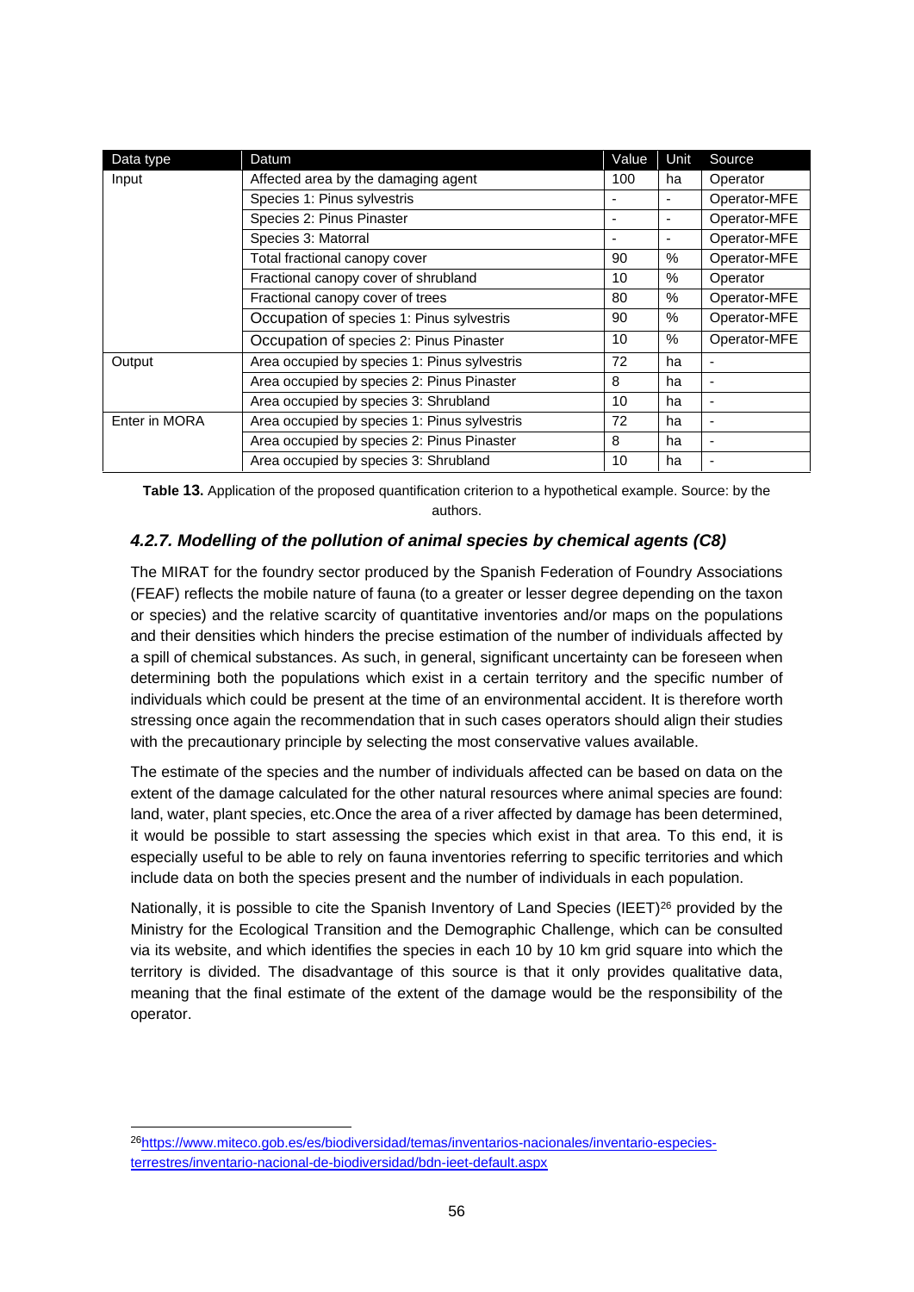| Data type     | Datum                                        | Value | Unit | Source                   |
|---------------|----------------------------------------------|-------|------|--------------------------|
| Input         | Affected area by the damaging agent          | 100   | ha   | Operator                 |
|               | Species 1: Pinus sylvestris                  |       |      | Operator-MFE             |
|               | Species 2: Pinus Pinaster                    | ٠     | ۰    | Operator-MFE             |
|               | Species 3: Matorral                          |       |      | Operator-MFE             |
|               | Total fractional canopy cover                | 90    | $\%$ | Operator-MFE             |
|               | Fractional canopy cover of shrubland         | 10    | $\%$ | Operator                 |
|               | Fractional canopy cover of trees             | 80    | $\%$ | Operator-MFE             |
|               | Occupation of species 1: Pinus sylvestris    | 90    | $\%$ | Operator-MFE             |
|               | Occupation of species 2: Pinus Pinaster      | 10    | $\%$ | Operator-MFE             |
| Output        | Area occupied by species 1: Pinus sylvestris | 72    | ha   | ٠                        |
|               | Area occupied by species 2: Pinus Pinaster   | 8     | ha   | $\overline{\phantom{a}}$ |
|               | Area occupied by species 3: Shrubland        | 10    | ha   | $\blacksquare$           |
| Enter in MORA | Area occupied by species 1: Pinus sylvestris | 72    | ha   | $\overline{\phantom{a}}$ |
|               | Area occupied by species 2: Pinus Pinaster   | 8     | ha   | $\overline{\phantom{a}}$ |
|               | Area occupied by species 3: Shrubland        | 10    | ha   | ٠                        |

**Table 13.** Application of the proposed quantification criterion to a hypothetical example. Source: by the authors.

#### *4.2.7. Modelling of the pollution of animal species by chemical agents (C8)*

The MIRAT for the foundry sector produced by the Spanish Federation of Foundry Associations (FEAF) reflects the mobile nature of fauna (to a greater or lesser degree depending on the taxon or species) and the relative scarcity of quantitative inventories and/or maps on the populations and their densities which hinders the precise estimation of the number of individuals affected by a spill of chemical substances. As such, in general, significant uncertainty can be foreseen when determining both the populations which exist in a certain territory and the specific number of individuals which could be present at the time of an environmental accident. It is therefore worth stressing once again the recommendation that in such cases operators should align their studies with the precautionary principle by selecting the most conservative values available.

The estimate of the species and the number of individuals affected can be based on data on the extent of the damage calculated for the other natural resources where animal species are found: land, water, plant species, etc.Once the area of a river affected by damage has been determined, it would be possible to start assessing the species which exist in that area. To this end, it is especially useful to be able to rely on fauna inventories referring to specific territories and which include data on both the species present and the number of individuals in each population.

Nationally, it is possible to cite the Spanish Inventory of Land Species (IEET)<sup>26</sup> provided by the Ministry for the Ecological Transition and the Demographic Challenge, which can be consulted via its website, and which identifies the species in each 10 by 10 km grid square into which the territory is divided. The disadvantage of this source is that it only provides qualitative data, meaning that the final estimate of the extent of the damage would be the responsibility of the operator.

<sup>26</sup>https://www.miteco.gob.es/es/biodiversidad/temas/inventarios-nacionales/inventario-especiesterrestres/inventario-nacional-de-biodiversidad/bdn-ieet-default.aspx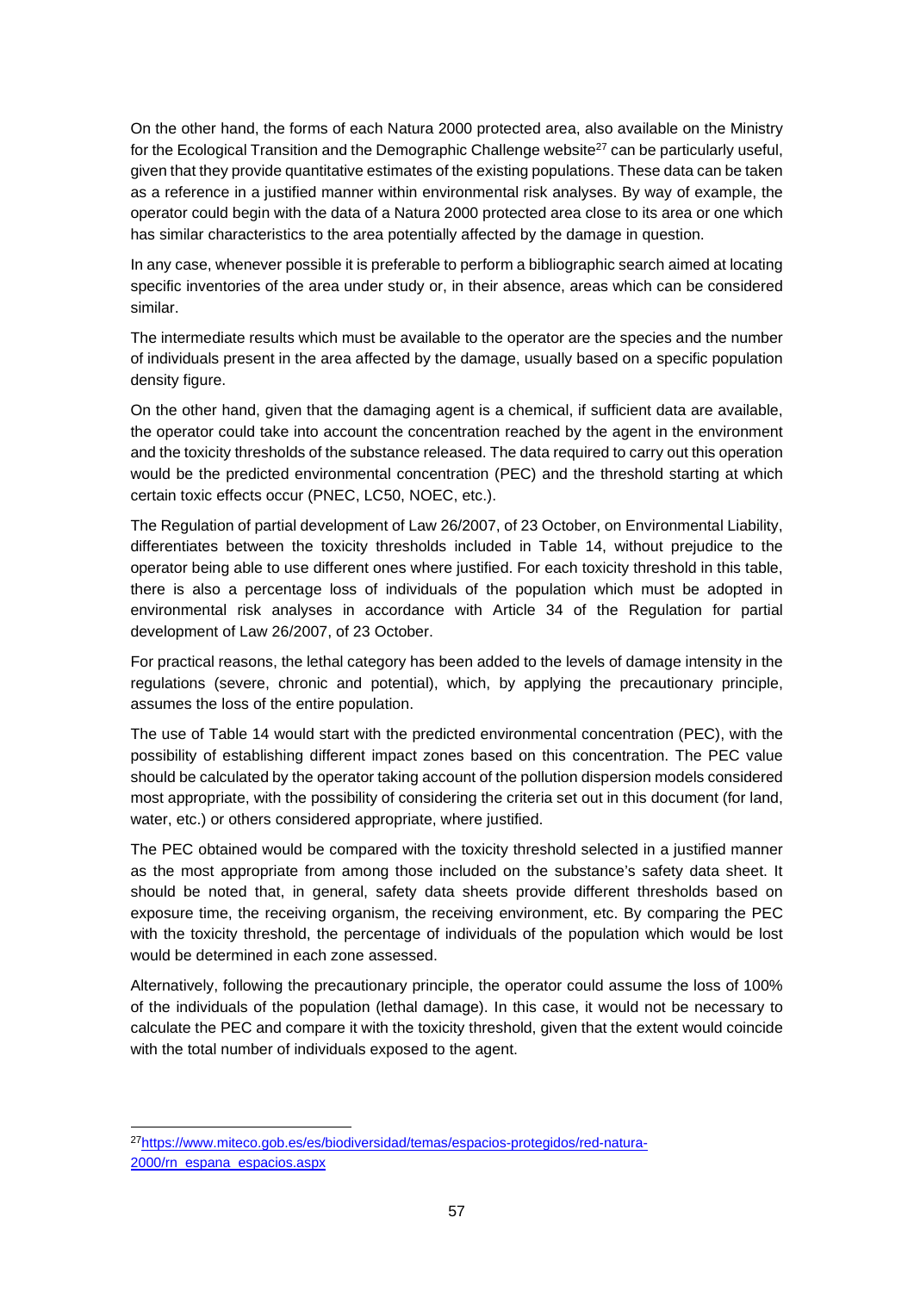On the other hand, the forms of each Natura 2000 protected area, also available on the Ministry for the Ecological Transition and the Demographic Challenge website $27$  can be particularly useful, given that they provide quantitative estimates of the existing populations. These data can be taken as a reference in a justified manner within environmental risk analyses. By way of example, the operator could begin with the data of a Natura 2000 protected area close to its area or one which has similar characteristics to the area potentially affected by the damage in question.

In any case, whenever possible it is preferable to perform a bibliographic search aimed at locating specific inventories of the area under study or, in their absence, areas which can be considered similar.

The intermediate results which must be available to the operator are the species and the number of individuals present in the area affected by the damage, usually based on a specific population density figure.

On the other hand, given that the damaging agent is a chemical, if sufficient data are available, the operator could take into account the concentration reached by the agent in the environment and the toxicity thresholds of the substance released. The data required to carry out this operation would be the predicted environmental concentration (PEC) and the threshold starting at which certain toxic effects occur (PNEC, LC50, NOEC, etc.).

The Regulation of partial development of Law 26/2007, of 23 October, on Environmental Liability, differentiates between the toxicity thresholds included in Table 14, without prejudice to the operator being able to use different ones where justified. For each toxicity threshold in this table, there is also a percentage loss of individuals of the population which must be adopted in environmental risk analyses in accordance with Article 34 of the Regulation for partial development of Law 26/2007, of 23 October.

For practical reasons, the lethal category has been added to the levels of damage intensity in the regulations (severe, chronic and potential), which, by applying the precautionary principle, assumes the loss of the entire population.

The use of Table 14 would start with the predicted environmental concentration (PEC), with the possibility of establishing different impact zones based on this concentration. The PEC value should be calculated by the operator taking account of the pollution dispersion models considered most appropriate, with the possibility of considering the criteria set out in this document (for land, water, etc.) or others considered appropriate, where justified.

The PEC obtained would be compared with the toxicity threshold selected in a justified manner as the most appropriate from among those included on the substance's safety data sheet. It should be noted that, in general, safety data sheets provide different thresholds based on exposure time, the receiving organism, the receiving environment, etc. By comparing the PEC with the toxicity threshold, the percentage of individuals of the population which would be lost would be determined in each zone assessed.

Alternatively, following the precautionary principle, the operator could assume the loss of 100% of the individuals of the population (lethal damage). In this case, it would not be necessary to calculate the PEC and compare it with the toxicity threshold, given that the extent would coincide with the total number of individuals exposed to the agent.

<sup>27</sup>https://www.miteco.gob.es/es/biodiversidad/temas/espacios-protegidos/red-natura-2000/rn\_espana\_espacios.aspx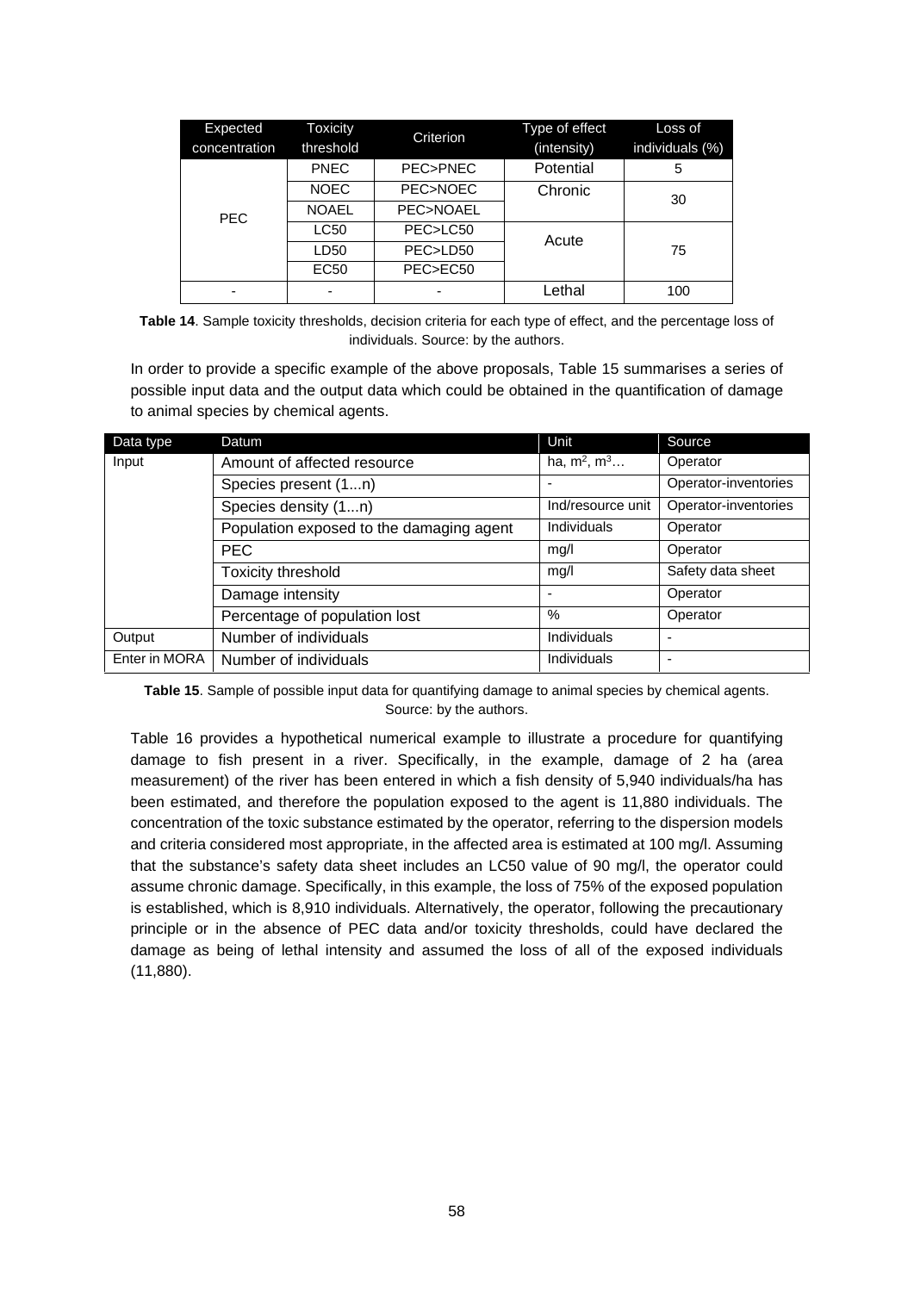| Expected<br>concentration | <b>Toxicity</b><br>threshold | Criterion           | Type of effect<br>(intensity) | Loss of<br>individuals (%) |  |
|---------------------------|------------------------------|---------------------|-------------------------------|----------------------------|--|
|                           | <b>PNEC</b>                  | PEC>PNEC            | Potential                     | 5                          |  |
|                           | <b>NOEC</b>                  | <b>PEC&gt;NOEC</b>  | Chronic                       | 30                         |  |
| <b>PEC</b>                | <b>NOAEL</b>                 | <b>PEC&gt;NOAEL</b> |                               |                            |  |
|                           | LC50                         | PEC>LC50            | Acute                         |                            |  |
|                           | LD50                         | PEC>LD50            |                               | 75                         |  |
|                           | EC <sub>50</sub>             | PEC>EC50            |                               |                            |  |
|                           |                              |                     | Lethal                        | 100                        |  |

**Table 14**. Sample toxicity thresholds, decision criteria for each type of effect, and the percentage loss of individuals. Source: by the authors.

In order to provide a specific example of the above proposals, Table 15 summarises a series of possible input data and the output data which could be obtained in the quantification of damage to animal species by chemical agents.

| Data type     | Datum                                    | Unit              | Source               |
|---------------|------------------------------------------|-------------------|----------------------|
| Input         | Amount of affected resource              | ha, $m^2$ , $m^3$ | Operator             |
|               | Species present (1n)                     |                   | Operator-inventories |
|               | Species density (1n)                     | Ind/resource unit | Operator-inventories |
|               | Population exposed to the damaging agent | Individuals       | Operator             |
|               | <b>PEC</b>                               | mq/l              | Operator             |
|               | <b>Toxicity threshold</b>                | mq/l              | Safety data sheet    |
|               | Damage intensity                         |                   | Operator             |
|               | Percentage of population lost            | $\frac{0}{0}$     | Operator             |
| Output        | Number of individuals                    | Individuals       |                      |
| Enter in MORA | Number of individuals                    | Individuals       |                      |

**Table 15**. Sample of possible input data for quantifying damage to animal species by chemical agents. Source: by the authors.

Table 16 provides a hypothetical numerical example to illustrate a procedure for quantifying damage to fish present in a river. Specifically, in the example, damage of 2 ha (area measurement) of the river has been entered in which a fish density of 5,940 individuals/ha has been estimated, and therefore the population exposed to the agent is 11,880 individuals. The concentration of the toxic substance estimated by the operator, referring to the dispersion models and criteria considered most appropriate, in the affected area is estimated at 100 mg/l. Assuming that the substance's safety data sheet includes an LC50 value of 90 mg/l, the operator could assume chronic damage. Specifically, in this example, the loss of 75% of the exposed population is established, which is 8,910 individuals. Alternatively, the operator, following the precautionary principle or in the absence of PEC data and/or toxicity thresholds, could have declared the damage as being of lethal intensity and assumed the loss of all of the exposed individuals (11,880).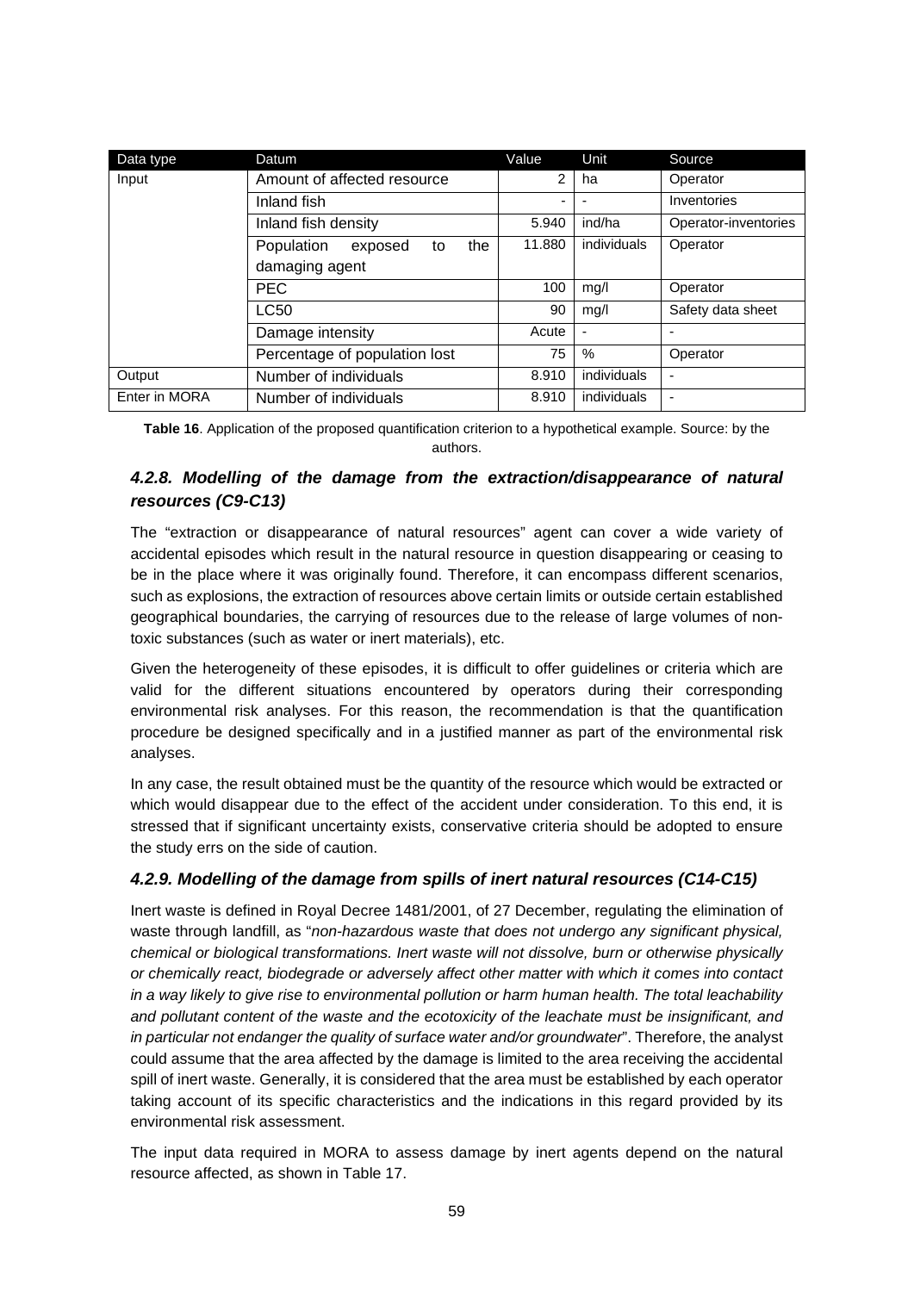| Data type     | Datum                              | Value          | Unit           | Source               |
|---------------|------------------------------------|----------------|----------------|----------------------|
| Input         | Amount of affected resource        | $\overline{2}$ | ha             | Operator             |
|               | Inland fish                        |                |                | Inventories          |
|               | Inland fish density                | 5.940          | ind/ha         | Operator-inventories |
|               | the<br>Population<br>exposed<br>to | 11.880         | individuals    | Operator             |
|               | damaging agent                     |                |                |                      |
|               | <b>PEC</b>                         | 100            | mg/l           | Operator             |
|               | <b>LC50</b>                        | 90             | mq/l           | Safety data sheet    |
|               | Damage intensity                   | Acute          | $\blacksquare$ | ٠                    |
|               | Percentage of population lost      | 75             | %              | Operator             |
| Output        | Number of individuals              | 8.910          | individuals    | ٠                    |
| Enter in MORA | Number of individuals              | 8.910          | individuals    |                      |

**Table 16**. Application of the proposed quantification criterion to a hypothetical example. Source: by the authors.

# *4.2.8. Modelling of the damage from the extraction/disappearance of natural resources (C9-C13)*

The "extraction or disappearance of natural resources" agent can cover a wide variety of accidental episodes which result in the natural resource in question disappearing or ceasing to be in the place where it was originally found. Therefore, it can encompass different scenarios, such as explosions, the extraction of resources above certain limits or outside certain established geographical boundaries, the carrying of resources due to the release of large volumes of nontoxic substances (such as water or inert materials), etc.

Given the heterogeneity of these episodes, it is difficult to offer guidelines or criteria which are valid for the different situations encountered by operators during their corresponding environmental risk analyses. For this reason, the recommendation is that the quantification procedure be designed specifically and in a justified manner as part of the environmental risk analyses.

In any case, the result obtained must be the quantity of the resource which would be extracted or which would disappear due to the effect of the accident under consideration. To this end, it is stressed that if significant uncertainty exists, conservative criteria should be adopted to ensure the study errs on the side of caution.

#### *4.2.9. Modelling of the damage from spills of inert natural resources (C14-C15)*

Inert waste is defined in Royal Decree 1481/2001, of 27 December, regulating the elimination of waste through landfill, as "*non-hazardous waste that does not undergo any significant physical, chemical or biological transformations. Inert waste will not dissolve, burn or otherwise physically or chemically react, biodegrade or adversely affect other matter with which it comes into contact in a way likely to give rise to environmental pollution or harm human health. The total leachability and pollutant content of the waste and the ecotoxicity of the leachate must be insignificant, and in particular not endanger the quality of surface water and/or groundwater*". Therefore, the analyst could assume that the area affected by the damage is limited to the area receiving the accidental spill of inert waste. Generally, it is considered that the area must be established by each operator taking account of its specific characteristics and the indications in this regard provided by its environmental risk assessment.

The input data required in MORA to assess damage by inert agents depend on the natural resource affected, as shown in Table 17.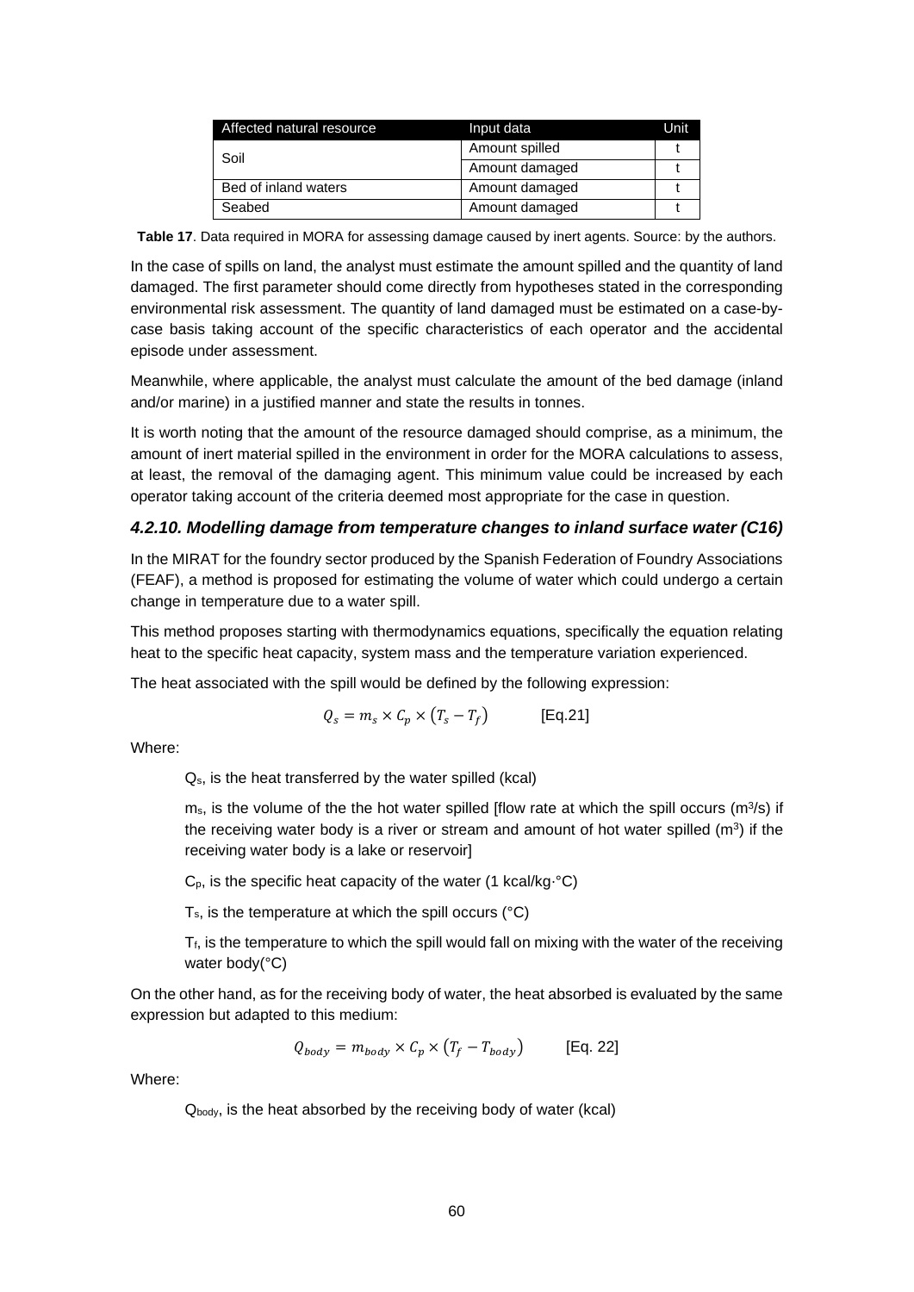| Affected natural resource | Input data     | Unit |
|---------------------------|----------------|------|
| Soil                      | Amount spilled |      |
|                           | Amount damaged |      |
| Bed of inland waters      | Amount damaged |      |
| Seabed                    | Amount damaged |      |

**Table 17**. Data required in MORA for assessing damage caused by inert agents. Source: by the authors.

In the case of spills on land, the analyst must estimate the amount spilled and the quantity of land damaged. The first parameter should come directly from hypotheses stated in the corresponding environmental risk assessment. The quantity of land damaged must be estimated on a case-bycase basis taking account of the specific characteristics of each operator and the accidental episode under assessment.

Meanwhile, where applicable, the analyst must calculate the amount of the bed damage (inland and/or marine) in a justified manner and state the results in tonnes.

It is worth noting that the amount of the resource damaged should comprise, as a minimum, the amount of inert material spilled in the environment in order for the MORA calculations to assess, at least, the removal of the damaging agent. This minimum value could be increased by each operator taking account of the criteria deemed most appropriate for the case in question.

#### *4.2.10. Modelling damage from temperature changes to inland surface water (C16)*

In the MIRAT for the foundry sector produced by the Spanish Federation of Foundry Associations (FEAF), a method is proposed for estimating the volume of water which could undergo a certain change in temperature due to a water spill.

This method proposes starting with thermodynamics equations, specifically the equation relating heat to the specific heat capacity, system mass and the temperature variation experienced.

The heat associated with the spill would be defined by the following expression:

$$
Q_s = m_s \times C_p \times (T_s - T_f)
$$
 [Eq.21]

Where:

Qs, is the heat transferred by the water spilled (kcal)

 $m_s$ , is the volume of the the hot water spilled [flow rate at which the spill occurs ( $m^3/s$ ) if the receiving water body is a river or stream and amount of hot water spilled  $(m^3)$  if the receiving water body is a lake or reservoir]

 $C_p$ , is the specific heat capacity of the water (1 kcal/kg⋅°C)

 $T_s$ , is the temperature at which the spill occurs ( $\degree$ C)

Tf, is the temperature to which the spill would fall on mixing with the water of the receiving water body(°C)

On the other hand, as for the receiving body of water, the heat absorbed is evaluated by the same expression but adapted to this medium:

$$
Q_{body} = m_{body} \times C_p \times (T_f - T_{body})
$$
 [Eq. 22]

Where:

 $Q_{body}$ , is the heat absorbed by the receiving body of water (kcal)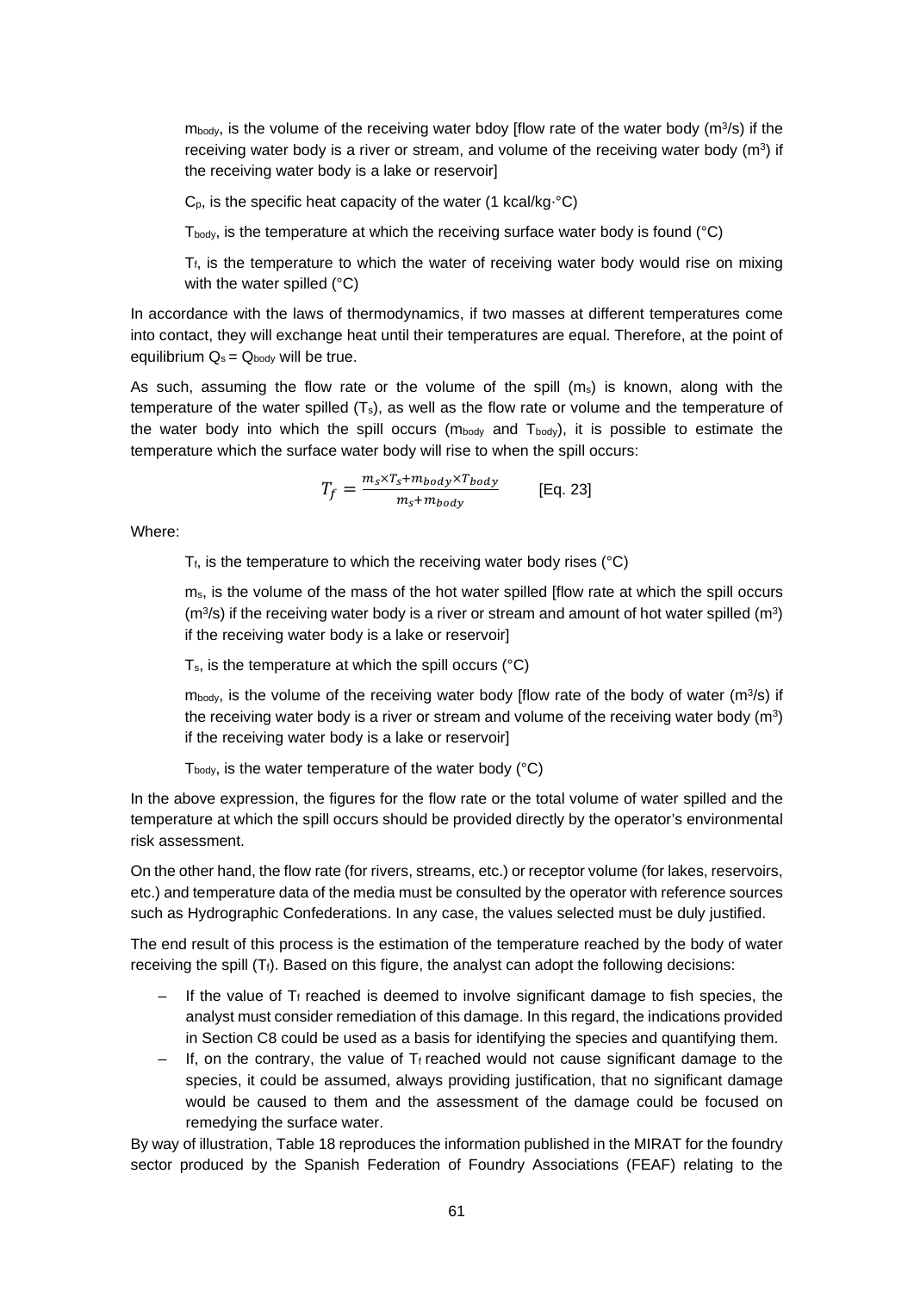$m_{body}$ , is the volume of the receiving water bdoy [flow rate of the water body ( $m^3/s$ ) if the receiving water body is a river or stream, and volume of the receiving water body  $(m^3)$  if the receiving water body is a lake or reservoir]

 $C_p$ , is the specific heat capacity of the water (1 kcal/kg⋅°C)

 $T_{body}$ , is the temperature at which the receiving surface water body is found ( $°C$ )

 $T_f$ , is the temperature to which the water of receiving water body would rise on mixing with the water spilled (°C)

In accordance with the laws of thermodynamics, if two masses at different temperatures come into contact, they will exchange heat until their temperatures are equal. Therefore, at the point of equilibrium  $Q_s = Q_{body}$  will be true.

As such, assuming the flow rate or the volume of the spill  $(m_s)$  is known, along with the temperature of the water spilled  $(T_s)$ , as well as the flow rate or volume and the temperature of the water body into which the spill occurs ( $m_{body}$  and  $T_{body}$ ), it is possible to estimate the temperature which the surface water body will rise to when the spill occurs:

$$
T_f = \frac{m_s \times T_s + m_{body} \times T_{body}}{m_s + m_{body}}
$$
 [Eq. 23]

Where:

 $T_f$ , is the temperature to which the receiving water body rises ( $°C$ )

ms, is the volume of the mass of the hot water spilled [flow rate at which the spill occurs  $(m<sup>3</sup>/s)$  if the receiving water body is a river or stream and amount of hot water spilled  $(m<sup>3</sup>)$ if the receiving water body is a lake or reservoir]

 $T_s$ , is the temperature at which the spill occurs ( $°C$ )

 $m_{\text{body}}$ , is the volume of the receiving water body [flow rate of the body of water (m<sup>3</sup>/s) if the receiving water body is a river or stream and volume of the receiving water body  $(m^3)$ if the receiving water body is a lake or reservoir]

 $T_{\text{body}}$ , is the water temperature of the water body ( $^{\circ}$ C)

In the above expression, the figures for the flow rate or the total volume of water spilled and the temperature at which the spill occurs should be provided directly by the operator's environmental risk assessment.

On the other hand, the flow rate (for rivers, streams, etc.) or receptor volume (for lakes, reservoirs, etc.) and temperature data of the media must be consulted by the operator with reference sources such as Hydrographic Confederations. In any case, the values selected must be duly justified.

The end result of this process is the estimation of the temperature reached by the body of water receiving the spill  $(T_f)$ . Based on this figure, the analyst can adopt the following decisions:

- If the value of  $T_f$  reached is deemed to involve significant damage to fish species, the analyst must consider remediation of this damage. In this regard, the indications provided in Section C8 could be used as a basis for identifying the species and quantifying them.
- If, on the contrary, the value of  $T_f$  reached would not cause significant damage to the species, it could be assumed, always providing justification, that no significant damage would be caused to them and the assessment of the damage could be focused on remedying the surface water.

By way of illustration, Table 18 reproduces the information published in the MIRAT for the foundry sector produced by the Spanish Federation of Foundry Associations (FEAF) relating to the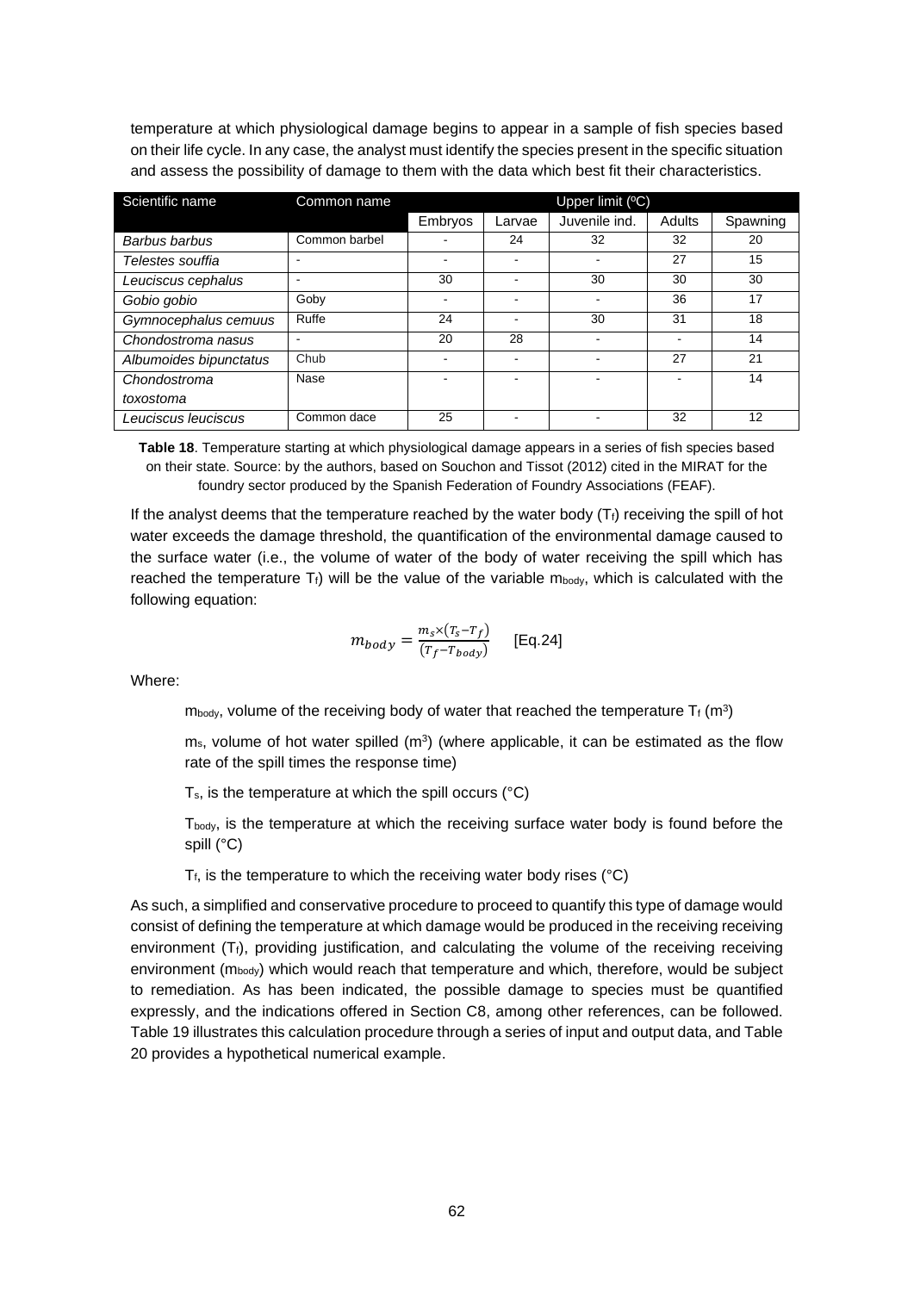temperature at which physiological damage begins to appear in a sample of fish species based on their life cycle. In any case, the analyst must identify the species present in the specific situation and assess the possibility of damage to them with the data which best fit their characteristics.

| Scientific name        | Common name   | Upper limit $(°C)$ |        |               |        |          |
|------------------------|---------------|--------------------|--------|---------------|--------|----------|
|                        |               | Embryos            | Larvae | Juvenile ind. | Adults | Spawning |
| Barbus barbus          | Common barbel |                    | 24     | 32            | 32     | 20       |
| Telestes souffia       |               |                    |        |               | 27     | 15       |
| Leuciscus cephalus     |               | 30                 |        | 30            | 30     | 30       |
| Gobio gobio            | Goby          | -                  |        |               | 36     | 17       |
| Gymnocephalus cemuus   | Ruffe         | 24                 |        | 30            | 31     | 18       |
| Chondostroma nasus     |               | 20                 | 28     |               |        | 14       |
| Albumoides bipunctatus | Chub          |                    |        |               | 27     | 21       |
| Chondostroma           | Nase          |                    |        |               |        | 14       |
| toxostoma              |               |                    |        |               |        |          |
| Leuciscus Ieuciscus    | Common dace   | 25                 |        |               | 32     | 12       |

**Table 18**. Temperature starting at which physiological damage appears in a series of fish species based on their state. Source: by the authors, based on Souchon and Tissot (2012) cited in the MIRAT for the foundry sector produced by the Spanish Federation of Foundry Associations (FEAF).

If the analyst deems that the temperature reached by the water body  $(T<sub>f</sub>)$  receiving the spill of hot water exceeds the damage threshold, the quantification of the environmental damage caused to the surface water (i.e., the volume of water of the body of water receiving the spill which has reached the temperature  $T_f$ ) will be the value of the variable m<sub>body</sub>, which is calculated with the following equation:

$$
m_{body} = \frac{m_s \times (T_s - T_f)}{(T_f - T_{body})}
$$
 [Eq.24]

Where:

 $m_{body}$ , volume of the receiving body of water that reached the temperature  $T_f$  (m<sup>3</sup>)

 $m_s$ , volume of hot water spilled ( $m<sup>3</sup>$ ) (where applicable, it can be estimated as the flow rate of the spill times the response time)

Ts, is the temperature at which the spill occurs (°C)

T<sub>body</sub>, is the temperature at which the receiving surface water body is found before the spill (°C)

 $T_f$ , is the temperature to which the receiving water body rises ( $°C$ )

As such, a simplified and conservative procedure to proceed to quantify this type of damage would consist of defining the temperature at which damage would be produced in the receiving receiving environment  $(T_f)$ , providing justification, and calculating the volume of the receiving receiving environment ( $m_{body}$ ) which would reach that temperature and which, therefore, would be subject to remediation. As has been indicated, the possible damage to species must be quantified expressly, and the indications offered in Section C8, among other references, can be followed. Table 19 illustrates this calculation procedure through a series of input and output data, and Table 20 provides a hypothetical numerical example.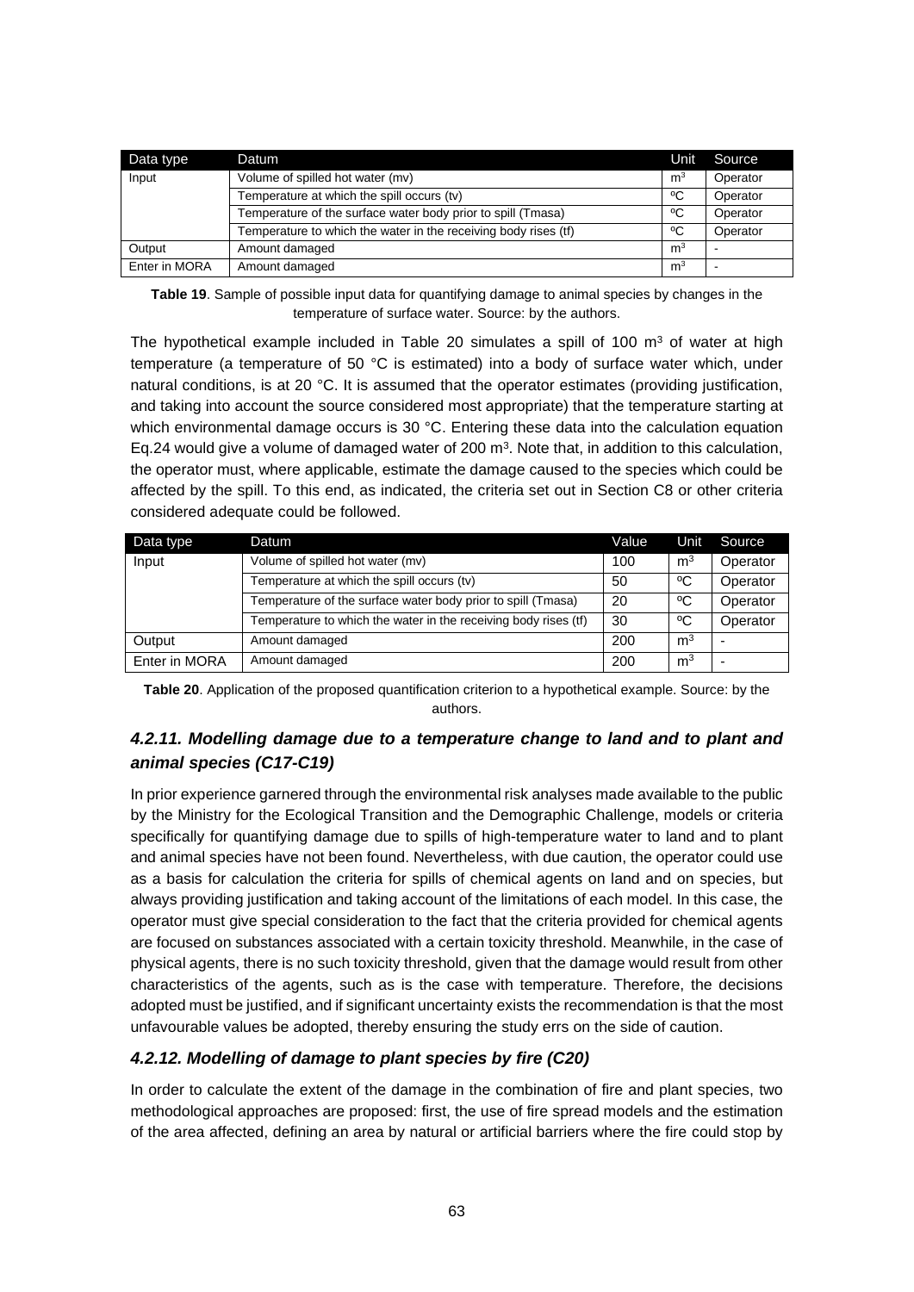| Data type     | Datum                                                           | <b>Unit</b>    | Source   |
|---------------|-----------------------------------------------------------------|----------------|----------|
| Input         | Volume of spilled hot water (mv)                                | m <sup>3</sup> | Operator |
|               | Temperature at which the spill occurs (tv)                      | °C             | Operator |
|               | Temperature of the surface water body prior to spill (Tmasa)    | °C             | Operator |
|               | Temperature to which the water in the receiving body rises (tf) | °C             | Operator |
| Output        | Amount damaged                                                  | m <sup>3</sup> |          |
| Enter in MORA | Amount damaged                                                  | m <sup>3</sup> |          |

**Table 19**. Sample of possible input data for quantifying damage to animal species by changes in the temperature of surface water. Source: by the authors.

The hypothetical example included in Table 20 simulates a spill of 100  $\text{m}^3$  of water at high temperature (a temperature of 50 °C is estimated) into a body of surface water which, under natural conditions, is at 20 °C. It is assumed that the operator estimates (providing justification, and taking into account the source considered most appropriate) that the temperature starting at which environmental damage occurs is 30 °C. Entering these data into the calculation equation Eq.24 would give a volume of damaged water of 200  $m<sup>3</sup>$ . Note that, in addition to this calculation, the operator must, where applicable, estimate the damage caused to the species which could be affected by the spill. To this end, as indicated, the criteria set out in Section C8 or other criteria considered adequate could be followed.

| Data type     | Datum                                                           | Value | Unit           | Source   |
|---------------|-----------------------------------------------------------------|-------|----------------|----------|
| Input         | Volume of spilled hot water (mv)                                | 100   | m <sup>3</sup> | Operator |
|               | Temperature at which the spill occurs (tv)                      | 50    | °C             | Operator |
|               | Temperature of the surface water body prior to spill (Tmasa)    | 20    | °€             | Operator |
|               | Temperature to which the water in the receiving body rises (tf) | 30    | °€             | Operator |
| Output        | Amount damaged                                                  | 200   | m <sup>3</sup> |          |
| Enter in MORA | Amount damaged                                                  | 200   | m <sup>3</sup> |          |

**Table 20**. Application of the proposed quantification criterion to a hypothetical example. Source: by the authors.

# *4.2.11. Modelling damage due to a temperature change to land and to plant and animal species (C17-C19)*

In prior experience garnered through the environmental risk analyses made available to the public by the Ministry for the Ecological Transition and the Demographic Challenge, models or criteria specifically for quantifying damage due to spills of high-temperature water to land and to plant and animal species have not been found. Nevertheless, with due caution, the operator could use as a basis for calculation the criteria for spills of chemical agents on land and on species, but always providing justification and taking account of the limitations of each model. In this case, the operator must give special consideration to the fact that the criteria provided for chemical agents are focused on substances associated with a certain toxicity threshold. Meanwhile, in the case of physical agents, there is no such toxicity threshold, given that the damage would result from other characteristics of the agents, such as is the case with temperature. Therefore, the decisions adopted must be justified, and if significant uncertainty exists the recommendation is that the most unfavourable values be adopted, thereby ensuring the study errs on the side of caution.

# *4.2.12. Modelling of damage to plant species by fire (C20)*

In order to calculate the extent of the damage in the combination of fire and plant species, two methodological approaches are proposed: first, the use of fire spread models and the estimation of the area affected, defining an area by natural or artificial barriers where the fire could stop by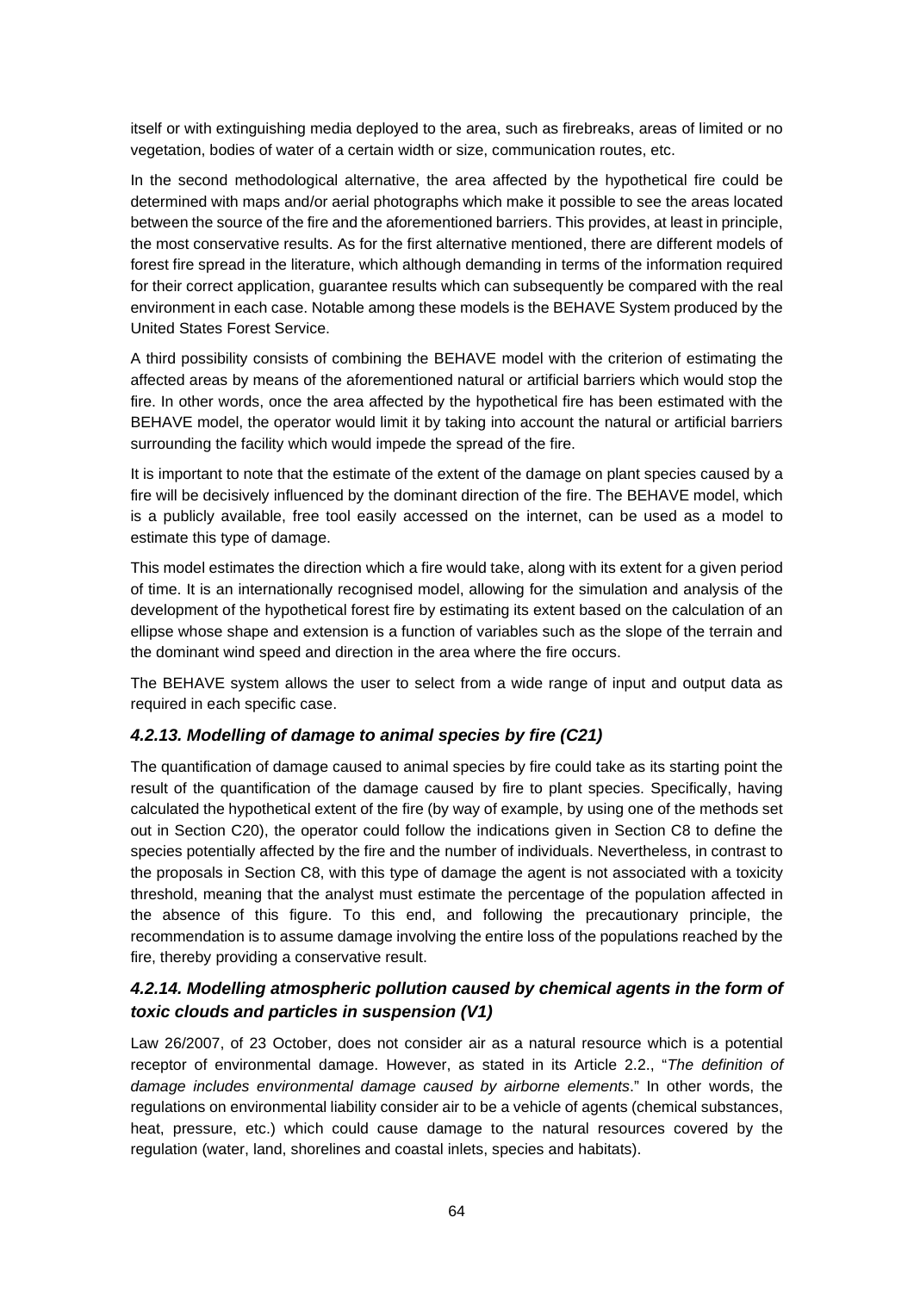itself or with extinguishing media deployed to the area, such as firebreaks, areas of limited or no vegetation, bodies of water of a certain width or size, communication routes, etc.

In the second methodological alternative, the area affected by the hypothetical fire could be determined with maps and/or aerial photographs which make it possible to see the areas located between the source of the fire and the aforementioned barriers. This provides, at least in principle, the most conservative results. As for the first alternative mentioned, there are different models of forest fire spread in the literature, which although demanding in terms of the information required for their correct application, guarantee results which can subsequently be compared with the real environment in each case. Notable among these models is the BEHAVE System produced by the United States Forest Service.

A third possibility consists of combining the BEHAVE model with the criterion of estimating the affected areas by means of the aforementioned natural or artificial barriers which would stop the fire. In other words, once the area affected by the hypothetical fire has been estimated with the BEHAVE model, the operator would limit it by taking into account the natural or artificial barriers surrounding the facility which would impede the spread of the fire.

It is important to note that the estimate of the extent of the damage on plant species caused by a fire will be decisively influenced by the dominant direction of the fire. The BEHAVE model, which is a publicly available, free tool easily accessed on the internet, can be used as a model to estimate this type of damage.

This model estimates the direction which a fire would take, along with its extent for a given period of time. It is an internationally recognised model, allowing for the simulation and analysis of the development of the hypothetical forest fire by estimating its extent based on the calculation of an ellipse whose shape and extension is a function of variables such as the slope of the terrain and the dominant wind speed and direction in the area where the fire occurs.

The BEHAVE system allows the user to select from a wide range of input and output data as required in each specific case.

#### *4.2.13. Modelling of damage to animal species by fire (C21)*

The quantification of damage caused to animal species by fire could take as its starting point the result of the quantification of the damage caused by fire to plant species. Specifically, having calculated the hypothetical extent of the fire (by way of example, by using one of the methods set out in Section C20), the operator could follow the indications given in Section C8 to define the species potentially affected by the fire and the number of individuals. Nevertheless, in contrast to the proposals in Section C8, with this type of damage the agent is not associated with a toxicity threshold, meaning that the analyst must estimate the percentage of the population affected in the absence of this figure. To this end, and following the precautionary principle, the recommendation is to assume damage involving the entire loss of the populations reached by the fire, thereby providing a conservative result.

# *4.2.14. Modelling atmospheric pollution caused by chemical agents in the form of toxic clouds and particles in suspension (V1)*

Law 26/2007, of 23 October, does not consider air as a natural resource which is a potential receptor of environmental damage. However, as stated in its Article 2.2., "*The definition of damage includes environmental damage caused by airborne elements*." In other words, the regulations on environmental liability consider air to be a vehicle of agents (chemical substances, heat, pressure, etc.) which could cause damage to the natural resources covered by the regulation (water, land, shorelines and coastal inlets, species and habitats).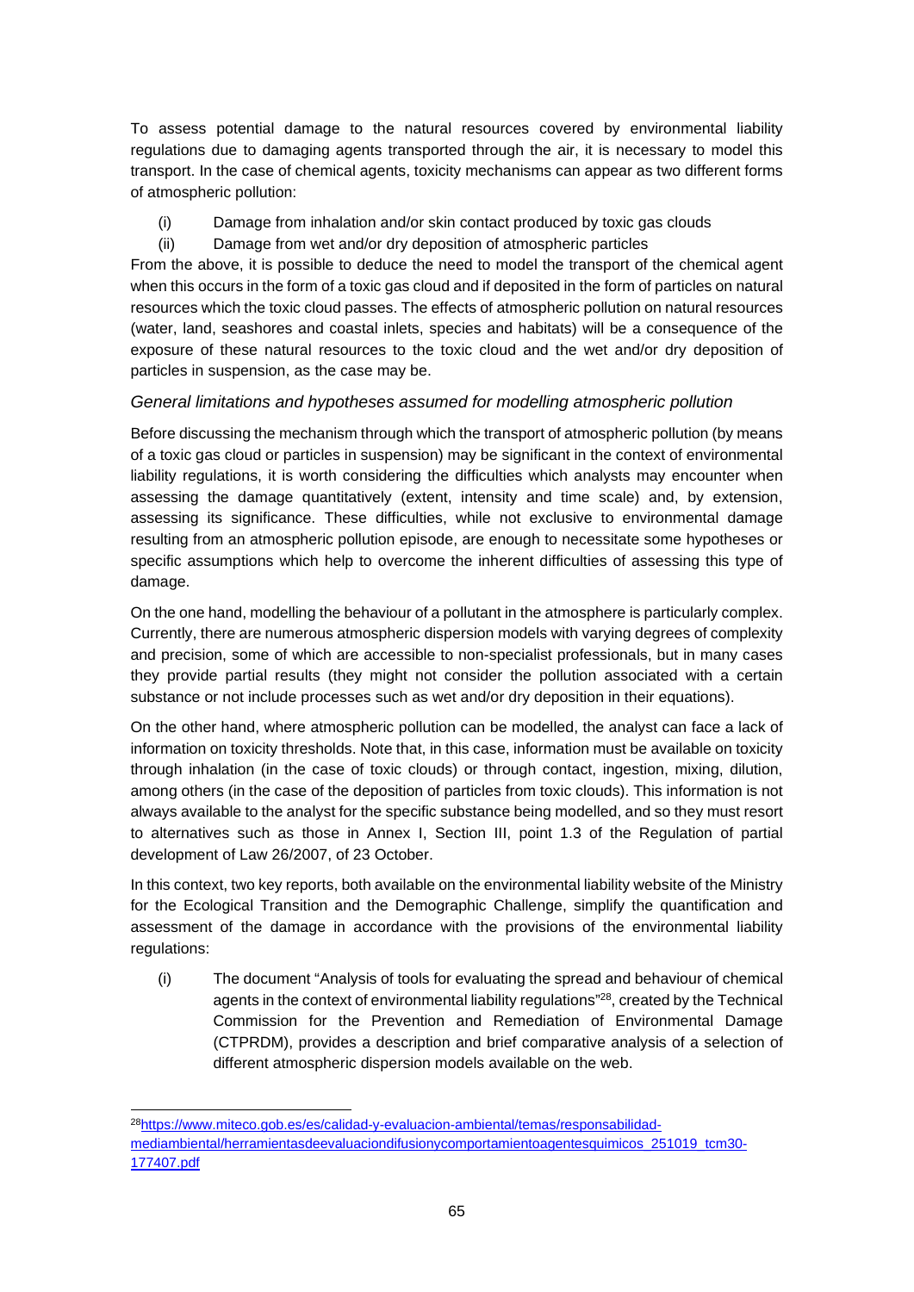To assess potential damage to the natural resources covered by environmental liability regulations due to damaging agents transported through the air, it is necessary to model this transport. In the case of chemical agents, toxicity mechanisms can appear as two different forms of atmospheric pollution:

- (i) Damage from inhalation and/or skin contact produced by toxic gas clouds
- (ii) Damage from wet and/or dry deposition of atmospheric particles

From the above, it is possible to deduce the need to model the transport of the chemical agent when this occurs in the form of a toxic gas cloud and if deposited in the form of particles on natural resources which the toxic cloud passes. The effects of atmospheric pollution on natural resources (water, land, seashores and coastal inlets, species and habitats) will be a consequence of the exposure of these natural resources to the toxic cloud and the wet and/or dry deposition of particles in suspension, as the case may be.

### *General limitations and hypotheses assumed for modelling atmospheric pollution*

Before discussing the mechanism through which the transport of atmospheric pollution (by means of a toxic gas cloud or particles in suspension) may be significant in the context of environmental liability regulations, it is worth considering the difficulties which analysts may encounter when assessing the damage quantitatively (extent, intensity and time scale) and, by extension, assessing its significance. These difficulties, while not exclusive to environmental damage resulting from an atmospheric pollution episode, are enough to necessitate some hypotheses or specific assumptions which help to overcome the inherent difficulties of assessing this type of damage.

On the one hand, modelling the behaviour of a pollutant in the atmosphere is particularly complex. Currently, there are numerous atmospheric dispersion models with varying degrees of complexity and precision, some of which are accessible to non-specialist professionals, but in many cases they provide partial results (they might not consider the pollution associated with a certain substance or not include processes such as wet and/or dry deposition in their equations).

On the other hand, where atmospheric pollution can be modelled, the analyst can face a lack of information on toxicity thresholds. Note that, in this case, information must be available on toxicity through inhalation (in the case of toxic clouds) or through contact, ingestion, mixing, dilution, among others (in the case of the deposition of particles from toxic clouds). This information is not always available to the analyst for the specific substance being modelled, and so they must resort to alternatives such as those in Annex I, Section III, point 1.3 of the Regulation of partial development of Law 26/2007, of 23 October.

In this context, two key reports, both available on the environmental liability website of the Ministry for the Ecological Transition and the Demographic Challenge, simplify the quantification and assessment of the damage in accordance with the provisions of the environmental liability regulations:

(i) The document "Analysis of tools for evaluating the spread and behaviour of chemical agents in the context of environmental liability regulations"<sup>28</sup>, created by the Technical Commission for the Prevention and Remediation of Environmental Damage (CTPRDM), provides a description and brief comparative analysis of a selection of different atmospheric dispersion models available on the web.

<sup>28</sup>https://www.miteco.gob.es/es/calidad-y-evaluacion-ambiental/temas/responsabilidadmediambiental/herramientasdeevaluaciondifusionycomportamientoagentesquimicos\_251019\_tcm30- 177407.pdf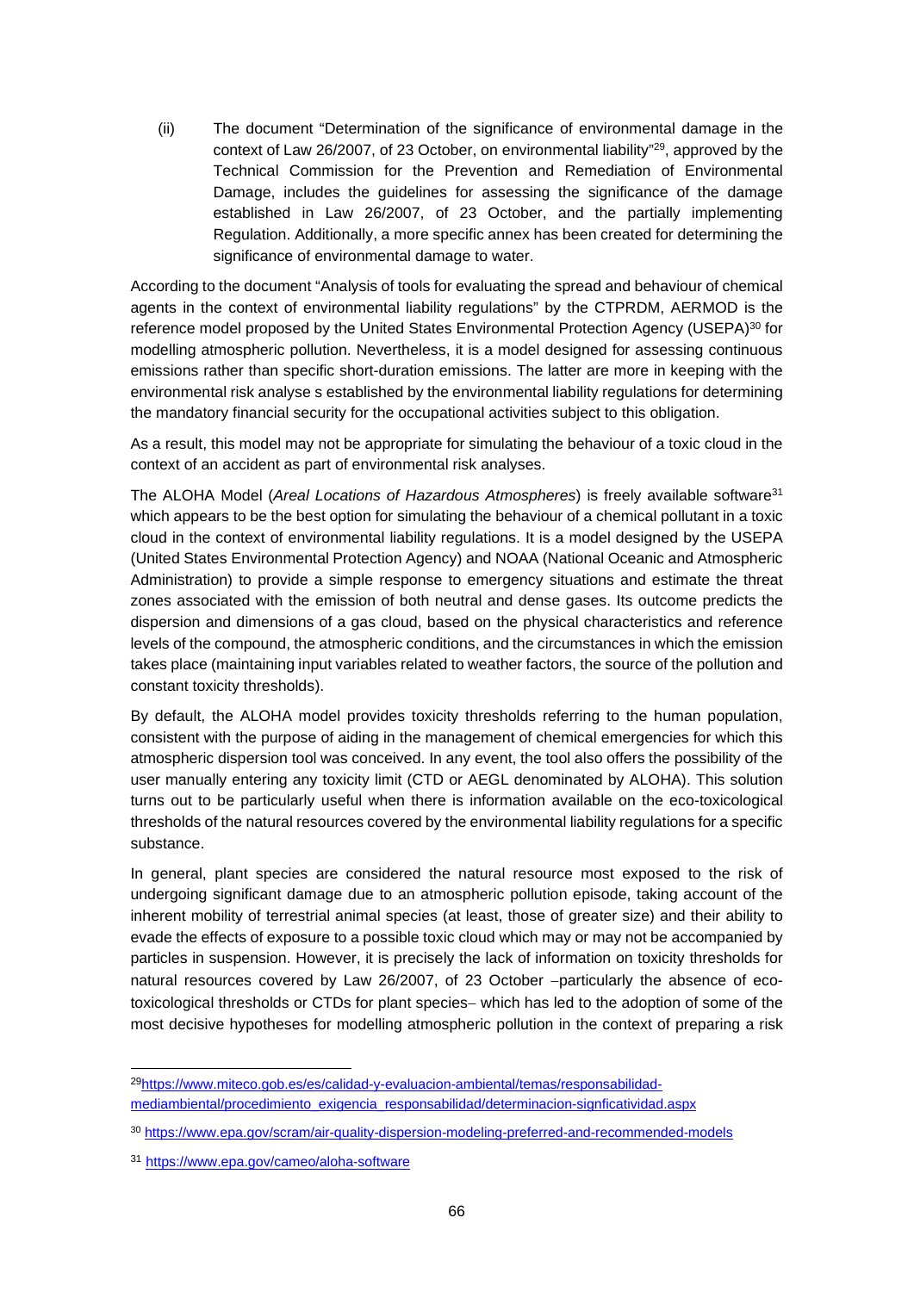(ii) The document "Determination of the significance of environmental damage in the context of Law 26/2007, of 23 October, on environmental liability"<sup>29</sup>, approved by the Technical Commission for the Prevention and Remediation of Environmental Damage, includes the guidelines for assessing the significance of the damage established in Law 26/2007, of 23 October, and the partially implementing Regulation. Additionally, a more specific annex has been created for determining the significance of environmental damage to water.

According to the document "Analysis of tools for evaluating the spread and behaviour of chemical agents in the context of environmental liability regulations" by the CTPRDM, AERMOD is the reference model proposed by the United States Environmental Protection Agency (USEPA)<sup>30</sup> for modelling atmospheric pollution. Nevertheless, it is a model designed for assessing continuous emissions rather than specific short-duration emissions. The latter are more in keeping with the environmental risk analyse s established by the environmental liability regulations for determining the mandatory financial security for the occupational activities subject to this obligation.

As a result, this model may not be appropriate for simulating the behaviour of a toxic cloud in the context of an accident as part of environmental risk analyses.

The ALOHA Model (*Areal Locations of Hazardous Atmospheres*) is freely available software<sup>31</sup> which appears to be the best option for simulating the behaviour of a chemical pollutant in a toxic cloud in the context of environmental liability regulations. It is a model designed by the USEPA (United States Environmental Protection Agency) and NOAA (National Oceanic and Atmospheric Administration) to provide a simple response to emergency situations and estimate the threat zones associated with the emission of both neutral and dense gases. Its outcome predicts the dispersion and dimensions of a gas cloud, based on the physical characteristics and reference levels of the compound, the atmospheric conditions, and the circumstances in which the emission takes place (maintaining input variables related to weather factors, the source of the pollution and constant toxicity thresholds).

By default, the ALOHA model provides toxicity thresholds referring to the human population, consistent with the purpose of aiding in the management of chemical emergencies for which this atmospheric dispersion tool was conceived. In any event, the tool also offers the possibility of the user manually entering any toxicity limit (CTD or AEGL denominated by ALOHA). This solution turns out to be particularly useful when there is information available on the eco-toxicological thresholds of the natural resources covered by the environmental liability regulations for a specific substance.

In general, plant species are considered the natural resource most exposed to the risk of undergoing significant damage due to an atmospheric pollution episode, taking account of the inherent mobility of terrestrial animal species (at least, those of greater size) and their ability to evade the effects of exposure to a possible toxic cloud which may or may not be accompanied by particles in suspension. However, it is precisely the lack of information on toxicity thresholds for natural resources covered by Law 26/2007, of 23 October -particularly the absence of ecotoxicological thresholds or CTDs for plant species- which has led to the adoption of some of the most decisive hypotheses for modelling atmospheric pollution in the context of preparing a risk

<sup>29</sup>https://www.miteco.gob.es/es/calidad-y-evaluacion-ambiental/temas/responsabilidadmediambiental/procedimiento\_exigencia\_responsabilidad/determinacion-signficatividad.aspx

<sup>30</sup> https://www.epa.gov/scram/air-quality-dispersion-modeling-preferred-and-recommended-models

<sup>31</sup> https://www.epa.gov/cameo/aloha-software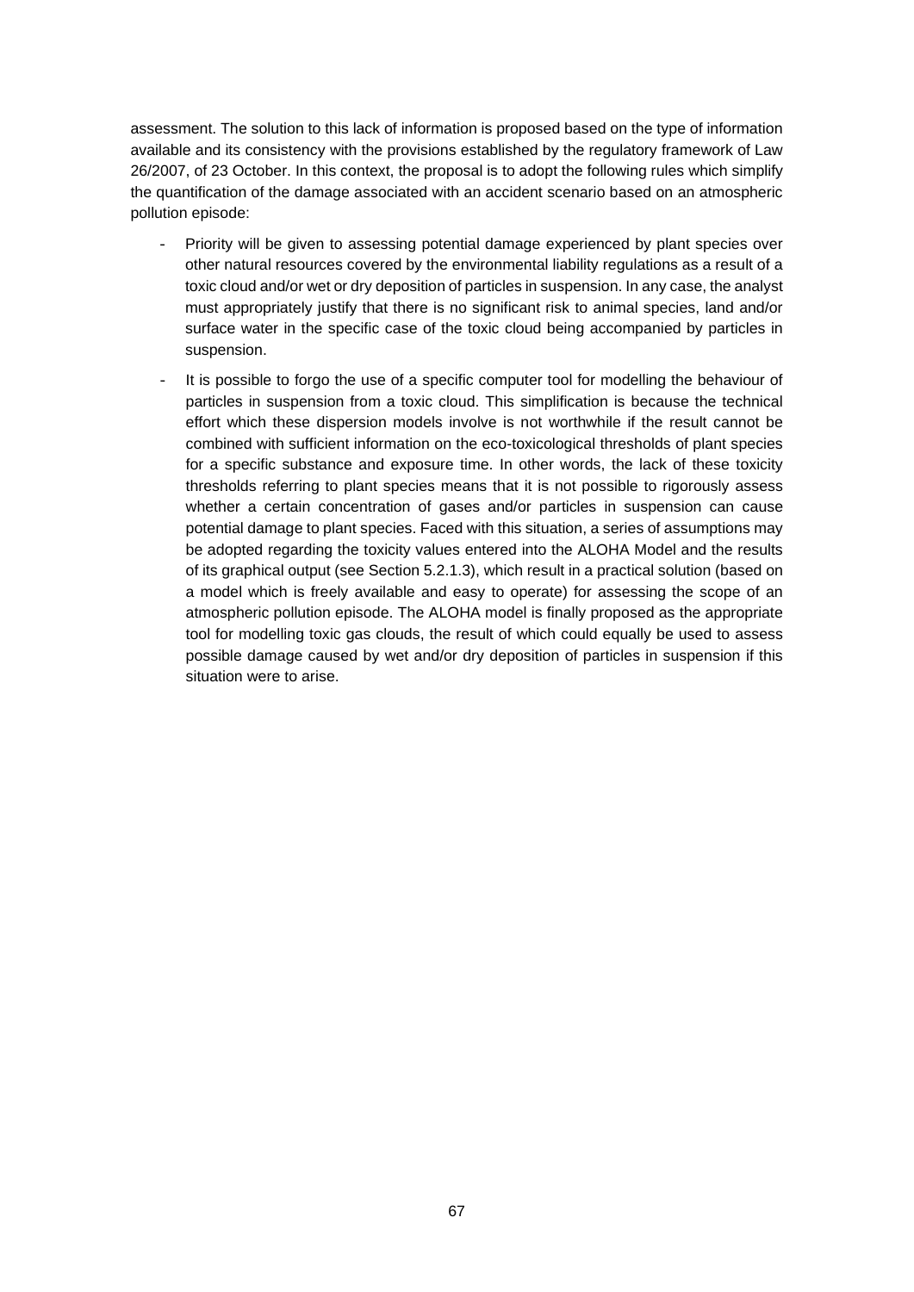assessment. The solution to this lack of information is proposed based on the type of information available and its consistency with the provisions established by the regulatory framework of Law 26/2007, of 23 October. In this context, the proposal is to adopt the following rules which simplify the quantification of the damage associated with an accident scenario based on an atmospheric pollution episode:

- Priority will be given to assessing potential damage experienced by plant species over other natural resources covered by the environmental liability regulations as a result of a toxic cloud and/or wet or dry deposition of particles in suspension. In any case, the analyst must appropriately justify that there is no significant risk to animal species, land and/or surface water in the specific case of the toxic cloud being accompanied by particles in suspension.
- It is possible to forgo the use of a specific computer tool for modelling the behaviour of particles in suspension from a toxic cloud. This simplification is because the technical effort which these dispersion models involve is not worthwhile if the result cannot be combined with sufficient information on the eco-toxicological thresholds of plant species for a specific substance and exposure time. In other words, the lack of these toxicity thresholds referring to plant species means that it is not possible to rigorously assess whether a certain concentration of gases and/or particles in suspension can cause potential damage to plant species. Faced with this situation, a series of assumptions may be adopted regarding the toxicity values entered into the ALOHA Model and the results of its graphical output (see Section 5.2.1.3), which result in a practical solution (based on a model which is freely available and easy to operate) for assessing the scope of an atmospheric pollution episode. The ALOHA model is finally proposed as the appropriate tool for modelling toxic gas clouds, the result of which could equally be used to assess possible damage caused by wet and/or dry deposition of particles in suspension if this situation were to arise.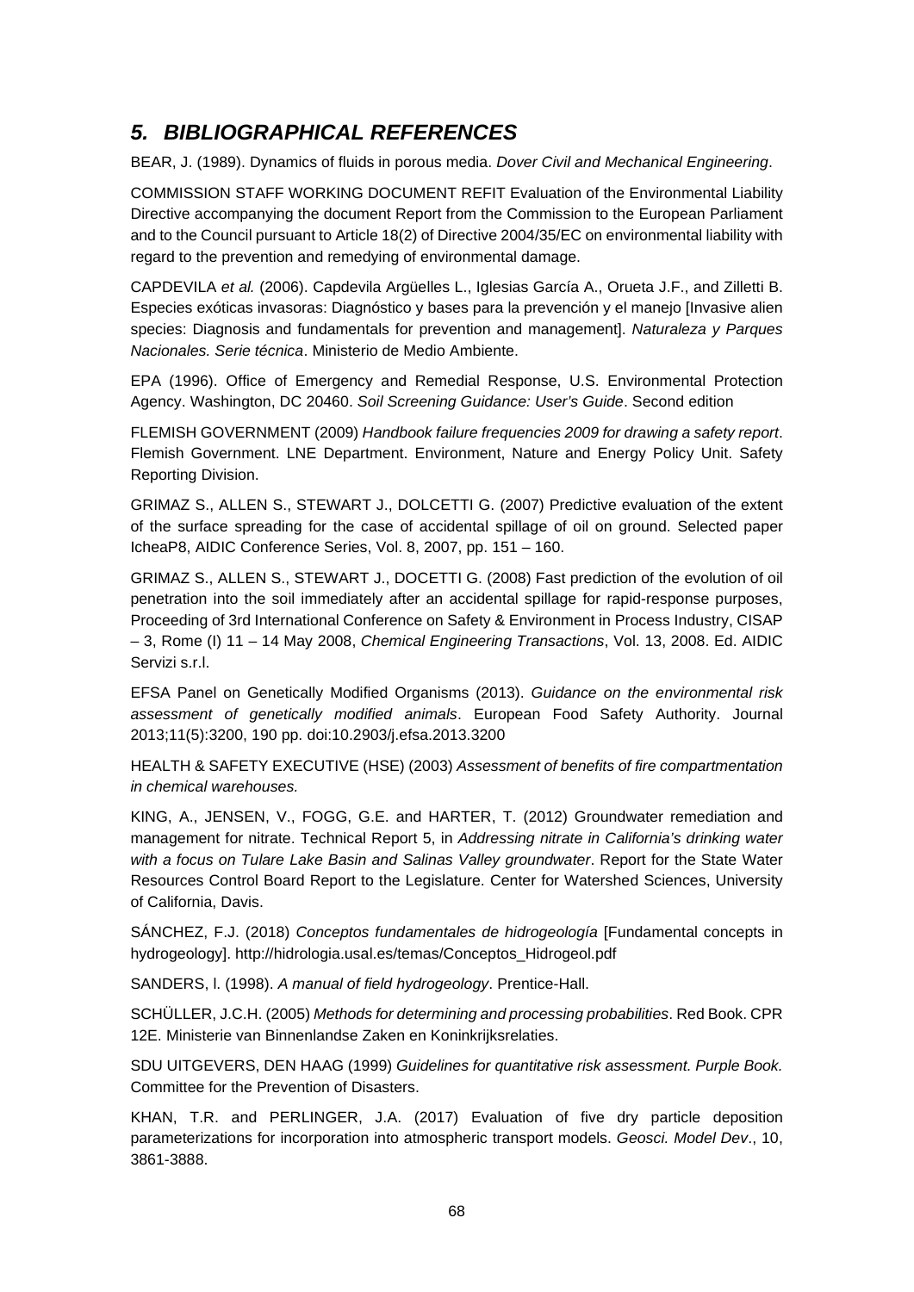# *5. BIBLIOGRAPHICAL REFERENCES*

BEAR, J. (1989). Dynamics of fluids in porous media. *Dover Civil and Mechanical Engineering*.

COMMISSION STAFF WORKING DOCUMENT REFIT Evaluation of the Environmental Liability Directive accompanying the document Report from the Commission to the European Parliament and to the Council pursuant to Article 18(2) of Directive 2004/35/EC on environmental liability with regard to the prevention and remedying of environmental damage.

CAPDEVILA *et al.* (2006). Capdevila Argüelles L., Iglesias García A., Orueta J.F., and Zilletti B. Especies exóticas invasoras: Diagnóstico y bases para la prevención y el manejo [Invasive alien species: Diagnosis and fundamentals for prevention and management]. *Naturaleza y Parques Nacionales. Serie técnica*. Ministerio de Medio Ambiente.

EPA (1996). Office of Emergency and Remedial Response, U.S. Environmental Protection Agency. Washington, DC 20460. *Soil Screening Guidance: User's Guide*. Second edition

FLEMISH GOVERNMENT (2009) *Handbook failure frequencies 2009 for drawing a safety report*. Flemish Government. LNE Department. Environment, Nature and Energy Policy Unit. Safety Reporting Division.

GRIMAZ S., ALLEN S., STEWART J., DOLCETTI G. (2007) Predictive evaluation of the extent of the surface spreading for the case of accidental spillage of oil on ground. Selected paper IcheaP8, AIDIC Conference Series, Vol. 8, 2007, pp. 151 – 160.

GRIMAZ S., ALLEN S., STEWART J., DOCETTI G. (2008) Fast prediction of the evolution of oil penetration into the soil immediately after an accidental spillage for rapid-response purposes, Proceeding of 3rd International Conference on Safety & Environment in Process Industry, CISAP – 3, Rome (I) 11 – 14 May 2008, *Chemical Engineering Transactions*, Vol. 13, 2008. Ed. AIDIC Servizi s.r.l.

EFSA Panel on Genetically Modified Organisms (2013). *Guidance on the environmental risk assessment of genetically modified animals*. European Food Safety Authority. Journal 2013;11(5):3200, 190 pp. doi:10.2903/j.efsa.2013.3200

HEALTH & SAFETY EXECUTIVE (HSE) (2003) *Assessment of benefits of fire compartmentation in chemical warehouses.*

KING, A., JENSEN, V., FOGG, G.E. and HARTER, T. (2012) Groundwater remediation and management for nitrate. Technical Report 5, in *Addressing nitrate in California's drinking water with a focus on Tulare Lake Basin and Salinas Valley groundwater*. Report for the State Water Resources Control Board Report to the Legislature. Center for Watershed Sciences, University of California, Davis.

SÁNCHEZ, F.J. (2018) *Conceptos fundamentales de hidrogeología* [Fundamental concepts in hydrogeology]. http://hidrologia.usal.es/temas/Conceptos\_Hidrogeol.pdf

SANDERS, l. (1998). *A manual of field hydrogeology*. Prentice-Hall.

SCHÜLLER, J.C.H. (2005) *Methods for determining and processing probabilities*. Red Book. CPR 12E. Ministerie van Binnenlandse Zaken en Koninkrijksrelaties.

SDU UITGEVERS, DEN HAAG (1999) *Guidelines for quantitative risk assessment. Purple Book.* Committee for the Prevention of Disasters.

KHAN, T.R. and PERLINGER, J.A. (2017) Evaluation of five dry particle deposition parameterizations for incorporation into atmospheric transport models. *Geosci. Model Dev*., 10, 3861-3888.